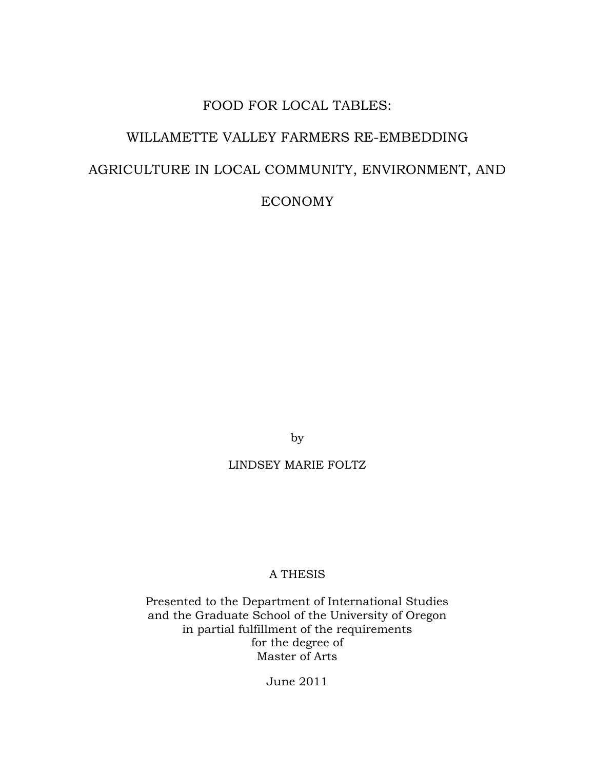# FOOD FOR LOCAL TABLES: WILLAMETTE VALLEY FARMERS RE-EMBEDDING AGRICULTURE IN LOCAL COMMUNITY, ENVIRONMENT, AND ECONOMY

by

### LINDSEY MARIE FOLTZ

### A THESIS

Presented to the Department of International Studies and the Graduate School of the University of Oregon in partial fulfillment of the requirements for the degree of Master of Arts

June 2011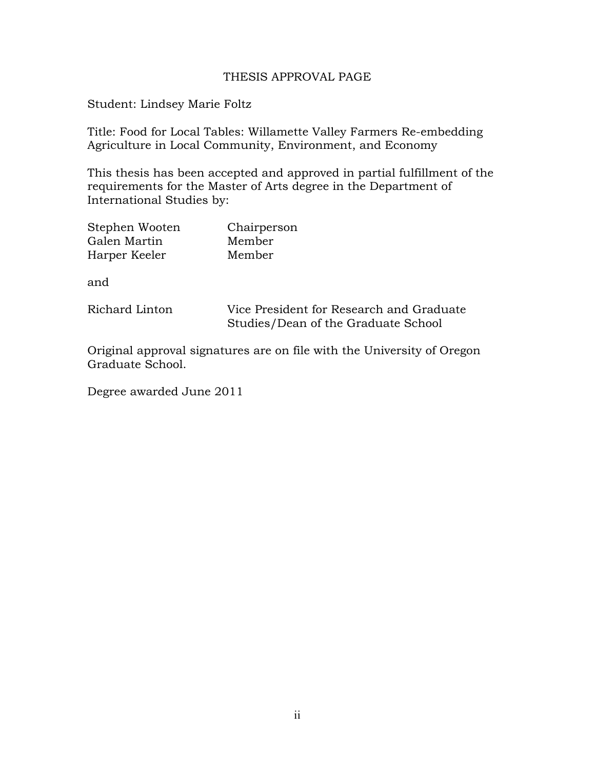### THESIS APPROVAL PAGE

Student: Lindsey Marie Foltz

Title: Food for Local Tables: Willamette Valley Farmers Re-embedding Agriculture in Local Community, Environment, and Economy

This thesis has been accepted and approved in partial fulfillment of the requirements for the Master of Arts degree in the Department of International Studies by:

| Stephen Wooten | Chairperson |
|----------------|-------------|
| Galen Martin   | Member      |
| Harper Keeler  | Member      |

and

Richard Linton Vice President for Research and Graduate Studies/Dean of the Graduate School

Original approval signatures are on file with the University of Oregon Graduate School.

Degree awarded June 2011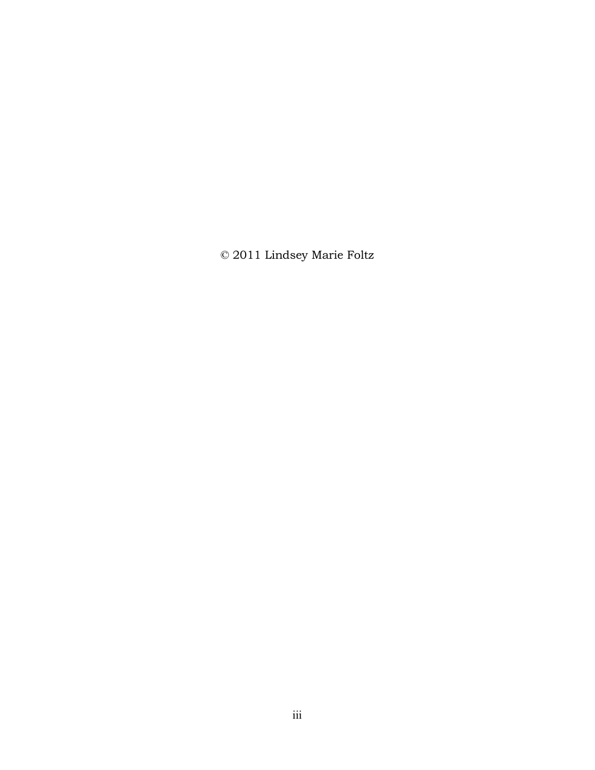© 2011 Lindsey Marie Foltz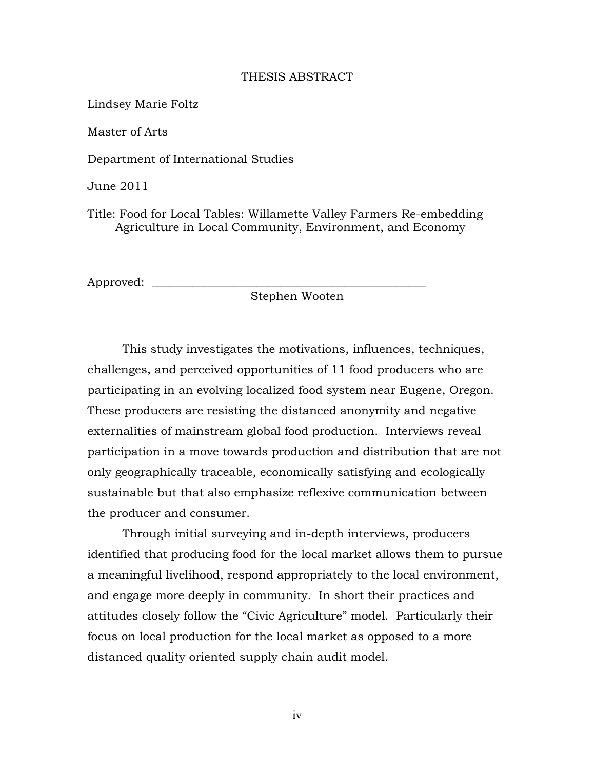### THESIS ABSTRACT

Lindsey Marie Foltz

Master of Arts

Department of International Studies

June 2011

Title: Food for Local Tables: Willamette Valley Farmers Re-embedding Agriculture in Local Community, Environment, and Economy

Approved:

Stephen Wooten

This study investigates the motivations, influences, techniques, challenges, and perceived opportunities of 11 food producers who are participating in an evolving localized food system near Eugene, Oregon. These producers are resisting the distanced anonymity and negative externalities of mainstream global food production. Interviews reveal participation in a move towards production and distribution that are not only geographically traceable, economically satisfying and ecologically sustainable but that also emphasize reflexive communication between the producer and consumer.

Through initial surveying and in-depth interviews, producers identified that producing food for the local market allows them to pursue a meaningful livelihood, respond appropriately to the local environment, and engage more deeply in community. In short their practices and attitudes closely follow the "Civic Agriculture" model. Particularly their focus on local production for the local market as opposed to a more distanced quality oriented supply chain audit model.

iv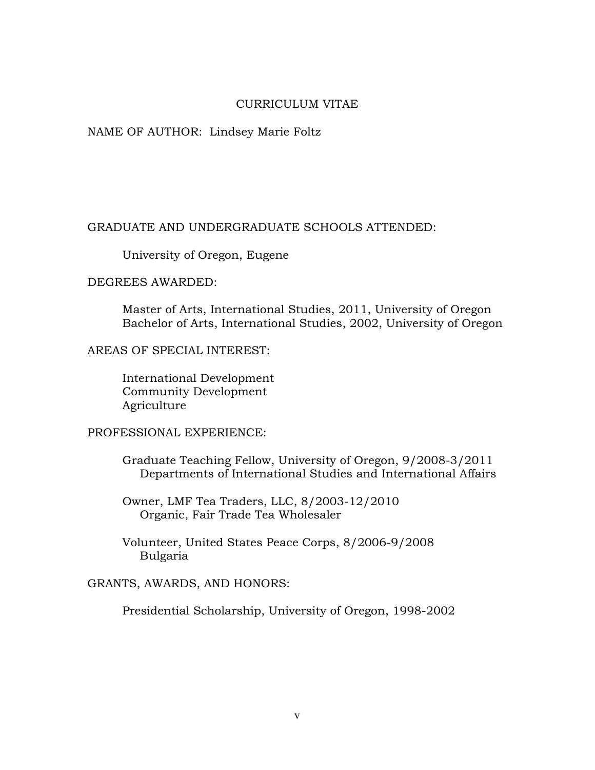### CURRICULUM VITAE

### NAME OF AUTHOR: Lindsey Marie Foltz

### GRADUATE AND UNDERGRADUATE SCHOOLS ATTENDED:

University of Oregon, Eugene

#### DEGREES AWARDED:

Master of Arts, International Studies, 2011, University of Oregon Bachelor of Arts, International Studies, 2002, University of Oregon

AREAS OF SPECIAL INTEREST:

International Development Community Development Agriculture

### PROFESSIONAL EXPERIENCE:

Graduate Teaching Fellow, University of Oregon, 9/2008-3/2011 Departments of International Studies and International Affairs

Owner, LMF Tea Traders, LLC, 8/2003-12/2010 Organic, Fair Trade Tea Wholesaler

Volunteer, United States Peace Corps, 8/2006-9/2008 Bulgaria

GRANTS, AWARDS, AND HONORS:

Presidential Scholarship, University of Oregon, 1998-2002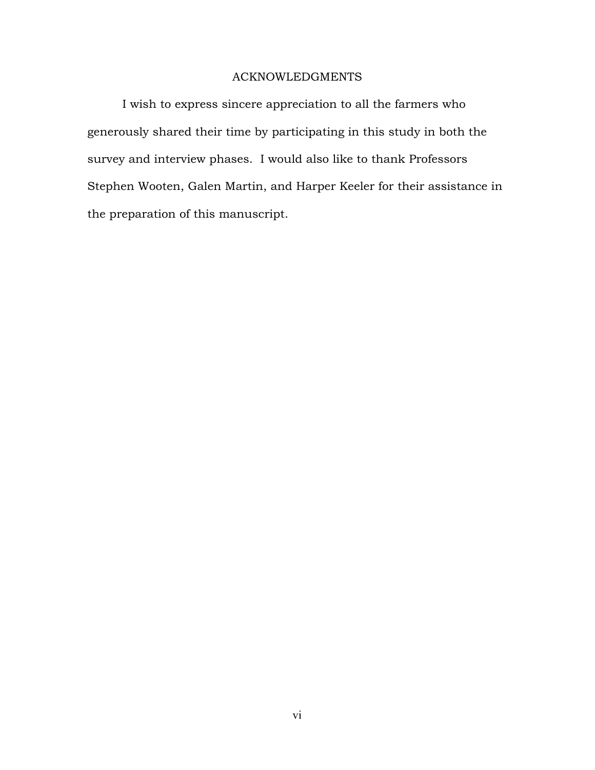### ACKNOWLEDGMENTS

I wish to express sincere appreciation to all the farmers who generously shared their time by participating in this study in both the survey and interview phases. I would also like to thank Professors Stephen Wooten, Galen Martin, and Harper Keeler for their assistance in the preparation of this manuscript.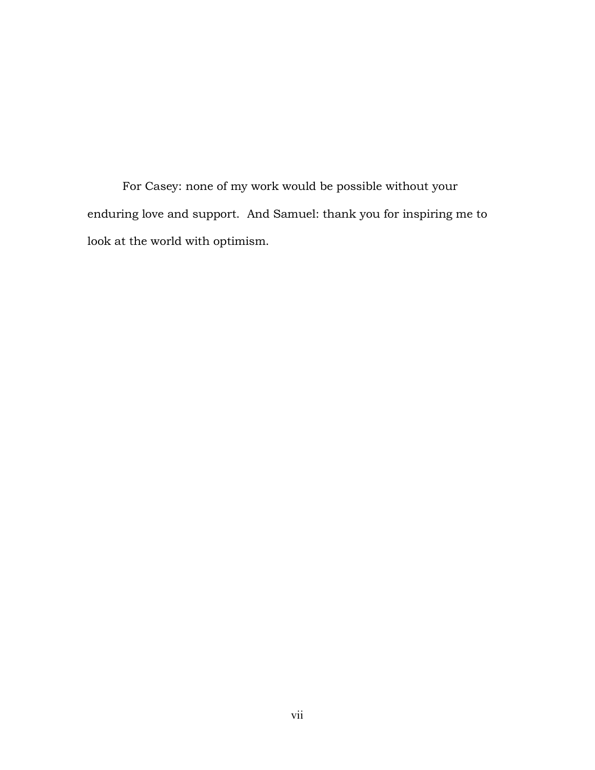For Casey: none of my work would be possible without your enduring love and support. And Samuel: thank you for inspiring me to look at the world with optimism.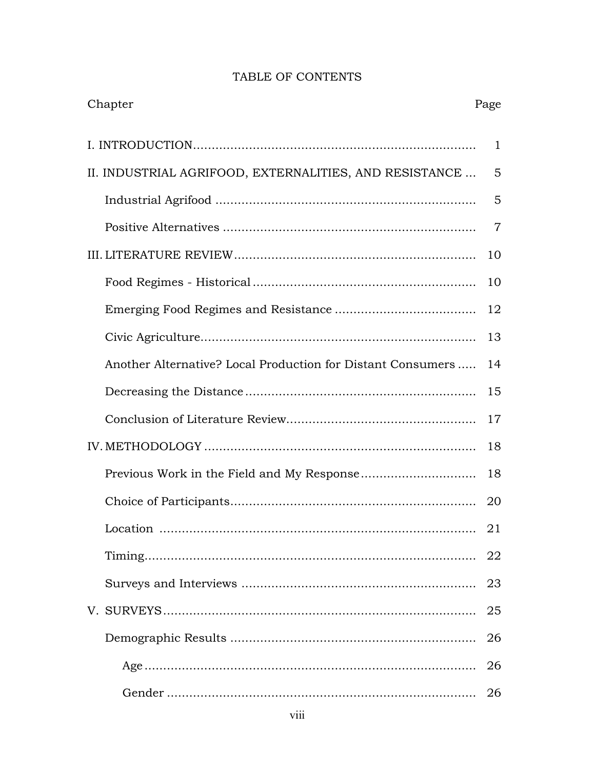## TABLE OF CONTENTS

| Chapter                                                     | Page           |
|-------------------------------------------------------------|----------------|
|                                                             | $\mathbf{1}$   |
| II. INDUSTRIAL AGRIFOOD, EXTERNALITIES, AND RESISTANCE      | 5              |
|                                                             | 5              |
|                                                             | $\overline{7}$ |
|                                                             | 10             |
|                                                             | 10             |
|                                                             | 12             |
|                                                             | 13             |
| Another Alternative? Local Production for Distant Consumers | 14             |
|                                                             | 15             |
|                                                             | 17             |
|                                                             | 18             |
|                                                             | 18             |
|                                                             | 20             |
| Location                                                    | 21             |
|                                                             | 22             |
|                                                             | 23             |
|                                                             | 25             |
|                                                             | 26             |
|                                                             | 26             |
|                                                             | 26             |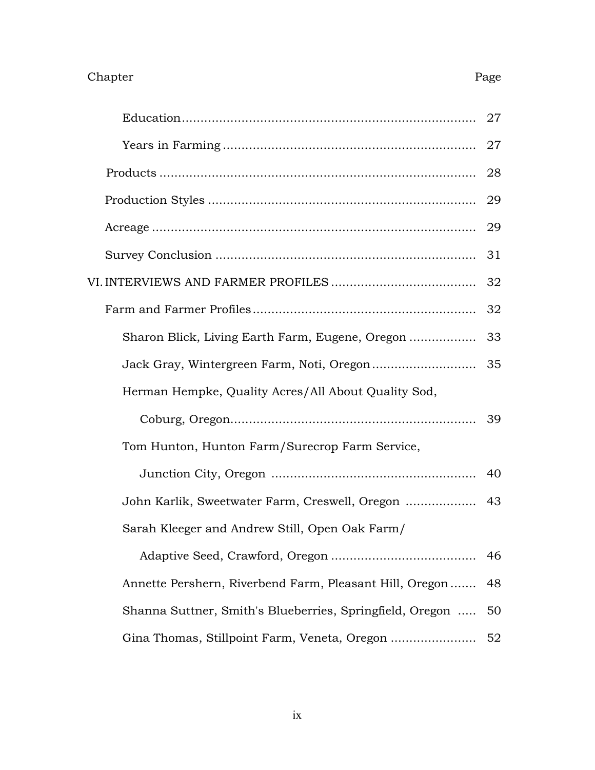# Chapter Page

|                                                          | 27 |
|----------------------------------------------------------|----|
|                                                          | 27 |
|                                                          | 28 |
|                                                          | 29 |
|                                                          | 29 |
|                                                          | 31 |
|                                                          | 32 |
|                                                          | 32 |
| Sharon Blick, Living Earth Farm, Eugene, Oregon          | 33 |
|                                                          | 35 |
| Herman Hempke, Quality Acres/All About Quality Sod,      |    |
|                                                          | 39 |
| Tom Hunton, Hunton Farm/Surecrop Farm Service,           |    |
|                                                          | 40 |
| John Karlik, Sweetwater Farm, Creswell, Oregon           | 43 |
| Sarah Kleeger and Andrew Still, Open Oak Farm/           |    |
|                                                          | 46 |
| Annette Pershern, Riverbend Farm, Pleasant Hill, Oregon  | 48 |
| Shanna Suttner, Smith's Blueberries, Springfield, Oregon | 50 |
| Gina Thomas, Stillpoint Farm, Veneta, Oregon             | 52 |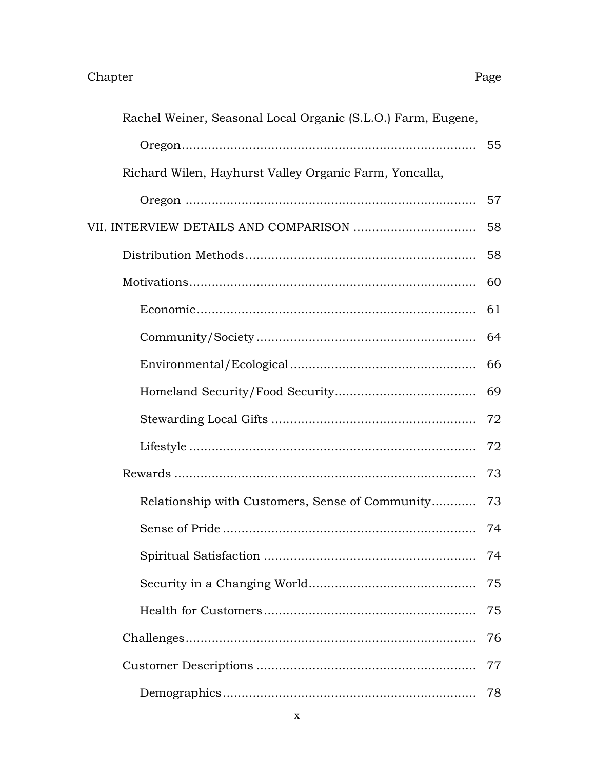| Rachel Weiner, Seasonal Local Organic (S.L.O.) Farm, Eugene, |    |
|--------------------------------------------------------------|----|
|                                                              |    |
| Richard Wilen, Hayhurst Valley Organic Farm, Yoncalla,       |    |
|                                                              | 57 |
|                                                              | 58 |
|                                                              | 58 |
|                                                              | 60 |
|                                                              | 61 |
|                                                              | 64 |
|                                                              | 66 |
|                                                              | 69 |
|                                                              | 72 |
|                                                              | 72 |
|                                                              | 73 |
| Relationship with Customers, Sense of Community              | 73 |
|                                                              | 74 |
|                                                              | 74 |
|                                                              | 75 |
|                                                              | 75 |
|                                                              | 76 |
|                                                              | 77 |
|                                                              | 78 |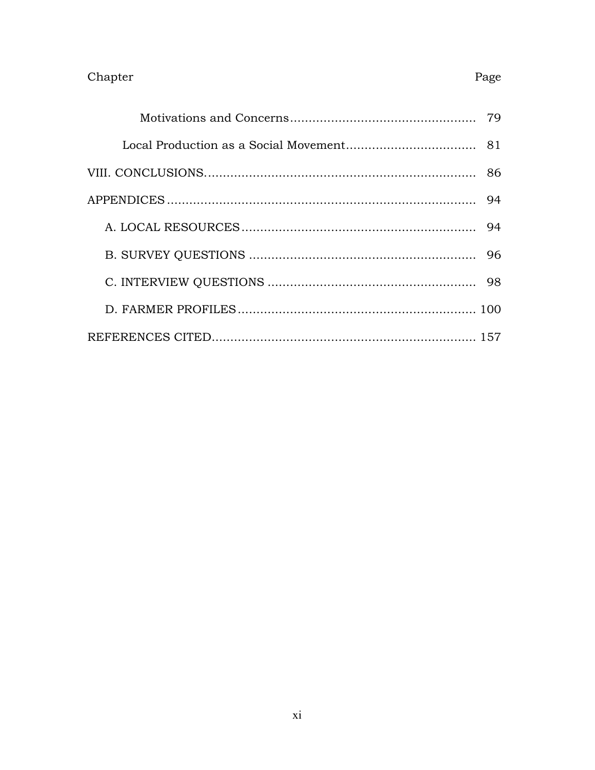### Chapter

# 

Page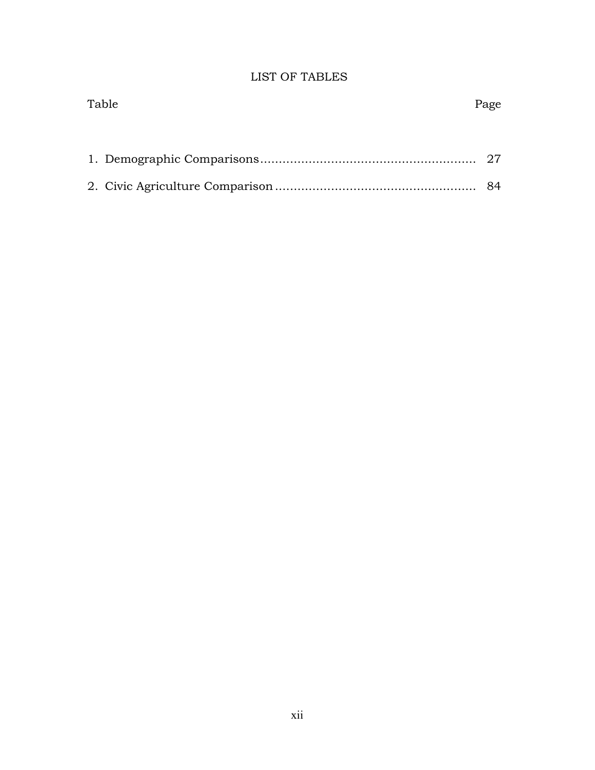# LIST OF TABLES

| Table | Page |
|-------|------|
|       |      |
|       |      |
|       |      |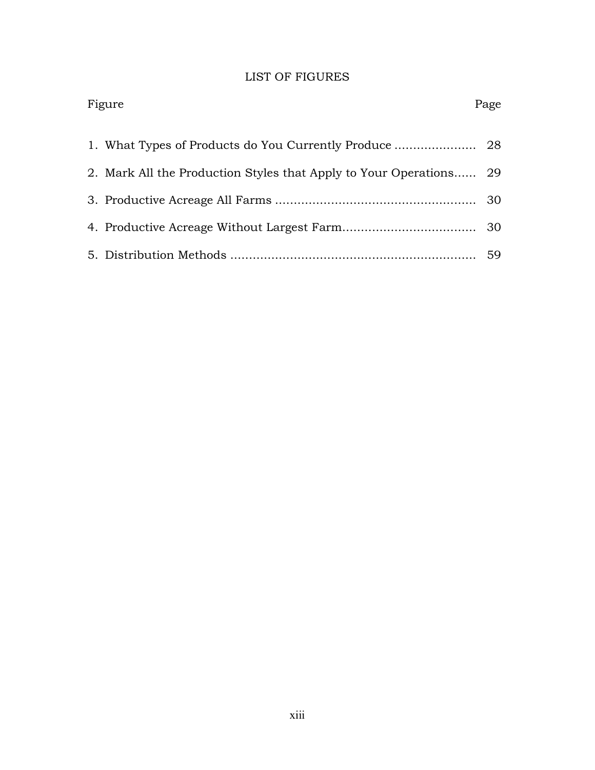## LIST OF FIGURES

| Figure                                                             | Page |
|--------------------------------------------------------------------|------|
|                                                                    |      |
| 2. Mark All the Production Styles that Apply to Your Operations 29 |      |
|                                                                    | 30   |
|                                                                    |      |
|                                                                    | 59   |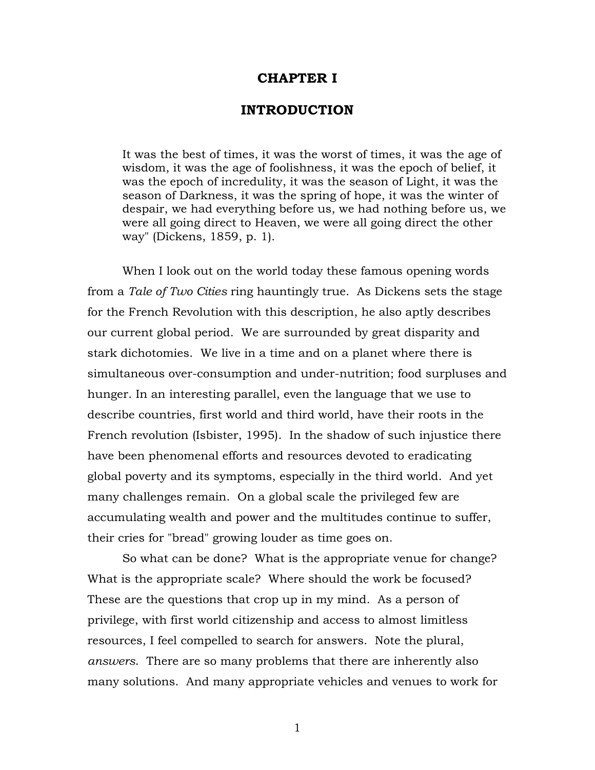### **CHAPTER I**

### **INTRODUCTION**

It was the best of times, it was the worst of times, it was the age of wisdom, it was the age of foolishness, it was the epoch of belief, it was the epoch of incredulity, it was the season of Light, it was the season of Darkness, it was the spring of hope, it was the winter of despair, we had everything before us, we had nothing before us, we were all going direct to Heaven, we were all going direct the other way" (Dickens, 1859, p. 1).

When I look out on the world today these famous opening words from a *Tale of Two Cities* ring hauntingly true. As Dickens sets the stage for the French Revolution with this description, he also aptly describes our current global period. We are surrounded by great disparity and stark dichotomies. We live in a time and on a planet where there is simultaneous over-consumption and under-nutrition; food surpluses and hunger. In an interesting parallel, even the language that we use to describe countries, first world and third world, have their roots in the French revolution (Isbister, 1995). In the shadow of such injustice there have been phenomenal efforts and resources devoted to eradicating global poverty and its symptoms, especially in the third world. And yet many challenges remain. On a global scale the privileged few are accumulating wealth and power and the multitudes continue to suffer, their cries for "bread" growing louder as time goes on.

So what can be done? What is the appropriate venue for change? What is the appropriate scale? Where should the work be focused? These are the questions that crop up in my mind. As a person of privilege, with first world citizenship and access to almost limitless resources, I feel compelled to search for answers. Note the plural, *answers*. There are so many problems that there are inherently also many solutions. And many appropriate vehicles and venues to work for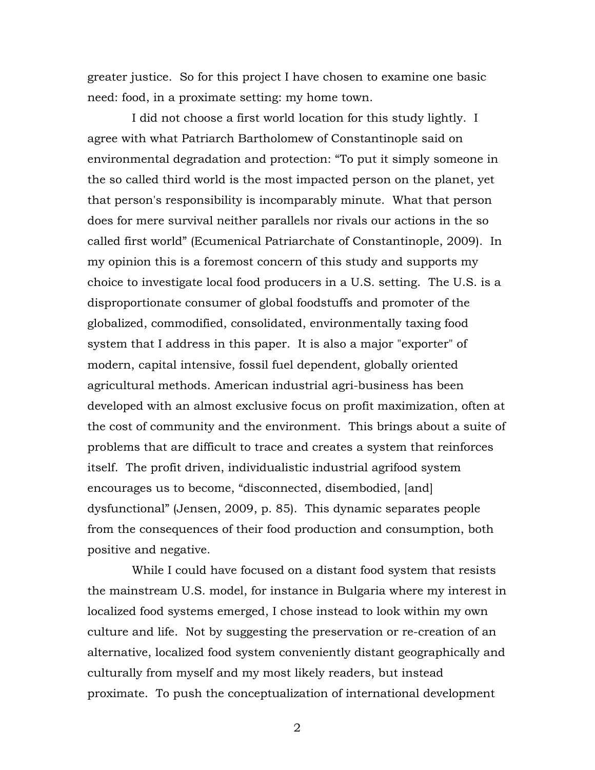greater justice. So for this project I have chosen to examine one basic need: food, in a proximate setting: my home town.

I did not choose a first world location for this study lightly. I agree with what Patriarch Bartholomew of Constantinople said on environmental degradation and protection: "To put it simply someone in the so called third world is the most impacted person on the planet, yet that person's responsibility is incomparably minute. What that person does for mere survival neither parallels nor rivals our actions in the so called first world" (Ecumenical Patriarchate of Constantinople, 2009). In my opinion this is a foremost concern of this study and supports my choice to investigate local food producers in a U.S. setting. The U.S. is a disproportionate consumer of global foodstuffs and promoter of the globalized, commodified, consolidated, environmentally taxing food system that I address in this paper. It is also a major "exporter" of modern, capital intensive, fossil fuel dependent, globally oriented agricultural methods. American industrial agri-business has been developed with an almost exclusive focus on profit maximization, often at the cost of community and the environment. This brings about a suite of problems that are difficult to trace and creates a system that reinforces itself. The profit driven, individualistic industrial agrifood system encourages us to become, "disconnected, disembodied, [and] dysfunctional" (Jensen, 2009, p. 85). This dynamic separates people from the consequences of their food production and consumption, both positive and negative.

While I could have focused on a distant food system that resists the mainstream U.S. model, for instance in Bulgaria where my interest in localized food systems emerged, I chose instead to look within my own culture and life. Not by suggesting the preservation or re-creation of an alternative, localized food system conveniently distant geographically and culturally from myself and my most likely readers, but instead proximate. To push the conceptualization of international development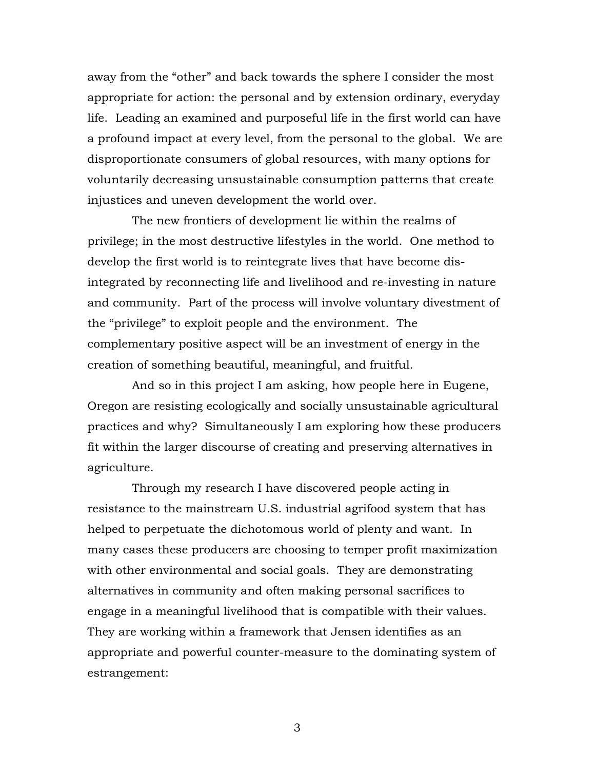away from the "other" and back towards the sphere I consider the most appropriate for action: the personal and by extension ordinary, everyday life. Leading an examined and purposeful life in the first world can have a profound impact at every level, from the personal to the global. We are disproportionate consumers of global resources, with many options for voluntarily decreasing unsustainable consumption patterns that create injustices and uneven development the world over.

The new frontiers of development lie within the realms of privilege; in the most destructive lifestyles in the world. One method to develop the first world is to reintegrate lives that have become disintegrated by reconnecting life and livelihood and re-investing in nature and community. Part of the process will involve voluntary divestment of the "privilege" to exploit people and the environment. The complementary positive aspect will be an investment of energy in the creation of something beautiful, meaningful, and fruitful.

And so in this project I am asking, how people here in Eugene, Oregon are resisting ecologically and socially unsustainable agricultural practices and why? Simultaneously I am exploring how these producers fit within the larger discourse of creating and preserving alternatives in agriculture.

Through my research I have discovered people acting in resistance to the mainstream U.S. industrial agrifood system that has helped to perpetuate the dichotomous world of plenty and want. In many cases these producers are choosing to temper profit maximization with other environmental and social goals. They are demonstrating alternatives in community and often making personal sacrifices to engage in a meaningful livelihood that is compatible with their values. They are working within a framework that Jensen identifies as an appropriate and powerful counter-measure to the dominating system of estrangement: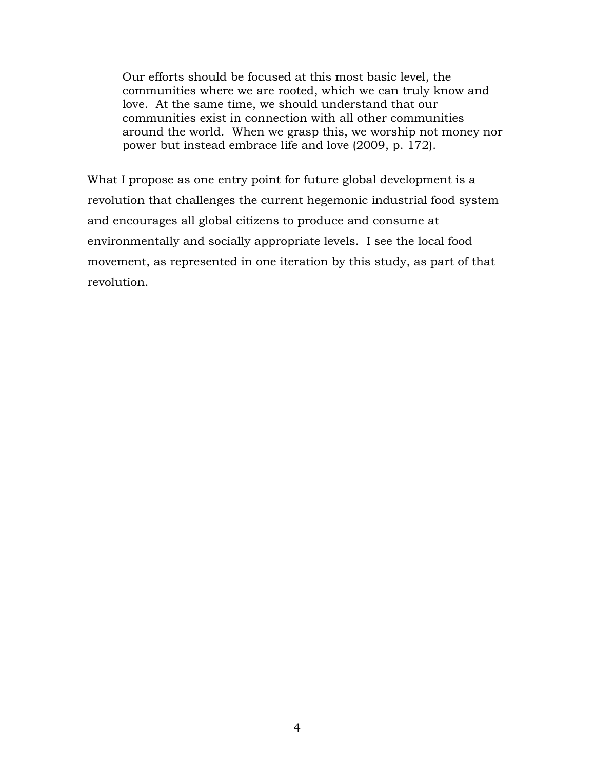Our efforts should be focused at this most basic level, the communities where we are rooted, which we can truly know and love. At the same time, we should understand that our communities exist in connection with all other communities around the world. When we grasp this, we worship not money nor power but instead embrace life and love (2009, p. 172).

What I propose as one entry point for future global development is a revolution that challenges the current hegemonic industrial food system and encourages all global citizens to produce and consume at environmentally and socially appropriate levels. I see the local food movement, as represented in one iteration by this study, as part of that revolution.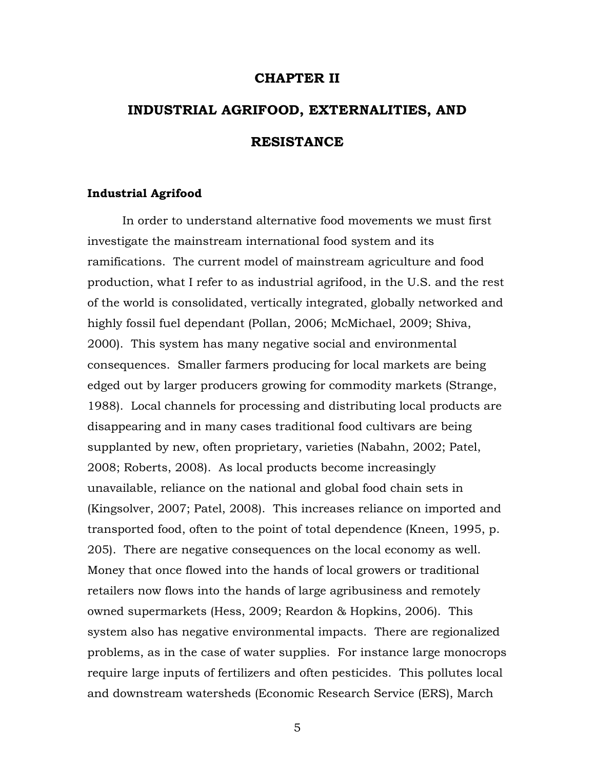### **CHAPTER II**

# **INDUSTRIAL AGRIFOOD, EXTERNALITIES, AND RESISTANCE**

### **Industrial Agrifood**

In order to understand alternative food movements we must first investigate the mainstream international food system and its ramifications. The current model of mainstream agriculture and food production, what I refer to as industrial agrifood, in the U.S. and the rest of the world is consolidated, vertically integrated, globally networked and highly fossil fuel dependant (Pollan, 2006; McMichael, 2009; Shiva, 2000). This system has many negative social and environmental consequences. Smaller farmers producing for local markets are being edged out by larger producers growing for commodity markets (Strange, 1988). Local channels for processing and distributing local products are disappearing and in many cases traditional food cultivars are being supplanted by new, often proprietary, varieties (Nabahn, 2002; Patel, 2008; Roberts, 2008). As local products become increasingly unavailable, reliance on the national and global food chain sets in (Kingsolver, 2007; Patel, 2008). This increases reliance on imported and transported food, often to the point of total dependence (Kneen, 1995, p. 205). There are negative consequences on the local economy as well. Money that once flowed into the hands of local growers or traditional retailers now flows into the hands of large agribusiness and remotely owned supermarkets (Hess, 2009; Reardon & Hopkins, 2006). This system also has negative environmental impacts. There are regionalized problems, as in the case of water supplies. For instance large monocrops require large inputs of fertilizers and often pesticides. This pollutes local and downstream watersheds (Economic Research Service (ERS), March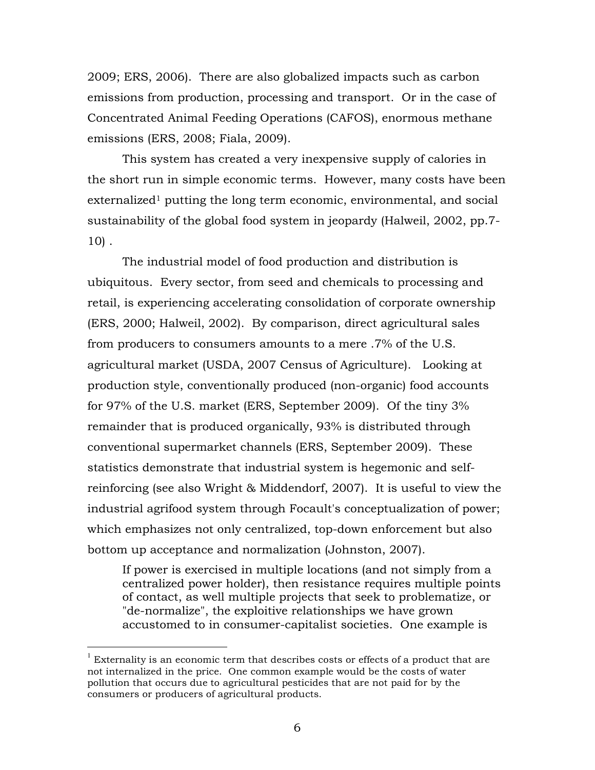2009; ERS, 2006). There are also globalized impacts such as carbon emissions from production, processing and transport. Or in the case of Concentrated Animal Feeding Operations (CAFOS), enormous methane emissions (ERS, 2008; Fiala, 2009).

This system has created a very inexpensive supply of calories in the short run in simple economic terms. However, many costs have been  $ext{centralized}$ <sup>1</sup> putting the long term economic, environmental, and social sustainability of the global food system in jeopardy (Halweil, 2002, pp.7- 10) .

The industrial model of food production and distribution is ubiquitous. Every sector, from seed and chemicals to processing and retail, is experiencing accelerating consolidation of corporate ownership (ERS, 2000; Halweil, 2002). By comparison, direct agricultural sales from producers to consumers amounts to a mere .7% of the U.S. agricultural market (USDA, 2007 Census of Agriculture). Looking at production style, conventionally produced (non-organic) food accounts for 97% of the U.S. market (ERS, September 2009). Of the tiny 3% remainder that is produced organically, 93% is distributed through conventional supermarket channels (ERS, September 2009). These statistics demonstrate that industrial system is hegemonic and selfreinforcing (see also Wright & Middendorf, 2007). It is useful to view the industrial agrifood system through Focault's conceptualization of power; which emphasizes not only centralized, top-down enforcement but also bottom up acceptance and normalization (Johnston, 2007).

If power is exercised in multiple locations (and not simply from a centralized power holder), then resistance requires multiple points of contact, as well multiple projects that seek to problematize, or "de-normalize", the exploitive relationships we have grown accustomed to in consumer-capitalist societies. One example is

 $1$  Externality is an economic term that describes costs or effects of a product that are not internalized in the price. One common example would be the costs of water pollution that occurs due to agricultural pesticides that are not paid for by the consumers or producers of agricultural products.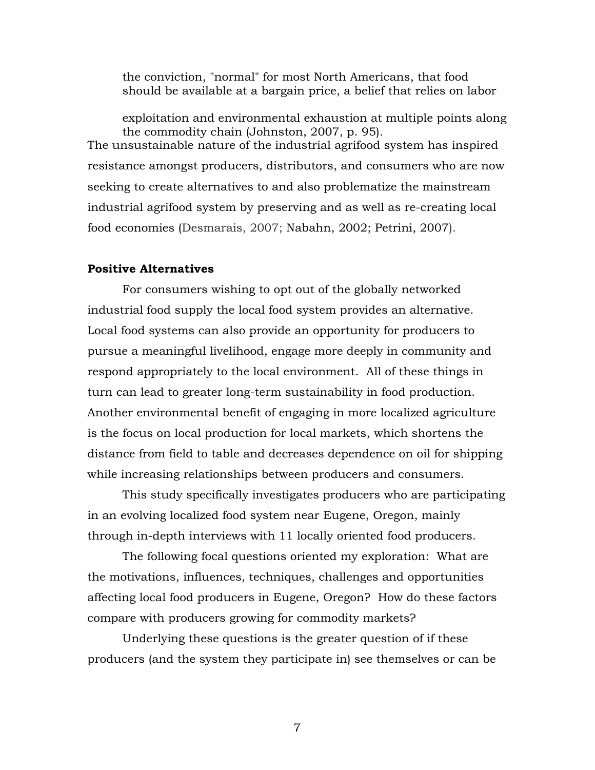the conviction, "normal" for most North Americans, that food should be available at a bargain price, a belief that relies on labor

exploitation and environmental exhaustion at multiple points along the commodity chain (Johnston, 2007, p. 95). The unsustainable nature of the industrial agrifood system has inspired resistance amongst producers, distributors, and consumers who are now seeking to create alternatives to and also problematize the mainstream industrial agrifood system by preserving and as well as re-creating local food economies (Desmarais, 2007; Nabahn, 2002; Petrini, 2007).

### **Positive Alternatives**

For consumers wishing to opt out of the globally networked industrial food supply the local food system provides an alternative. Local food systems can also provide an opportunity for producers to pursue a meaningful livelihood, engage more deeply in community and respond appropriately to the local environment. All of these things in turn can lead to greater long-term sustainability in food production. Another environmental benefit of engaging in more localized agriculture is the focus on local production for local markets, which shortens the distance from field to table and decreases dependence on oil for shipping while increasing relationships between producers and consumers.

This study specifically investigates producers who are participating in an evolving localized food system near Eugene, Oregon, mainly through in-depth interviews with 11 locally oriented food producers.

The following focal questions oriented my exploration: What are the motivations, influences, techniques, challenges and opportunities affecting local food producers in Eugene, Oregon? How do these factors compare with producers growing for commodity markets?

Underlying these questions is the greater question of if these producers (and the system they participate in) see themselves or can be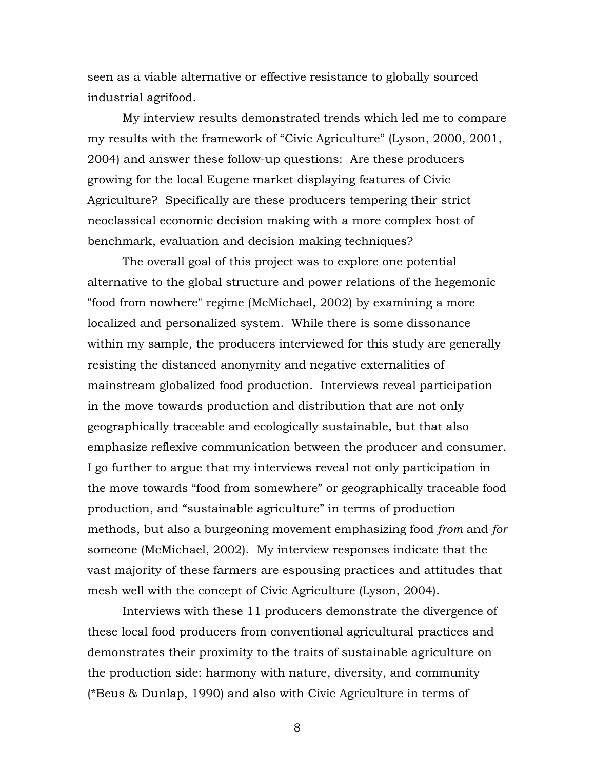seen as a viable alternative or effective resistance to globally sourced industrial agrifood.

My interview results demonstrated trends which led me to compare my results with the framework of "Civic Agriculture" (Lyson, 2000, 2001, 2004) and answer these follow-up questions: Are these producers growing for the local Eugene market displaying features of Civic Agriculture? Specifically are these producers tempering their strict neoclassical economic decision making with a more complex host of benchmark, evaluation and decision making techniques?

The overall goal of this project was to explore one potential alternative to the global structure and power relations of the hegemonic "food from nowhere" regime (McMichael, 2002) by examining a more localized and personalized system. While there is some dissonance within my sample, the producers interviewed for this study are generally resisting the distanced anonymity and negative externalities of mainstream globalized food production. Interviews reveal participation in the move towards production and distribution that are not only geographically traceable and ecologically sustainable, but that also emphasize reflexive communication between the producer and consumer. I go further to argue that my interviews reveal not only participation in the move towards "food from somewhere" or geographically traceable food production, and "sustainable agriculture" in terms of production methods, but also a burgeoning movement emphasizing food *from* and *for* someone (McMichael, 2002). My interview responses indicate that the vast majority of these farmers are espousing practices and attitudes that mesh well with the concept of Civic Agriculture (Lyson, 2004).

Interviews with these 11 producers demonstrate the divergence of these local food producers from conventional agricultural practices and demonstrates their proximity to the traits of sustainable agriculture on the production side: harmony with nature, diversity, and community (\*Beus & Dunlap, 1990) and also with Civic Agriculture in terms of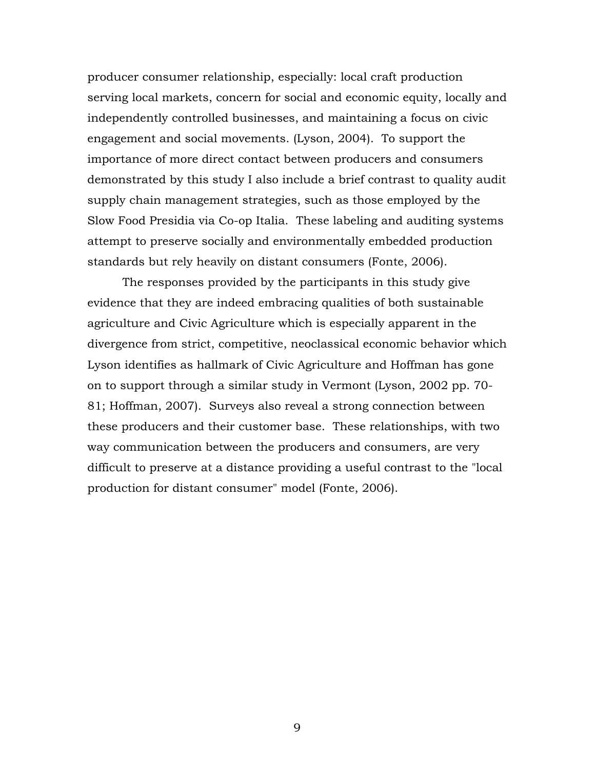producer consumer relationship, especially: local craft production serving local markets, concern for social and economic equity, locally and independently controlled businesses, and maintaining a focus on civic engagement and social movements. (Lyson, 2004). To support the importance of more direct contact between producers and consumers demonstrated by this study I also include a brief contrast to quality audit supply chain management strategies, such as those employed by the Slow Food Presidia via Co-op Italia. These labeling and auditing systems attempt to preserve socially and environmentally embedded production standards but rely heavily on distant consumers (Fonte, 2006).

The responses provided by the participants in this study give evidence that they are indeed embracing qualities of both sustainable agriculture and Civic Agriculture which is especially apparent in the divergence from strict, competitive, neoclassical economic behavior which Lyson identifies as hallmark of Civic Agriculture and Hoffman has gone on to support through a similar study in Vermont (Lyson, 2002 pp. 70- 81; Hoffman, 2007). Surveys also reveal a strong connection between these producers and their customer base. These relationships, with two way communication between the producers and consumers, are very difficult to preserve at a distance providing a useful contrast to the "local production for distant consumer" model (Fonte, 2006).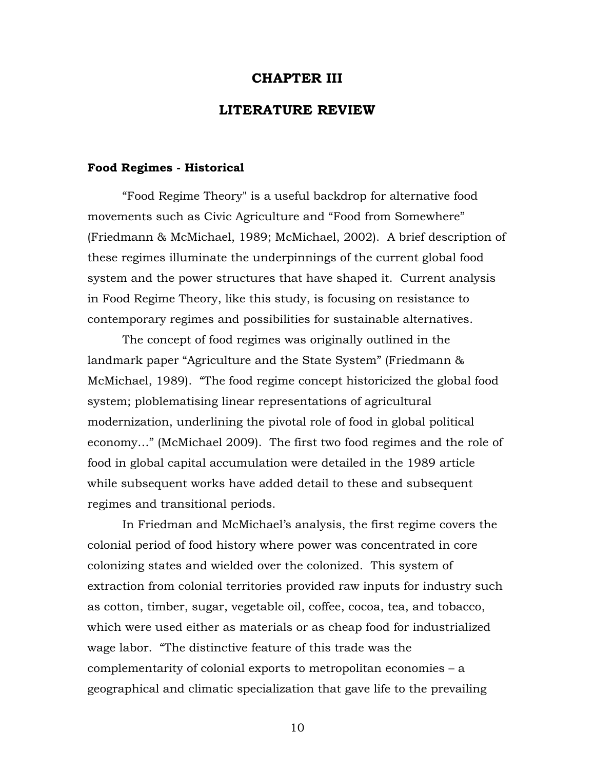### **CHAPTER III**

### **LITERATURE REVIEW**

### **Food Regimes - Historical**

"Food Regime Theory" is a useful backdrop for alternative food movements such as Civic Agriculture and "Food from Somewhere" (Friedmann & McMichael, 1989; McMichael, 2002). A brief description of these regimes illuminate the underpinnings of the current global food system and the power structures that have shaped it. Current analysis in Food Regime Theory, like this study, is focusing on resistance to contemporary regimes and possibilities for sustainable alternatives.

The concept of food regimes was originally outlined in the landmark paper "Agriculture and the State System" (Friedmann & McMichael, 1989). "The food regime concept historicized the global food system; ploblematising linear representations of agricultural modernization, underlining the pivotal role of food in global political economy…" (McMichael 2009). The first two food regimes and the role of food in global capital accumulation were detailed in the 1989 article while subsequent works have added detail to these and subsequent regimes and transitional periods.

In Friedman and McMichael's analysis, the first regime covers the colonial period of food history where power was concentrated in core colonizing states and wielded over the colonized. This system of extraction from colonial territories provided raw inputs for industry such as cotton, timber, sugar, vegetable oil, coffee, cocoa, tea, and tobacco, which were used either as materials or as cheap food for industrialized wage labor. "The distinctive feature of this trade was the complementarity of colonial exports to metropolitan economies – a geographical and climatic specialization that gave life to the prevailing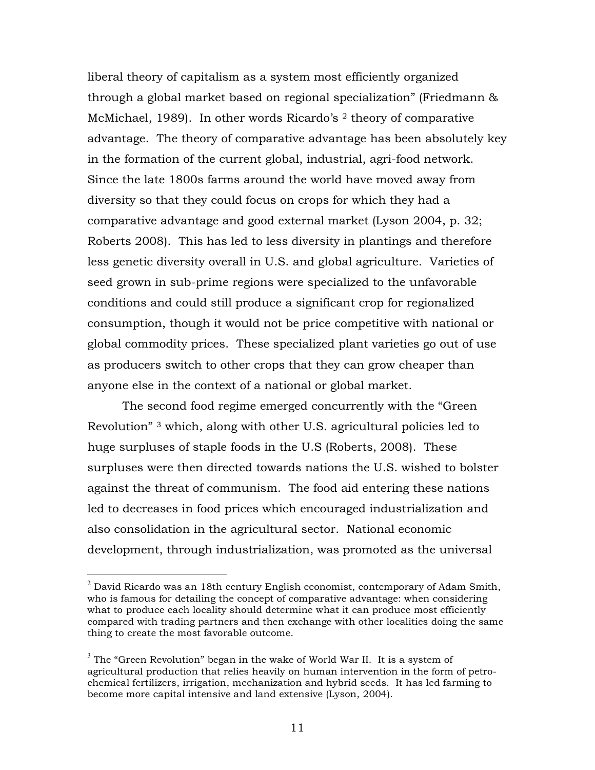liberal theory of capitalism as a system most efficiently organized through a global market based on regional specialization" (Friedmann & McMichael, 1989). In other words Ricardo's <sup>2</sup> theory of comparative advantage. The theory of comparative advantage has been absolutely key in the formation of the current global, industrial, agri-food network. Since the late 1800s farms around the world have moved away from diversity so that they could focus on crops for which they had a comparative advantage and good external market (Lyson 2004, p. 32; Roberts 2008). This has led to less diversity in plantings and therefore less genetic diversity overall in U.S. and global agriculture. Varieties of seed grown in sub-prime regions were specialized to the unfavorable conditions and could still produce a significant crop for regionalized consumption, though it would not be price competitive with national or global commodity prices. These specialized plant varieties go out of use as producers switch to other crops that they can grow cheaper than anyone else in the context of a national or global market.

The second food regime emerged concurrently with the "Green Revolution" 3 which, along with other U.S. agricultural policies led to huge surpluses of staple foods in the U.S (Roberts, 2008). These surpluses were then directed towards nations the U.S. wished to bolster against the threat of communism. The food aid entering these nations led to decreases in food prices which encouraged industrialization and also consolidation in the agricultural sector. National economic development, through industrialization, was promoted as the universal

 $2$  David Ricardo was an 18th century English economist, contemporary of Adam Smith, who is famous for detailing the concept of comparative advantage: when considering what to produce each locality should determine what it can produce most efficiently compared with trading partners and then exchange with other localities doing the same thing to create the most favorable outcome.

 $3$  The "Green Revolution" began in the wake of World War II. It is a system of agricultural production that relies heavily on human intervention in the form of petrochemical fertilizers, irrigation, mechanization and hybrid seeds. It has led farming to become more capital intensive and land extensive (Lyson, 2004).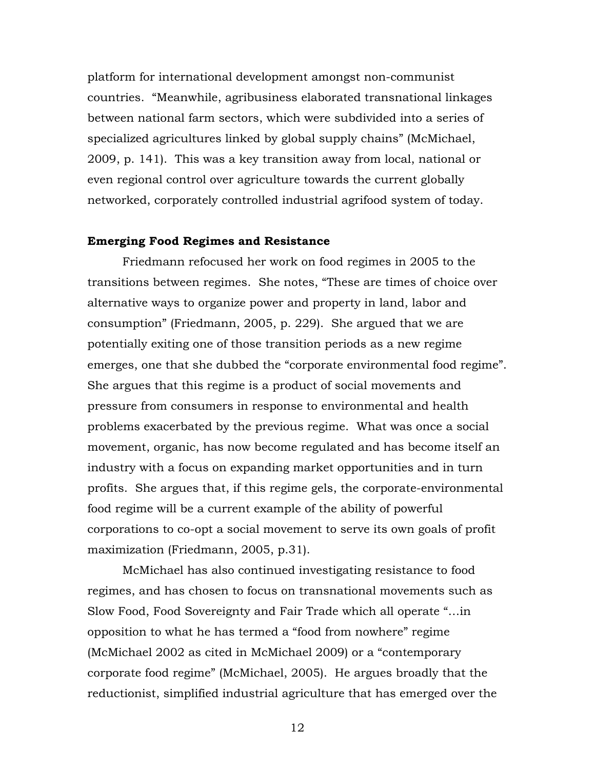platform for international development amongst non-communist countries. "Meanwhile, agribusiness elaborated transnational linkages between national farm sectors, which were subdivided into a series of specialized agricultures linked by global supply chains" (McMichael, 2009, p. 141). This was a key transition away from local, national or even regional control over agriculture towards the current globally networked, corporately controlled industrial agrifood system of today.

### **Emerging Food Regimes and Resistance**

Friedmann refocused her work on food regimes in 2005 to the transitions between regimes. She notes, "These are times of choice over alternative ways to organize power and property in land, labor and consumption" (Friedmann, 2005, p. 229). She argued that we are potentially exiting one of those transition periods as a new regime emerges, one that she dubbed the "corporate environmental food regime". She argues that this regime is a product of social movements and pressure from consumers in response to environmental and health problems exacerbated by the previous regime. What was once a social movement, organic, has now become regulated and has become itself an industry with a focus on expanding market opportunities and in turn profits. She argues that, if this regime gels, the corporate-environmental food regime will be a current example of the ability of powerful corporations to co-opt a social movement to serve its own goals of profit maximization (Friedmann, 2005, p.31).

McMichael has also continued investigating resistance to food regimes, and has chosen to focus on transnational movements such as Slow Food, Food Sovereignty and Fair Trade which all operate "…in opposition to what he has termed a "food from nowhere" regime (McMichael 2002 as cited in McMichael 2009) or a "contemporary corporate food regime" (McMichael, 2005). He argues broadly that the reductionist, simplified industrial agriculture that has emerged over the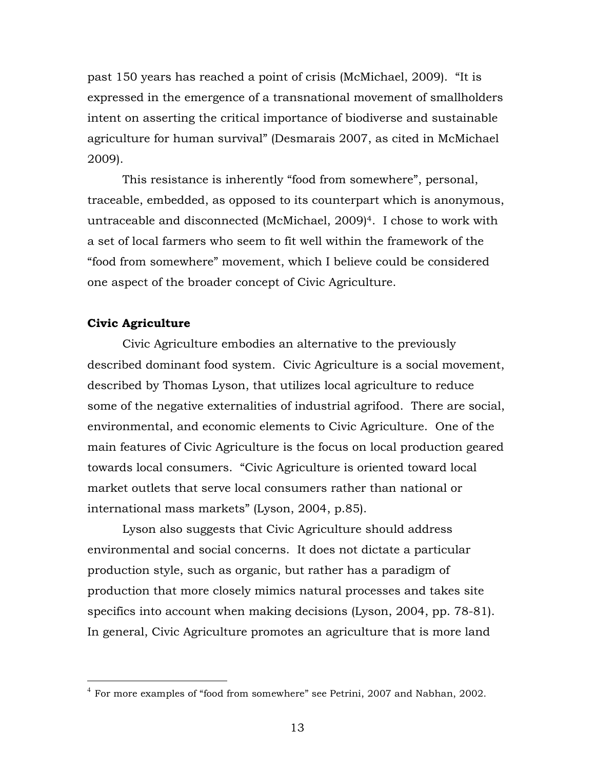past 150 years has reached a point of crisis (McMichael, 2009). "It is expressed in the emergence of a transnational movement of smallholders intent on asserting the critical importance of biodiverse and sustainable agriculture for human survival" (Desmarais 2007, as cited in McMichael 2009).

This resistance is inherently "food from somewhere", personal, traceable, embedded, as opposed to its counterpart which is anonymous, untraceable and disconnected (McMichael, 2009)4. I chose to work with a set of local farmers who seem to fit well within the framework of the "food from somewhere" movement, which I believe could be considered one aspect of the broader concept of Civic Agriculture.

### **Civic Agriculture**

Civic Agriculture embodies an alternative to the previously described dominant food system. Civic Agriculture is a social movement, described by Thomas Lyson, that utilizes local agriculture to reduce some of the negative externalities of industrial agrifood. There are social, environmental, and economic elements to Civic Agriculture. One of the main features of Civic Agriculture is the focus on local production geared towards local consumers. "Civic Agriculture is oriented toward local market outlets that serve local consumers rather than national or international mass markets" (Lyson, 2004, p.85).

Lyson also suggests that Civic Agriculture should address environmental and social concerns. It does not dictate a particular production style, such as organic, but rather has a paradigm of production that more closely mimics natural processes and takes site specifics into account when making decisions (Lyson, 2004, pp. 78-81). In general, Civic Agriculture promotes an agriculture that is more land

 $4\,$  For more examples of "food from somewhere" see Petrini, 2007 and Nabhan, 2002.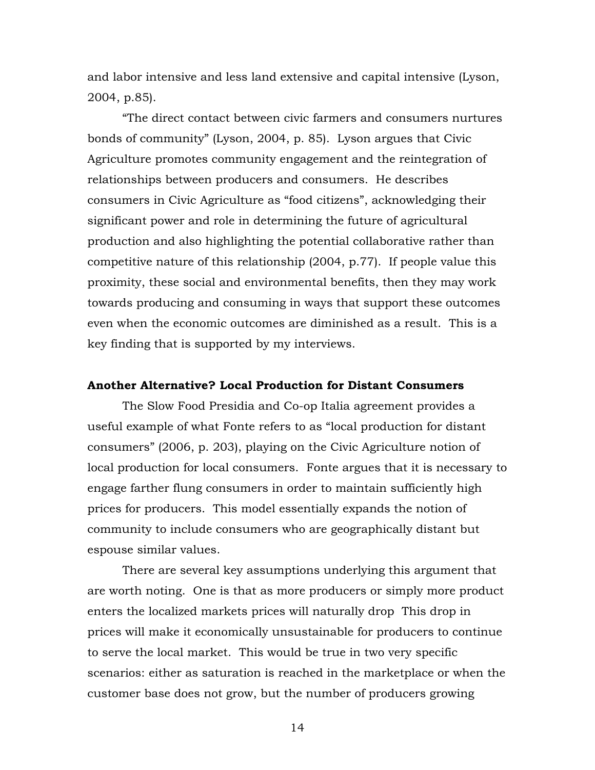and labor intensive and less land extensive and capital intensive (Lyson, 2004, p.85).

"The direct contact between civic farmers and consumers nurtures bonds of community" (Lyson, 2004, p. 85). Lyson argues that Civic Agriculture promotes community engagement and the reintegration of relationships between producers and consumers. He describes consumers in Civic Agriculture as "food citizens", acknowledging their significant power and role in determining the future of agricultural production and also highlighting the potential collaborative rather than competitive nature of this relationship (2004, p.77). If people value this proximity, these social and environmental benefits, then they may work towards producing and consuming in ways that support these outcomes even when the economic outcomes are diminished as a result. This is a key finding that is supported by my interviews.

### **Another Alternative? Local Production for Distant Consumers**

The Slow Food Presidia and Co-op Italia agreement provides a useful example of what Fonte refers to as "local production for distant consumers" (2006, p. 203), playing on the Civic Agriculture notion of local production for local consumers. Fonte argues that it is necessary to engage farther flung consumers in order to maintain sufficiently high prices for producers. This model essentially expands the notion of community to include consumers who are geographically distant but espouse similar values.

There are several key assumptions underlying this argument that are worth noting. One is that as more producers or simply more product enters the localized markets prices will naturally drop This drop in prices will make it economically unsustainable for producers to continue to serve the local market. This would be true in two very specific scenarios: either as saturation is reached in the marketplace or when the customer base does not grow, but the number of producers growing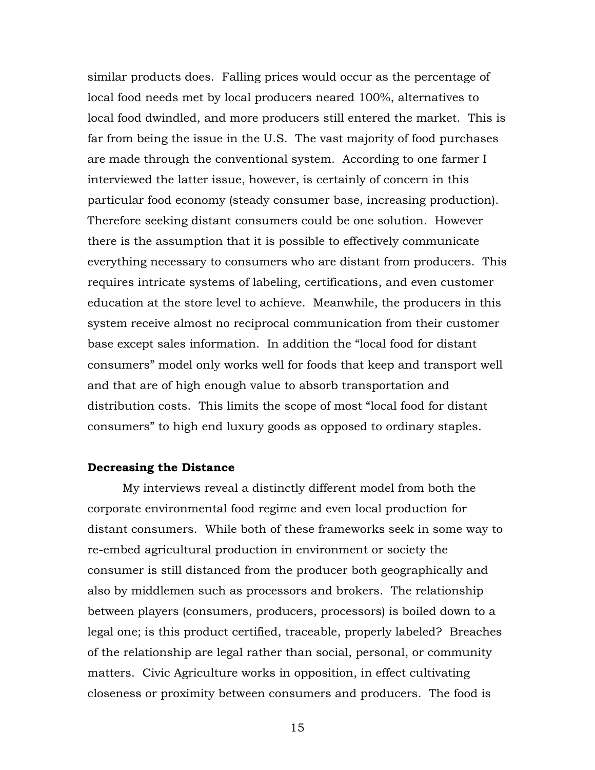similar products does. Falling prices would occur as the percentage of local food needs met by local producers neared 100%, alternatives to local food dwindled, and more producers still entered the market. This is far from being the issue in the U.S. The vast majority of food purchases are made through the conventional system. According to one farmer I interviewed the latter issue, however, is certainly of concern in this particular food economy (steady consumer base, increasing production). Therefore seeking distant consumers could be one solution. However there is the assumption that it is possible to effectively communicate everything necessary to consumers who are distant from producers. This requires intricate systems of labeling, certifications, and even customer education at the store level to achieve. Meanwhile, the producers in this system receive almost no reciprocal communication from their customer base except sales information. In addition the "local food for distant consumers" model only works well for foods that keep and transport well and that are of high enough value to absorb transportation and distribution costs. This limits the scope of most "local food for distant consumers" to high end luxury goods as opposed to ordinary staples.

### **Decreasing the Distance**

My interviews reveal a distinctly different model from both the corporate environmental food regime and even local production for distant consumers. While both of these frameworks seek in some way to re-embed agricultural production in environment or society the consumer is still distanced from the producer both geographically and also by middlemen such as processors and brokers. The relationship between players (consumers, producers, processors) is boiled down to a legal one; is this product certified, traceable, properly labeled? Breaches of the relationship are legal rather than social, personal, or community matters. Civic Agriculture works in opposition, in effect cultivating closeness or proximity between consumers and producers. The food is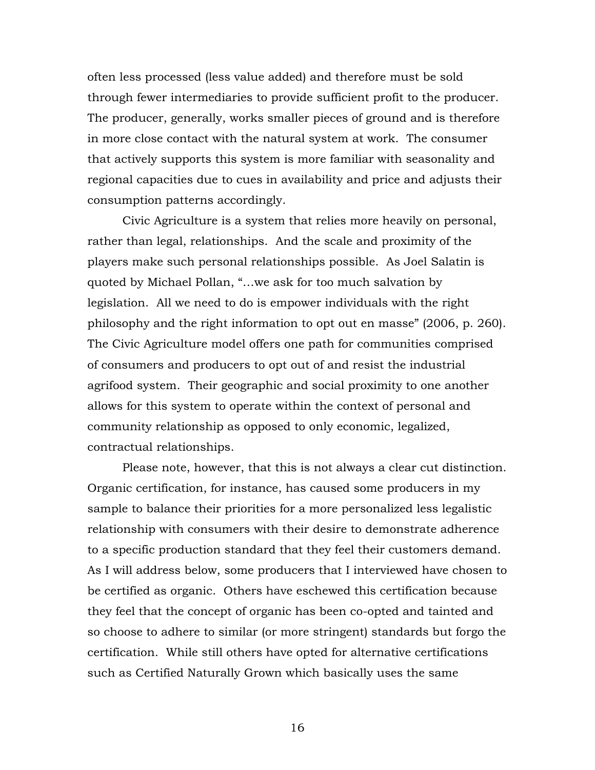often less processed (less value added) and therefore must be sold through fewer intermediaries to provide sufficient profit to the producer. The producer, generally, works smaller pieces of ground and is therefore in more close contact with the natural system at work. The consumer that actively supports this system is more familiar with seasonality and regional capacities due to cues in availability and price and adjusts their consumption patterns accordingly.

Civic Agriculture is a system that relies more heavily on personal, rather than legal, relationships. And the scale and proximity of the players make such personal relationships possible. As Joel Salatin is quoted by Michael Pollan, "…we ask for too much salvation by legislation. All we need to do is empower individuals with the right philosophy and the right information to opt out en masse" (2006, p. 260). The Civic Agriculture model offers one path for communities comprised of consumers and producers to opt out of and resist the industrial agrifood system. Their geographic and social proximity to one another allows for this system to operate within the context of personal and community relationship as opposed to only economic, legalized, contractual relationships.

Please note, however, that this is not always a clear cut distinction. Organic certification, for instance, has caused some producers in my sample to balance their priorities for a more personalized less legalistic relationship with consumers with their desire to demonstrate adherence to a specific production standard that they feel their customers demand. As I will address below, some producers that I interviewed have chosen to be certified as organic. Others have eschewed this certification because they feel that the concept of organic has been co-opted and tainted and so choose to adhere to similar (or more stringent) standards but forgo the certification. While still others have opted for alternative certifications such as Certified Naturally Grown which basically uses the same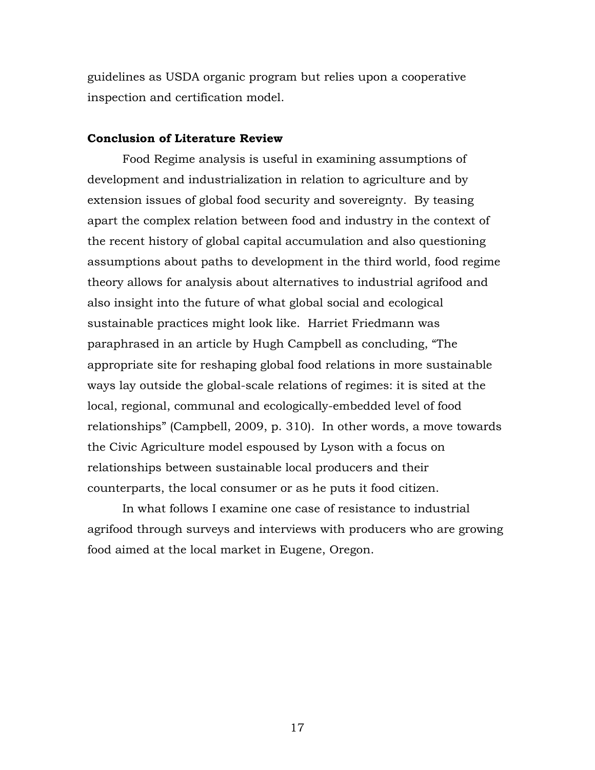guidelines as USDA organic program but relies upon a cooperative inspection and certification model.

### **Conclusion of Literature Review**

Food Regime analysis is useful in examining assumptions of development and industrialization in relation to agriculture and by extension issues of global food security and sovereignty. By teasing apart the complex relation between food and industry in the context of the recent history of global capital accumulation and also questioning assumptions about paths to development in the third world, food regime theory allows for analysis about alternatives to industrial agrifood and also insight into the future of what global social and ecological sustainable practices might look like. Harriet Friedmann was paraphrased in an article by Hugh Campbell as concluding, "The appropriate site for reshaping global food relations in more sustainable ways lay outside the global-scale relations of regimes: it is sited at the local, regional, communal and ecologically-embedded level of food relationships" (Campbell, 2009, p. 310). In other words, a move towards the Civic Agriculture model espoused by Lyson with a focus on relationships between sustainable local producers and their counterparts, the local consumer or as he puts it food citizen.

In what follows I examine one case of resistance to industrial agrifood through surveys and interviews with producers who are growing food aimed at the local market in Eugene, Oregon.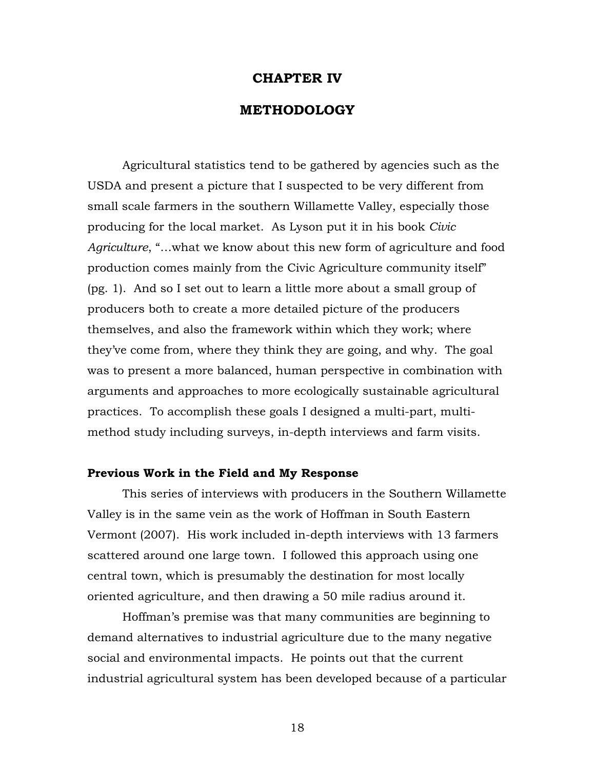### **CHAPTER IV**

### **METHODOLOGY**

Agricultural statistics tend to be gathered by agencies such as the USDA and present a picture that I suspected to be very different from small scale farmers in the southern Willamette Valley, especially those producing for the local market. As Lyson put it in his book *Civic Agriculture*, "…what we know about this new form of agriculture and food production comes mainly from the Civic Agriculture community itself" (pg. 1). And so I set out to learn a little more about a small group of producers both to create a more detailed picture of the producers themselves, and also the framework within which they work; where they've come from, where they think they are going, and why. The goal was to present a more balanced, human perspective in combination with arguments and approaches to more ecologically sustainable agricultural practices. To accomplish these goals I designed a multi-part, multimethod study including surveys, in-depth interviews and farm visits.

### **Previous Work in the Field and My Response**

This series of interviews with producers in the Southern Willamette Valley is in the same vein as the work of Hoffman in South Eastern Vermont (2007). His work included in-depth interviews with 13 farmers scattered around one large town. I followed this approach using one central town, which is presumably the destination for most locally oriented agriculture, and then drawing a 50 mile radius around it.

Hoffman's premise was that many communities are beginning to demand alternatives to industrial agriculture due to the many negative social and environmental impacts. He points out that the current industrial agricultural system has been developed because of a particular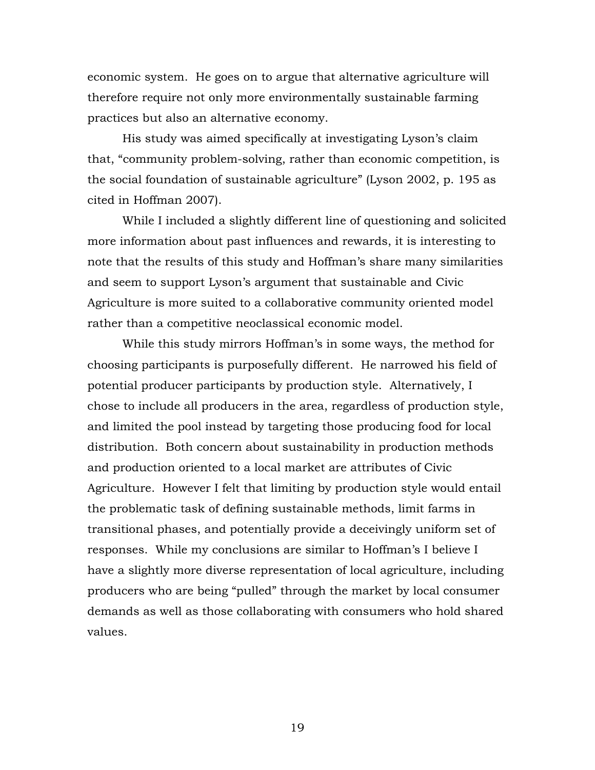economic system. He goes on to argue that alternative agriculture will therefore require not only more environmentally sustainable farming practices but also an alternative economy.

His study was aimed specifically at investigating Lyson's claim that, "community problem-solving, rather than economic competition, is the social foundation of sustainable agriculture" (Lyson 2002, p. 195 as cited in Hoffman 2007).

While I included a slightly different line of questioning and solicited more information about past influences and rewards, it is interesting to note that the results of this study and Hoffman's share many similarities and seem to support Lyson's argument that sustainable and Civic Agriculture is more suited to a collaborative community oriented model rather than a competitive neoclassical economic model.

While this study mirrors Hoffman's in some ways, the method for choosing participants is purposefully different. He narrowed his field of potential producer participants by production style. Alternatively, I chose to include all producers in the area, regardless of production style, and limited the pool instead by targeting those producing food for local distribution. Both concern about sustainability in production methods and production oriented to a local market are attributes of Civic Agriculture. However I felt that limiting by production style would entail the problematic task of defining sustainable methods, limit farms in transitional phases, and potentially provide a deceivingly uniform set of responses. While my conclusions are similar to Hoffman's I believe I have a slightly more diverse representation of local agriculture, including producers who are being "pulled" through the market by local consumer demands as well as those collaborating with consumers who hold shared values.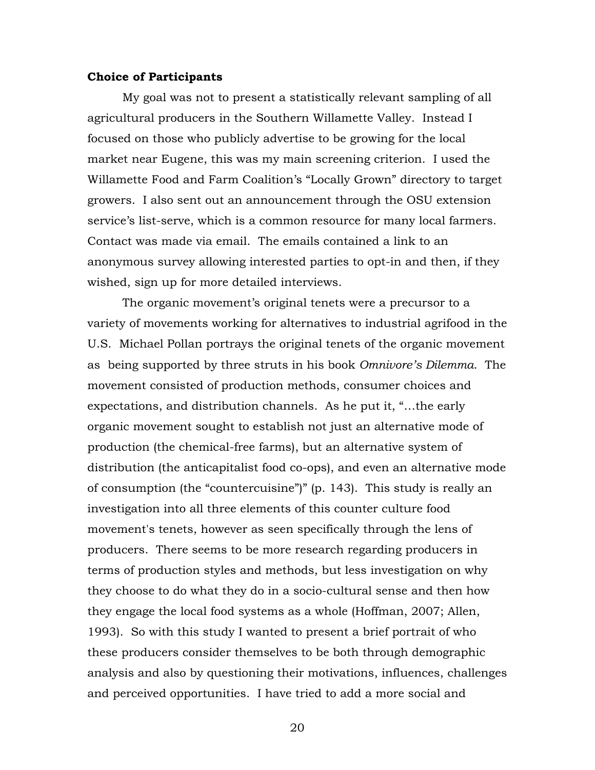### **Choice of Participants**

My goal was not to present a statistically relevant sampling of all agricultural producers in the Southern Willamette Valley. Instead I focused on those who publicly advertise to be growing for the local market near Eugene, this was my main screening criterion. I used the Willamette Food and Farm Coalition's "Locally Grown" directory to target growers. I also sent out an announcement through the OSU extension service's list-serve, which is a common resource for many local farmers. Contact was made via email. The emails contained a link to an anonymous survey allowing interested parties to opt-in and then, if they wished, sign up for more detailed interviews.

The organic movement's original tenets were a precursor to a variety of movements working for alternatives to industrial agrifood in the U.S. Michael Pollan portrays the original tenets of the organic movement as being supported by three struts in his book *Omnivore's Dilemma*. The movement consisted of production methods, consumer choices and expectations, and distribution channels. As he put it, "…the early organic movement sought to establish not just an alternative mode of production (the chemical-free farms), but an alternative system of distribution (the anticapitalist food co-ops), and even an alternative mode of consumption (the "countercuisine")" (p. 143). This study is really an investigation into all three elements of this counter culture food movement's tenets, however as seen specifically through the lens of producers. There seems to be more research regarding producers in terms of production styles and methods, but less investigation on why they choose to do what they do in a socio-cultural sense and then how they engage the local food systems as a whole (Hoffman, 2007; Allen, 1993). So with this study I wanted to present a brief portrait of who these producers consider themselves to be both through demographic analysis and also by questioning their motivations, influences, challenges and perceived opportunities. I have tried to add a more social and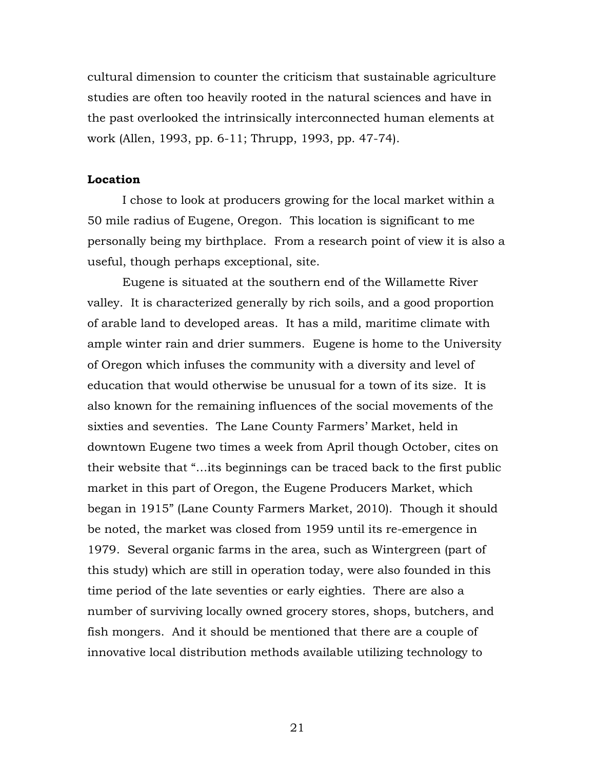cultural dimension to counter the criticism that sustainable agriculture studies are often too heavily rooted in the natural sciences and have in the past overlooked the intrinsically interconnected human elements at work (Allen, 1993, pp. 6-11; Thrupp, 1993, pp. 47-74).

### **Location**

I chose to look at producers growing for the local market within a 50 mile radius of Eugene, Oregon. This location is significant to me personally being my birthplace. From a research point of view it is also a useful, though perhaps exceptional, site.

Eugene is situated at the southern end of the Willamette River valley. It is characterized generally by rich soils, and a good proportion of arable land to developed areas. It has a mild, maritime climate with ample winter rain and drier summers. Eugene is home to the University of Oregon which infuses the community with a diversity and level of education that would otherwise be unusual for a town of its size. It is also known for the remaining influences of the social movements of the sixties and seventies. The Lane County Farmers' Market, held in downtown Eugene two times a week from April though October, cites on their website that "…its beginnings can be traced back to the first public market in this part of Oregon, the Eugene Producers Market, which began in 1915" (Lane County Farmers Market, 2010). Though it should be noted, the market was closed from 1959 until its re-emergence in 1979. Several organic farms in the area, such as Wintergreen (part of this study) which are still in operation today, were also founded in this time period of the late seventies or early eighties. There are also a number of surviving locally owned grocery stores, shops, butchers, and fish mongers. And it should be mentioned that there are a couple of innovative local distribution methods available utilizing technology to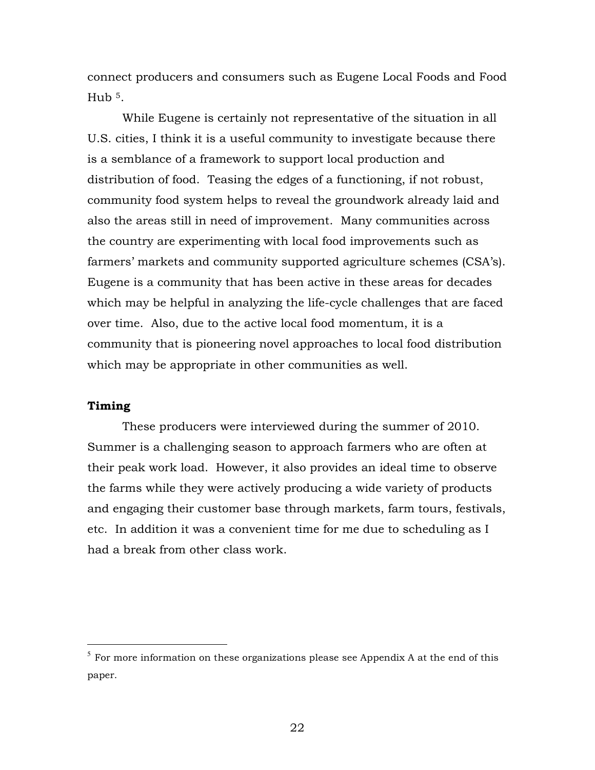connect producers and consumers such as Eugene Local Foods and Food Hub  $5$ .

While Eugene is certainly not representative of the situation in all U.S. cities, I think it is a useful community to investigate because there is a semblance of a framework to support local production and distribution of food. Teasing the edges of a functioning, if not robust, community food system helps to reveal the groundwork already laid and also the areas still in need of improvement. Many communities across the country are experimenting with local food improvements such as farmers' markets and community supported agriculture schemes (CSA's). Eugene is a community that has been active in these areas for decades which may be helpful in analyzing the life-cycle challenges that are faced over time. Also, due to the active local food momentum, it is a community that is pioneering novel approaches to local food distribution which may be appropriate in other communities as well.

### **Timing**

These producers were interviewed during the summer of 2010. Summer is a challenging season to approach farmers who are often at their peak work load. However, it also provides an ideal time to observe the farms while they were actively producing a wide variety of products and engaging their customer base through markets, farm tours, festivals, etc. In addition it was a convenient time for me due to scheduling as I had a break from other class work.

 $5$  For more information on these organizations please see Appendix A at the end of this paper.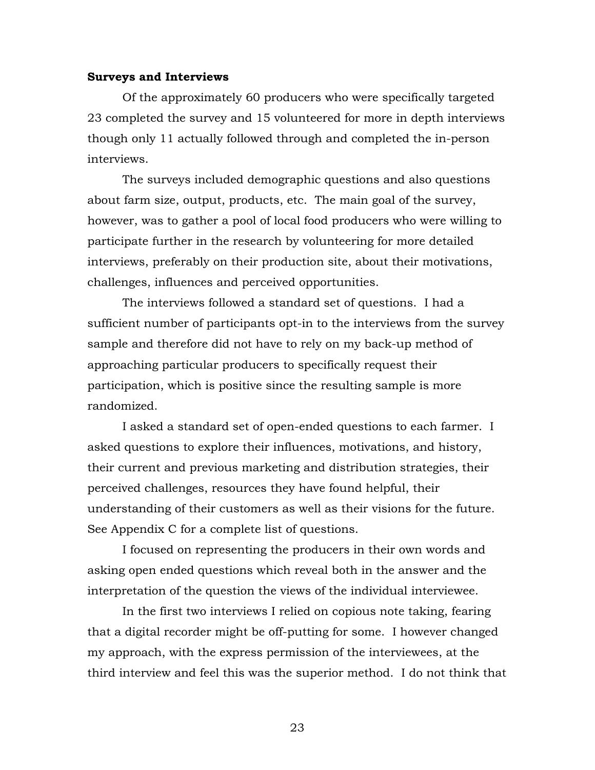### **Surveys and Interviews**

Of the approximately 60 producers who were specifically targeted 23 completed the survey and 15 volunteered for more in depth interviews though only 11 actually followed through and completed the in-person interviews.

The surveys included demographic questions and also questions about farm size, output, products, etc. The main goal of the survey, however, was to gather a pool of local food producers who were willing to participate further in the research by volunteering for more detailed interviews, preferably on their production site, about their motivations, challenges, influences and perceived opportunities.

The interviews followed a standard set of questions. I had a sufficient number of participants opt-in to the interviews from the survey sample and therefore did not have to rely on my back-up method of approaching particular producers to specifically request their participation, which is positive since the resulting sample is more randomized.

I asked a standard set of open-ended questions to each farmer. I asked questions to explore their influences, motivations, and history, their current and previous marketing and distribution strategies, their perceived challenges, resources they have found helpful, their understanding of their customers as well as their visions for the future. See Appendix C for a complete list of questions.

I focused on representing the producers in their own words and asking open ended questions which reveal both in the answer and the interpretation of the question the views of the individual interviewee.

In the first two interviews I relied on copious note taking, fearing that a digital recorder might be off-putting for some. I however changed my approach, with the express permission of the interviewees, at the third interview and feel this was the superior method. I do not think that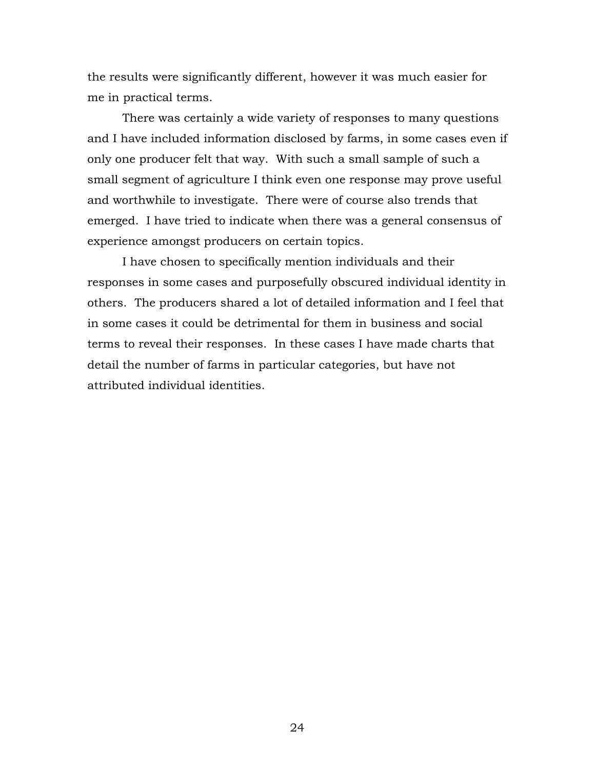the results were significantly different, however it was much easier for me in practical terms.

There was certainly a wide variety of responses to many questions and I have included information disclosed by farms, in some cases even if only one producer felt that way. With such a small sample of such a small segment of agriculture I think even one response may prove useful and worthwhile to investigate. There were of course also trends that emerged. I have tried to indicate when there was a general consensus of experience amongst producers on certain topics.

I have chosen to specifically mention individuals and their responses in some cases and purposefully obscured individual identity in others. The producers shared a lot of detailed information and I feel that in some cases it could be detrimental for them in business and social terms to reveal their responses. In these cases I have made charts that detail the number of farms in particular categories, but have not attributed individual identities.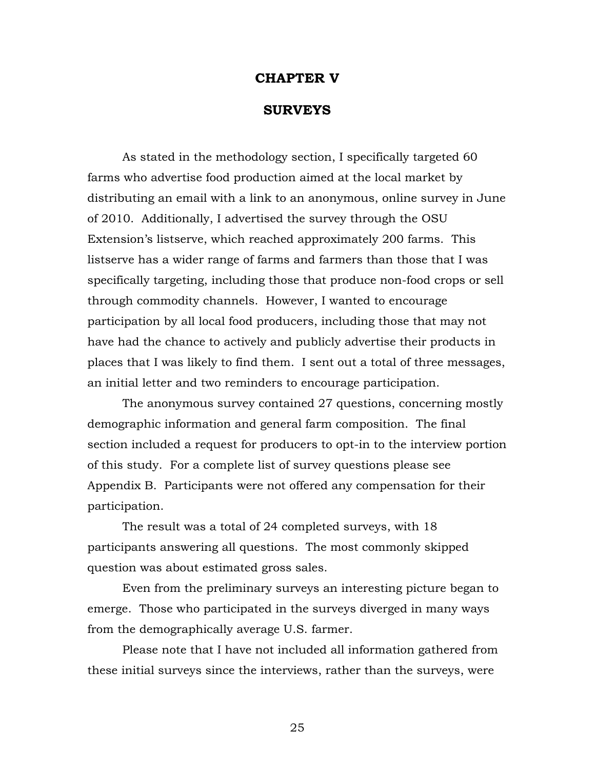### **CHAPTER V**

### **SURVEYS**

As stated in the methodology section, I specifically targeted 60 farms who advertise food production aimed at the local market by distributing an email with a link to an anonymous, online survey in June of 2010. Additionally, I advertised the survey through the OSU Extension's listserve, which reached approximately 200 farms. This listserve has a wider range of farms and farmers than those that I was specifically targeting, including those that produce non-food crops or sell through commodity channels. However, I wanted to encourage participation by all local food producers, including those that may not have had the chance to actively and publicly advertise their products in places that I was likely to find them. I sent out a total of three messages, an initial letter and two reminders to encourage participation.

The anonymous survey contained 27 questions, concerning mostly demographic information and general farm composition. The final section included a request for producers to opt-in to the interview portion of this study. For a complete list of survey questions please see Appendix B. Participants were not offered any compensation for their participation.

The result was a total of 24 completed surveys, with 18 participants answering all questions. The most commonly skipped question was about estimated gross sales.

Even from the preliminary surveys an interesting picture began to emerge. Those who participated in the surveys diverged in many ways from the demographically average U.S. farmer.

Please note that I have not included all information gathered from these initial surveys since the interviews, rather than the surveys, were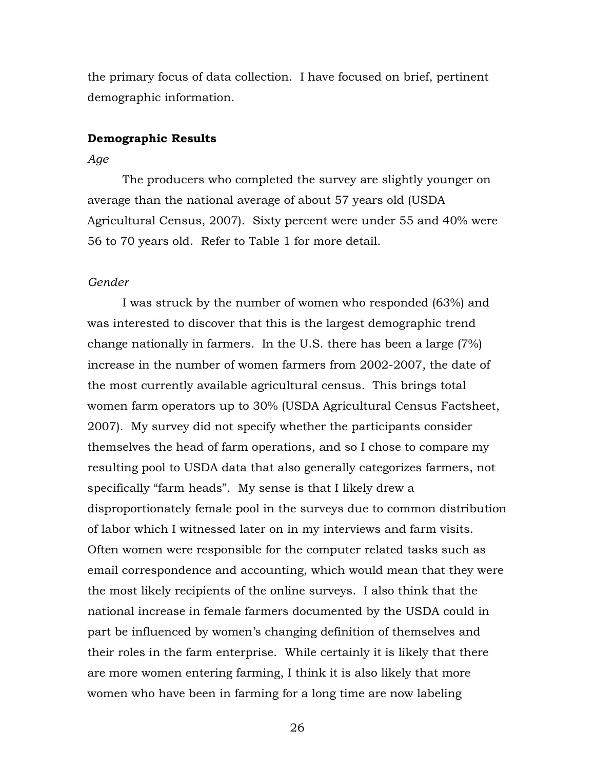the primary focus of data collection. I have focused on brief, pertinent demographic information.

### **Demographic Results**

### *Age*

The producers who completed the survey are slightly younger on average than the national average of about 57 years old (USDA Agricultural Census, 2007). Sixty percent were under 55 and 40% were 56 to 70 years old. Refer to Table 1 for more detail.

### *Gender*

I was struck by the number of women who responded (63%) and was interested to discover that this is the largest demographic trend change nationally in farmers. In the U.S. there has been a large (7%) increase in the number of women farmers from 2002-2007, the date of the most currently available agricultural census. This brings total women farm operators up to 30% (USDA Agricultural Census Factsheet, 2007). My survey did not specify whether the participants consider themselves the head of farm operations, and so I chose to compare my resulting pool to USDA data that also generally categorizes farmers, not specifically "farm heads". My sense is that I likely drew a disproportionately female pool in the surveys due to common distribution of labor which I witnessed later on in my interviews and farm visits. Often women were responsible for the computer related tasks such as email correspondence and accounting, which would mean that they were the most likely recipients of the online surveys. I also think that the national increase in female farmers documented by the USDA could in part be influenced by women's changing definition of themselves and their roles in the farm enterprise. While certainly it is likely that there are more women entering farming, I think it is also likely that more women who have been in farming for a long time are now labeling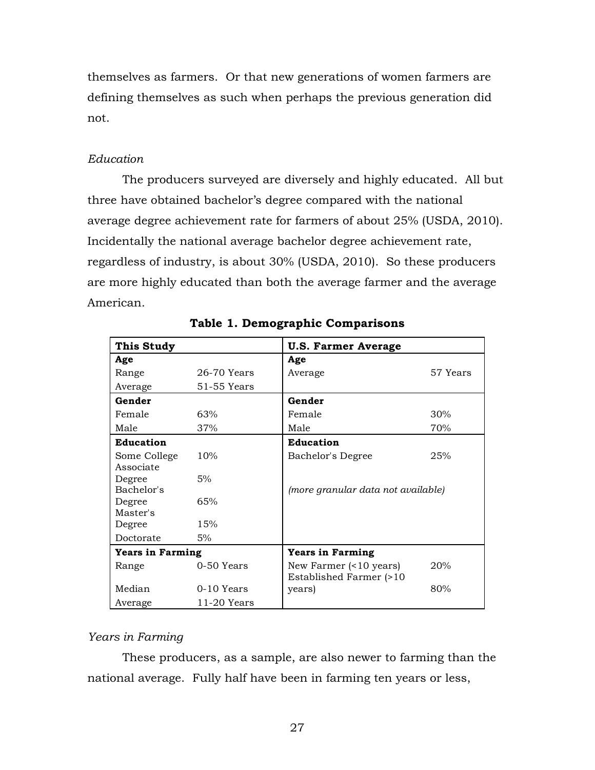themselves as farmers. Or that new generations of women farmers are defining themselves as such when perhaps the previous generation did not.

# *Education*

The producers surveyed are diversely and highly educated. All but three have obtained bachelor's degree compared with the national average degree achievement rate for farmers of about 25% (USDA, 2010). Incidentally the national average bachelor degree achievement rate, regardless of industry, is about 30% (USDA, 2010). So these producers are more highly educated than both the average farmer and the average American.

| This Study              |               | <b>U.S. Farmer Average</b>                                    |          |  |  |
|-------------------------|---------------|---------------------------------------------------------------|----------|--|--|
| Age                     |               | Age                                                           |          |  |  |
| Range                   | 26-70 Years   | Average                                                       | 57 Years |  |  |
| Average                 | 51-55 Years   |                                                               |          |  |  |
| Gender                  |               | Gender                                                        |          |  |  |
| Female                  | 63%           | Female                                                        | 30%      |  |  |
| Male                    | 37%           | Male                                                          | 70%      |  |  |
| <b>Education</b>        |               | <b>Education</b>                                              |          |  |  |
| Some College            | 10%           | Bachelor's Degree                                             | 25%      |  |  |
| Associate               |               |                                                               |          |  |  |
| Degree                  | 5%            |                                                               |          |  |  |
| Bachelor's              |               | (more granular data not available)                            |          |  |  |
| Degree                  | 65%           |                                                               |          |  |  |
| Master's                |               |                                                               |          |  |  |
| Degree                  | 15%           |                                                               |          |  |  |
| Doctorate               | 5%            |                                                               |          |  |  |
| <b>Years in Farming</b> |               | <b>Years in Farming</b>                                       |          |  |  |
| Range                   | 0-50 Years    | New Farmer $($ $10 \text{ years})$<br>Established Farmer (>10 | 20%      |  |  |
| Median                  | 0-10 Years    | years)                                                        | 80%      |  |  |
| Average                 | $11-20$ Years |                                                               |          |  |  |

**Table 1. Demographic Comparisons**

# *Years in Farming*

These producers, as a sample, are also newer to farming than the national average. Fully half have been in farming ten years or less,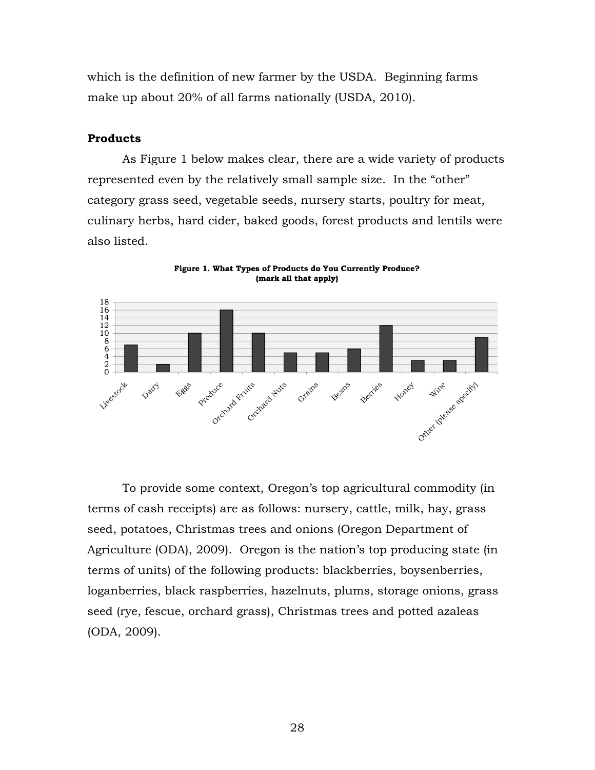which is the definition of new farmer by the USDA. Beginning farms make up about 20% of all farms nationally (USDA, 2010).

### **Products**

As Figure 1 below makes clear, there are a wide variety of products represented even by the relatively small sample size. In the "other" category grass seed, vegetable seeds, nursery starts, poultry for meat, culinary herbs, hard cider, baked goods, forest products and lentils were also listed.



Figure 1. What Types of Products do You Currently Produce? (mark all that apply)

To provide some context, Oregon's top agricultural commodity (in terms of cash receipts) are as follows: nursery, cattle, milk, hay, grass seed, potatoes, Christmas trees and onions (Oregon Department of Agriculture (ODA), 2009). Oregon is the nation's top producing state (in terms of units) of the following products: blackberries, boysenberries, loganberries, black raspberries, hazelnuts, plums, storage onions, grass seed (rye, fescue, orchard grass), Christmas trees and potted azaleas (ODA, 2009).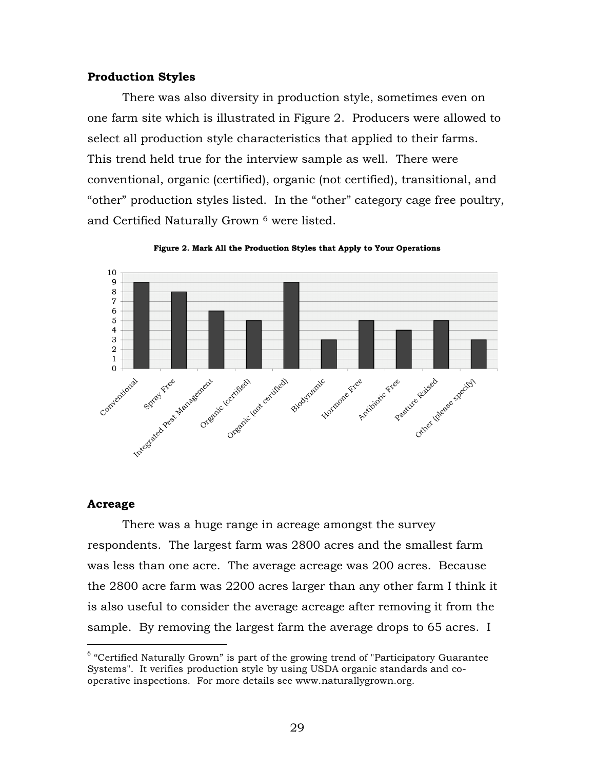### **Production Styles**

There was also diversity in production style, sometimes even on one farm site which is illustrated in Figure 2. Producers were allowed to select all production style characteristics that applied to their farms. This trend held true for the interview sample as well. There were conventional, organic (certified), organic (not certified), transitional, and "other" production styles listed. In the "other" category cage free poultry, and Certified Naturally Grown 6 were listed.



Figure 2. Mark All the Production Styles that Apply to Your Operations

### **Acreage**

There was a huge range in acreage amongst the survey respondents. The largest farm was 2800 acres and the smallest farm was less than one acre. The average acreage was 200 acres. Because the 2800 acre farm was 2200 acres larger than any other farm I think it is also useful to consider the average acreage after removing it from the sample. By removing the largest farm the average drops to 65 acres. I

 $6$  "Certified Naturally Grown" is part of the growing trend of "Participatory Guarantee Systems". It verifies production style by using USDA organic standards and cooperative inspections. For more details see www.naturallygrown.org.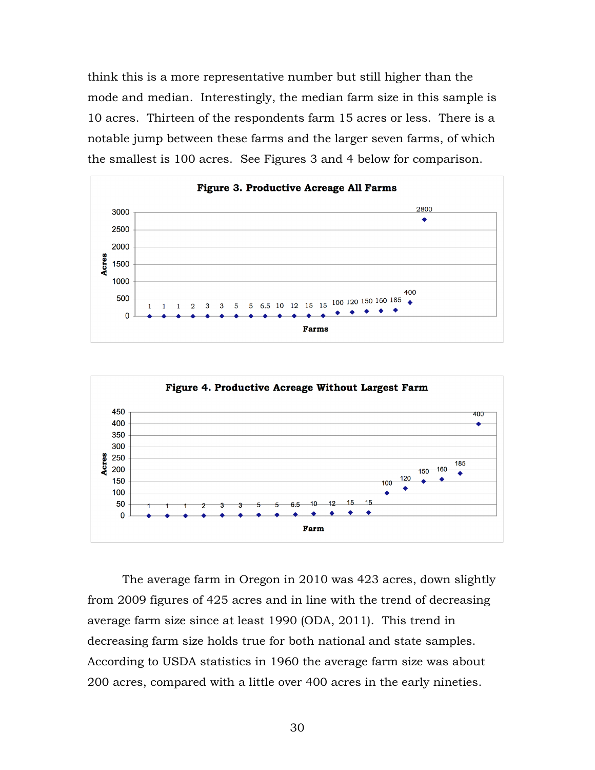think this is a more representative number but still higher than the mode and median. Interestingly, the median farm size in this sample is 10 acres. Thirteen of the respondents farm 15 acres or less. There is a notable jump between these farms and the larger seven farms, of which the smallest is 100 acres. See Figures 3 and 4 below for comparison.





The average farm in Oregon in 2010 was 423 acres, down slightly from 2009 figures of 425 acres and in line with the trend of decreasing average farm size since at least 1990 (ODA, 2011). This trend in decreasing farm size holds true for both national and state samples. According to USDA statistics in 1960 the average farm size was about 200 acres, compared with a little over 400 acres in the early nineties.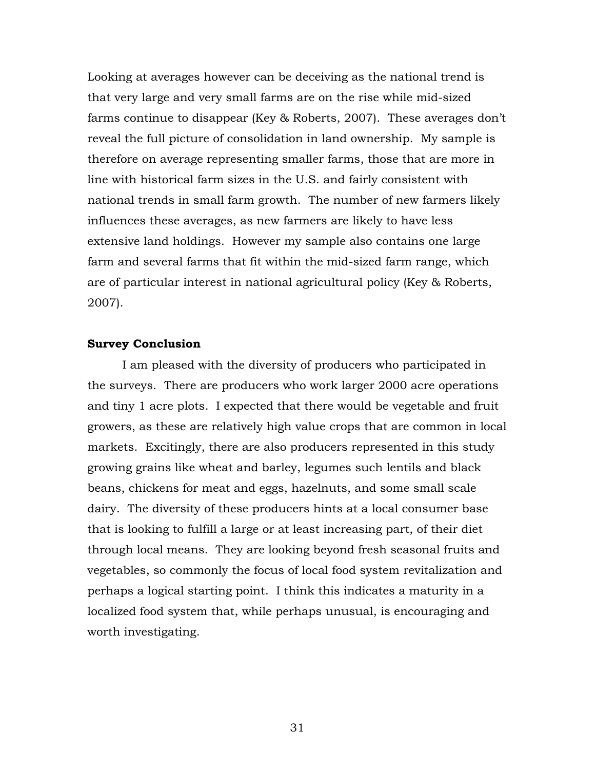Looking at averages however can be deceiving as the national trend is that very large and very small farms are on the rise while mid-sized farms continue to disappear (Key & Roberts, 2007). These averages don't reveal the full picture of consolidation in land ownership. My sample is therefore on average representing smaller farms, those that are more in line with historical farm sizes in the U.S. and fairly consistent with national trends in small farm growth. The number of new farmers likely influences these averages, as new farmers are likely to have less extensive land holdings. However my sample also contains one large farm and several farms that fit within the mid-sized farm range, which are of particular interest in national agricultural policy (Key & Roberts, 2007).

### **Survey Conclusion**

 I am pleased with the diversity of producers who participated in the surveys. There are producers who work larger 2000 acre operations and tiny 1 acre plots. I expected that there would be vegetable and fruit growers, as these are relatively high value crops that are common in local markets. Excitingly, there are also producers represented in this study growing grains like wheat and barley, legumes such lentils and black beans, chickens for meat and eggs, hazelnuts, and some small scale dairy. The diversity of these producers hints at a local consumer base that is looking to fulfill a large or at least increasing part, of their diet through local means. They are looking beyond fresh seasonal fruits and vegetables, so commonly the focus of local food system revitalization and perhaps a logical starting point. I think this indicates a maturity in a localized food system that, while perhaps unusual, is encouraging and worth investigating.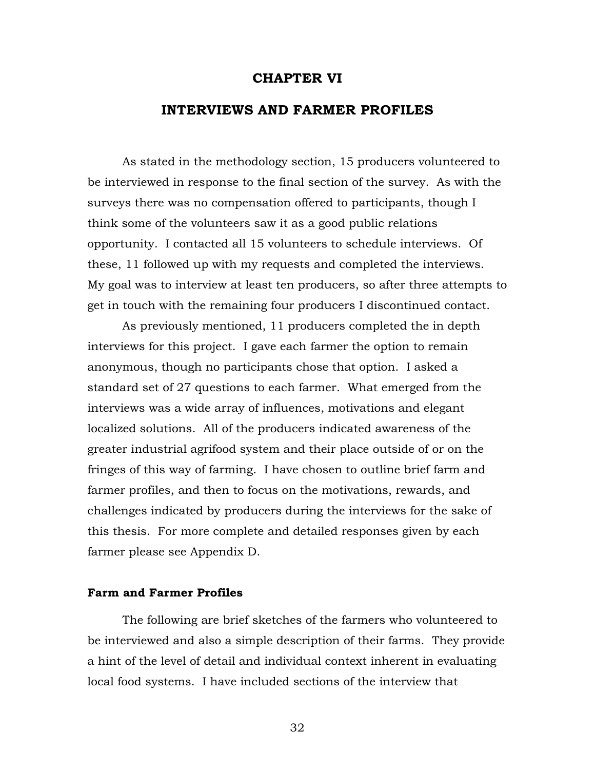### **CHAPTER VI**

### **INTERVIEWS AND FARMER PROFILES**

As stated in the methodology section, 15 producers volunteered to be interviewed in response to the final section of the survey. As with the surveys there was no compensation offered to participants, though I think some of the volunteers saw it as a good public relations opportunity. I contacted all 15 volunteers to schedule interviews. Of these, 11 followed up with my requests and completed the interviews. My goal was to interview at least ten producers, so after three attempts to get in touch with the remaining four producers I discontinued contact.

As previously mentioned, 11 producers completed the in depth interviews for this project. I gave each farmer the option to remain anonymous, though no participants chose that option. I asked a standard set of 27 questions to each farmer. What emerged from the interviews was a wide array of influences, motivations and elegant localized solutions. All of the producers indicated awareness of the greater industrial agrifood system and their place outside of or on the fringes of this way of farming. I have chosen to outline brief farm and farmer profiles, and then to focus on the motivations, rewards, and challenges indicated by producers during the interviews for the sake of this thesis. For more complete and detailed responses given by each farmer please see Appendix D.

#### **Farm and Farmer Profiles**

The following are brief sketches of the farmers who volunteered to be interviewed and also a simple description of their farms. They provide a hint of the level of detail and individual context inherent in evaluating local food systems. I have included sections of the interview that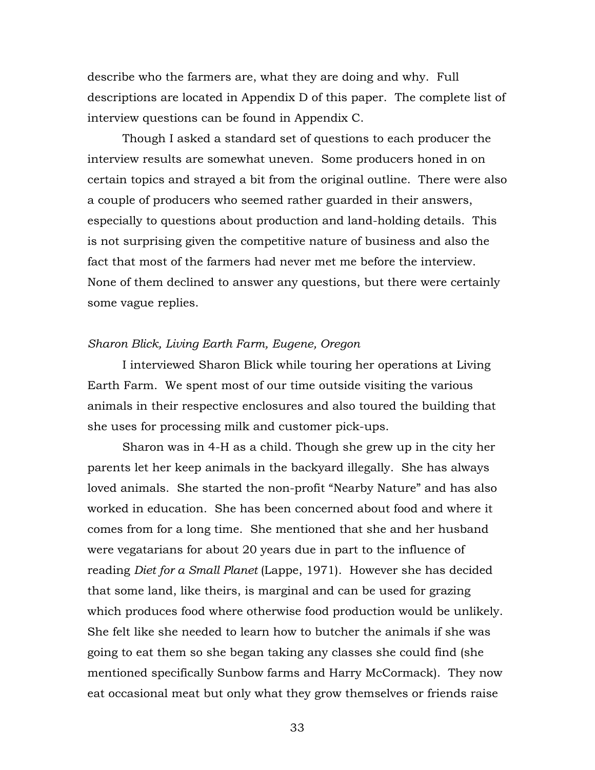describe who the farmers are, what they are doing and why. Full descriptions are located in Appendix D of this paper. The complete list of interview questions can be found in Appendix C.

Though I asked a standard set of questions to each producer the interview results are somewhat uneven. Some producers honed in on certain topics and strayed a bit from the original outline. There were also a couple of producers who seemed rather guarded in their answers, especially to questions about production and land-holding details. This is not surprising given the competitive nature of business and also the fact that most of the farmers had never met me before the interview. None of them declined to answer any questions, but there were certainly some vague replies.

### *Sharon Blick, Living Earth Farm, Eugene, Oregon*

I interviewed Sharon Blick while touring her operations at Living Earth Farm. We spent most of our time outside visiting the various animals in their respective enclosures and also toured the building that she uses for processing milk and customer pick-ups.

Sharon was in 4-H as a child. Though she grew up in the city her parents let her keep animals in the backyard illegally. She has always loved animals. She started the non-profit "Nearby Nature" and has also worked in education. She has been concerned about food and where it comes from for a long time. She mentioned that she and her husband were vegatarians for about 20 years due in part to the influence of reading *Diet for a Small Planet* (Lappe, 1971). However she has decided that some land, like theirs, is marginal and can be used for grazing which produces food where otherwise food production would be unlikely. She felt like she needed to learn how to butcher the animals if she was going to eat them so she began taking any classes she could find (she mentioned specifically Sunbow farms and Harry McCormack). They now eat occasional meat but only what they grow themselves or friends raise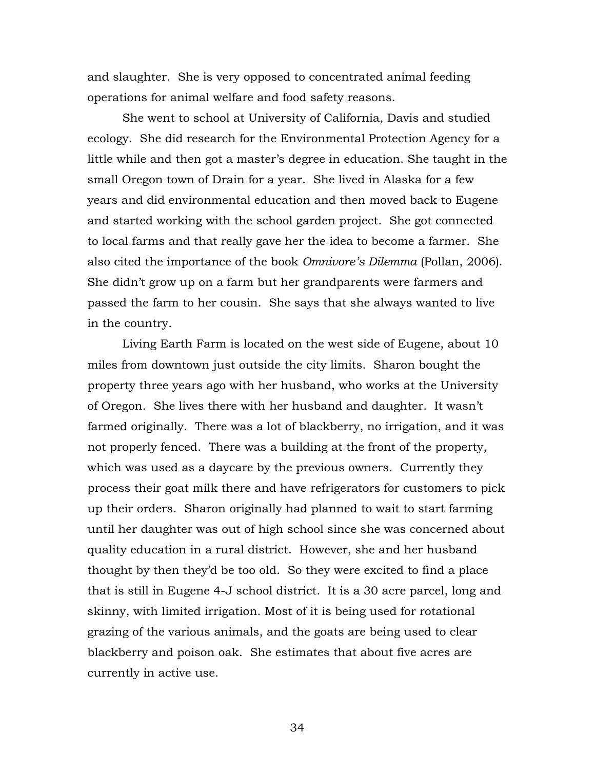and slaughter. She is very opposed to concentrated animal feeding operations for animal welfare and food safety reasons.

She went to school at University of California, Davis and studied ecology. She did research for the Environmental Protection Agency for a little while and then got a master's degree in education. She taught in the small Oregon town of Drain for a year. She lived in Alaska for a few years and did environmental education and then moved back to Eugene and started working with the school garden project. She got connected to local farms and that really gave her the idea to become a farmer. She also cited the importance of the book *Omnivore's Dilemma* (Pollan, 2006). She didn't grow up on a farm but her grandparents were farmers and passed the farm to her cousin. She says that she always wanted to live in the country.

Living Earth Farm is located on the west side of Eugene, about 10 miles from downtown just outside the city limits. Sharon bought the property three years ago with her husband, who works at the University of Oregon. She lives there with her husband and daughter. It wasn't farmed originally. There was a lot of blackberry, no irrigation, and it was not properly fenced. There was a building at the front of the property, which was used as a daycare by the previous owners. Currently they process their goat milk there and have refrigerators for customers to pick up their orders. Sharon originally had planned to wait to start farming until her daughter was out of high school since she was concerned about quality education in a rural district. However, she and her husband thought by then they'd be too old. So they were excited to find a place that is still in Eugene 4-J school district. It is a 30 acre parcel, long and skinny, with limited irrigation. Most of it is being used for rotational grazing of the various animals, and the goats are being used to clear blackberry and poison oak. She estimates that about five acres are currently in active use.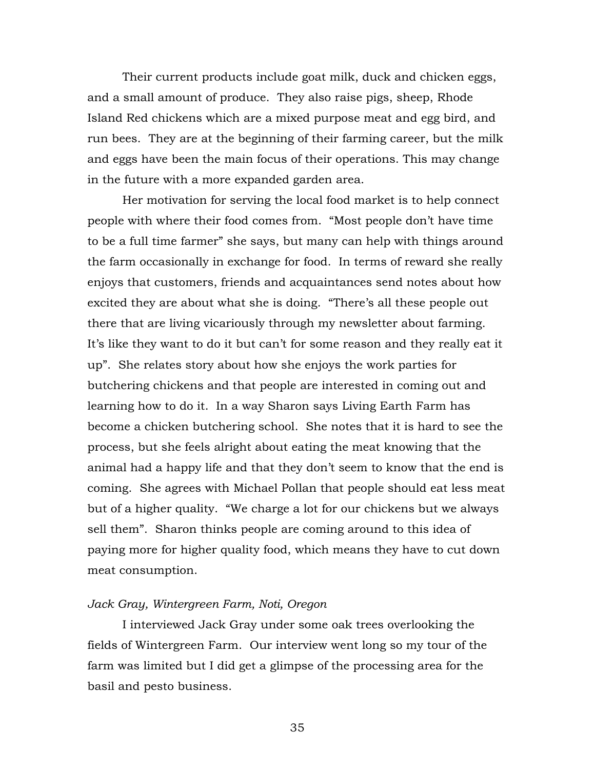Their current products include goat milk, duck and chicken eggs, and a small amount of produce. They also raise pigs, sheep, Rhode Island Red chickens which are a mixed purpose meat and egg bird, and run bees. They are at the beginning of their farming career, but the milk and eggs have been the main focus of their operations. This may change in the future with a more expanded garden area.

Her motivation for serving the local food market is to help connect people with where their food comes from. "Most people don't have time to be a full time farmer" she says, but many can help with things around the farm occasionally in exchange for food. In terms of reward she really enjoys that customers, friends and acquaintances send notes about how excited they are about what she is doing. "There's all these people out there that are living vicariously through my newsletter about farming. It's like they want to do it but can't for some reason and they really eat it up". She relates story about how she enjoys the work parties for butchering chickens and that people are interested in coming out and learning how to do it. In a way Sharon says Living Earth Farm has become a chicken butchering school. She notes that it is hard to see the process, but she feels alright about eating the meat knowing that the animal had a happy life and that they don't seem to know that the end is coming. She agrees with Michael Pollan that people should eat less meat but of a higher quality. "We charge a lot for our chickens but we always sell them". Sharon thinks people are coming around to this idea of paying more for higher quality food, which means they have to cut down meat consumption.

### *Jack Gray, Wintergreen Farm, Noti, Oregon*

I interviewed Jack Gray under some oak trees overlooking the fields of Wintergreen Farm. Our interview went long so my tour of the farm was limited but I did get a glimpse of the processing area for the basil and pesto business.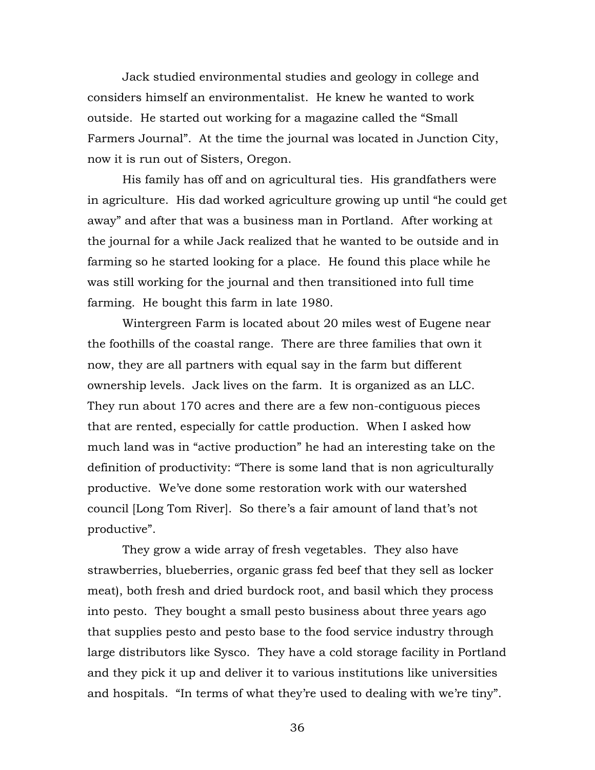Jack studied environmental studies and geology in college and considers himself an environmentalist. He knew he wanted to work outside. He started out working for a magazine called the "Small Farmers Journal". At the time the journal was located in Junction City, now it is run out of Sisters, Oregon.

His family has off and on agricultural ties. His grandfathers were in agriculture. His dad worked agriculture growing up until "he could get away" and after that was a business man in Portland. After working at the journal for a while Jack realized that he wanted to be outside and in farming so he started looking for a place. He found this place while he was still working for the journal and then transitioned into full time farming. He bought this farm in late 1980.

Wintergreen Farm is located about 20 miles west of Eugene near the foothills of the coastal range. There are three families that own it now, they are all partners with equal say in the farm but different ownership levels. Jack lives on the farm. It is organized as an LLC. They run about 170 acres and there are a few non-contiguous pieces that are rented, especially for cattle production. When I asked how much land was in "active production" he had an interesting take on the definition of productivity: "There is some land that is non agriculturally productive. We've done some restoration work with our watershed council [Long Tom River]. So there's a fair amount of land that's not productive".

 They grow a wide array of fresh vegetables. They also have strawberries, blueberries, organic grass fed beef that they sell as locker meat), both fresh and dried burdock root, and basil which they process into pesto. They bought a small pesto business about three years ago that supplies pesto and pesto base to the food service industry through large distributors like Sysco. They have a cold storage facility in Portland and they pick it up and deliver it to various institutions like universities and hospitals. "In terms of what they're used to dealing with we're tiny".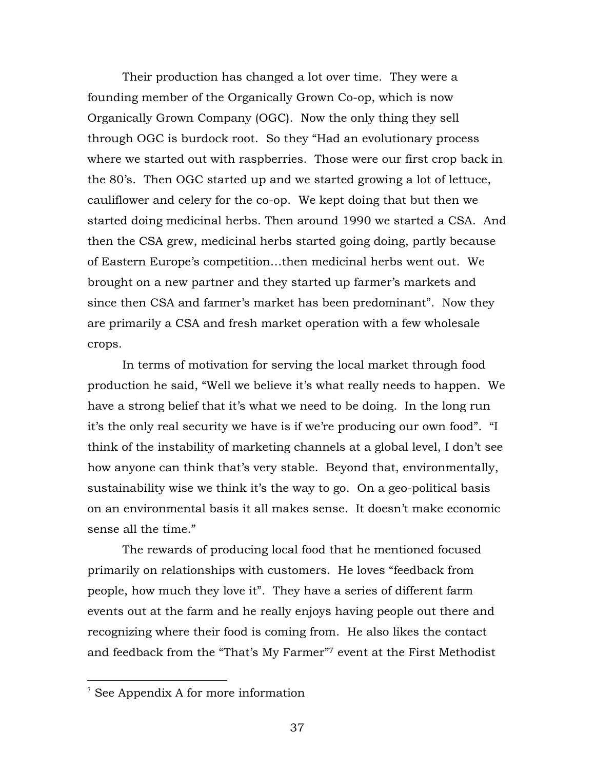Their production has changed a lot over time. They were a founding member of the Organically Grown Co-op, which is now Organically Grown Company (OGC). Now the only thing they sell through OGC is burdock root. So they "Had an evolutionary process where we started out with raspberries. Those were our first crop back in the 80's. Then OGC started up and we started growing a lot of lettuce, cauliflower and celery for the co-op. We kept doing that but then we started doing medicinal herbs. Then around 1990 we started a CSA. And then the CSA grew, medicinal herbs started going doing, partly because of Eastern Europe's competition…then medicinal herbs went out. We brought on a new partner and they started up farmer's markets and since then CSA and farmer's market has been predominant". Now they are primarily a CSA and fresh market operation with a few wholesale crops.

In terms of motivation for serving the local market through food production he said, "Well we believe it's what really needs to happen. We have a strong belief that it's what we need to be doing. In the long run it's the only real security we have is if we're producing our own food". "I think of the instability of marketing channels at a global level, I don't see how anyone can think that's very stable. Beyond that, environmentally, sustainability wise we think it's the way to go. On a geo-political basis on an environmental basis it all makes sense. It doesn't make economic sense all the time."

The rewards of producing local food that he mentioned focused primarily on relationships with customers. He loves "feedback from people, how much they love it". They have a series of different farm events out at the farm and he really enjoys having people out there and recognizing where their food is coming from. He also likes the contact and feedback from the "That's My Farmer"7 event at the First Methodist

<sup>—&</sup>lt;br>7  $\mathrm{^{7}}$  See Appendix A for more information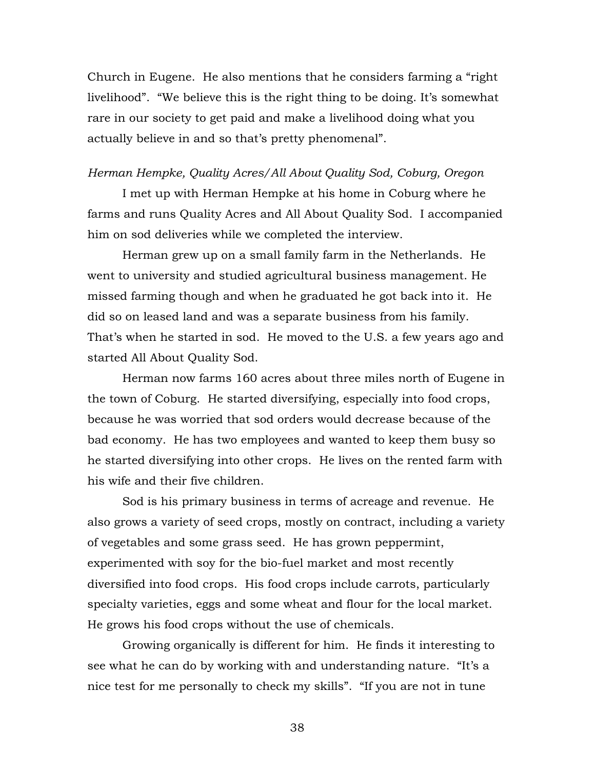Church in Eugene. He also mentions that he considers farming a "right livelihood". "We believe this is the right thing to be doing. It's somewhat rare in our society to get paid and make a livelihood doing what you actually believe in and so that's pretty phenomenal".

### *Herman Hempke, Quality Acres/All About Quality Sod, Coburg, Oregon*

I met up with Herman Hempke at his home in Coburg where he farms and runs Quality Acres and All About Quality Sod. I accompanied him on sod deliveries while we completed the interview.

Herman grew up on a small family farm in the Netherlands. He went to university and studied agricultural business management. He missed farming though and when he graduated he got back into it. He did so on leased land and was a separate business from his family. That's when he started in sod. He moved to the U.S. a few years ago and started All About Quality Sod.

Herman now farms 160 acres about three miles north of Eugene in the town of Coburg. He started diversifying, especially into food crops, because he was worried that sod orders would decrease because of the bad economy. He has two employees and wanted to keep them busy so he started diversifying into other crops. He lives on the rented farm with his wife and their five children.

Sod is his primary business in terms of acreage and revenue. He also grows a variety of seed crops, mostly on contract, including a variety of vegetables and some grass seed. He has grown peppermint, experimented with soy for the bio-fuel market and most recently diversified into food crops. His food crops include carrots, particularly specialty varieties, eggs and some wheat and flour for the local market. He grows his food crops without the use of chemicals.

Growing organically is different for him. He finds it interesting to see what he can do by working with and understanding nature. "It's a nice test for me personally to check my skills". "If you are not in tune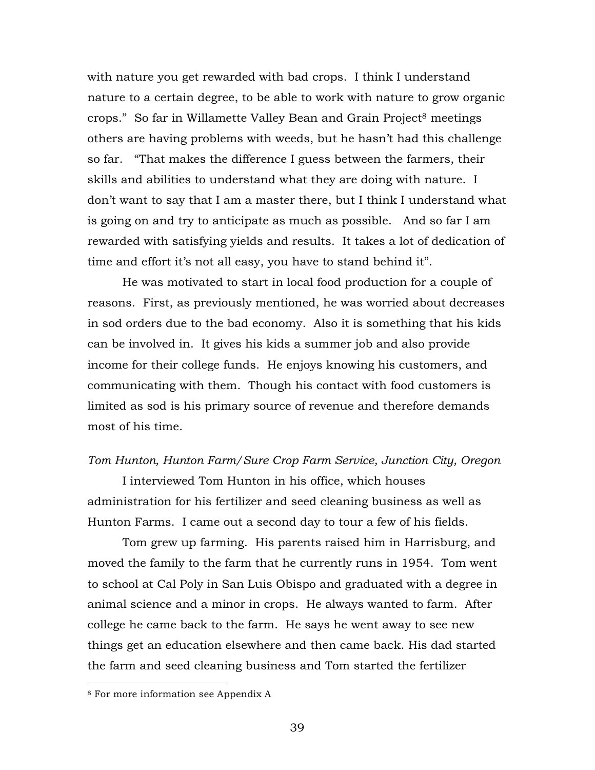with nature you get rewarded with bad crops. I think I understand nature to a certain degree, to be able to work with nature to grow organic crops." So far in Willamette Valley Bean and Grain Project<sup>8</sup> meetings others are having problems with weeds, but he hasn't had this challenge so far. "That makes the difference I guess between the farmers, their skills and abilities to understand what they are doing with nature. I don't want to say that I am a master there, but I think I understand what is going on and try to anticipate as much as possible. And so far I am rewarded with satisfying yields and results. It takes a lot of dedication of time and effort it's not all easy, you have to stand behind it".

He was motivated to start in local food production for a couple of reasons. First, as previously mentioned, he was worried about decreases in sod orders due to the bad economy. Also it is something that his kids can be involved in. It gives his kids a summer job and also provide income for their college funds. He enjoys knowing his customers, and communicating with them. Though his contact with food customers is limited as sod is his primary source of revenue and therefore demands most of his time.

### *Tom Hunton, Hunton Farm/Sure Crop Farm Service, Junction City, Oregon*

I interviewed Tom Hunton in his office, which houses administration for his fertilizer and seed cleaning business as well as Hunton Farms. I came out a second day to tour a few of his fields.

Tom grew up farming. His parents raised him in Harrisburg, and moved the family to the farm that he currently runs in 1954. Tom went to school at Cal Poly in San Luis Obispo and graduated with a degree in animal science and a minor in crops. He always wanted to farm. After college he came back to the farm. He says he went away to see new things get an education elsewhere and then came back. His dad started the farm and seed cleaning business and Tom started the fertilizer

 $\overline{a}$ 

<sup>8</sup> For more information see Appendix A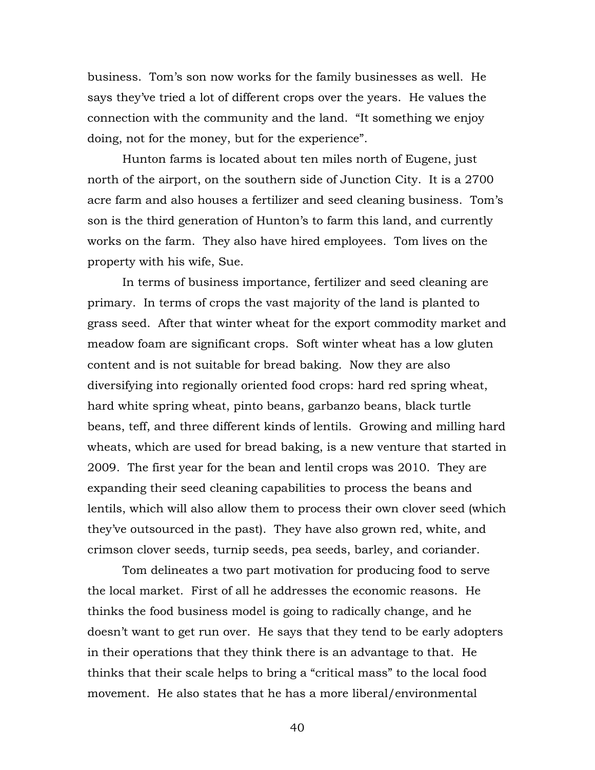business. Tom's son now works for the family businesses as well. He says they've tried a lot of different crops over the years. He values the connection with the community and the land. "It something we enjoy doing, not for the money, but for the experience".

Hunton farms is located about ten miles north of Eugene, just north of the airport, on the southern side of Junction City. It is a 2700 acre farm and also houses a fertilizer and seed cleaning business. Tom's son is the third generation of Hunton's to farm this land, and currently works on the farm. They also have hired employees. Tom lives on the property with his wife, Sue.

In terms of business importance, fertilizer and seed cleaning are primary. In terms of crops the vast majority of the land is planted to grass seed. After that winter wheat for the export commodity market and meadow foam are significant crops. Soft winter wheat has a low gluten content and is not suitable for bread baking. Now they are also diversifying into regionally oriented food crops: hard red spring wheat, hard white spring wheat, pinto beans, garbanzo beans, black turtle beans, teff, and three different kinds of lentils. Growing and milling hard wheats, which are used for bread baking, is a new venture that started in 2009. The first year for the bean and lentil crops was 2010. They are expanding their seed cleaning capabilities to process the beans and lentils, which will also allow them to process their own clover seed (which they've outsourced in the past). They have also grown red, white, and crimson clover seeds, turnip seeds, pea seeds, barley, and coriander.

Tom delineates a two part motivation for producing food to serve the local market. First of all he addresses the economic reasons. He thinks the food business model is going to radically change, and he doesn't want to get run over. He says that they tend to be early adopters in their operations that they think there is an advantage to that. He thinks that their scale helps to bring a "critical mass" to the local food movement. He also states that he has a more liberal/environmental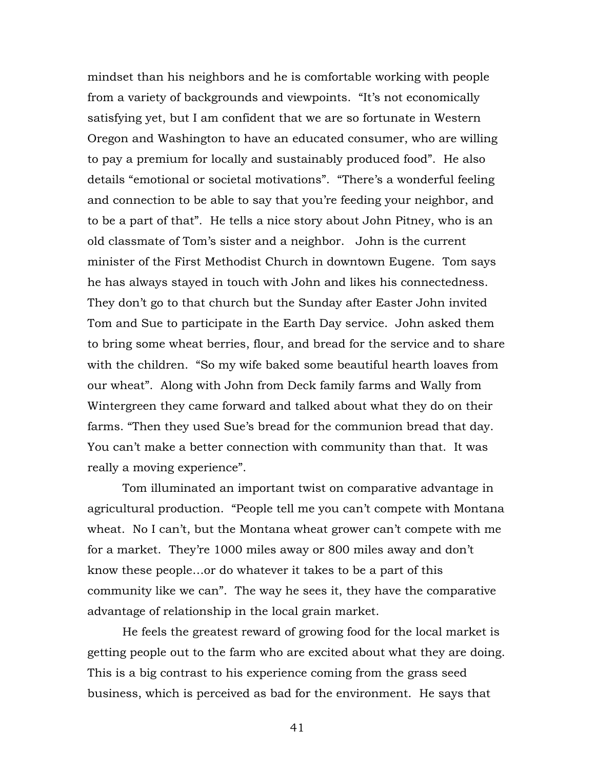mindset than his neighbors and he is comfortable working with people from a variety of backgrounds and viewpoints. "It's not economically satisfying yet, but I am confident that we are so fortunate in Western Oregon and Washington to have an educated consumer, who are willing to pay a premium for locally and sustainably produced food". He also details "emotional or societal motivations". "There's a wonderful feeling and connection to be able to say that you're feeding your neighbor, and to be a part of that". He tells a nice story about John Pitney, who is an old classmate of Tom's sister and a neighbor. John is the current minister of the First Methodist Church in downtown Eugene. Tom says he has always stayed in touch with John and likes his connectedness. They don't go to that church but the Sunday after Easter John invited Tom and Sue to participate in the Earth Day service. John asked them to bring some wheat berries, flour, and bread for the service and to share with the children. "So my wife baked some beautiful hearth loaves from our wheat". Along with John from Deck family farms and Wally from Wintergreen they came forward and talked about what they do on their farms. "Then they used Sue's bread for the communion bread that day. You can't make a better connection with community than that. It was really a moving experience".

Tom illuminated an important twist on comparative advantage in agricultural production. "People tell me you can't compete with Montana wheat. No I can't, but the Montana wheat grower can't compete with me for a market. They're 1000 miles away or 800 miles away and don't know these people…or do whatever it takes to be a part of this community like we can". The way he sees it, they have the comparative advantage of relationship in the local grain market.

He feels the greatest reward of growing food for the local market is getting people out to the farm who are excited about what they are doing. This is a big contrast to his experience coming from the grass seed business, which is perceived as bad for the environment. He says that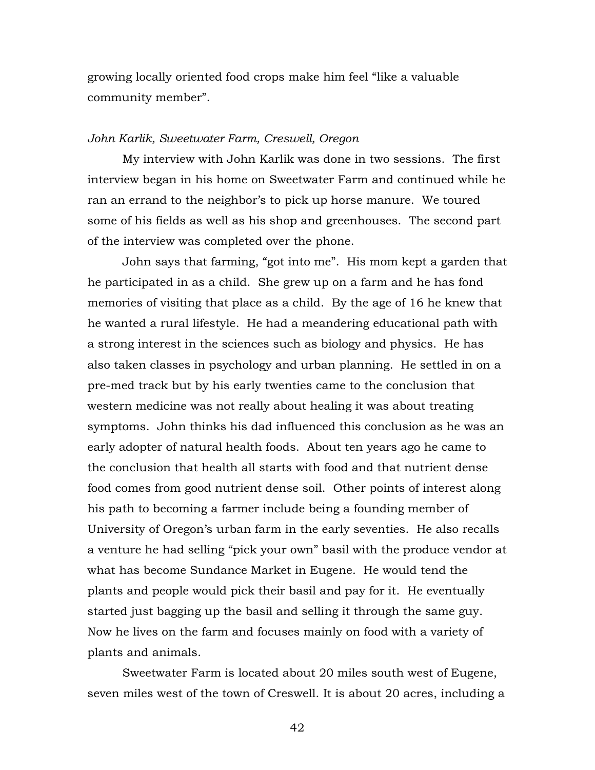growing locally oriented food crops make him feel "like a valuable community member".

### *John Karlik, Sweetwater Farm, Creswell, Oregon*

My interview with John Karlik was done in two sessions. The first interview began in his home on Sweetwater Farm and continued while he ran an errand to the neighbor's to pick up horse manure. We toured some of his fields as well as his shop and greenhouses. The second part of the interview was completed over the phone.

John says that farming, "got into me". His mom kept a garden that he participated in as a child. She grew up on a farm and he has fond memories of visiting that place as a child. By the age of 16 he knew that he wanted a rural lifestyle. He had a meandering educational path with a strong interest in the sciences such as biology and physics. He has also taken classes in psychology and urban planning. He settled in on a pre-med track but by his early twenties came to the conclusion that western medicine was not really about healing it was about treating symptoms. John thinks his dad influenced this conclusion as he was an early adopter of natural health foods. About ten years ago he came to the conclusion that health all starts with food and that nutrient dense food comes from good nutrient dense soil. Other points of interest along his path to becoming a farmer include being a founding member of University of Oregon's urban farm in the early seventies. He also recalls a venture he had selling "pick your own" basil with the produce vendor at what has become Sundance Market in Eugene. He would tend the plants and people would pick their basil and pay for it. He eventually started just bagging up the basil and selling it through the same guy. Now he lives on the farm and focuses mainly on food with a variety of plants and animals.

Sweetwater Farm is located about 20 miles south west of Eugene, seven miles west of the town of Creswell. It is about 20 acres, including a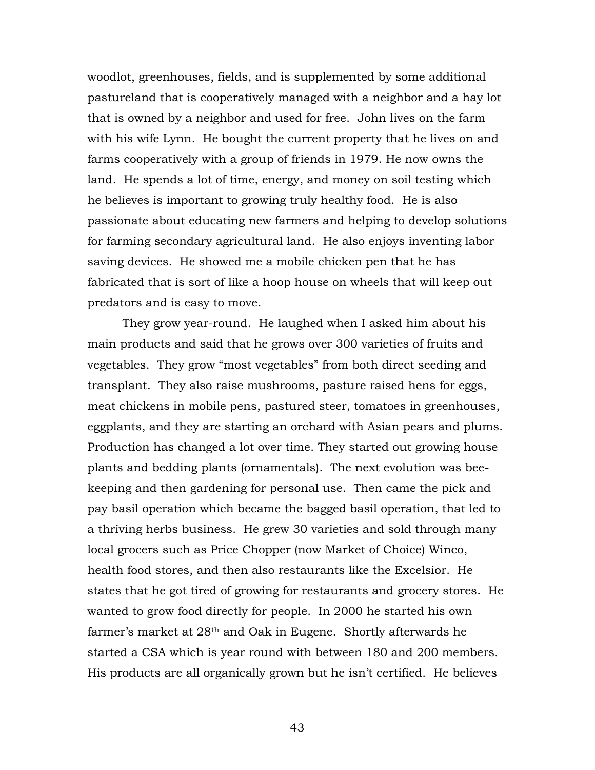woodlot, greenhouses, fields, and is supplemented by some additional pastureland that is cooperatively managed with a neighbor and a hay lot that is owned by a neighbor and used for free. John lives on the farm with his wife Lynn. He bought the current property that he lives on and farms cooperatively with a group of friends in 1979. He now owns the land. He spends a lot of time, energy, and money on soil testing which he believes is important to growing truly healthy food. He is also passionate about educating new farmers and helping to develop solutions for farming secondary agricultural land. He also enjoys inventing labor saving devices. He showed me a mobile chicken pen that he has fabricated that is sort of like a hoop house on wheels that will keep out predators and is easy to move.

They grow year-round. He laughed when I asked him about his main products and said that he grows over 300 varieties of fruits and vegetables. They grow "most vegetables" from both direct seeding and transplant. They also raise mushrooms, pasture raised hens for eggs, meat chickens in mobile pens, pastured steer, tomatoes in greenhouses, eggplants, and they are starting an orchard with Asian pears and plums. Production has changed a lot over time. They started out growing house plants and bedding plants (ornamentals). The next evolution was beekeeping and then gardening for personal use. Then came the pick and pay basil operation which became the bagged basil operation, that led to a thriving herbs business. He grew 30 varieties and sold through many local grocers such as Price Chopper (now Market of Choice) Winco, health food stores, and then also restaurants like the Excelsior. He states that he got tired of growing for restaurants and grocery stores. He wanted to grow food directly for people. In 2000 he started his own farmer's market at 28th and Oak in Eugene. Shortly afterwards he started a CSA which is year round with between 180 and 200 members. His products are all organically grown but he isn't certified. He believes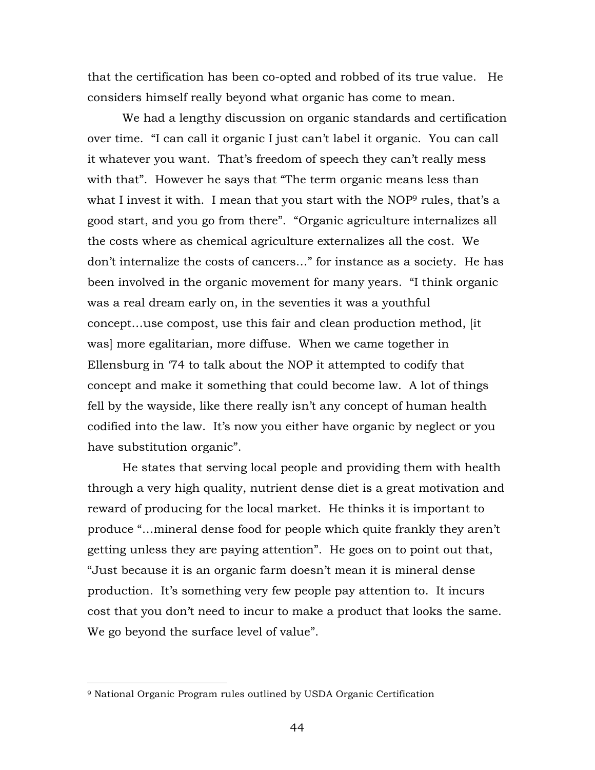that the certification has been co-opted and robbed of its true value. He considers himself really beyond what organic has come to mean.

We had a lengthy discussion on organic standards and certification over time. "I can call it organic I just can't label it organic. You can call it whatever you want. That's freedom of speech they can't really mess with that". However he says that "The term organic means less than what I invest it with. I mean that you start with the NOP<sup>9</sup> rules, that's a good start, and you go from there". "Organic agriculture internalizes all the costs where as chemical agriculture externalizes all the cost. We don't internalize the costs of cancers…" for instance as a society. He has been involved in the organic movement for many years. "I think organic was a real dream early on, in the seventies it was a youthful concept…use compost, use this fair and clean production method, [it was] more egalitarian, more diffuse. When we came together in Ellensburg in '74 to talk about the NOP it attempted to codify that concept and make it something that could become law. A lot of things fell by the wayside, like there really isn't any concept of human health codified into the law. It's now you either have organic by neglect or you have substitution organic".

He states that serving local people and providing them with health through a very high quality, nutrient dense diet is a great motivation and reward of producing for the local market. He thinks it is important to produce "…mineral dense food for people which quite frankly they aren't getting unless they are paying attention". He goes on to point out that, "Just because it is an organic farm doesn't mean it is mineral dense production. It's something very few people pay attention to. It incurs cost that you don't need to incur to make a product that looks the same. We go beyond the surface level of value".

 $\overline{a}$ 

<sup>9</sup> National Organic Program rules outlined by USDA Organic Certification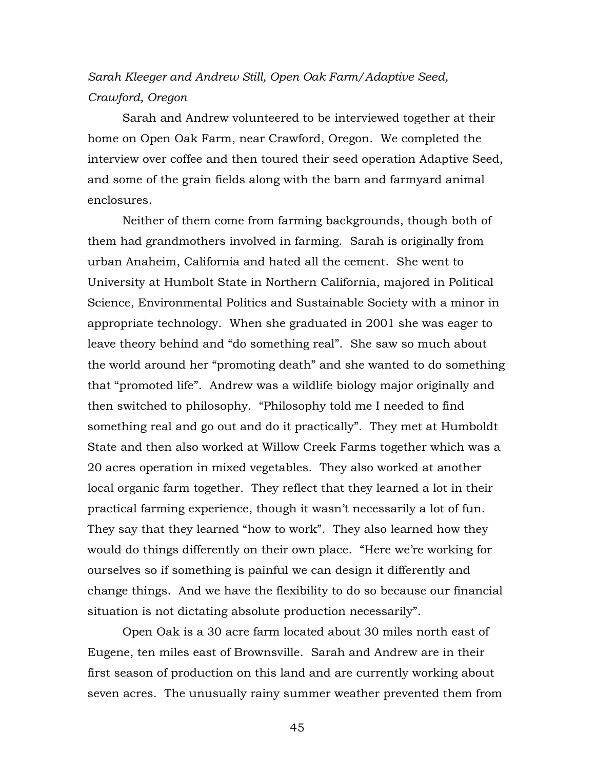# *Sarah Kleeger and Andrew Still, Open Oak Farm/Adaptive Seed, Crawford, Oregon*

Sarah and Andrew volunteered to be interviewed together at their home on Open Oak Farm, near Crawford, Oregon. We completed the interview over coffee and then toured their seed operation Adaptive Seed, and some of the grain fields along with the barn and farmyard animal enclosures.

Neither of them come from farming backgrounds, though both of them had grandmothers involved in farming. Sarah is originally from urban Anaheim, California and hated all the cement. She went to University at Humbolt State in Northern California, majored in Political Science, Environmental Politics and Sustainable Society with a minor in appropriate technology. When she graduated in 2001 she was eager to leave theory behind and "do something real". She saw so much about the world around her "promoting death" and she wanted to do something that "promoted life". Andrew was a wildlife biology major originally and then switched to philosophy. "Philosophy told me I needed to find something real and go out and do it practically". They met at Humboldt State and then also worked at Willow Creek Farms together which was a 20 acres operation in mixed vegetables. They also worked at another local organic farm together. They reflect that they learned a lot in their practical farming experience, though it wasn't necessarily a lot of fun. They say that they learned "how to work". They also learned how they would do things differently on their own place. "Here we're working for ourselves so if something is painful we can design it differently and change things. And we have the flexibility to do so because our financial situation is not dictating absolute production necessarily".

Open Oak is a 30 acre farm located about 30 miles north east of Eugene, ten miles east of Brownsville. Sarah and Andrew are in their first season of production on this land and are currently working about seven acres. The unusually rainy summer weather prevented them from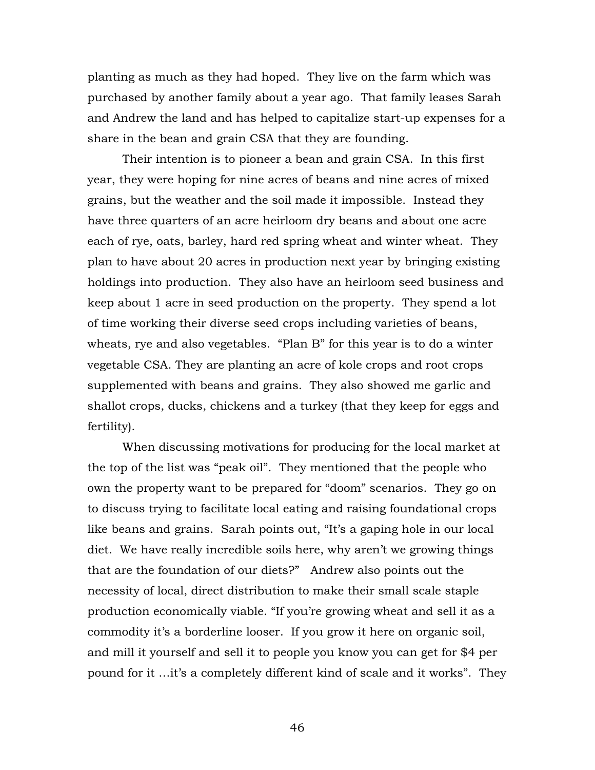planting as much as they had hoped. They live on the farm which was purchased by another family about a year ago. That family leases Sarah and Andrew the land and has helped to capitalize start-up expenses for a share in the bean and grain CSA that they are founding.

Their intention is to pioneer a bean and grain CSA. In this first year, they were hoping for nine acres of beans and nine acres of mixed grains, but the weather and the soil made it impossible. Instead they have three quarters of an acre heirloom dry beans and about one acre each of rye, oats, barley, hard red spring wheat and winter wheat. They plan to have about 20 acres in production next year by bringing existing holdings into production. They also have an heirloom seed business and keep about 1 acre in seed production on the property. They spend a lot of time working their diverse seed crops including varieties of beans, wheats, rye and also vegetables. "Plan B" for this year is to do a winter vegetable CSA. They are planting an acre of kole crops and root crops supplemented with beans and grains. They also showed me garlic and shallot crops, ducks, chickens and a turkey (that they keep for eggs and fertility).

When discussing motivations for producing for the local market at the top of the list was "peak oil". They mentioned that the people who own the property want to be prepared for "doom" scenarios. They go on to discuss trying to facilitate local eating and raising foundational crops like beans and grains. Sarah points out, "It's a gaping hole in our local diet. We have really incredible soils here, why aren't we growing things that are the foundation of our diets?" Andrew also points out the necessity of local, direct distribution to make their small scale staple production economically viable. "If you're growing wheat and sell it as a commodity it's a borderline looser. If you grow it here on organic soil, and mill it yourself and sell it to people you know you can get for \$4 per pound for it …it's a completely different kind of scale and it works". They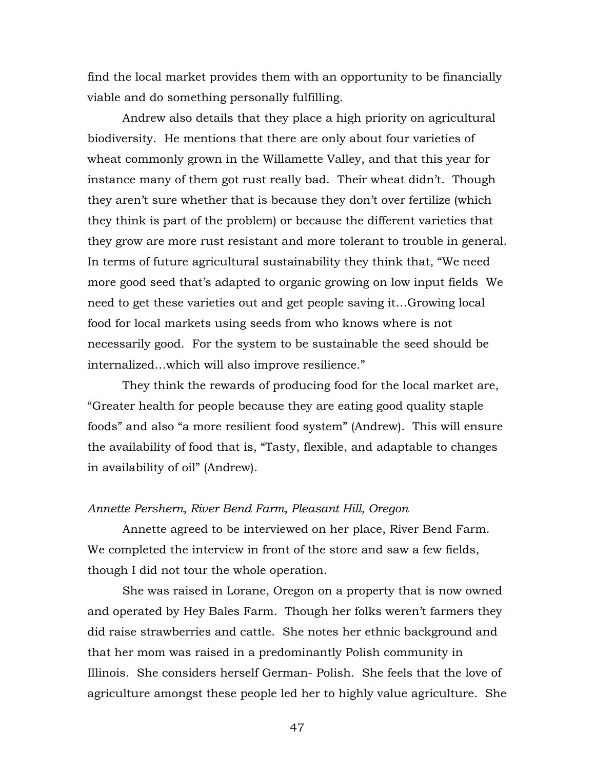find the local market provides them with an opportunity to be financially viable and do something personally fulfilling.

Andrew also details that they place a high priority on agricultural biodiversity. He mentions that there are only about four varieties of wheat commonly grown in the Willamette Valley, and that this year for instance many of them got rust really bad. Their wheat didn't. Though they aren't sure whether that is because they don't over fertilize (which they think is part of the problem) or because the different varieties that they grow are more rust resistant and more tolerant to trouble in general. In terms of future agricultural sustainability they think that, "We need more good seed that's adapted to organic growing on low input fields We need to get these varieties out and get people saving it…Growing local food for local markets using seeds from who knows where is not necessarily good. For the system to be sustainable the seed should be internalized…which will also improve resilience."

They think the rewards of producing food for the local market are, "Greater health for people because they are eating good quality staple foods" and also "a more resilient food system" (Andrew). This will ensure the availability of food that is, "Tasty, flexible, and adaptable to changes in availability of oil" (Andrew).

### *Annette Pershern, River Bend Farm, Pleasant Hill, Oregon*

Annette agreed to be interviewed on her place, River Bend Farm. We completed the interview in front of the store and saw a few fields, though I did not tour the whole operation.

She was raised in Lorane, Oregon on a property that is now owned and operated by Hey Bales Farm. Though her folks weren't farmers they did raise strawberries and cattle. She notes her ethnic background and that her mom was raised in a predominantly Polish community in Illinois. She considers herself German- Polish. She feels that the love of agriculture amongst these people led her to highly value agriculture. She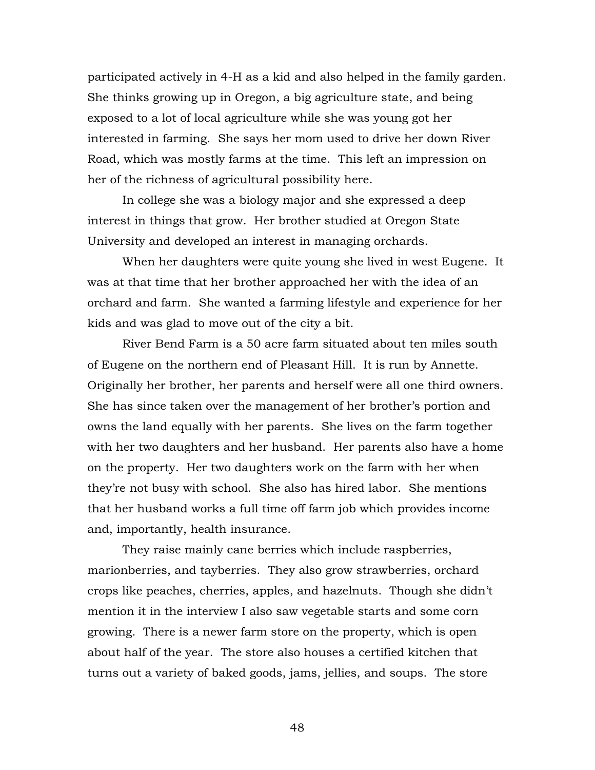participated actively in 4-H as a kid and also helped in the family garden. She thinks growing up in Oregon, a big agriculture state, and being exposed to a lot of local agriculture while she was young got her interested in farming. She says her mom used to drive her down River Road, which was mostly farms at the time. This left an impression on her of the richness of agricultural possibility here.

In college she was a biology major and she expressed a deep interest in things that grow. Her brother studied at Oregon State University and developed an interest in managing orchards.

When her daughters were quite young she lived in west Eugene. It was at that time that her brother approached her with the idea of an orchard and farm. She wanted a farming lifestyle and experience for her kids and was glad to move out of the city a bit.

River Bend Farm is a 50 acre farm situated about ten miles south of Eugene on the northern end of Pleasant Hill. It is run by Annette. Originally her brother, her parents and herself were all one third owners. She has since taken over the management of her brother's portion and owns the land equally with her parents. She lives on the farm together with her two daughters and her husband. Her parents also have a home on the property. Her two daughters work on the farm with her when they're not busy with school. She also has hired labor. She mentions that her husband works a full time off farm job which provides income and, importantly, health insurance.

They raise mainly cane berries which include raspberries, marionberries, and tayberries. They also grow strawberries, orchard crops like peaches, cherries, apples, and hazelnuts. Though she didn't mention it in the interview I also saw vegetable starts and some corn growing. There is a newer farm store on the property, which is open about half of the year. The store also houses a certified kitchen that turns out a variety of baked goods, jams, jellies, and soups. The store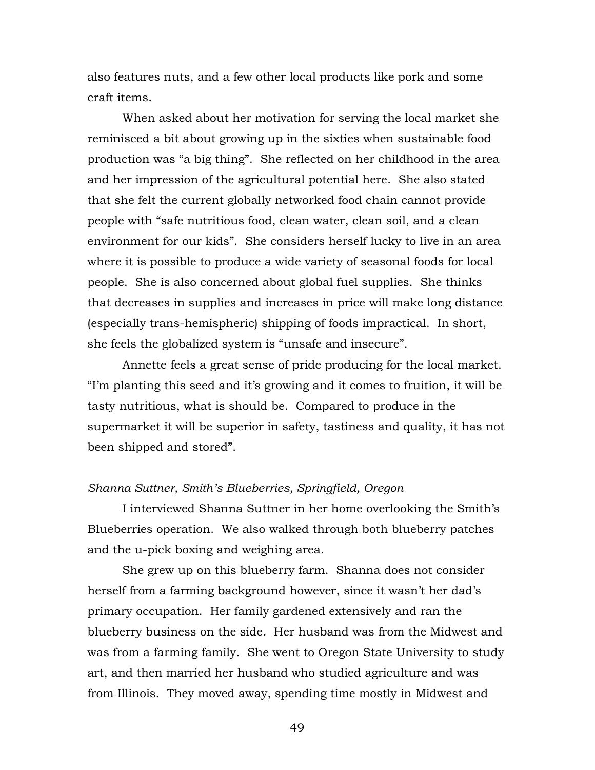also features nuts, and a few other local products like pork and some craft items.

When asked about her motivation for serving the local market she reminisced a bit about growing up in the sixties when sustainable food production was "a big thing". She reflected on her childhood in the area and her impression of the agricultural potential here. She also stated that she felt the current globally networked food chain cannot provide people with "safe nutritious food, clean water, clean soil, and a clean environment for our kids". She considers herself lucky to live in an area where it is possible to produce a wide variety of seasonal foods for local people. She is also concerned about global fuel supplies. She thinks that decreases in supplies and increases in price will make long distance (especially trans-hemispheric) shipping of foods impractical. In short, she feels the globalized system is "unsafe and insecure".

Annette feels a great sense of pride producing for the local market. "I'm planting this seed and it's growing and it comes to fruition, it will be tasty nutritious, what is should be. Compared to produce in the supermarket it will be superior in safety, tastiness and quality, it has not been shipped and stored".

#### *Shanna Suttner, Smith's Blueberries, Springfield, Oregon*

I interviewed Shanna Suttner in her home overlooking the Smith's Blueberries operation. We also walked through both blueberry patches and the u-pick boxing and weighing area.

She grew up on this blueberry farm. Shanna does not consider herself from a farming background however, since it wasn't her dad's primary occupation. Her family gardened extensively and ran the blueberry business on the side. Her husband was from the Midwest and was from a farming family. She went to Oregon State University to study art, and then married her husband who studied agriculture and was from Illinois. They moved away, spending time mostly in Midwest and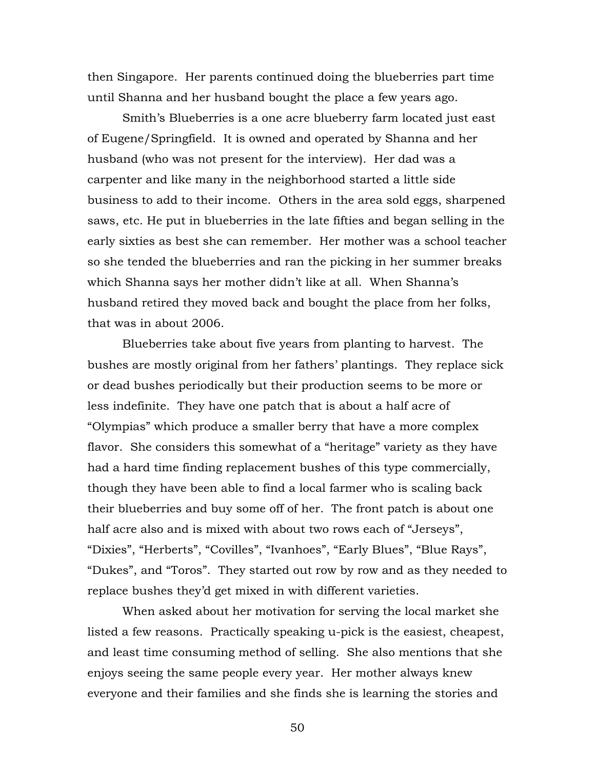then Singapore. Her parents continued doing the blueberries part time until Shanna and her husband bought the place a few years ago.

Smith's Blueberries is a one acre blueberry farm located just east of Eugene/Springfield. It is owned and operated by Shanna and her husband (who was not present for the interview). Her dad was a carpenter and like many in the neighborhood started a little side business to add to their income. Others in the area sold eggs, sharpened saws, etc. He put in blueberries in the late fifties and began selling in the early sixties as best she can remember. Her mother was a school teacher so she tended the blueberries and ran the picking in her summer breaks which Shanna says her mother didn't like at all. When Shanna's husband retired they moved back and bought the place from her folks, that was in about 2006.

Blueberries take about five years from planting to harvest. The bushes are mostly original from her fathers' plantings. They replace sick or dead bushes periodically but their production seems to be more or less indefinite. They have one patch that is about a half acre of "Olympias" which produce a smaller berry that have a more complex flavor. She considers this somewhat of a "heritage" variety as they have had a hard time finding replacement bushes of this type commercially, though they have been able to find a local farmer who is scaling back their blueberries and buy some off of her. The front patch is about one half acre also and is mixed with about two rows each of "Jerseys", "Dixies", "Herberts", "Covilles", "Ivanhoes", "Early Blues", "Blue Rays", "Dukes", and "Toros". They started out row by row and as they needed to replace bushes they'd get mixed in with different varieties.

When asked about her motivation for serving the local market she listed a few reasons. Practically speaking u-pick is the easiest, cheapest, and least time consuming method of selling. She also mentions that she enjoys seeing the same people every year. Her mother always knew everyone and their families and she finds she is learning the stories and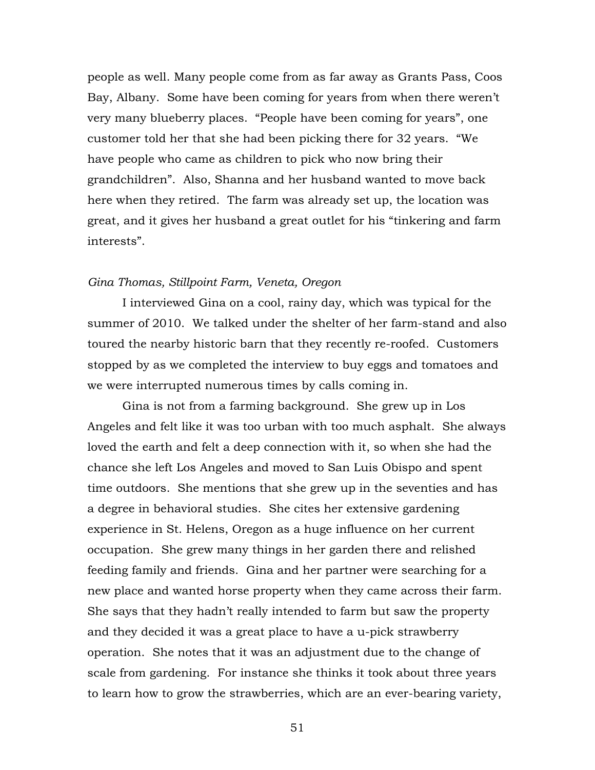people as well. Many people come from as far away as Grants Pass, Coos Bay, Albany. Some have been coming for years from when there weren't very many blueberry places. "People have been coming for years", one customer told her that she had been picking there for 32 years. "We have people who came as children to pick who now bring their grandchildren". Also, Shanna and her husband wanted to move back here when they retired. The farm was already set up, the location was great, and it gives her husband a great outlet for his "tinkering and farm interests".

### *Gina Thomas, Stillpoint Farm, Veneta, Oregon*

I interviewed Gina on a cool, rainy day, which was typical for the summer of 2010. We talked under the shelter of her farm-stand and also toured the nearby historic barn that they recently re-roofed. Customers stopped by as we completed the interview to buy eggs and tomatoes and we were interrupted numerous times by calls coming in.

Gina is not from a farming background. She grew up in Los Angeles and felt like it was too urban with too much asphalt. She always loved the earth and felt a deep connection with it, so when she had the chance she left Los Angeles and moved to San Luis Obispo and spent time outdoors. She mentions that she grew up in the seventies and has a degree in behavioral studies. She cites her extensive gardening experience in St. Helens, Oregon as a huge influence on her current occupation. She grew many things in her garden there and relished feeding family and friends. Gina and her partner were searching for a new place and wanted horse property when they came across their farm. She says that they hadn't really intended to farm but saw the property and they decided it was a great place to have a u-pick strawberry operation. She notes that it was an adjustment due to the change of scale from gardening. For instance she thinks it took about three years to learn how to grow the strawberries, which are an ever-bearing variety,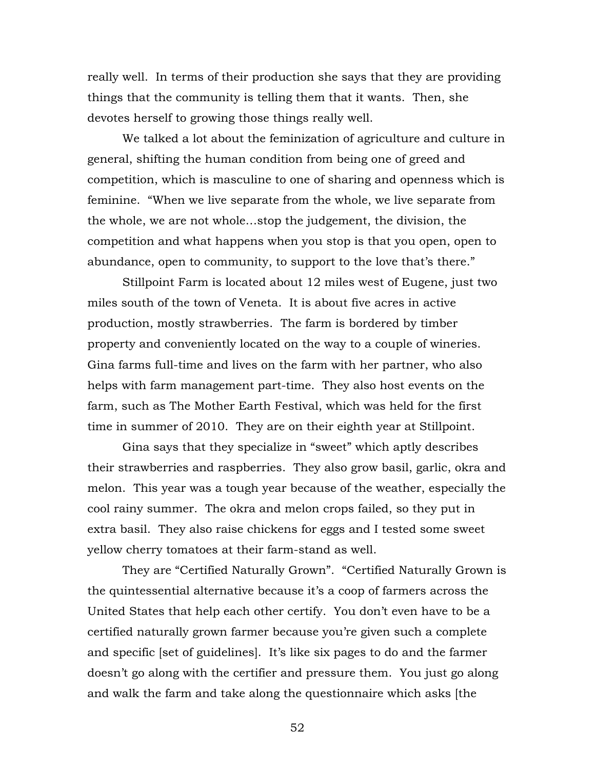really well. In terms of their production she says that they are providing things that the community is telling them that it wants. Then, she devotes herself to growing those things really well.

We talked a lot about the feminization of agriculture and culture in general, shifting the human condition from being one of greed and competition, which is masculine to one of sharing and openness which is feminine. "When we live separate from the whole, we live separate from the whole, we are not whole…stop the judgement, the division, the competition and what happens when you stop is that you open, open to abundance, open to community, to support to the love that's there."

Stillpoint Farm is located about 12 miles west of Eugene, just two miles south of the town of Veneta. It is about five acres in active production, mostly strawberries. The farm is bordered by timber property and conveniently located on the way to a couple of wineries. Gina farms full-time and lives on the farm with her partner, who also helps with farm management part-time. They also host events on the farm, such as The Mother Earth Festival, which was held for the first time in summer of 2010. They are on their eighth year at Stillpoint.

Gina says that they specialize in "sweet" which aptly describes their strawberries and raspberries. They also grow basil, garlic, okra and melon. This year was a tough year because of the weather, especially the cool rainy summer. The okra and melon crops failed, so they put in extra basil. They also raise chickens for eggs and I tested some sweet yellow cherry tomatoes at their farm-stand as well.

They are "Certified Naturally Grown". "Certified Naturally Grown is the quintessential alternative because it's a coop of farmers across the United States that help each other certify. You don't even have to be a certified naturally grown farmer because you're given such a complete and specific [set of guidelines]. It's like six pages to do and the farmer doesn't go along with the certifier and pressure them. You just go along and walk the farm and take along the questionnaire which asks [the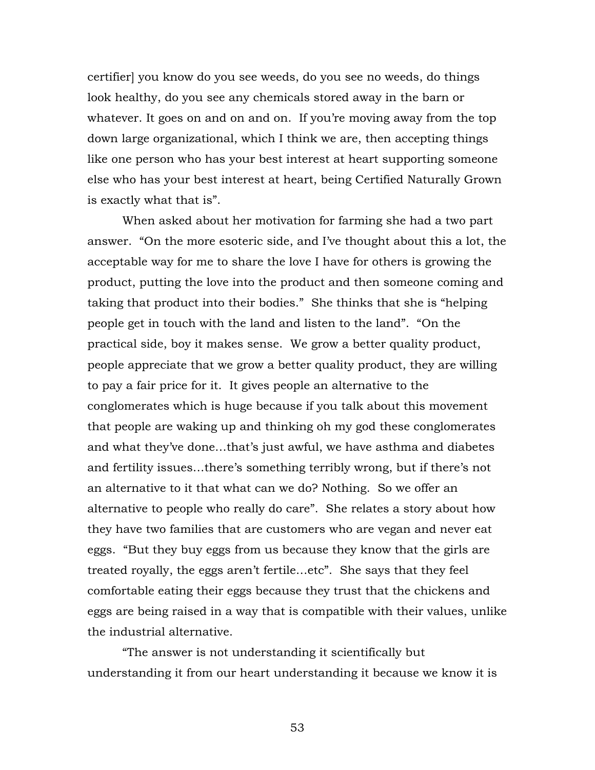certifier] you know do you see weeds, do you see no weeds, do things look healthy, do you see any chemicals stored away in the barn or whatever. It goes on and on and on. If you're moving away from the top down large organizational, which I think we are, then accepting things like one person who has your best interest at heart supporting someone else who has your best interest at heart, being Certified Naturally Grown is exactly what that is".

When asked about her motivation for farming she had a two part answer. "On the more esoteric side, and I've thought about this a lot, the acceptable way for me to share the love I have for others is growing the product, putting the love into the product and then someone coming and taking that product into their bodies." She thinks that she is "helping people get in touch with the land and listen to the land". "On the practical side, boy it makes sense. We grow a better quality product, people appreciate that we grow a better quality product, they are willing to pay a fair price for it. It gives people an alternative to the conglomerates which is huge because if you talk about this movement that people are waking up and thinking oh my god these conglomerates and what they've done…that's just awful, we have asthma and diabetes and fertility issues…there's something terribly wrong, but if there's not an alternative to it that what can we do? Nothing. So we offer an alternative to people who really do care". She relates a story about how they have two families that are customers who are vegan and never eat eggs. "But they buy eggs from us because they know that the girls are treated royally, the eggs aren't fertile…etc". She says that they feel comfortable eating their eggs because they trust that the chickens and eggs are being raised in a way that is compatible with their values, unlike the industrial alternative.

"The answer is not understanding it scientifically but understanding it from our heart understanding it because we know it is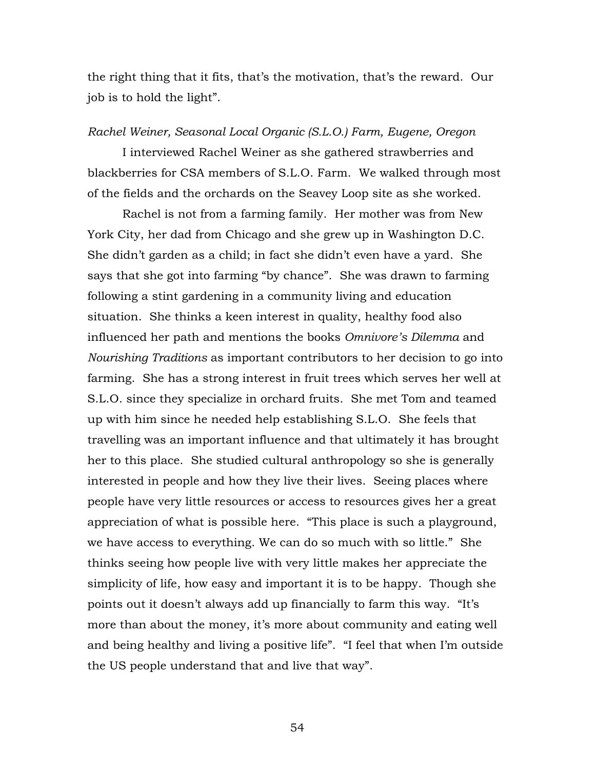the right thing that it fits, that's the motivation, that's the reward. Our job is to hold the light".

#### *Rachel Weiner, Seasonal Local Organic (S.L.O.) Farm, Eugene, Oregon*

I interviewed Rachel Weiner as she gathered strawberries and blackberries for CSA members of S.L.O. Farm. We walked through most of the fields and the orchards on the Seavey Loop site as she worked.

Rachel is not from a farming family. Her mother was from New York City, her dad from Chicago and she grew up in Washington D.C. She didn't garden as a child; in fact she didn't even have a yard. She says that she got into farming "by chance". She was drawn to farming following a stint gardening in a community living and education situation. She thinks a keen interest in quality, healthy food also influenced her path and mentions the books *Omnivore's Dilemma* and *Nourishing Traditions* as important contributors to her decision to go into farming. She has a strong interest in fruit trees which serves her well at S.L.O. since they specialize in orchard fruits. She met Tom and teamed up with him since he needed help establishing S.L.O. She feels that travelling was an important influence and that ultimately it has brought her to this place. She studied cultural anthropology so she is generally interested in people and how they live their lives. Seeing places where people have very little resources or access to resources gives her a great appreciation of what is possible here. "This place is such a playground, we have access to everything. We can do so much with so little." She thinks seeing how people live with very little makes her appreciate the simplicity of life, how easy and important it is to be happy. Though she points out it doesn't always add up financially to farm this way. "It's more than about the money, it's more about community and eating well and being healthy and living a positive life". "I feel that when I'm outside the US people understand that and live that way".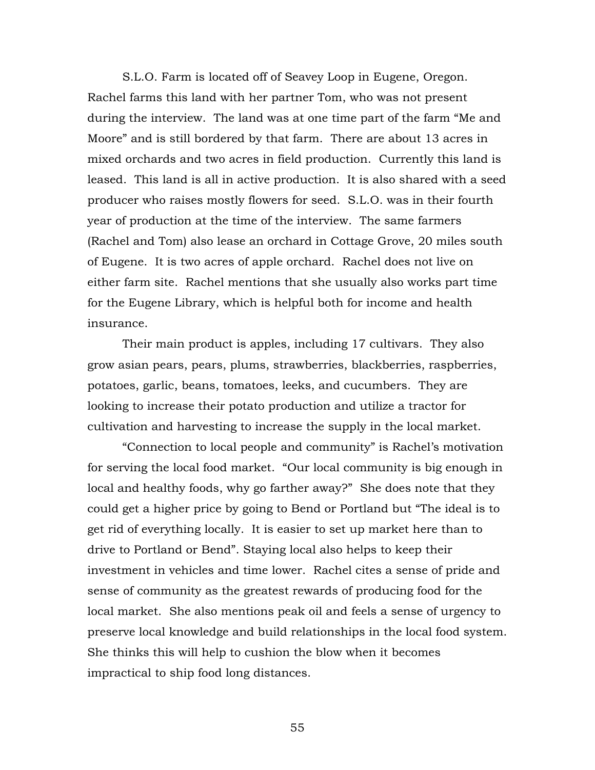S.L.O. Farm is located off of Seavey Loop in Eugene, Oregon. Rachel farms this land with her partner Tom, who was not present during the interview. The land was at one time part of the farm "Me and Moore" and is still bordered by that farm. There are about 13 acres in mixed orchards and two acres in field production. Currently this land is leased. This land is all in active production. It is also shared with a seed producer who raises mostly flowers for seed. S.L.O. was in their fourth year of production at the time of the interview. The same farmers (Rachel and Tom) also lease an orchard in Cottage Grove, 20 miles south of Eugene. It is two acres of apple orchard. Rachel does not live on either farm site. Rachel mentions that she usually also works part time for the Eugene Library, which is helpful both for income and health insurance.

Their main product is apples, including 17 cultivars. They also grow asian pears, pears, plums, strawberries, blackberries, raspberries, potatoes, garlic, beans, tomatoes, leeks, and cucumbers. They are looking to increase their potato production and utilize a tractor for cultivation and harvesting to increase the supply in the local market.

"Connection to local people and community" is Rachel's motivation for serving the local food market. "Our local community is big enough in local and healthy foods, why go farther away?" She does note that they could get a higher price by going to Bend or Portland but "The ideal is to get rid of everything locally. It is easier to set up market here than to drive to Portland or Bend". Staying local also helps to keep their investment in vehicles and time lower. Rachel cites a sense of pride and sense of community as the greatest rewards of producing food for the local market. She also mentions peak oil and feels a sense of urgency to preserve local knowledge and build relationships in the local food system. She thinks this will help to cushion the blow when it becomes impractical to ship food long distances.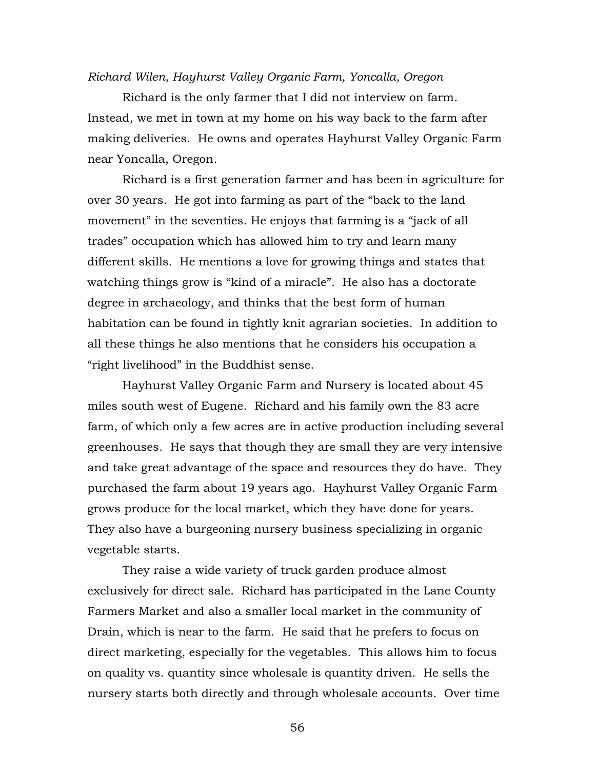#### *Richard Wilen, Hayhurst Valley Organic Farm, Yoncalla, Oregon*

Richard is the only farmer that I did not interview on farm. Instead, we met in town at my home on his way back to the farm after making deliveries. He owns and operates Hayhurst Valley Organic Farm near Yoncalla, Oregon.

Richard is a first generation farmer and has been in agriculture for over 30 years. He got into farming as part of the "back to the land movement" in the seventies. He enjoys that farming is a "jack of all trades" occupation which has allowed him to try and learn many different skills. He mentions a love for growing things and states that watching things grow is "kind of a miracle". He also has a doctorate degree in archaeology, and thinks that the best form of human habitation can be found in tightly knit agrarian societies. In addition to all these things he also mentions that he considers his occupation a "right livelihood" in the Buddhist sense.

Hayhurst Valley Organic Farm and Nursery is located about 45 miles south west of Eugene. Richard and his family own the 83 acre farm, of which only a few acres are in active production including several greenhouses. He says that though they are small they are very intensive and take great advantage of the space and resources they do have. They purchased the farm about 19 years ago. Hayhurst Valley Organic Farm grows produce for the local market, which they have done for years. They also have a burgeoning nursery business specializing in organic vegetable starts.

They raise a wide variety of truck garden produce almost exclusively for direct sale. Richard has participated in the Lane County Farmers Market and also a smaller local market in the community of Drain, which is near to the farm. He said that he prefers to focus on direct marketing, especially for the vegetables. This allows him to focus on quality vs. quantity since wholesale is quantity driven. He sells the nursery starts both directly and through wholesale accounts. Over time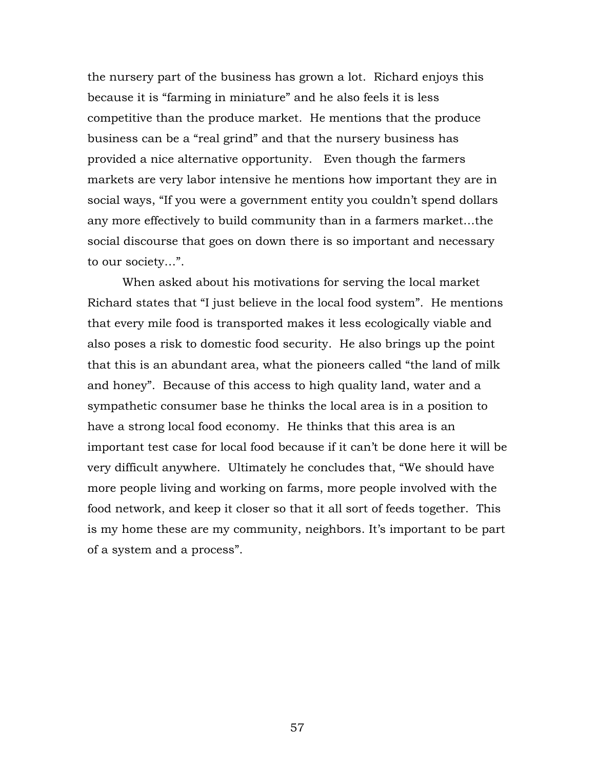the nursery part of the business has grown a lot. Richard enjoys this because it is "farming in miniature" and he also feels it is less competitive than the produce market. He mentions that the produce business can be a "real grind" and that the nursery business has provided a nice alternative opportunity. Even though the farmers markets are very labor intensive he mentions how important they are in social ways, "If you were a government entity you couldn't spend dollars any more effectively to build community than in a farmers market…the social discourse that goes on down there is so important and necessary to our society…".

When asked about his motivations for serving the local market Richard states that "I just believe in the local food system". He mentions that every mile food is transported makes it less ecologically viable and also poses a risk to domestic food security. He also brings up the point that this is an abundant area, what the pioneers called "the land of milk and honey". Because of this access to high quality land, water and a sympathetic consumer base he thinks the local area is in a position to have a strong local food economy. He thinks that this area is an important test case for local food because if it can't be done here it will be very difficult anywhere. Ultimately he concludes that, "We should have more people living and working on farms, more people involved with the food network, and keep it closer so that it all sort of feeds together. This is my home these are my community, neighbors. It's important to be part of a system and a process".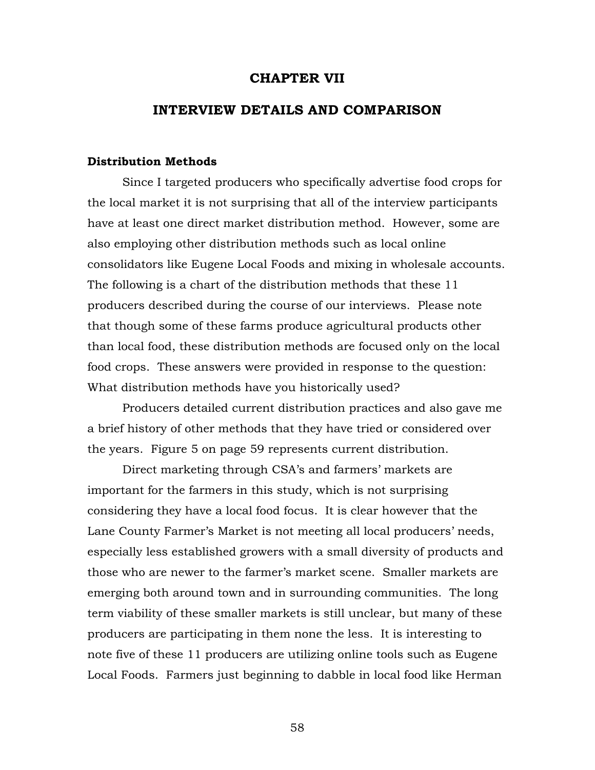### **CHAPTER VII**

## **INTERVIEW DETAILS AND COMPARISON**

#### **Distribution Methods**

Since I targeted producers who specifically advertise food crops for the local market it is not surprising that all of the interview participants have at least one direct market distribution method. However, some are also employing other distribution methods such as local online consolidators like Eugene Local Foods and mixing in wholesale accounts. The following is a chart of the distribution methods that these 11 producers described during the course of our interviews. Please note that though some of these farms produce agricultural products other than local food, these distribution methods are focused only on the local food crops. These answers were provided in response to the question: What distribution methods have you historically used?

Producers detailed current distribution practices and also gave me a brief history of other methods that they have tried or considered over the years. Figure 5 on page 59 represents current distribution.

Direct marketing through CSA's and farmers' markets are important for the farmers in this study, which is not surprising considering they have a local food focus. It is clear however that the Lane County Farmer's Market is not meeting all local producers' needs, especially less established growers with a small diversity of products and those who are newer to the farmer's market scene. Smaller markets are emerging both around town and in surrounding communities. The long term viability of these smaller markets is still unclear, but many of these producers are participating in them none the less. It is interesting to note five of these 11 producers are utilizing online tools such as Eugene Local Foods. Farmers just beginning to dabble in local food like Herman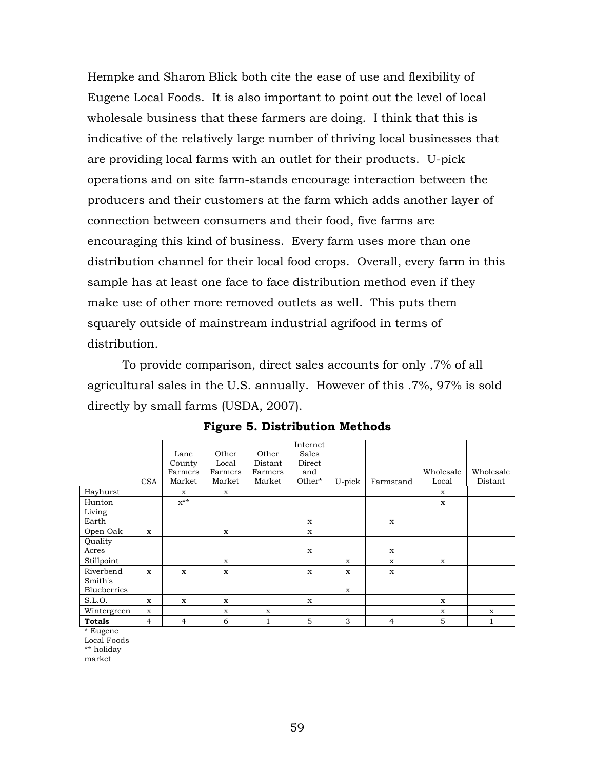Hempke and Sharon Blick both cite the ease of use and flexibility of Eugene Local Foods. It is also important to point out the level of local wholesale business that these farmers are doing. I think that this is indicative of the relatively large number of thriving local businesses that are providing local farms with an outlet for their products. U-pick operations and on site farm-stands encourage interaction between the producers and their customers at the farm which adds another layer of connection between consumers and their food, five farms are encouraging this kind of business. Every farm uses more than one distribution channel for their local food crops. Overall, every farm in this sample has at least one face to face distribution method even if they make use of other more removed outlets as well. This puts them squarely outside of mainstream industrial agrifood in terms of distribution.

To provide comparison, direct sales accounts for only .7% of all agricultural sales in the U.S. annually. However of this .7%, 97% is sold directly by small farms (USDA, 2007).

|                               | <b>CSA</b>  | Lane<br>County<br>Farmers<br>Market | Other<br>Local<br>Farmers<br>Market | Other<br>Distant<br>Farmers<br>Market | Internet<br><b>Sales</b><br>Direct<br>and<br>Other* | U-pick | Farmstand      | Wholesale<br>Local | Wholesale<br>Distant |
|-------------------------------|-------------|-------------------------------------|-------------------------------------|---------------------------------------|-----------------------------------------------------|--------|----------------|--------------------|----------------------|
| Hayhurst                      |             | x                                   | X                                   |                                       |                                                     |        |                | X                  |                      |
| Hunton                        |             | $x^{**}$                            |                                     |                                       |                                                     |        |                | X                  |                      |
| Living<br>Earth               |             |                                     |                                     |                                       | X                                                   |        | $\mathbf{x}$   |                    |                      |
| Open Oak                      | $\mathbf x$ |                                     | X                                   |                                       | X                                                   |        |                |                    |                      |
| Quality<br>Acres              |             |                                     |                                     |                                       | X                                                   |        | X              |                    |                      |
| Stillpoint                    |             |                                     | X                                   |                                       |                                                     | X      | X              | X                  |                      |
| Riverbend                     | X           | X                                   | X                                   |                                       | X                                                   | X      | X              |                    |                      |
| Smith's<br><b>Blueberries</b> |             |                                     |                                     |                                       |                                                     | X      |                |                    |                      |
| S.L.O.                        | X           | X                                   | X                                   |                                       | $\mathbf x$                                         |        |                | X                  |                      |
| Wintergreen                   | X           |                                     | X                                   | $\mathbf x$                           |                                                     |        |                | X                  | X                    |
| <b>Totals</b>                 | 4           | 4                                   | 6                                   | 1                                     | 5                                                   | 3      | $\overline{4}$ | 5                  | 1                    |

**Figure 5. Distribution Methods**

\* Eugene

Local Foods

\*\* holiday

market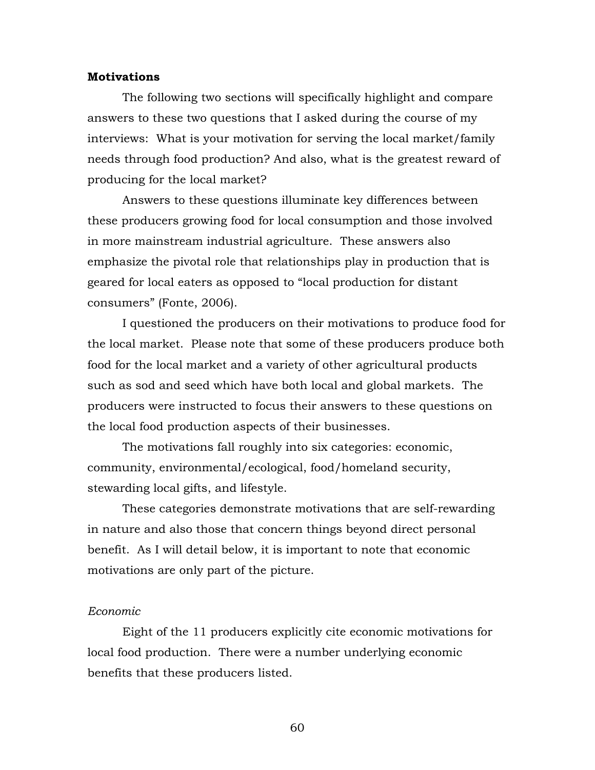#### **Motivations**

The following two sections will specifically highlight and compare answers to these two questions that I asked during the course of my interviews: What is your motivation for serving the local market/family needs through food production? And also, what is the greatest reward of producing for the local market?

Answers to these questions illuminate key differences between these producers growing food for local consumption and those involved in more mainstream industrial agriculture. These answers also emphasize the pivotal role that relationships play in production that is geared for local eaters as opposed to "local production for distant consumers" (Fonte, 2006).

I questioned the producers on their motivations to produce food for the local market. Please note that some of these producers produce both food for the local market and a variety of other agricultural products such as sod and seed which have both local and global markets. The producers were instructed to focus their answers to these questions on the local food production aspects of their businesses.

The motivations fall roughly into six categories: economic, community, environmental/ecological, food/homeland security, stewarding local gifts, and lifestyle.

These categories demonstrate motivations that are self-rewarding in nature and also those that concern things beyond direct personal benefit. As I will detail below, it is important to note that economic motivations are only part of the picture.

## *Economic*

Eight of the 11 producers explicitly cite economic motivations for local food production. There were a number underlying economic benefits that these producers listed.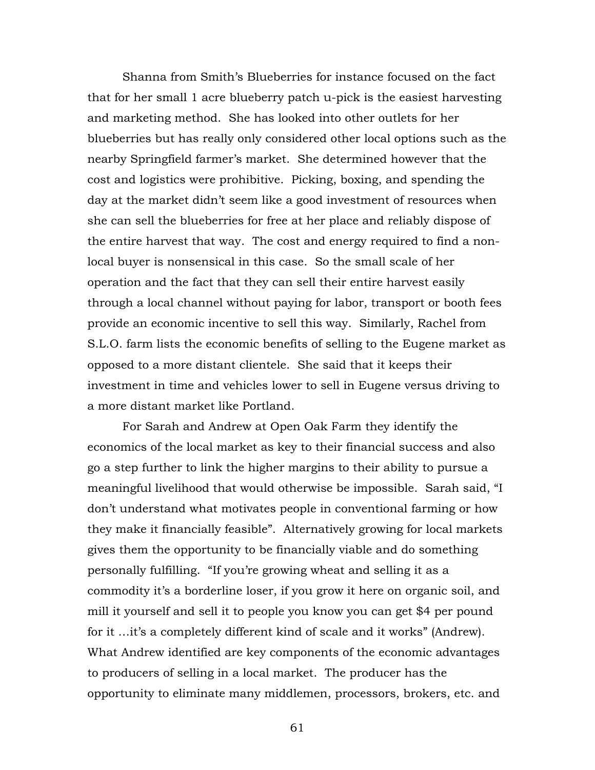Shanna from Smith's Blueberries for instance focused on the fact that for her small 1 acre blueberry patch u-pick is the easiest harvesting and marketing method. She has looked into other outlets for her blueberries but has really only considered other local options such as the nearby Springfield farmer's market. She determined however that the cost and logistics were prohibitive. Picking, boxing, and spending the day at the market didn't seem like a good investment of resources when she can sell the blueberries for free at her place and reliably dispose of the entire harvest that way. The cost and energy required to find a nonlocal buyer is nonsensical in this case. So the small scale of her operation and the fact that they can sell their entire harvest easily through a local channel without paying for labor, transport or booth fees provide an economic incentive to sell this way. Similarly, Rachel from S.L.O. farm lists the economic benefits of selling to the Eugene market as opposed to a more distant clientele. She said that it keeps their investment in time and vehicles lower to sell in Eugene versus driving to a more distant market like Portland.

For Sarah and Andrew at Open Oak Farm they identify the economics of the local market as key to their financial success and also go a step further to link the higher margins to their ability to pursue a meaningful livelihood that would otherwise be impossible. Sarah said, "I don't understand what motivates people in conventional farming or how they make it financially feasible". Alternatively growing for local markets gives them the opportunity to be financially viable and do something personally fulfilling. "If you're growing wheat and selling it as a commodity it's a borderline loser, if you grow it here on organic soil, and mill it yourself and sell it to people you know you can get \$4 per pound for it …it's a completely different kind of scale and it works" (Andrew). What Andrew identified are key components of the economic advantages to producers of selling in a local market. The producer has the opportunity to eliminate many middlemen, processors, brokers, etc. and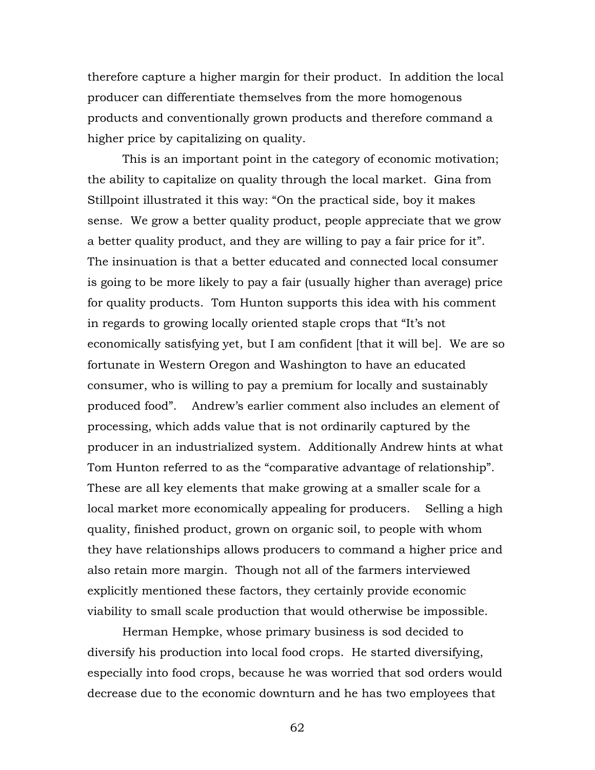therefore capture a higher margin for their product. In addition the local producer can differentiate themselves from the more homogenous products and conventionally grown products and therefore command a higher price by capitalizing on quality.

This is an important point in the category of economic motivation; the ability to capitalize on quality through the local market. Gina from Stillpoint illustrated it this way: "On the practical side, boy it makes sense. We grow a better quality product, people appreciate that we grow a better quality product, and they are willing to pay a fair price for it". The insinuation is that a better educated and connected local consumer is going to be more likely to pay a fair (usually higher than average) price for quality products. Tom Hunton supports this idea with his comment in regards to growing locally oriented staple crops that "It's not economically satisfying yet, but I am confident [that it will be]. We are so fortunate in Western Oregon and Washington to have an educated consumer, who is willing to pay a premium for locally and sustainably produced food". Andrew's earlier comment also includes an element of processing, which adds value that is not ordinarily captured by the producer in an industrialized system. Additionally Andrew hints at what Tom Hunton referred to as the "comparative advantage of relationship". These are all key elements that make growing at a smaller scale for a local market more economically appealing for producers. Selling a high quality, finished product, grown on organic soil, to people with whom they have relationships allows producers to command a higher price and also retain more margin. Though not all of the farmers interviewed explicitly mentioned these factors, they certainly provide economic viability to small scale production that would otherwise be impossible.

Herman Hempke, whose primary business is sod decided to diversify his production into local food crops. He started diversifying, especially into food crops, because he was worried that sod orders would decrease due to the economic downturn and he has two employees that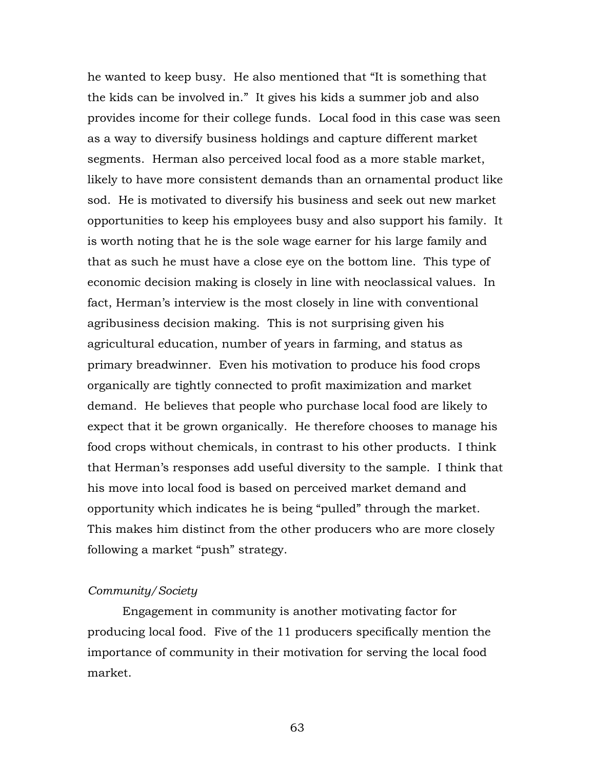he wanted to keep busy. He also mentioned that "It is something that the kids can be involved in." It gives his kids a summer job and also provides income for their college funds. Local food in this case was seen as a way to diversify business holdings and capture different market segments. Herman also perceived local food as a more stable market, likely to have more consistent demands than an ornamental product like sod. He is motivated to diversify his business and seek out new market opportunities to keep his employees busy and also support his family. It is worth noting that he is the sole wage earner for his large family and that as such he must have a close eye on the bottom line. This type of economic decision making is closely in line with neoclassical values. In fact, Herman's interview is the most closely in line with conventional agribusiness decision making. This is not surprising given his agricultural education, number of years in farming, and status as primary breadwinner. Even his motivation to produce his food crops organically are tightly connected to profit maximization and market demand. He believes that people who purchase local food are likely to expect that it be grown organically. He therefore chooses to manage his food crops without chemicals, in contrast to his other products. I think that Herman's responses add useful diversity to the sample. I think that his move into local food is based on perceived market demand and opportunity which indicates he is being "pulled" through the market. This makes him distinct from the other producers who are more closely following a market "push" strategy.

# *Community/Society*

Engagement in community is another motivating factor for producing local food. Five of the 11 producers specifically mention the importance of community in their motivation for serving the local food market.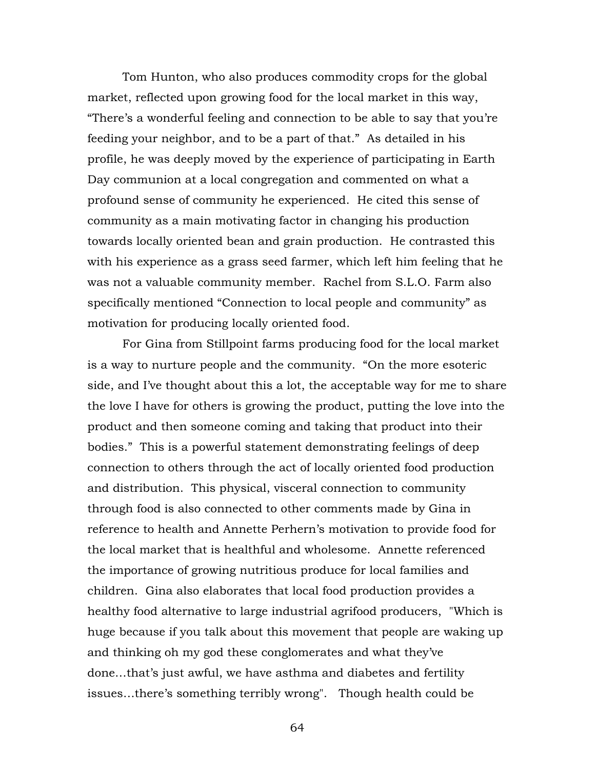Tom Hunton, who also produces commodity crops for the global market, reflected upon growing food for the local market in this way, "There's a wonderful feeling and connection to be able to say that you're feeding your neighbor, and to be a part of that." As detailed in his profile, he was deeply moved by the experience of participating in Earth Day communion at a local congregation and commented on what a profound sense of community he experienced. He cited this sense of community as a main motivating factor in changing his production towards locally oriented bean and grain production. He contrasted this with his experience as a grass seed farmer, which left him feeling that he was not a valuable community member. Rachel from S.L.O. Farm also specifically mentioned "Connection to local people and community" as motivation for producing locally oriented food.

For Gina from Stillpoint farms producing food for the local market is a way to nurture people and the community. "On the more esoteric side, and I've thought about this a lot, the acceptable way for me to share the love I have for others is growing the product, putting the love into the product and then someone coming and taking that product into their bodies." This is a powerful statement demonstrating feelings of deep connection to others through the act of locally oriented food production and distribution. This physical, visceral connection to community through food is also connected to other comments made by Gina in reference to health and Annette Perhern's motivation to provide food for the local market that is healthful and wholesome. Annette referenced the importance of growing nutritious produce for local families and children. Gina also elaborates that local food production provides a healthy food alternative to large industrial agrifood producers, "Which is huge because if you talk about this movement that people are waking up and thinking oh my god these conglomerates and what they've done…that's just awful, we have asthma and diabetes and fertility issues…there's something terribly wrong". Though health could be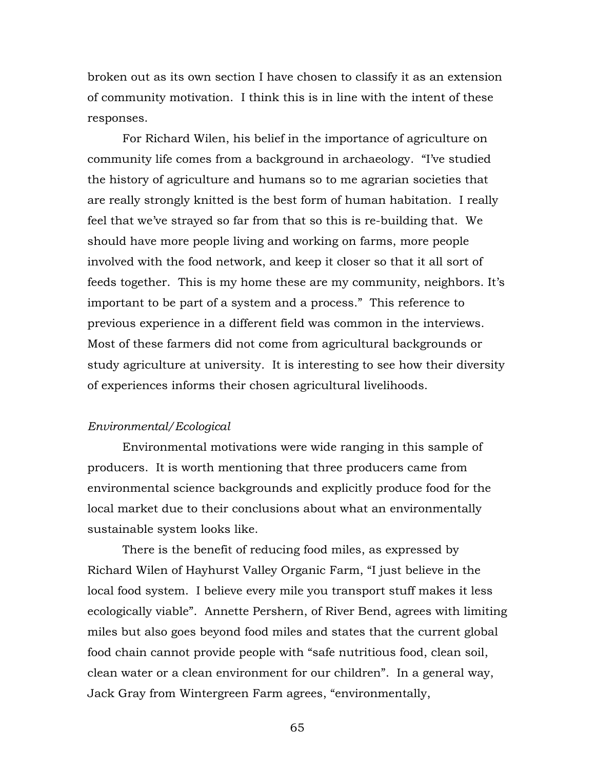broken out as its own section I have chosen to classify it as an extension of community motivation. I think this is in line with the intent of these responses.

For Richard Wilen, his belief in the importance of agriculture on community life comes from a background in archaeology. "I've studied the history of agriculture and humans so to me agrarian societies that are really strongly knitted is the best form of human habitation. I really feel that we've strayed so far from that so this is re-building that. We should have more people living and working on farms, more people involved with the food network, and keep it closer so that it all sort of feeds together. This is my home these are my community, neighbors. It's important to be part of a system and a process." This reference to previous experience in a different field was common in the interviews. Most of these farmers did not come from agricultural backgrounds or study agriculture at university. It is interesting to see how their diversity of experiences informs their chosen agricultural livelihoods.

#### *Environmental/Ecological*

Environmental motivations were wide ranging in this sample of producers. It is worth mentioning that three producers came from environmental science backgrounds and explicitly produce food for the local market due to their conclusions about what an environmentally sustainable system looks like.

There is the benefit of reducing food miles, as expressed by Richard Wilen of Hayhurst Valley Organic Farm, "I just believe in the local food system. I believe every mile you transport stuff makes it less ecologically viable". Annette Pershern, of River Bend, agrees with limiting miles but also goes beyond food miles and states that the current global food chain cannot provide people with "safe nutritious food, clean soil, clean water or a clean environment for our children". In a general way, Jack Gray from Wintergreen Farm agrees, "environmentally,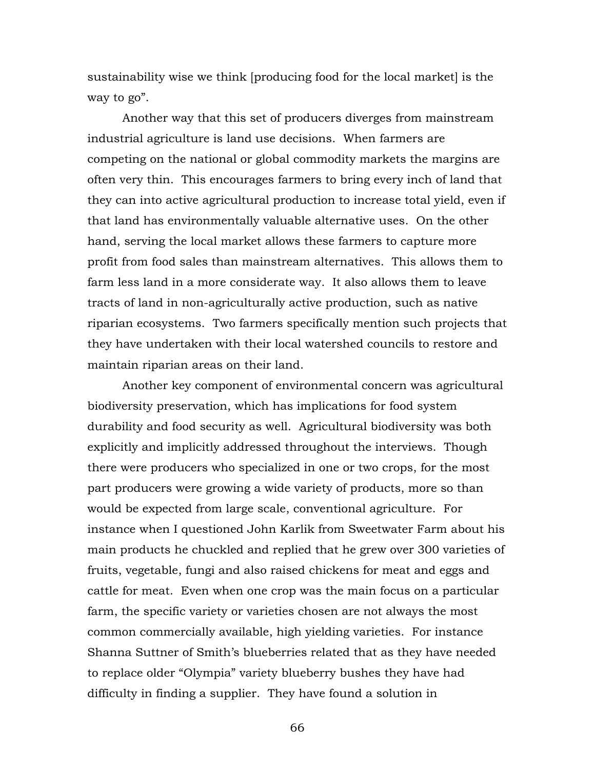sustainability wise we think [producing food for the local market] is the way to go".

Another way that this set of producers diverges from mainstream industrial agriculture is land use decisions. When farmers are competing on the national or global commodity markets the margins are often very thin. This encourages farmers to bring every inch of land that they can into active agricultural production to increase total yield, even if that land has environmentally valuable alternative uses. On the other hand, serving the local market allows these farmers to capture more profit from food sales than mainstream alternatives. This allows them to farm less land in a more considerate way. It also allows them to leave tracts of land in non-agriculturally active production, such as native riparian ecosystems. Two farmers specifically mention such projects that they have undertaken with their local watershed councils to restore and maintain riparian areas on their land.

Another key component of environmental concern was agricultural biodiversity preservation, which has implications for food system durability and food security as well. Agricultural biodiversity was both explicitly and implicitly addressed throughout the interviews. Though there were producers who specialized in one or two crops, for the most part producers were growing a wide variety of products, more so than would be expected from large scale, conventional agriculture. For instance when I questioned John Karlik from Sweetwater Farm about his main products he chuckled and replied that he grew over 300 varieties of fruits, vegetable, fungi and also raised chickens for meat and eggs and cattle for meat. Even when one crop was the main focus on a particular farm, the specific variety or varieties chosen are not always the most common commercially available, high yielding varieties. For instance Shanna Suttner of Smith's blueberries related that as they have needed to replace older "Olympia" variety blueberry bushes they have had difficulty in finding a supplier. They have found a solution in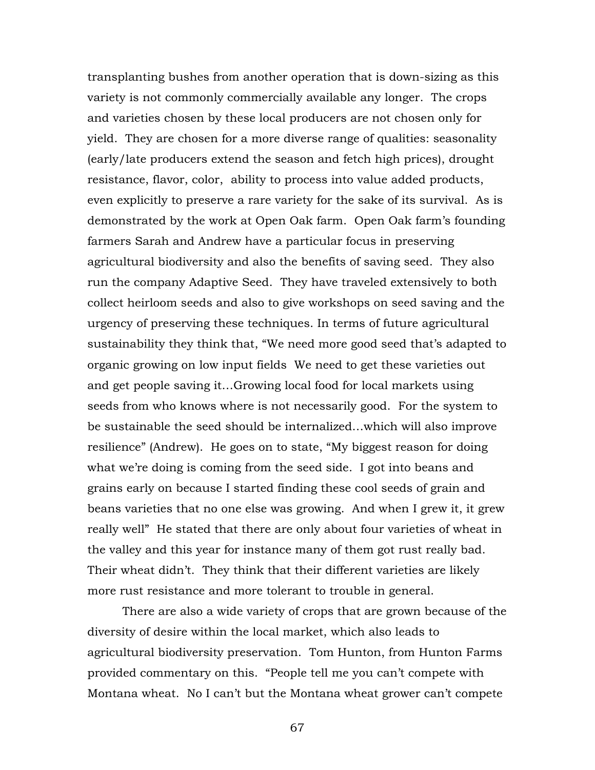transplanting bushes from another operation that is down-sizing as this variety is not commonly commercially available any longer. The crops and varieties chosen by these local producers are not chosen only for yield. They are chosen for a more diverse range of qualities: seasonality (early/late producers extend the season and fetch high prices), drought resistance, flavor, color, ability to process into value added products, even explicitly to preserve a rare variety for the sake of its survival. As is demonstrated by the work at Open Oak farm. Open Oak farm's founding farmers Sarah and Andrew have a particular focus in preserving agricultural biodiversity and also the benefits of saving seed. They also run the company Adaptive Seed. They have traveled extensively to both collect heirloom seeds and also to give workshops on seed saving and the urgency of preserving these techniques. In terms of future agricultural sustainability they think that, "We need more good seed that's adapted to organic growing on low input fields We need to get these varieties out and get people saving it…Growing local food for local markets using seeds from who knows where is not necessarily good. For the system to be sustainable the seed should be internalized…which will also improve resilience" (Andrew). He goes on to state, "My biggest reason for doing what we're doing is coming from the seed side. I got into beans and grains early on because I started finding these cool seeds of grain and beans varieties that no one else was growing. And when I grew it, it grew really well" He stated that there are only about four varieties of wheat in the valley and this year for instance many of them got rust really bad. Their wheat didn't. They think that their different varieties are likely more rust resistance and more tolerant to trouble in general.

There are also a wide variety of crops that are grown because of the diversity of desire within the local market, which also leads to agricultural biodiversity preservation. Tom Hunton, from Hunton Farms provided commentary on this. "People tell me you can't compete with Montana wheat. No I can't but the Montana wheat grower can't compete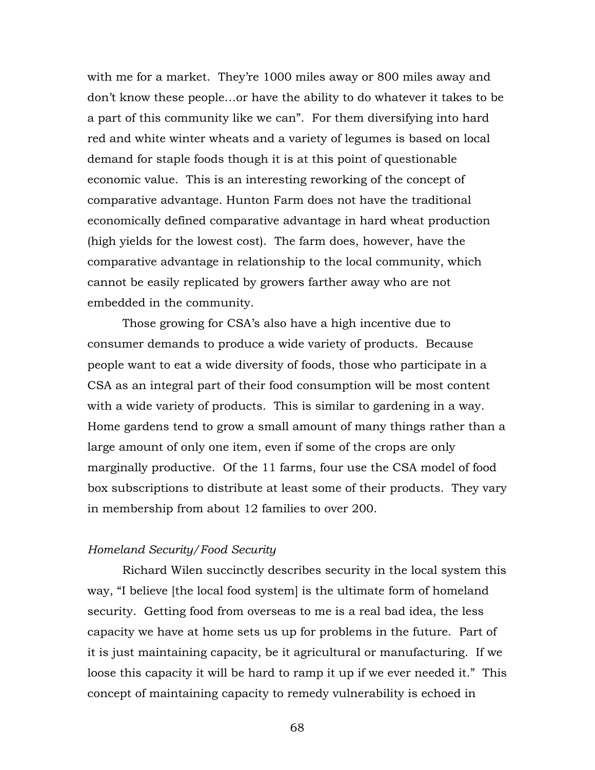with me for a market. They're 1000 miles away or 800 miles away and don't know these people…or have the ability to do whatever it takes to be a part of this community like we can". For them diversifying into hard red and white winter wheats and a variety of legumes is based on local demand for staple foods though it is at this point of questionable economic value. This is an interesting reworking of the concept of comparative advantage. Hunton Farm does not have the traditional economically defined comparative advantage in hard wheat production (high yields for the lowest cost). The farm does, however, have the comparative advantage in relationship to the local community, which cannot be easily replicated by growers farther away who are not embedded in the community.

Those growing for CSA's also have a high incentive due to consumer demands to produce a wide variety of products. Because people want to eat a wide diversity of foods, those who participate in a CSA as an integral part of their food consumption will be most content with a wide variety of products. This is similar to gardening in a way. Home gardens tend to grow a small amount of many things rather than a large amount of only one item, even if some of the crops are only marginally productive. Of the 11 farms, four use the CSA model of food box subscriptions to distribute at least some of their products. They vary in membership from about 12 families to over 200.

#### *Homeland Security/Food Security*

Richard Wilen succinctly describes security in the local system this way, "I believe [the local food system] is the ultimate form of homeland security. Getting food from overseas to me is a real bad idea, the less capacity we have at home sets us up for problems in the future. Part of it is just maintaining capacity, be it agricultural or manufacturing. If we loose this capacity it will be hard to ramp it up if we ever needed it." This concept of maintaining capacity to remedy vulnerability is echoed in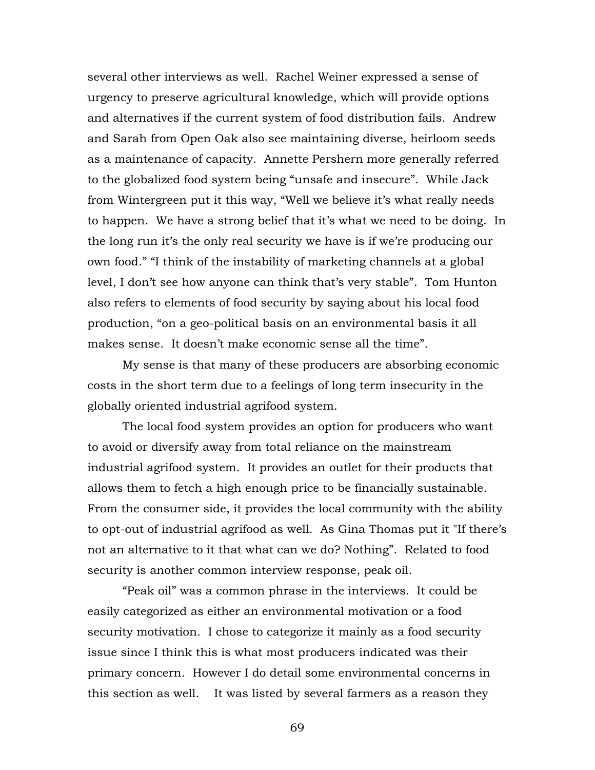several other interviews as well. Rachel Weiner expressed a sense of urgency to preserve agricultural knowledge, which will provide options and alternatives if the current system of food distribution fails. Andrew and Sarah from Open Oak also see maintaining diverse, heirloom seeds as a maintenance of capacity. Annette Pershern more generally referred to the globalized food system being "unsafe and insecure". While Jack from Wintergreen put it this way, "Well we believe it's what really needs to happen. We have a strong belief that it's what we need to be doing. In the long run it's the only real security we have is if we're producing our own food." "I think of the instability of marketing channels at a global level, I don't see how anyone can think that's very stable". Tom Hunton also refers to elements of food security by saying about his local food production, "on a geo-political basis on an environmental basis it all makes sense. It doesn't make economic sense all the time".

My sense is that many of these producers are absorbing economic costs in the short term due to a feelings of long term insecurity in the globally oriented industrial agrifood system.

The local food system provides an option for producers who want to avoid or diversify away from total reliance on the mainstream industrial agrifood system. It provides an outlet for their products that allows them to fetch a high enough price to be financially sustainable. From the consumer side, it provides the local community with the ability to opt-out of industrial agrifood as well. As Gina Thomas put it "If there's not an alternative to it that what can we do? Nothing". Related to food security is another common interview response, peak oil.

"Peak oil" was a common phrase in the interviews. It could be easily categorized as either an environmental motivation or a food security motivation. I chose to categorize it mainly as a food security issue since I think this is what most producers indicated was their primary concern. However I do detail some environmental concerns in this section as well. It was listed by several farmers as a reason they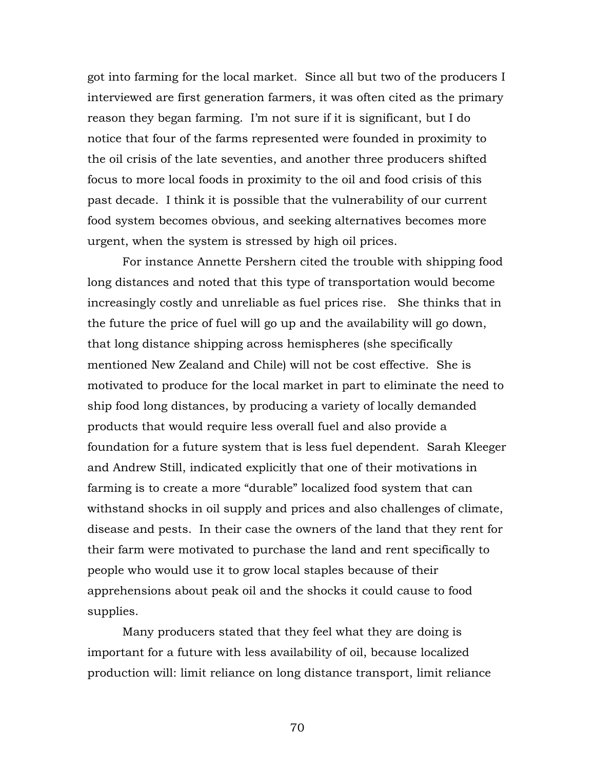got into farming for the local market. Since all but two of the producers I interviewed are first generation farmers, it was often cited as the primary reason they began farming. I'm not sure if it is significant, but I do notice that four of the farms represented were founded in proximity to the oil crisis of the late seventies, and another three producers shifted focus to more local foods in proximity to the oil and food crisis of this past decade. I think it is possible that the vulnerability of our current food system becomes obvious, and seeking alternatives becomes more urgent, when the system is stressed by high oil prices.

For instance Annette Pershern cited the trouble with shipping food long distances and noted that this type of transportation would become increasingly costly and unreliable as fuel prices rise. She thinks that in the future the price of fuel will go up and the availability will go down, that long distance shipping across hemispheres (she specifically mentioned New Zealand and Chile) will not be cost effective. She is motivated to produce for the local market in part to eliminate the need to ship food long distances, by producing a variety of locally demanded products that would require less overall fuel and also provide a foundation for a future system that is less fuel dependent. Sarah Kleeger and Andrew Still, indicated explicitly that one of their motivations in farming is to create a more "durable" localized food system that can withstand shocks in oil supply and prices and also challenges of climate, disease and pests. In their case the owners of the land that they rent for their farm were motivated to purchase the land and rent specifically to people who would use it to grow local staples because of their apprehensions about peak oil and the shocks it could cause to food supplies.

Many producers stated that they feel what they are doing is important for a future with less availability of oil, because localized production will: limit reliance on long distance transport, limit reliance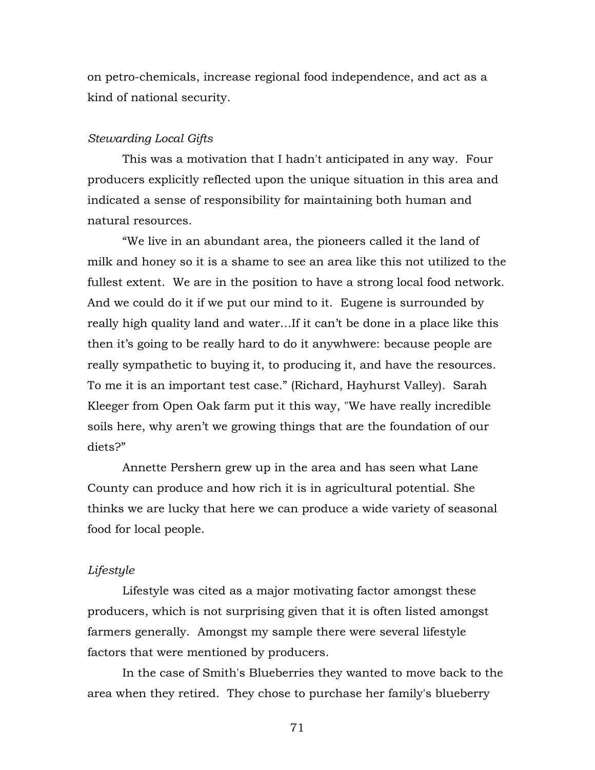on petro-chemicals, increase regional food independence, and act as a kind of national security.

#### *Stewarding Local Gifts*

This was a motivation that I hadn't anticipated in any way. Four producers explicitly reflected upon the unique situation in this area and indicated a sense of responsibility for maintaining both human and natural resources.

"We live in an abundant area, the pioneers called it the land of milk and honey so it is a shame to see an area like this not utilized to the fullest extent. We are in the position to have a strong local food network. And we could do it if we put our mind to it. Eugene is surrounded by really high quality land and water…If it can't be done in a place like this then it's going to be really hard to do it anywhwere: because people are really sympathetic to buying it, to producing it, and have the resources. To me it is an important test case." (Richard, Hayhurst Valley). Sarah Kleeger from Open Oak farm put it this way, "We have really incredible soils here, why aren't we growing things that are the foundation of our diets?"

Annette Pershern grew up in the area and has seen what Lane County can produce and how rich it is in agricultural potential. She thinks we are lucky that here we can produce a wide variety of seasonal food for local people.

## *Lifestyle*

Lifestyle was cited as a major motivating factor amongst these producers, which is not surprising given that it is often listed amongst farmers generally. Amongst my sample there were several lifestyle factors that were mentioned by producers.

In the case of Smith's Blueberries they wanted to move back to the area when they retired. They chose to purchase her family's blueberry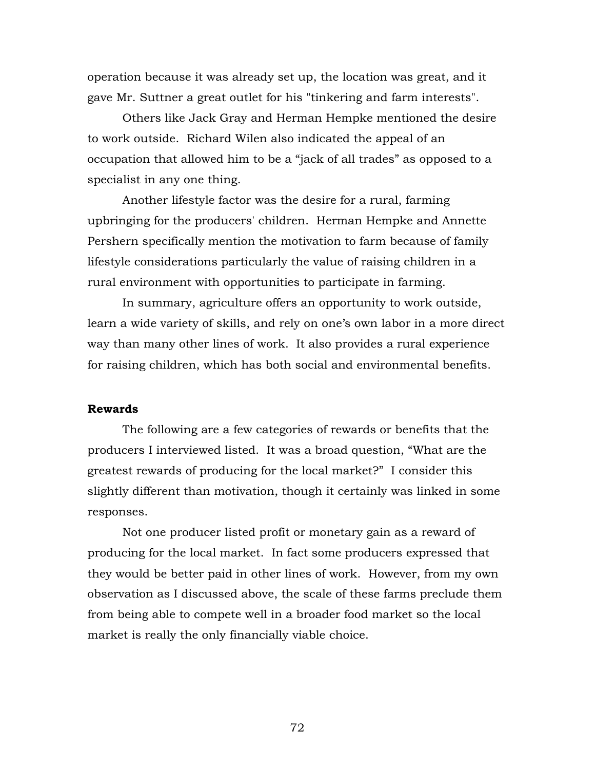operation because it was already set up, the location was great, and it gave Mr. Suttner a great outlet for his "tinkering and farm interests".

Others like Jack Gray and Herman Hempke mentioned the desire to work outside. Richard Wilen also indicated the appeal of an occupation that allowed him to be a "jack of all trades" as opposed to a specialist in any one thing.

Another lifestyle factor was the desire for a rural, farming upbringing for the producers' children. Herman Hempke and Annette Pershern specifically mention the motivation to farm because of family lifestyle considerations particularly the value of raising children in a rural environment with opportunities to participate in farming.

In summary, agriculture offers an opportunity to work outside, learn a wide variety of skills, and rely on one's own labor in a more direct way than many other lines of work. It also provides a rural experience for raising children, which has both social and environmental benefits.

#### **Rewards**

The following are a few categories of rewards or benefits that the producers I interviewed listed. It was a broad question, "What are the greatest rewards of producing for the local market?" I consider this slightly different than motivation, though it certainly was linked in some responses.

Not one producer listed profit or monetary gain as a reward of producing for the local market. In fact some producers expressed that they would be better paid in other lines of work. However, from my own observation as I discussed above, the scale of these farms preclude them from being able to compete well in a broader food market so the local market is really the only financially viable choice.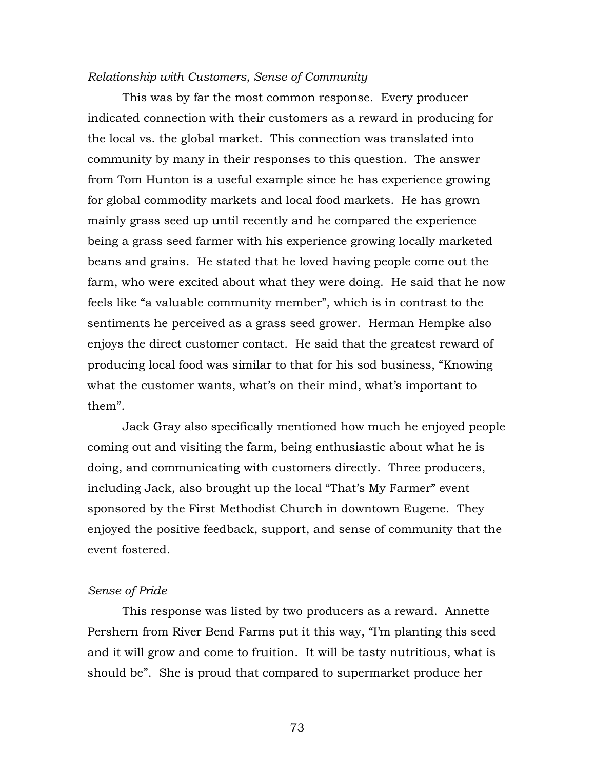## *Relationship with Customers, Sense of Community*

This was by far the most common response. Every producer indicated connection with their customers as a reward in producing for the local vs. the global market. This connection was translated into community by many in their responses to this question. The answer from Tom Hunton is a useful example since he has experience growing for global commodity markets and local food markets. He has grown mainly grass seed up until recently and he compared the experience being a grass seed farmer with his experience growing locally marketed beans and grains. He stated that he loved having people come out the farm, who were excited about what they were doing. He said that he now feels like "a valuable community member", which is in contrast to the sentiments he perceived as a grass seed grower. Herman Hempke also enjoys the direct customer contact. He said that the greatest reward of producing local food was similar to that for his sod business, "Knowing what the customer wants, what's on their mind, what's important to them".

Jack Gray also specifically mentioned how much he enjoyed people coming out and visiting the farm, being enthusiastic about what he is doing, and communicating with customers directly. Three producers, including Jack, also brought up the local "That's My Farmer" event sponsored by the First Methodist Church in downtown Eugene. They enjoyed the positive feedback, support, and sense of community that the event fostered.

## *Sense of Pride*

This response was listed by two producers as a reward. Annette Pershern from River Bend Farms put it this way, "I'm planting this seed and it will grow and come to fruition. It will be tasty nutritious, what is should be". She is proud that compared to supermarket produce her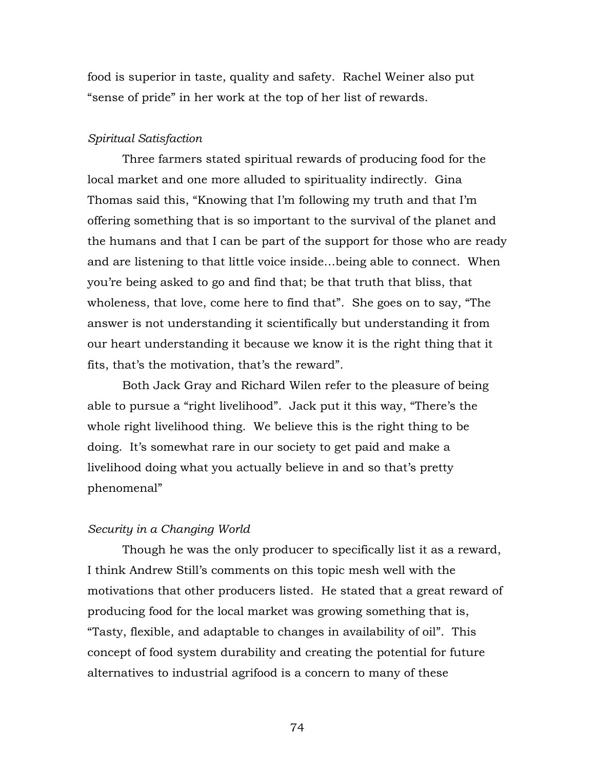food is superior in taste, quality and safety. Rachel Weiner also put "sense of pride" in her work at the top of her list of rewards.

# *Spiritual Satisfaction*

Three farmers stated spiritual rewards of producing food for the local market and one more alluded to spirituality indirectly. Gina Thomas said this, "Knowing that I'm following my truth and that I'm offering something that is so important to the survival of the planet and the humans and that I can be part of the support for those who are ready and are listening to that little voice inside…being able to connect. When you're being asked to go and find that; be that truth that bliss, that wholeness, that love, come here to find that". She goes on to say, "The answer is not understanding it scientifically but understanding it from our heart understanding it because we know it is the right thing that it fits, that's the motivation, that's the reward".

Both Jack Gray and Richard Wilen refer to the pleasure of being able to pursue a "right livelihood". Jack put it this way, "There's the whole right livelihood thing. We believe this is the right thing to be doing. It's somewhat rare in our society to get paid and make a livelihood doing what you actually believe in and so that's pretty phenomenal"

#### *Security in a Changing World*

Though he was the only producer to specifically list it as a reward, I think Andrew Still's comments on this topic mesh well with the motivations that other producers listed. He stated that a great reward of producing food for the local market was growing something that is, "Tasty, flexible, and adaptable to changes in availability of oil". This concept of food system durability and creating the potential for future alternatives to industrial agrifood is a concern to many of these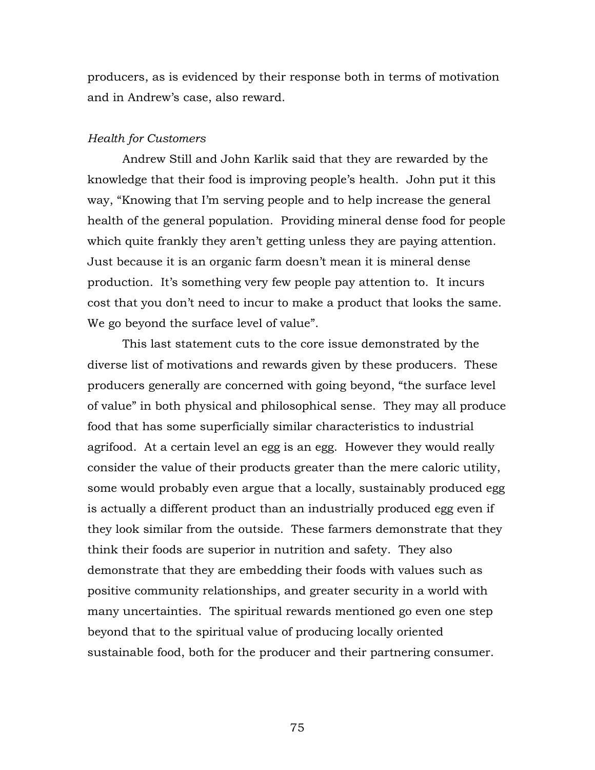producers, as is evidenced by their response both in terms of motivation and in Andrew's case, also reward.

#### *Health for Customers*

Andrew Still and John Karlik said that they are rewarded by the knowledge that their food is improving people's health. John put it this way, "Knowing that I'm serving people and to help increase the general health of the general population. Providing mineral dense food for people which quite frankly they aren't getting unless they are paying attention. Just because it is an organic farm doesn't mean it is mineral dense production. It's something very few people pay attention to. It incurs cost that you don't need to incur to make a product that looks the same. We go beyond the surface level of value".

This last statement cuts to the core issue demonstrated by the diverse list of motivations and rewards given by these producers. These producers generally are concerned with going beyond, "the surface level of value" in both physical and philosophical sense. They may all produce food that has some superficially similar characteristics to industrial agrifood. At a certain level an egg is an egg. However they would really consider the value of their products greater than the mere caloric utility, some would probably even argue that a locally, sustainably produced egg is actually a different product than an industrially produced egg even if they look similar from the outside. These farmers demonstrate that they think their foods are superior in nutrition and safety. They also demonstrate that they are embedding their foods with values such as positive community relationships, and greater security in a world with many uncertainties. The spiritual rewards mentioned go even one step beyond that to the spiritual value of producing locally oriented sustainable food, both for the producer and their partnering consumer.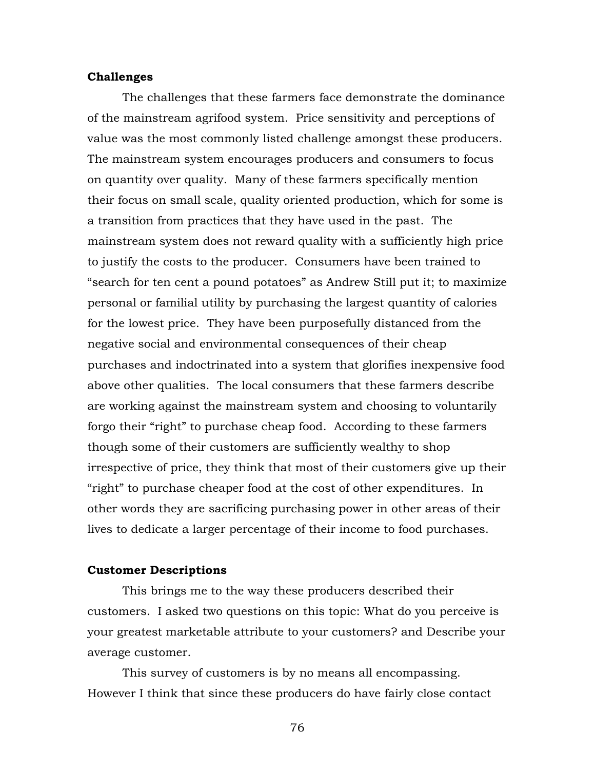#### **Challenges**

The challenges that these farmers face demonstrate the dominance of the mainstream agrifood system. Price sensitivity and perceptions of value was the most commonly listed challenge amongst these producers. The mainstream system encourages producers and consumers to focus on quantity over quality. Many of these farmers specifically mention their focus on small scale, quality oriented production, which for some is a transition from practices that they have used in the past. The mainstream system does not reward quality with a sufficiently high price to justify the costs to the producer. Consumers have been trained to "search for ten cent a pound potatoes" as Andrew Still put it; to maximize personal or familial utility by purchasing the largest quantity of calories for the lowest price. They have been purposefully distanced from the negative social and environmental consequences of their cheap purchases and indoctrinated into a system that glorifies inexpensive food above other qualities. The local consumers that these farmers describe are working against the mainstream system and choosing to voluntarily forgo their "right" to purchase cheap food. According to these farmers though some of their customers are sufficiently wealthy to shop irrespective of price, they think that most of their customers give up their "right" to purchase cheaper food at the cost of other expenditures. In other words they are sacrificing purchasing power in other areas of their lives to dedicate a larger percentage of their income to food purchases.

#### **Customer Descriptions**

This brings me to the way these producers described their customers. I asked two questions on this topic: What do you perceive is your greatest marketable attribute to your customers? and Describe your average customer.

This survey of customers is by no means all encompassing. However I think that since these producers do have fairly close contact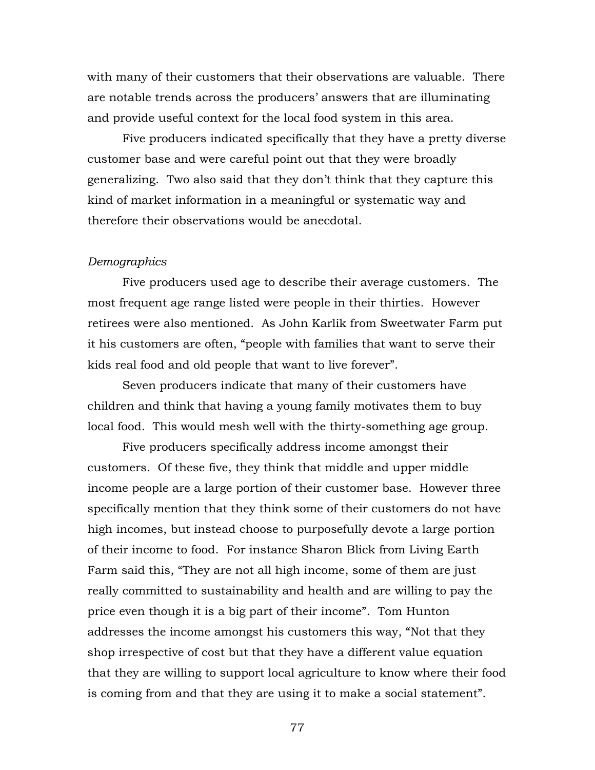with many of their customers that their observations are valuable. There are notable trends across the producers' answers that are illuminating and provide useful context for the local food system in this area.

Five producers indicated specifically that they have a pretty diverse customer base and were careful point out that they were broadly generalizing. Two also said that they don't think that they capture this kind of market information in a meaningful or systematic way and therefore their observations would be anecdotal.

#### *Demographics*

Five producers used age to describe their average customers. The most frequent age range listed were people in their thirties. However retirees were also mentioned. As John Karlik from Sweetwater Farm put it his customers are often, "people with families that want to serve their kids real food and old people that want to live forever".

Seven producers indicate that many of their customers have children and think that having a young family motivates them to buy local food. This would mesh well with the thirty-something age group.

Five producers specifically address income amongst their customers. Of these five, they think that middle and upper middle income people are a large portion of their customer base. However three specifically mention that they think some of their customers do not have high incomes, but instead choose to purposefully devote a large portion of their income to food. For instance Sharon Blick from Living Earth Farm said this, "They are not all high income, some of them are just really committed to sustainability and health and are willing to pay the price even though it is a big part of their income". Tom Hunton addresses the income amongst his customers this way, "Not that they shop irrespective of cost but that they have a different value equation that they are willing to support local agriculture to know where their food is coming from and that they are using it to make a social statement".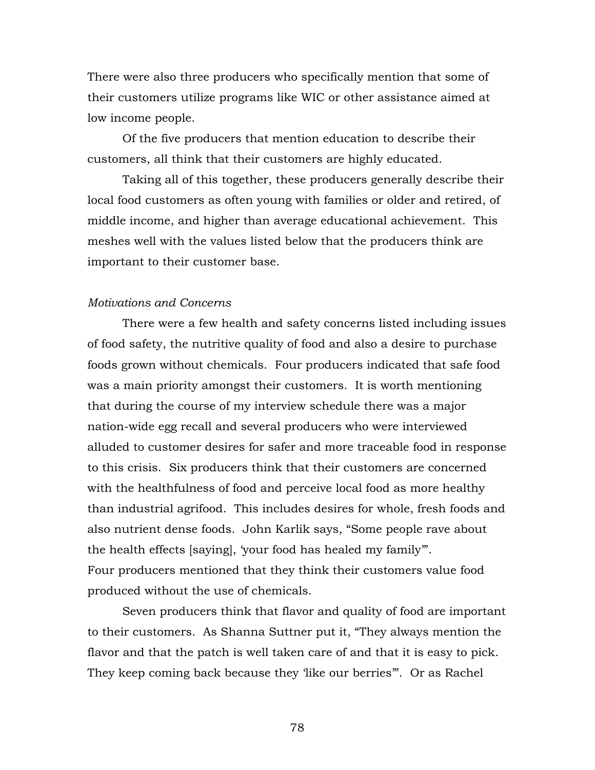There were also three producers who specifically mention that some of their customers utilize programs like WIC or other assistance aimed at low income people.

Of the five producers that mention education to describe their customers, all think that their customers are highly educated.

Taking all of this together, these producers generally describe their local food customers as often young with families or older and retired, of middle income, and higher than average educational achievement. This meshes well with the values listed below that the producers think are important to their customer base.

#### *Motivations and Concerns*

There were a few health and safety concerns listed including issues of food safety, the nutritive quality of food and also a desire to purchase foods grown without chemicals. Four producers indicated that safe food was a main priority amongst their customers. It is worth mentioning that during the course of my interview schedule there was a major nation-wide egg recall and several producers who were interviewed alluded to customer desires for safer and more traceable food in response to this crisis. Six producers think that their customers are concerned with the healthfulness of food and perceive local food as more healthy than industrial agrifood. This includes desires for whole, fresh foods and also nutrient dense foods. John Karlik says, "Some people rave about the health effects [saying], 'your food has healed my family'". Four producers mentioned that they think their customers value food produced without the use of chemicals.

Seven producers think that flavor and quality of food are important to their customers. As Shanna Suttner put it, "They always mention the flavor and that the patch is well taken care of and that it is easy to pick. They keep coming back because they 'like our berries'". Or as Rachel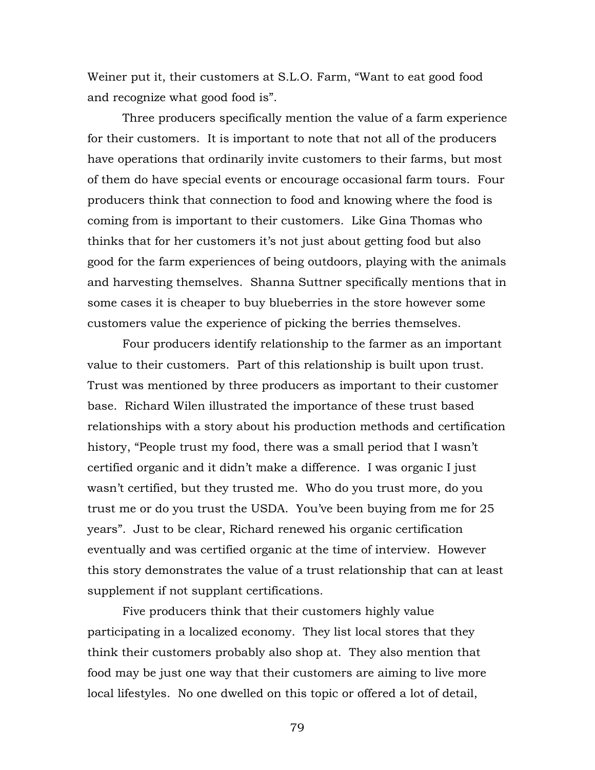Weiner put it, their customers at S.L.O. Farm, "Want to eat good food and recognize what good food is".

Three producers specifically mention the value of a farm experience for their customers. It is important to note that not all of the producers have operations that ordinarily invite customers to their farms, but most of them do have special events or encourage occasional farm tours. Four producers think that connection to food and knowing where the food is coming from is important to their customers. Like Gina Thomas who thinks that for her customers it's not just about getting food but also good for the farm experiences of being outdoors, playing with the animals and harvesting themselves. Shanna Suttner specifically mentions that in some cases it is cheaper to buy blueberries in the store however some customers value the experience of picking the berries themselves.

Four producers identify relationship to the farmer as an important value to their customers. Part of this relationship is built upon trust. Trust was mentioned by three producers as important to their customer base. Richard Wilen illustrated the importance of these trust based relationships with a story about his production methods and certification history, "People trust my food, there was a small period that I wasn't certified organic and it didn't make a difference. I was organic I just wasn't certified, but they trusted me. Who do you trust more, do you trust me or do you trust the USDA. You've been buying from me for 25 years". Just to be clear, Richard renewed his organic certification eventually and was certified organic at the time of interview. However this story demonstrates the value of a trust relationship that can at least supplement if not supplant certifications.

Five producers think that their customers highly value participating in a localized economy. They list local stores that they think their customers probably also shop at. They also mention that food may be just one way that their customers are aiming to live more local lifestyles. No one dwelled on this topic or offered a lot of detail,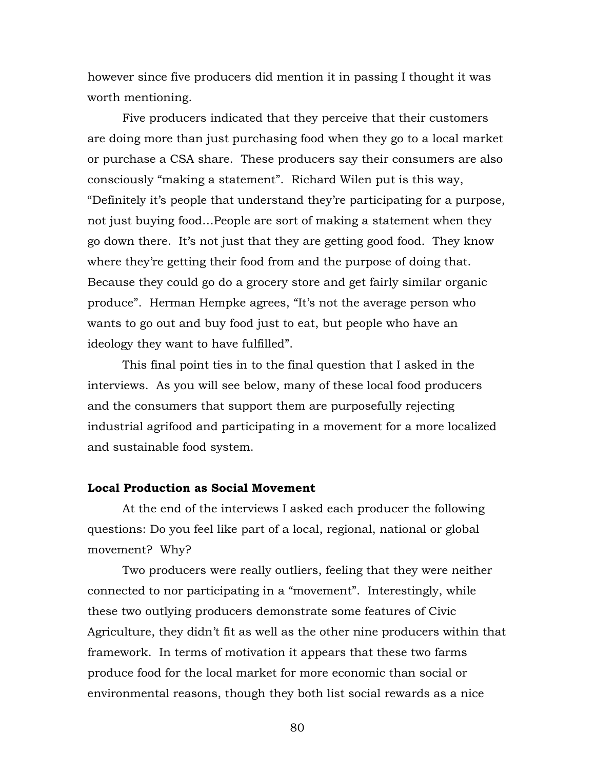however since five producers did mention it in passing I thought it was worth mentioning.

Five producers indicated that they perceive that their customers are doing more than just purchasing food when they go to a local market or purchase a CSA share. These producers say their consumers are also consciously "making a statement". Richard Wilen put is this way, "Definitely it's people that understand they're participating for a purpose, not just buying food…People are sort of making a statement when they go down there. It's not just that they are getting good food. They know where they're getting their food from and the purpose of doing that. Because they could go do a grocery store and get fairly similar organic produce". Herman Hempke agrees, "It's not the average person who wants to go out and buy food just to eat, but people who have an ideology they want to have fulfilled".

This final point ties in to the final question that I asked in the interviews. As you will see below, many of these local food producers and the consumers that support them are purposefully rejecting industrial agrifood and participating in a movement for a more localized and sustainable food system.

# **Local Production as Social Movement**

At the end of the interviews I asked each producer the following questions: Do you feel like part of a local, regional, national or global movement? Why?

Two producers were really outliers, feeling that they were neither connected to nor participating in a "movement". Interestingly, while these two outlying producers demonstrate some features of Civic Agriculture, they didn't fit as well as the other nine producers within that framework. In terms of motivation it appears that these two farms produce food for the local market for more economic than social or environmental reasons, though they both list social rewards as a nice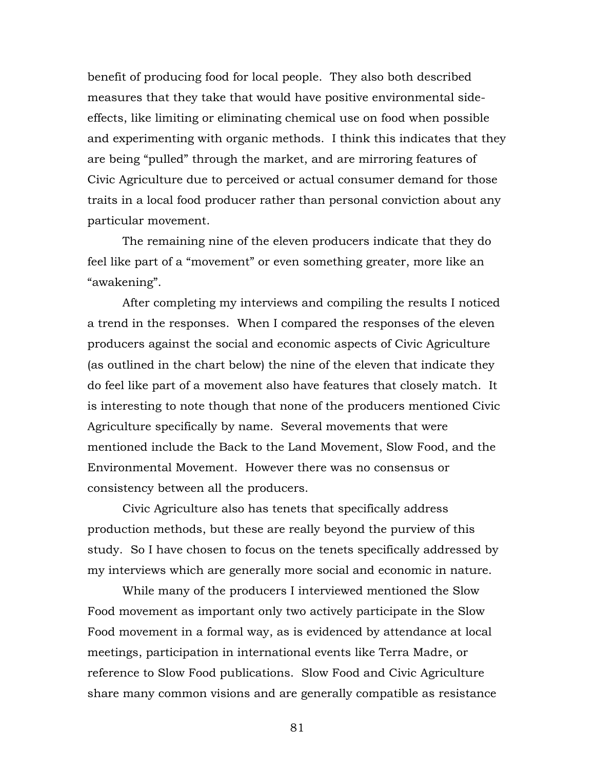benefit of producing food for local people. They also both described measures that they take that would have positive environmental sideeffects, like limiting or eliminating chemical use on food when possible and experimenting with organic methods. I think this indicates that they are being "pulled" through the market, and are mirroring features of Civic Agriculture due to perceived or actual consumer demand for those traits in a local food producer rather than personal conviction about any particular movement.

The remaining nine of the eleven producers indicate that they do feel like part of a "movement" or even something greater, more like an "awakening".

After completing my interviews and compiling the results I noticed a trend in the responses. When I compared the responses of the eleven producers against the social and economic aspects of Civic Agriculture (as outlined in the chart below) the nine of the eleven that indicate they do feel like part of a movement also have features that closely match. It is interesting to note though that none of the producers mentioned Civic Agriculture specifically by name. Several movements that were mentioned include the Back to the Land Movement, Slow Food, and the Environmental Movement. However there was no consensus or consistency between all the producers.

Civic Agriculture also has tenets that specifically address production methods, but these are really beyond the purview of this study. So I have chosen to focus on the tenets specifically addressed by my interviews which are generally more social and economic in nature.

While many of the producers I interviewed mentioned the Slow Food movement as important only two actively participate in the Slow Food movement in a formal way, as is evidenced by attendance at local meetings, participation in international events like Terra Madre, or reference to Slow Food publications. Slow Food and Civic Agriculture share many common visions and are generally compatible as resistance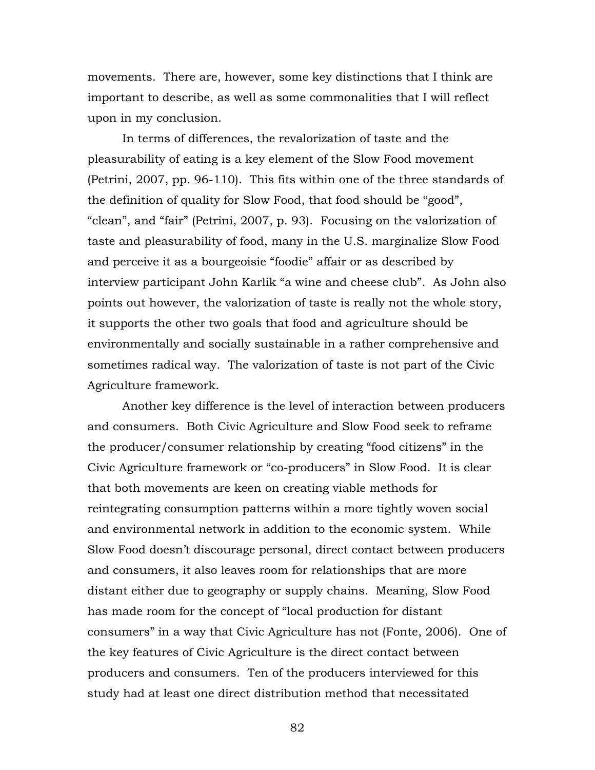movements. There are, however, some key distinctions that I think are important to describe, as well as some commonalities that I will reflect upon in my conclusion.

In terms of differences, the revalorization of taste and the pleasurability of eating is a key element of the Slow Food movement (Petrini, 2007, pp. 96-110). This fits within one of the three standards of the definition of quality for Slow Food, that food should be "good", "clean", and "fair" (Petrini, 2007, p. 93). Focusing on the valorization of taste and pleasurability of food, many in the U.S. marginalize Slow Food and perceive it as a bourgeoisie "foodie" affair or as described by interview participant John Karlik "a wine and cheese club". As John also points out however, the valorization of taste is really not the whole story, it supports the other two goals that food and agriculture should be environmentally and socially sustainable in a rather comprehensive and sometimes radical way. The valorization of taste is not part of the Civic Agriculture framework.

Another key difference is the level of interaction between producers and consumers. Both Civic Agriculture and Slow Food seek to reframe the producer/consumer relationship by creating "food citizens" in the Civic Agriculture framework or "co-producers" in Slow Food. It is clear that both movements are keen on creating viable methods for reintegrating consumption patterns within a more tightly woven social and environmental network in addition to the economic system. While Slow Food doesn't discourage personal, direct contact between producers and consumers, it also leaves room for relationships that are more distant either due to geography or supply chains. Meaning, Slow Food has made room for the concept of "local production for distant consumers" in a way that Civic Agriculture has not (Fonte, 2006). One of the key features of Civic Agriculture is the direct contact between producers and consumers. Ten of the producers interviewed for this study had at least one direct distribution method that necessitated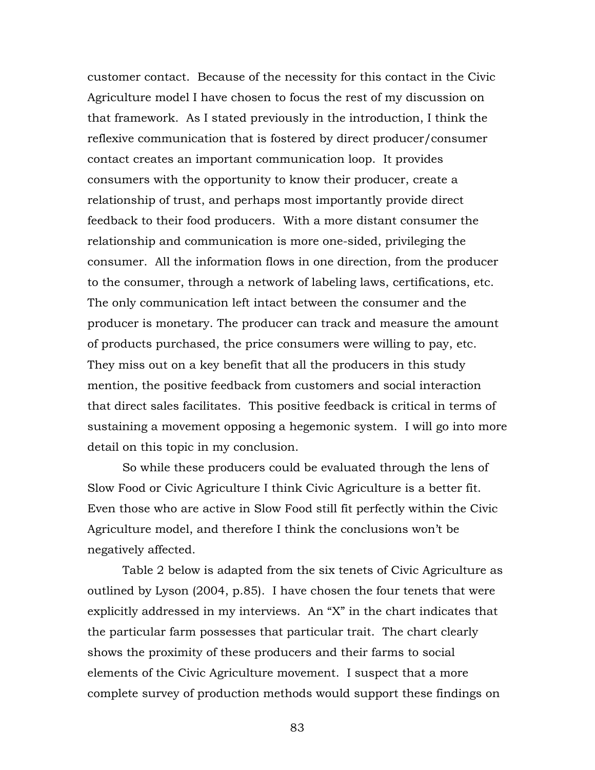customer contact. Because of the necessity for this contact in the Civic Agriculture model I have chosen to focus the rest of my discussion on that framework. As I stated previously in the introduction, I think the reflexive communication that is fostered by direct producer/consumer contact creates an important communication loop. It provides consumers with the opportunity to know their producer, create a relationship of trust, and perhaps most importantly provide direct feedback to their food producers. With a more distant consumer the relationship and communication is more one-sided, privileging the consumer. All the information flows in one direction, from the producer to the consumer, through a network of labeling laws, certifications, etc. The only communication left intact between the consumer and the producer is monetary. The producer can track and measure the amount of products purchased, the price consumers were willing to pay, etc. They miss out on a key benefit that all the producers in this study mention, the positive feedback from customers and social interaction that direct sales facilitates. This positive feedback is critical in terms of sustaining a movement opposing a hegemonic system. I will go into more detail on this topic in my conclusion.

So while these producers could be evaluated through the lens of Slow Food or Civic Agriculture I think Civic Agriculture is a better fit. Even those who are active in Slow Food still fit perfectly within the Civic Agriculture model, and therefore I think the conclusions won't be negatively affected.

Table 2 below is adapted from the six tenets of Civic Agriculture as outlined by Lyson (2004, p.85). I have chosen the four tenets that were explicitly addressed in my interviews. An "X" in the chart indicates that the particular farm possesses that particular trait. The chart clearly shows the proximity of these producers and their farms to social elements of the Civic Agriculture movement. I suspect that a more complete survey of production methods would support these findings on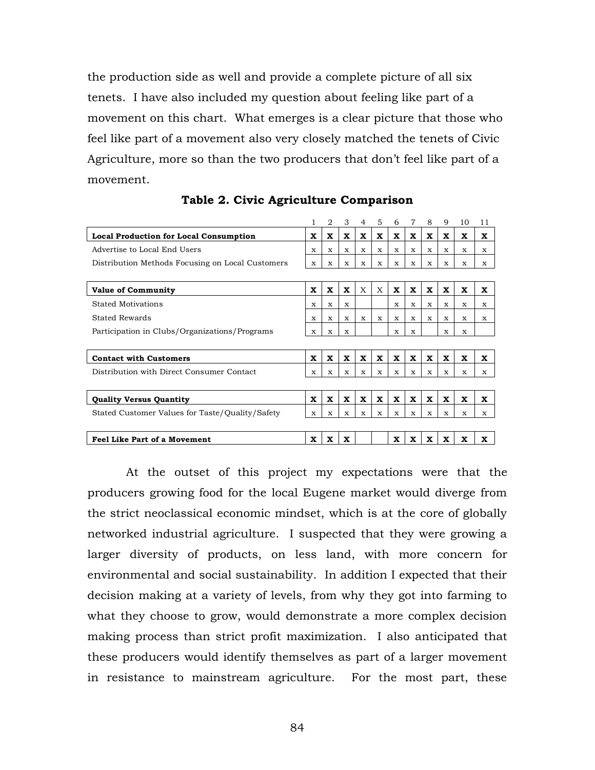the production side as well and provide a complete picture of all six tenets. I have also included my question about feeling like part of a movement on this chart. What emerges is a clear picture that those who feel like part of a movement also very closely matched the tenets of Civic Agriculture, more so than the two producers that don't feel like part of a movement.

|                                                  |              | $\overline{2}$ | 3            | 4           | 5           | 6           | 7           | 8           | 9           | 10          | 11 |
|--------------------------------------------------|--------------|----------------|--------------|-------------|-------------|-------------|-------------|-------------|-------------|-------------|----|
| Local Production for Local Consumption           | x            | X              | x            | x           | x           | x           | x           | x           | x           | x           | x  |
| Advertise to Local End Users                     | $\mathbf x$  | $\mathbf{x}$   | X            | x           | X           | X           | X           | X           | X           | x           | X  |
| Distribution Methods Focusing on Local Customers | $\mathbf{x}$ | $\mathbf{x}$   | $\mathbf{x}$ | X           | x           | $\mathbf x$ | X           | $\mathbf x$ | X           | x           | X  |
|                                                  |              |                |              |             |             |             |             |             |             |             |    |
| <b>Value of Community</b>                        | $\mathbf x$  | $\mathbf x$    | $\mathbf x$  | X           | X           | $\mathbf x$ | $\mathbf x$ | $\mathbf x$ | $\mathbf x$ | $\mathbf x$ | x  |
| <b>Stated Motivations</b>                        | $\mathbf x$  | $\mathbf x$    | x            |             |             | $\mathbf x$ | $\mathbf x$ | X           | X           | x           | x  |
| <b>Stated Rewards</b>                            | x            | x              | x            | x           | x           | x           | x           | x           | x           | x           | x  |
| Participation in Clubs/Organizations/Programs    | x            | x              | x            |             |             | $\mathbf x$ | X           |             | X           | x           |    |
|                                                  |              |                |              |             |             |             |             |             |             |             |    |
| <b>Contact with Customers</b>                    | $\mathbf x$  | x              | x            | X           | X           | x           | x           | x           | x           | X           | x  |
| Distribution with Direct Consumer Contact        | $\mathbf x$  | $\mathbf x$    | $\mathbf{x}$ | $\mathbf x$ | $\mathbf x$ | $\mathbf x$ | X           | $\mathbf x$ | X           | x           | X  |
|                                                  |              |                |              |             |             |             |             |             |             |             |    |
| <b>Quality Versus Quantity</b>                   | $\mathbf x$  | $\mathbf x$    | $\mathbf x$  | $\mathbf x$ | $\mathbf x$ | $\mathbf x$ | $\mathbf x$ | $\mathbf x$ | $\mathbf x$ | X           | x  |
| Stated Customer Values for Taste/Quality/Safety  | $\mathbf x$  | $\mathbf x$    | X            | X           | X           | X           | X           | X           | X           | x           | x  |
|                                                  |              |                |              |             |             |             |             |             |             |             |    |
| <b>Feel Like Part of a Movement</b>              | X            | X              | X            |             |             | X           | X           | x           | X           | X           | x  |

**Table 2. Civic Agriculture Comparison**

At the outset of this project my expectations were that the producers growing food for the local Eugene market would diverge from the strict neoclassical economic mindset, which is at the core of globally networked industrial agriculture. I suspected that they were growing a larger diversity of products, on less land, with more concern for environmental and social sustainability. In addition I expected that their decision making at a variety of levels, from why they got into farming to what they choose to grow, would demonstrate a more complex decision making process than strict profit maximization. I also anticipated that these producers would identify themselves as part of a larger movement in resistance to mainstream agriculture. For the most part, these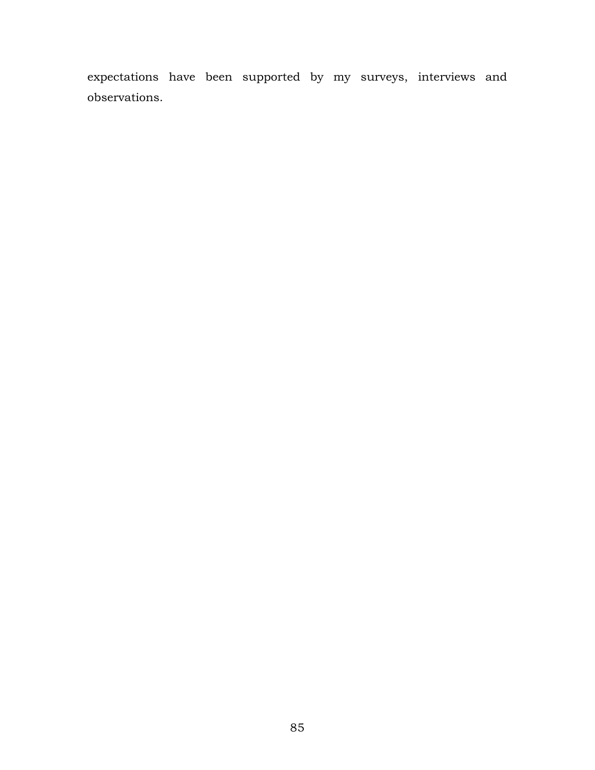expectations have been supported by my surveys, interviews and observations.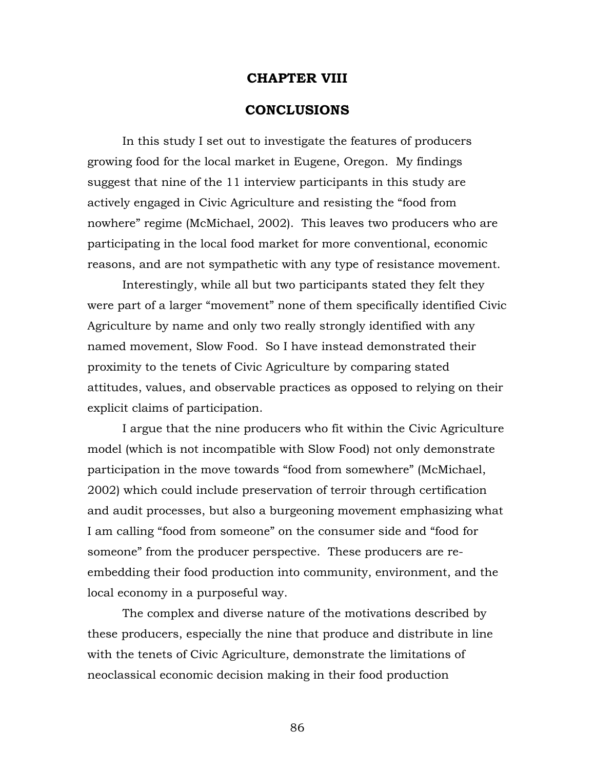## **CHAPTER VIII**

# **CONCLUSIONS**

In this study I set out to investigate the features of producers growing food for the local market in Eugene, Oregon. My findings suggest that nine of the 11 interview participants in this study are actively engaged in Civic Agriculture and resisting the "food from nowhere" regime (McMichael, 2002). This leaves two producers who are participating in the local food market for more conventional, economic reasons, and are not sympathetic with any type of resistance movement.

Interestingly, while all but two participants stated they felt they were part of a larger "movement" none of them specifically identified Civic Agriculture by name and only two really strongly identified with any named movement, Slow Food. So I have instead demonstrated their proximity to the tenets of Civic Agriculture by comparing stated attitudes, values, and observable practices as opposed to relying on their explicit claims of participation.

I argue that the nine producers who fit within the Civic Agriculture model (which is not incompatible with Slow Food) not only demonstrate participation in the move towards "food from somewhere" (McMichael, 2002) which could include preservation of terroir through certification and audit processes, but also a burgeoning movement emphasizing what I am calling "food from someone" on the consumer side and "food for someone" from the producer perspective. These producers are reembedding their food production into community, environment, and the local economy in a purposeful way.

The complex and diverse nature of the motivations described by these producers, especially the nine that produce and distribute in line with the tenets of Civic Agriculture, demonstrate the limitations of neoclassical economic decision making in their food production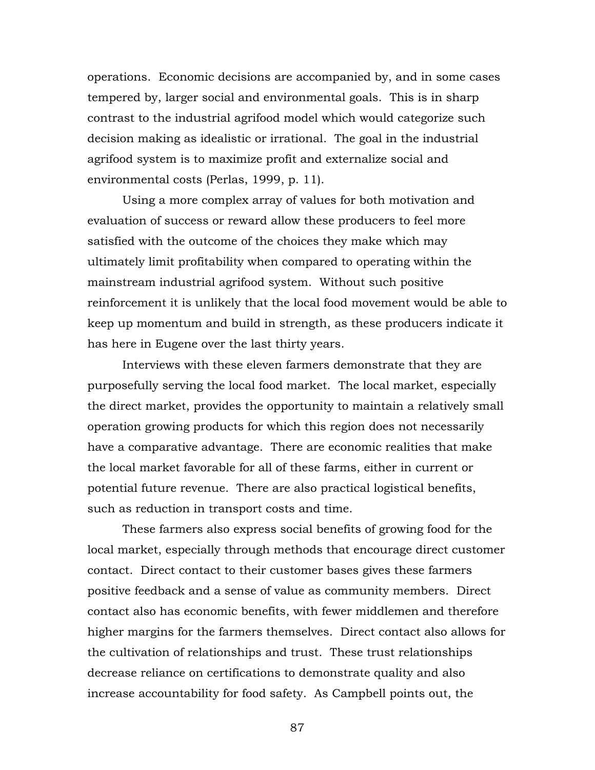operations. Economic decisions are accompanied by, and in some cases tempered by, larger social and environmental goals. This is in sharp contrast to the industrial agrifood model which would categorize such decision making as idealistic or irrational. The goal in the industrial agrifood system is to maximize profit and externalize social and environmental costs (Perlas, 1999, p. 11).

Using a more complex array of values for both motivation and evaluation of success or reward allow these producers to feel more satisfied with the outcome of the choices they make which may ultimately limit profitability when compared to operating within the mainstream industrial agrifood system. Without such positive reinforcement it is unlikely that the local food movement would be able to keep up momentum and build in strength, as these producers indicate it has here in Eugene over the last thirty years.

Interviews with these eleven farmers demonstrate that they are purposefully serving the local food market. The local market, especially the direct market, provides the opportunity to maintain a relatively small operation growing products for which this region does not necessarily have a comparative advantage. There are economic realities that make the local market favorable for all of these farms, either in current or potential future revenue. There are also practical logistical benefits, such as reduction in transport costs and time.

These farmers also express social benefits of growing food for the local market, especially through methods that encourage direct customer contact. Direct contact to their customer bases gives these farmers positive feedback and a sense of value as community members. Direct contact also has economic benefits, with fewer middlemen and therefore higher margins for the farmers themselves. Direct contact also allows for the cultivation of relationships and trust. These trust relationships decrease reliance on certifications to demonstrate quality and also increase accountability for food safety. As Campbell points out, the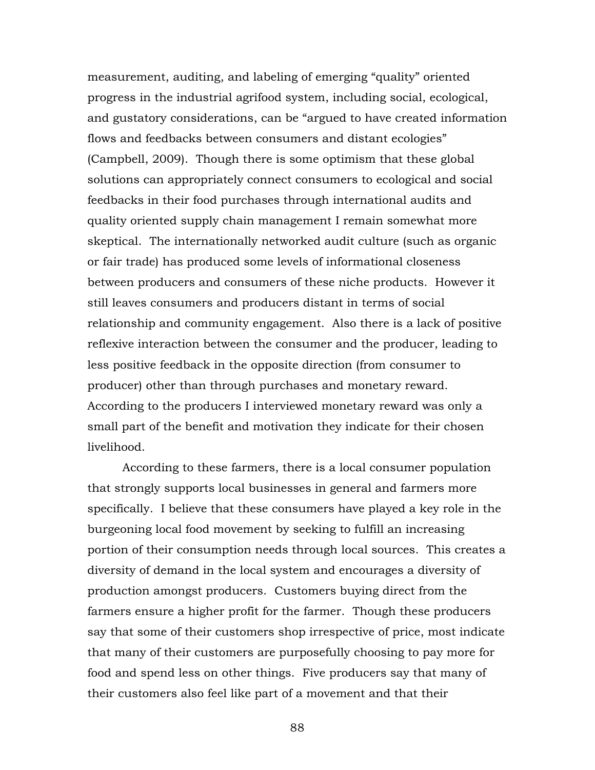measurement, auditing, and labeling of emerging "quality" oriented progress in the industrial agrifood system, including social, ecological, and gustatory considerations, can be "argued to have created information flows and feedbacks between consumers and distant ecologies" (Campbell, 2009). Though there is some optimism that these global solutions can appropriately connect consumers to ecological and social feedbacks in their food purchases through international audits and quality oriented supply chain management I remain somewhat more skeptical. The internationally networked audit culture (such as organic or fair trade) has produced some levels of informational closeness between producers and consumers of these niche products. However it still leaves consumers and producers distant in terms of social relationship and community engagement. Also there is a lack of positive reflexive interaction between the consumer and the producer, leading to less positive feedback in the opposite direction (from consumer to producer) other than through purchases and monetary reward. According to the producers I interviewed monetary reward was only a small part of the benefit and motivation they indicate for their chosen livelihood.

According to these farmers, there is a local consumer population that strongly supports local businesses in general and farmers more specifically. I believe that these consumers have played a key role in the burgeoning local food movement by seeking to fulfill an increasing portion of their consumption needs through local sources. This creates a diversity of demand in the local system and encourages a diversity of production amongst producers. Customers buying direct from the farmers ensure a higher profit for the farmer. Though these producers say that some of their customers shop irrespective of price, most indicate that many of their customers are purposefully choosing to pay more for food and spend less on other things. Five producers say that many of their customers also feel like part of a movement and that their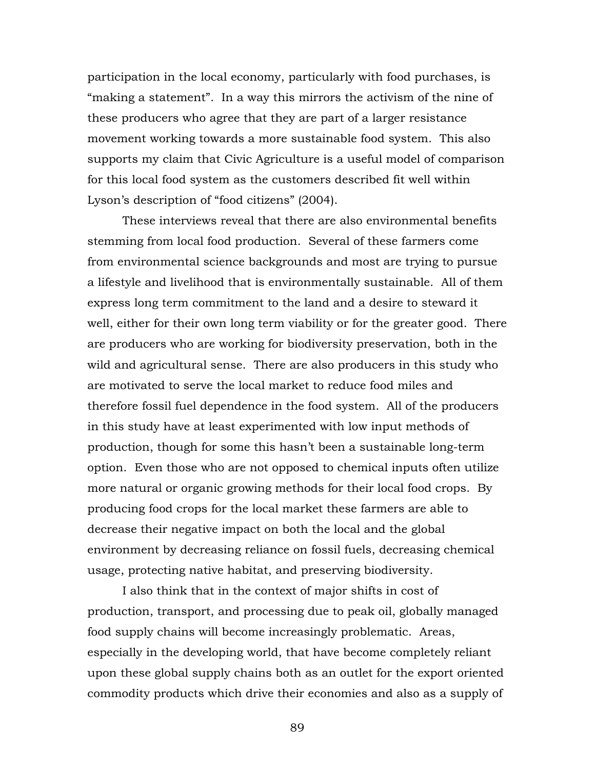participation in the local economy, particularly with food purchases, is "making a statement". In a way this mirrors the activism of the nine of these producers who agree that they are part of a larger resistance movement working towards a more sustainable food system. This also supports my claim that Civic Agriculture is a useful model of comparison for this local food system as the customers described fit well within Lyson's description of "food citizens" (2004).

These interviews reveal that there are also environmental benefits stemming from local food production. Several of these farmers come from environmental science backgrounds and most are trying to pursue a lifestyle and livelihood that is environmentally sustainable. All of them express long term commitment to the land and a desire to steward it well, either for their own long term viability or for the greater good. There are producers who are working for biodiversity preservation, both in the wild and agricultural sense. There are also producers in this study who are motivated to serve the local market to reduce food miles and therefore fossil fuel dependence in the food system. All of the producers in this study have at least experimented with low input methods of production, though for some this hasn't been a sustainable long-term option. Even those who are not opposed to chemical inputs often utilize more natural or organic growing methods for their local food crops. By producing food crops for the local market these farmers are able to decrease their negative impact on both the local and the global environment by decreasing reliance on fossil fuels, decreasing chemical usage, protecting native habitat, and preserving biodiversity.

I also think that in the context of major shifts in cost of production, transport, and processing due to peak oil, globally managed food supply chains will become increasingly problematic. Areas, especially in the developing world, that have become completely reliant upon these global supply chains both as an outlet for the export oriented commodity products which drive their economies and also as a supply of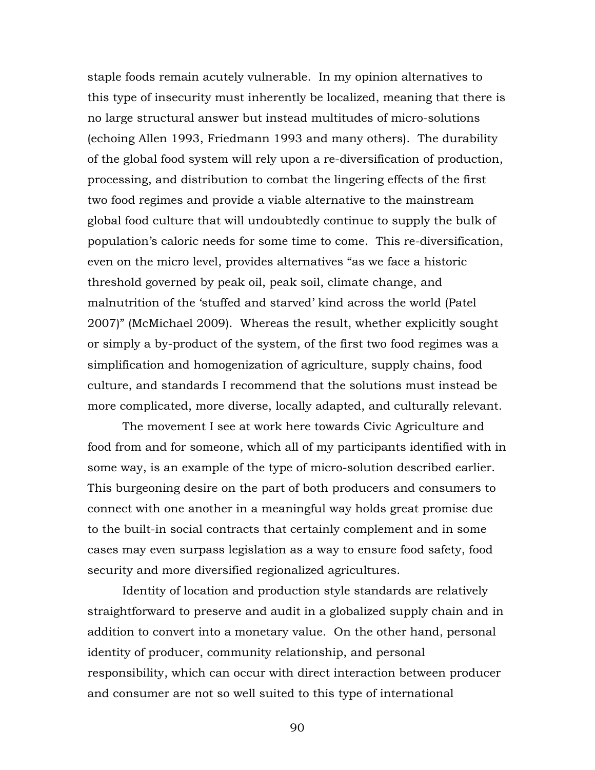staple foods remain acutely vulnerable. In my opinion alternatives to this type of insecurity must inherently be localized, meaning that there is no large structural answer but instead multitudes of micro-solutions (echoing Allen 1993, Friedmann 1993 and many others). The durability of the global food system will rely upon a re-diversification of production, processing, and distribution to combat the lingering effects of the first two food regimes and provide a viable alternative to the mainstream global food culture that will undoubtedly continue to supply the bulk of population's caloric needs for some time to come. This re-diversification, even on the micro level, provides alternatives "as we face a historic threshold governed by peak oil, peak soil, climate change, and malnutrition of the 'stuffed and starved' kind across the world (Patel 2007)" (McMichael 2009). Whereas the result, whether explicitly sought or simply a by-product of the system, of the first two food regimes was a simplification and homogenization of agriculture, supply chains, food culture, and standards I recommend that the solutions must instead be more complicated, more diverse, locally adapted, and culturally relevant.

The movement I see at work here towards Civic Agriculture and food from and for someone, which all of my participants identified with in some way, is an example of the type of micro-solution described earlier. This burgeoning desire on the part of both producers and consumers to connect with one another in a meaningful way holds great promise due to the built-in social contracts that certainly complement and in some cases may even surpass legislation as a way to ensure food safety, food security and more diversified regionalized agricultures.

Identity of location and production style standards are relatively straightforward to preserve and audit in a globalized supply chain and in addition to convert into a monetary value. On the other hand, personal identity of producer, community relationship, and personal responsibility, which can occur with direct interaction between producer and consumer are not so well suited to this type of international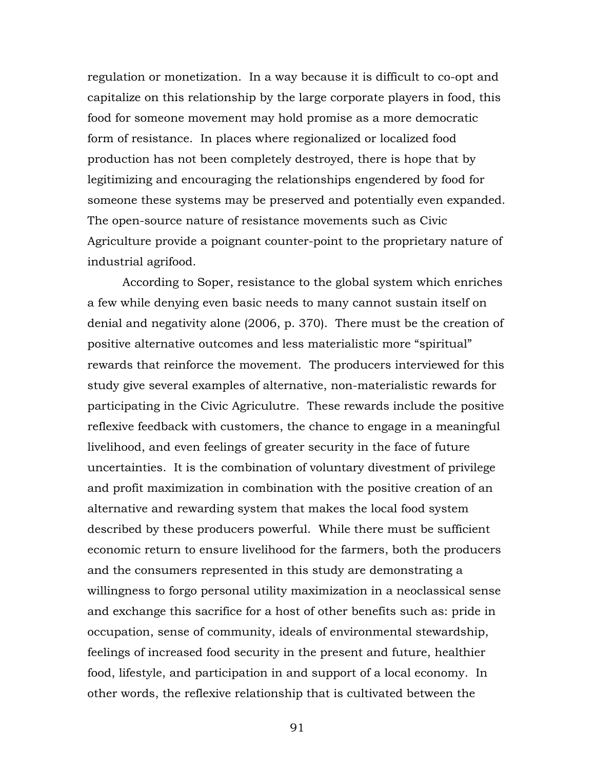regulation or monetization. In a way because it is difficult to co-opt and capitalize on this relationship by the large corporate players in food, this food for someone movement may hold promise as a more democratic form of resistance. In places where regionalized or localized food production has not been completely destroyed, there is hope that by legitimizing and encouraging the relationships engendered by food for someone these systems may be preserved and potentially even expanded. The open-source nature of resistance movements such as Civic Agriculture provide a poignant counter-point to the proprietary nature of industrial agrifood.

According to Soper, resistance to the global system which enriches a few while denying even basic needs to many cannot sustain itself on denial and negativity alone (2006, p. 370). There must be the creation of positive alternative outcomes and less materialistic more "spiritual" rewards that reinforce the movement. The producers interviewed for this study give several examples of alternative, non-materialistic rewards for participating in the Civic Agriculutre. These rewards include the positive reflexive feedback with customers, the chance to engage in a meaningful livelihood, and even feelings of greater security in the face of future uncertainties. It is the combination of voluntary divestment of privilege and profit maximization in combination with the positive creation of an alternative and rewarding system that makes the local food system described by these producers powerful. While there must be sufficient economic return to ensure livelihood for the farmers, both the producers and the consumers represented in this study are demonstrating a willingness to forgo personal utility maximization in a neoclassical sense and exchange this sacrifice for a host of other benefits such as: pride in occupation, sense of community, ideals of environmental stewardship, feelings of increased food security in the present and future, healthier food, lifestyle, and participation in and support of a local economy. In other words, the reflexive relationship that is cultivated between the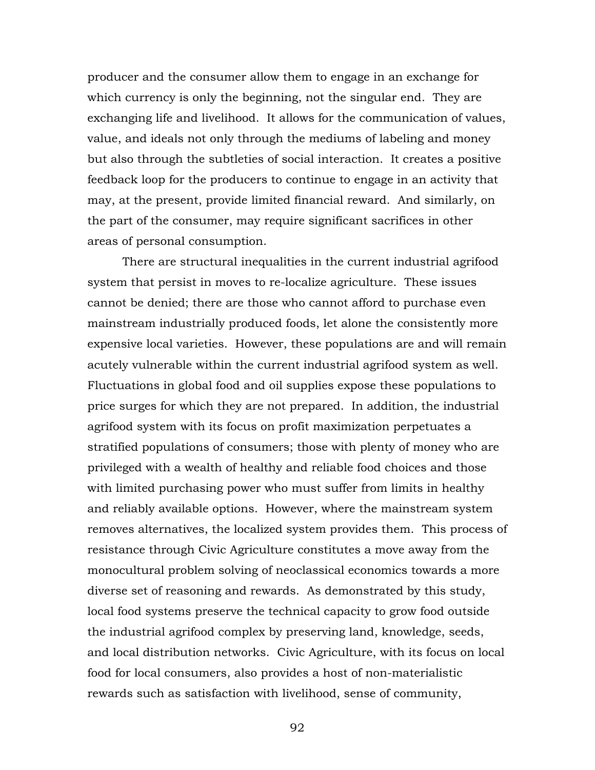producer and the consumer allow them to engage in an exchange for which currency is only the beginning, not the singular end. They are exchanging life and livelihood. It allows for the communication of values, value, and ideals not only through the mediums of labeling and money but also through the subtleties of social interaction. It creates a positive feedback loop for the producers to continue to engage in an activity that may, at the present, provide limited financial reward. And similarly, on the part of the consumer, may require significant sacrifices in other areas of personal consumption.

There are structural inequalities in the current industrial agrifood system that persist in moves to re-localize agriculture. These issues cannot be denied; there are those who cannot afford to purchase even mainstream industrially produced foods, let alone the consistently more expensive local varieties. However, these populations are and will remain acutely vulnerable within the current industrial agrifood system as well. Fluctuations in global food and oil supplies expose these populations to price surges for which they are not prepared. In addition, the industrial agrifood system with its focus on profit maximization perpetuates a stratified populations of consumers; those with plenty of money who are privileged with a wealth of healthy and reliable food choices and those with limited purchasing power who must suffer from limits in healthy and reliably available options. However, where the mainstream system removes alternatives, the localized system provides them. This process of resistance through Civic Agriculture constitutes a move away from the monocultural problem solving of neoclassical economics towards a more diverse set of reasoning and rewards. As demonstrated by this study, local food systems preserve the technical capacity to grow food outside the industrial agrifood complex by preserving land, knowledge, seeds, and local distribution networks. Civic Agriculture, with its focus on local food for local consumers, also provides a host of non-materialistic rewards such as satisfaction with livelihood, sense of community,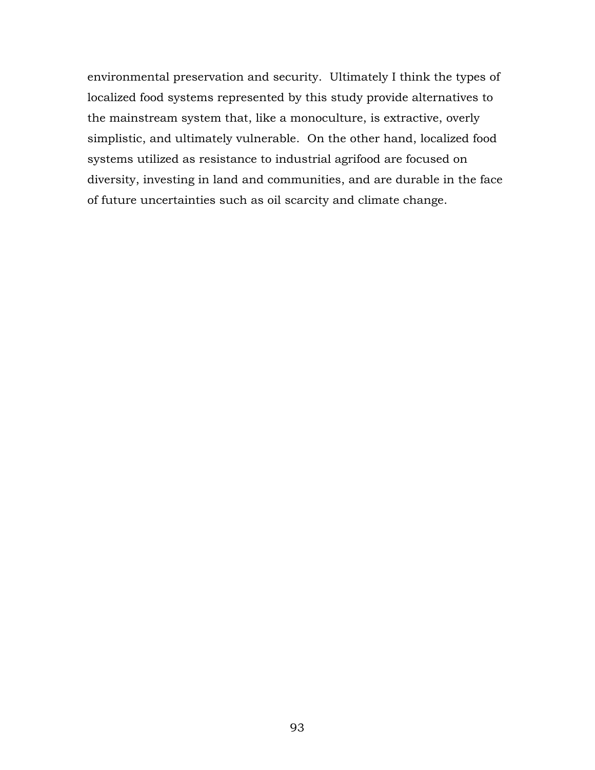environmental preservation and security. Ultimately I think the types of localized food systems represented by this study provide alternatives to the mainstream system that, like a monoculture, is extractive, overly simplistic, and ultimately vulnerable. On the other hand, localized food systems utilized as resistance to industrial agrifood are focused on diversity, investing in land and communities, and are durable in the face of future uncertainties such as oil scarcity and climate change.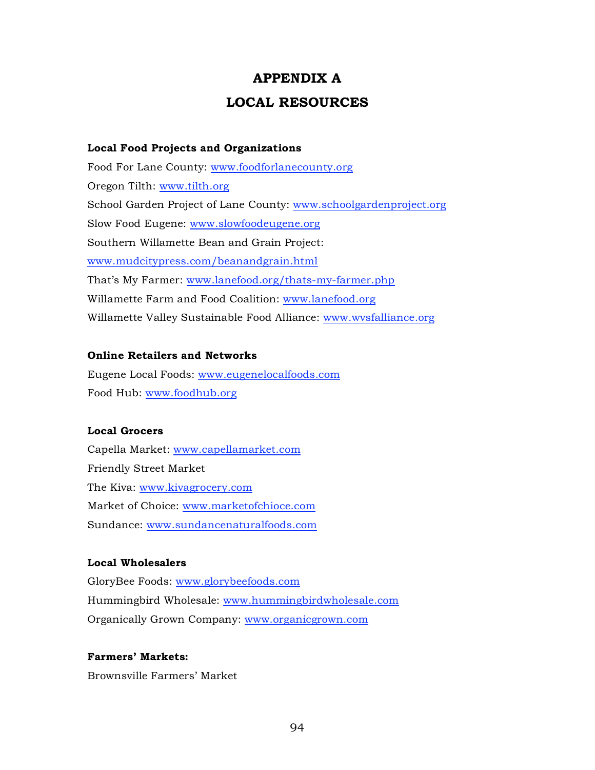# **APPENDIX A LOCAL RESOURCES**

# **Local Food Projects and Organizations**

Food For Lane County: www.foodforlanecounty.org Oregon Tilth: www.tilth.org School Garden Project of Lane County: www.schoolgardenproject.org Slow Food Eugene: www.slowfoodeugene.org Southern Willamette Bean and Grain Project: www.mudcitypress.com/beanandgrain.html That's My Farmer: www.lanefood.org/thats-my-farmer.php Willamette Farm and Food Coalition: www.lanefood.org Willamette Valley Sustainable Food Alliance: www.wvsfalliance.org

# **Online Retailers and Networks**

Eugene Local Foods: www.eugenelocalfoods.com Food Hub: www.foodhub.org

# **Local Grocers**

Capella Market: www.capellamarket.com Friendly Street Market The Kiva: www.kivagrocery.com Market of Choice: www.marketofchioce.com Sundance: www.sundancenaturalfoods.com

# **Local Wholesalers**

GloryBee Foods: www.glorybeefoods.com Hummingbird Wholesale: www.hummingbirdwholesale.com Organically Grown Company: www.organicgrown.com

# **Farmers' Markets:**

Brownsville Farmers' Market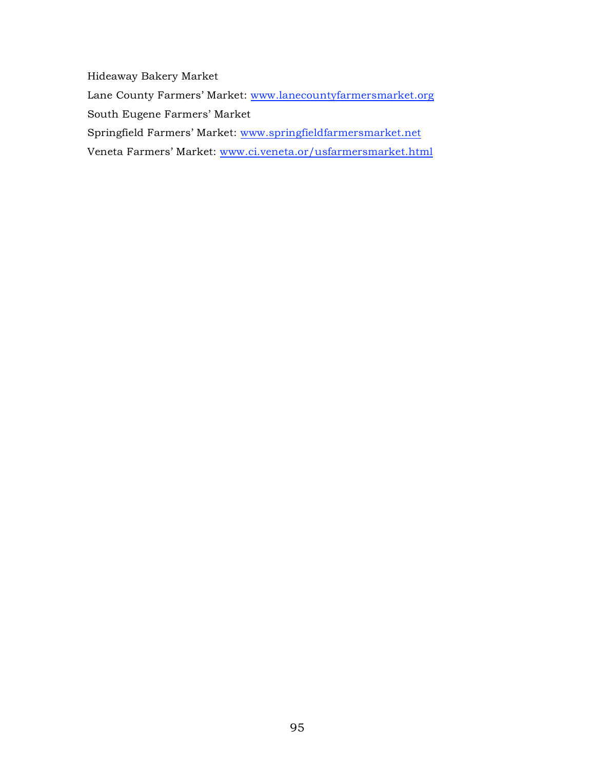Hideaway Bakery Market Lane County Farmers' Market: www.lanecountyfarmersmarket.org South Eugene Farmers' Market Springfield Farmers' Market: www.springfieldfarmersmarket.net Veneta Farmers' Market: www.ci.veneta.or/usfarmersmarket.html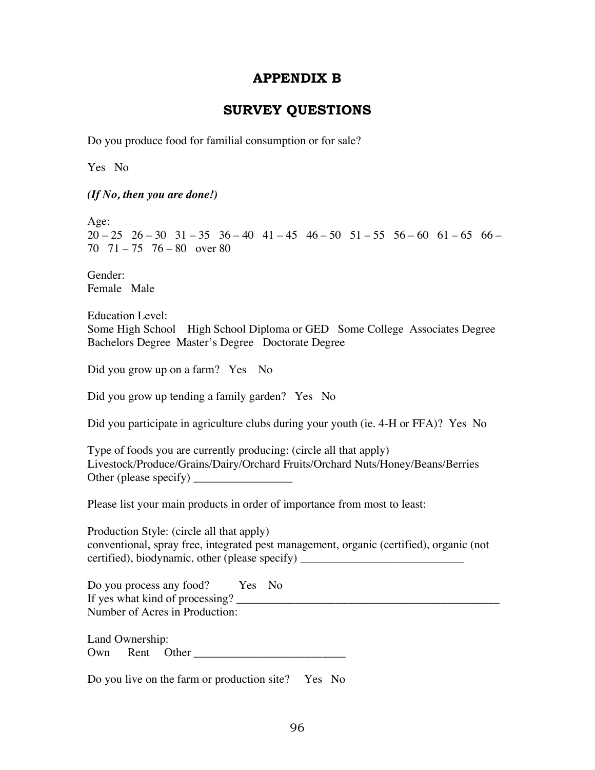## **APPENDIX B**

## **SURVEY QUESTIONS**

Do you produce food for familial consumption or for sale?

Yes No

*(If No, then you are done!)*

Age:

 $20 - 25$   $26 - 30$   $31 - 35$   $36 - 40$   $41 - 45$   $46 - 50$   $51 - 55$   $56 - 60$   $61 - 65$   $66 -$ 70 71 – 75 76 – 80 over 80

Gender: Female Male

Education Level: Some High School High School Diploma or GED Some College Associates Degree Bachelors Degree Master's Degree Doctorate Degree

Did you grow up on a farm? Yes No

Did you grow up tending a family garden? Yes No

Did you participate in agriculture clubs during your youth (ie. 4-H or FFA)? Yes No

Type of foods you are currently producing: (circle all that apply) Livestock/Produce/Grains/Dairy/Orchard Fruits/Orchard Nuts/Honey/Beans/Berries Other (please specify) \_\_\_\_\_\_\_\_\_\_\_\_\_\_\_\_\_

Please list your main products in order of importance from most to least:

Production Style: (circle all that apply) conventional, spray free, integrated pest management, organic (certified), organic (not certified), biodynamic, other (please specify)

Do you process any food? Yes No If yes what kind of processing? \_\_\_\_\_\_\_\_\_\_\_\_\_\_\_\_\_\_\_\_\_\_\_\_\_\_\_\_\_\_\_\_\_\_\_\_\_\_\_\_\_\_\_\_\_ Number of Acres in Production:

Land Ownership: Own Rent Other

Do you live on the farm or production site? Yes No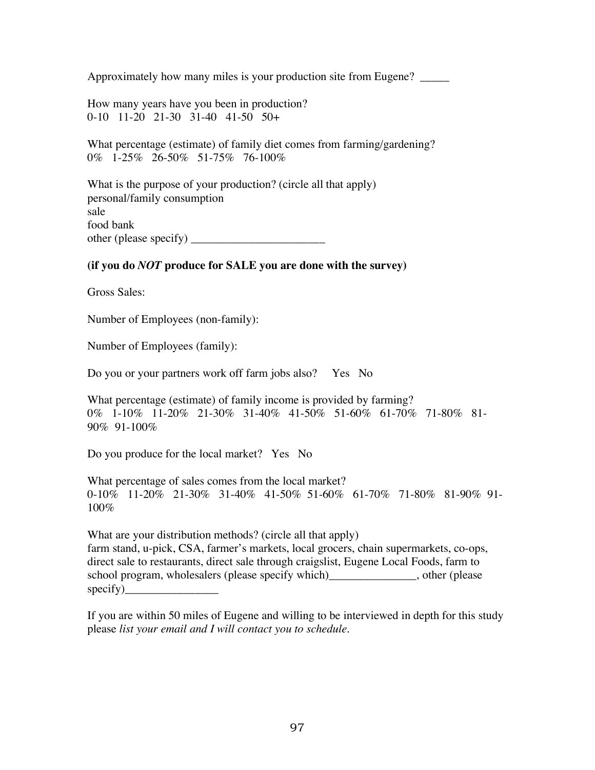Approximately how many miles is your production site from Eugene? \_\_\_\_\_

How many years have you been in production? 0-10 11-20 21-30 31-40 41-50 50+

What percentage (estimate) of family diet comes from farming/gardening? 0% 1-25% 26-50% 51-75% 76-100%

What is the purpose of your production? (circle all that apply) personal/family consumption sale food bank other (please specify) \_\_\_\_\_\_\_\_\_\_\_\_\_\_\_\_\_\_\_\_\_\_\_

## **(if you do** *NOT* **produce for SALE you are done with the survey)**

Gross Sales:

Number of Employees (non-family):

Number of Employees (family):

Do you or your partners work off farm jobs also? Yes No

What percentage (estimate) of family income is provided by farming? 0% 1-10% 11-20% 21-30% 31-40% 41-50% 51-60% 61-70% 71-80% 81- 90% 91-100%

Do you produce for the local market? Yes No

What percentage of sales comes from the local market? 0-10% 11-20% 21-30% 31-40% 41-50% 51-60% 61-70% 71-80% 81-90% 91- 100%

What are your distribution methods? (circle all that apply) farm stand, u-pick, CSA, farmer's markets, local grocers, chain supermarkets, co-ops, direct sale to restaurants, direct sale through craigslist, Eugene Local Foods, farm to school program, wholesalers (please specify which)\_\_\_\_\_\_\_\_\_\_\_\_\_\_\_, other (please specify)\_\_\_\_\_\_\_\_\_\_\_\_\_\_\_\_

If you are within 50 miles of Eugene and willing to be interviewed in depth for this study please *list your email and I will contact you to schedule.*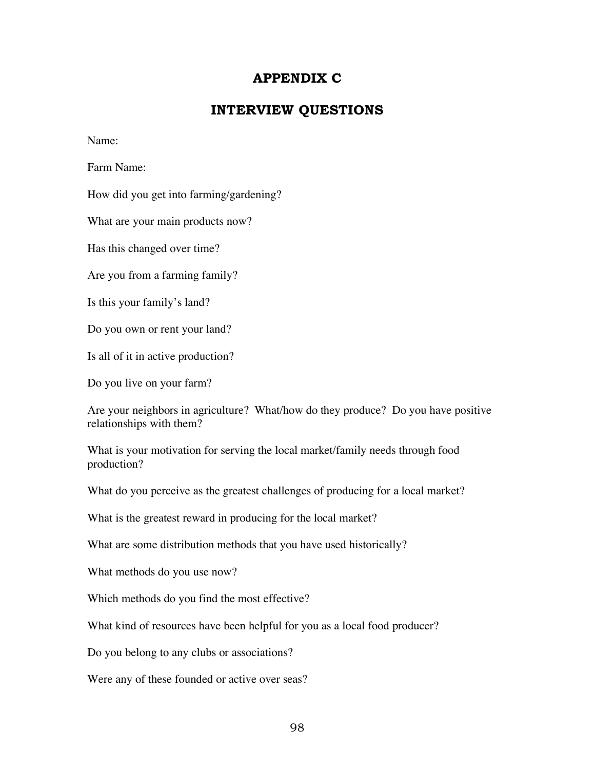# **APPENDIX C**

# **INTERVIEW QUESTIONS**

Name:

Farm Name:

How did you get into farming/gardening?

What are your main products now?

Has this changed over time?

Are you from a farming family?

Is this your family's land?

Do you own or rent your land?

Is all of it in active production?

Do you live on your farm?

Are your neighbors in agriculture? What/how do they produce? Do you have positive relationships with them?

What is your motivation for serving the local market/family needs through food production?

What do you perceive as the greatest challenges of producing for a local market?

What is the greatest reward in producing for the local market?

What are some distribution methods that you have used historically?

What methods do you use now?

Which methods do you find the most effective?

What kind of resources have been helpful for you as a local food producer?

Do you belong to any clubs or associations?

Were any of these founded or active over seas?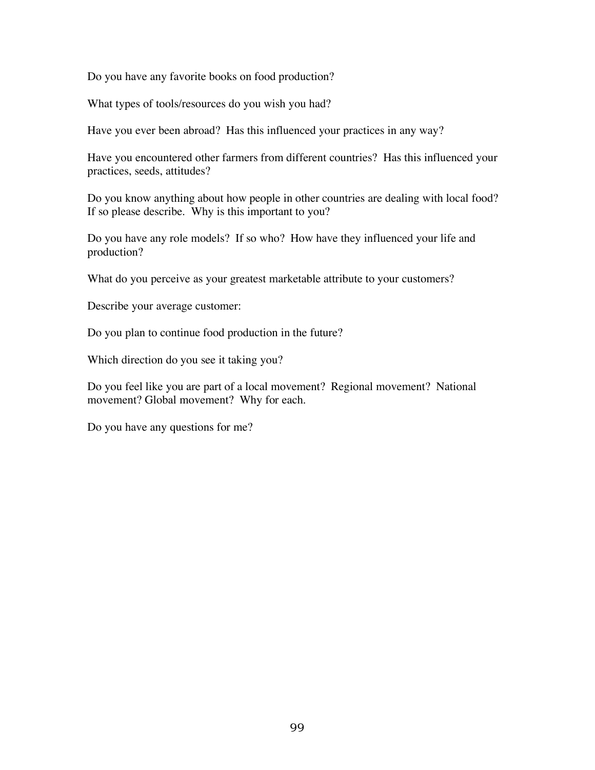Do you have any favorite books on food production?

What types of tools/resources do you wish you had?

Have you ever been abroad? Has this influenced your practices in any way?

Have you encountered other farmers from different countries? Has this influenced your practices, seeds, attitudes?

Do you know anything about how people in other countries are dealing with local food? If so please describe. Why is this important to you?

Do you have any role models? If so who? How have they influenced your life and production?

What do you perceive as your greatest marketable attribute to your customers?

Describe your average customer:

Do you plan to continue food production in the future?

Which direction do you see it taking you?

Do you feel like you are part of a local movement? Regional movement? National movement? Global movement? Why for each.

Do you have any questions for me?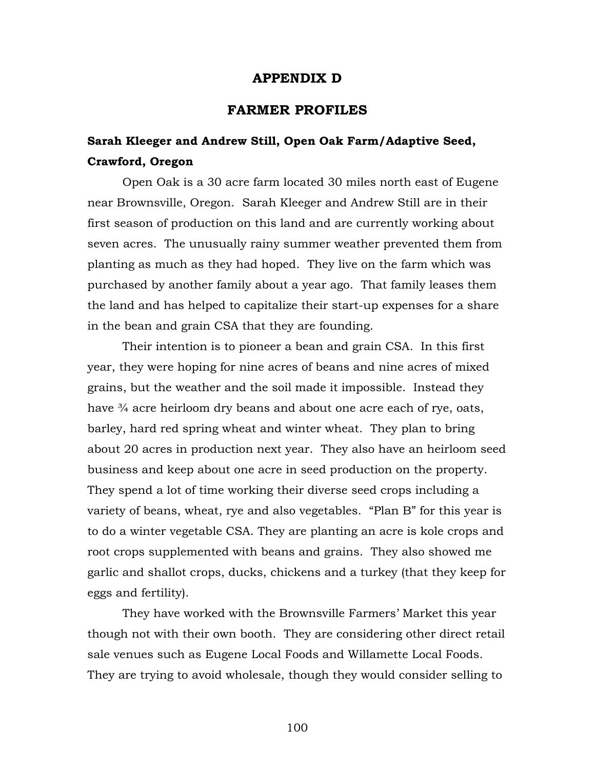### **APPENDIX D**

## **FARMER PROFILES**

# **Sarah Kleeger and Andrew Still, Open Oak Farm/Adaptive Seed, Crawford, Oregon**

Open Oak is a 30 acre farm located 30 miles north east of Eugene near Brownsville, Oregon. Sarah Kleeger and Andrew Still are in their first season of production on this land and are currently working about seven acres. The unusually rainy summer weather prevented them from planting as much as they had hoped. They live on the farm which was purchased by another family about a year ago. That family leases them the land and has helped to capitalize their start-up expenses for a share in the bean and grain CSA that they are founding.

Their intention is to pioneer a bean and grain CSA. In this first year, they were hoping for nine acres of beans and nine acres of mixed grains, but the weather and the soil made it impossible. Instead they have <sup>3/4</sup> acre heirloom dry beans and about one acre each of rye, oats, barley, hard red spring wheat and winter wheat. They plan to bring about 20 acres in production next year. They also have an heirloom seed business and keep about one acre in seed production on the property. They spend a lot of time working their diverse seed crops including a variety of beans, wheat, rye and also vegetables. "Plan B" for this year is to do a winter vegetable CSA. They are planting an acre is kole crops and root crops supplemented with beans and grains. They also showed me garlic and shallot crops, ducks, chickens and a turkey (that they keep for eggs and fertility).

They have worked with the Brownsville Farmers' Market this year though not with their own booth. They are considering other direct retail sale venues such as Eugene Local Foods and Willamette Local Foods. They are trying to avoid wholesale, though they would consider selling to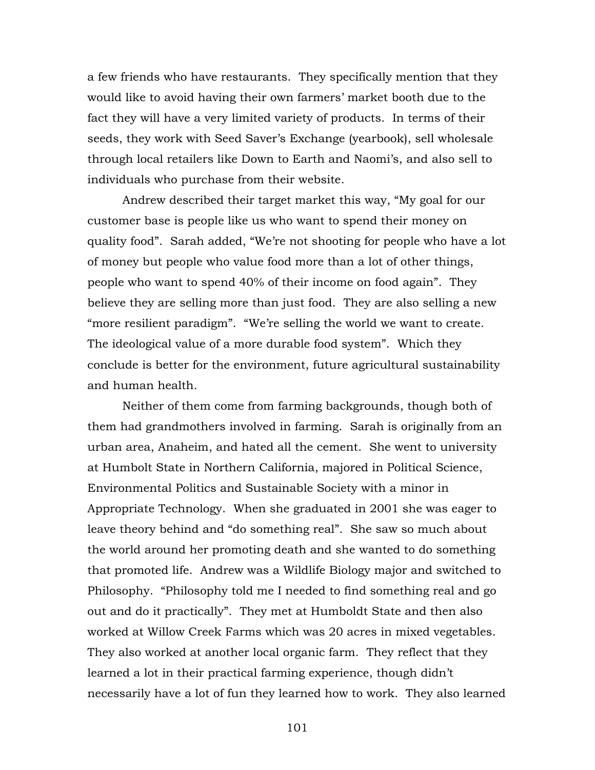a few friends who have restaurants. They specifically mention that they would like to avoid having their own farmers' market booth due to the fact they will have a very limited variety of products. In terms of their seeds, they work with Seed Saver's Exchange (yearbook), sell wholesale through local retailers like Down to Earth and Naomi's, and also sell to individuals who purchase from their website.

Andrew described their target market this way, "My goal for our customer base is people like us who want to spend their money on quality food". Sarah added, "We're not shooting for people who have a lot of money but people who value food more than a lot of other things, people who want to spend 40% of their income on food again". They believe they are selling more than just food. They are also selling a new "more resilient paradigm". "We're selling the world we want to create. The ideological value of a more durable food system". Which they conclude is better for the environment, future agricultural sustainability and human health.

Neither of them come from farming backgrounds, though both of them had grandmothers involved in farming. Sarah is originally from an urban area, Anaheim, and hated all the cement. She went to university at Humbolt State in Northern California, majored in Political Science, Environmental Politics and Sustainable Society with a minor in Appropriate Technology. When she graduated in 2001 she was eager to leave theory behind and "do something real". She saw so much about the world around her promoting death and she wanted to do something that promoted life. Andrew was a Wildlife Biology major and switched to Philosophy. "Philosophy told me I needed to find something real and go out and do it practically". They met at Humboldt State and then also worked at Willow Creek Farms which was 20 acres in mixed vegetables. They also worked at another local organic farm. They reflect that they learned a lot in their practical farming experience, though didn't necessarily have a lot of fun they learned how to work. They also learned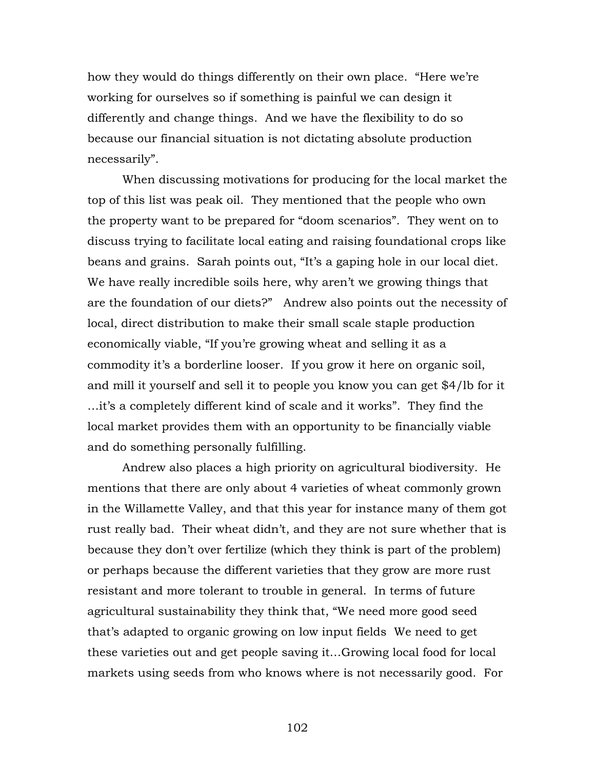how they would do things differently on their own place. "Here we're working for ourselves so if something is painful we can design it differently and change things. And we have the flexibility to do so because our financial situation is not dictating absolute production necessarily".

When discussing motivations for producing for the local market the top of this list was peak oil. They mentioned that the people who own the property want to be prepared for "doom scenarios". They went on to discuss trying to facilitate local eating and raising foundational crops like beans and grains. Sarah points out, "It's a gaping hole in our local diet. We have really incredible soils here, why aren't we growing things that are the foundation of our diets?" Andrew also points out the necessity of local, direct distribution to make their small scale staple production economically viable, "If you're growing wheat and selling it as a commodity it's a borderline looser. If you grow it here on organic soil, and mill it yourself and sell it to people you know you can get \$4/lb for it …it's a completely different kind of scale and it works". They find the local market provides them with an opportunity to be financially viable and do something personally fulfilling.

Andrew also places a high priority on agricultural biodiversity. He mentions that there are only about 4 varieties of wheat commonly grown in the Willamette Valley, and that this year for instance many of them got rust really bad. Their wheat didn't, and they are not sure whether that is because they don't over fertilize (which they think is part of the problem) or perhaps because the different varieties that they grow are more rust resistant and more tolerant to trouble in general. In terms of future agricultural sustainability they think that, "We need more good seed that's adapted to organic growing on low input fields We need to get these varieties out and get people saving it…Growing local food for local markets using seeds from who knows where is not necessarily good. For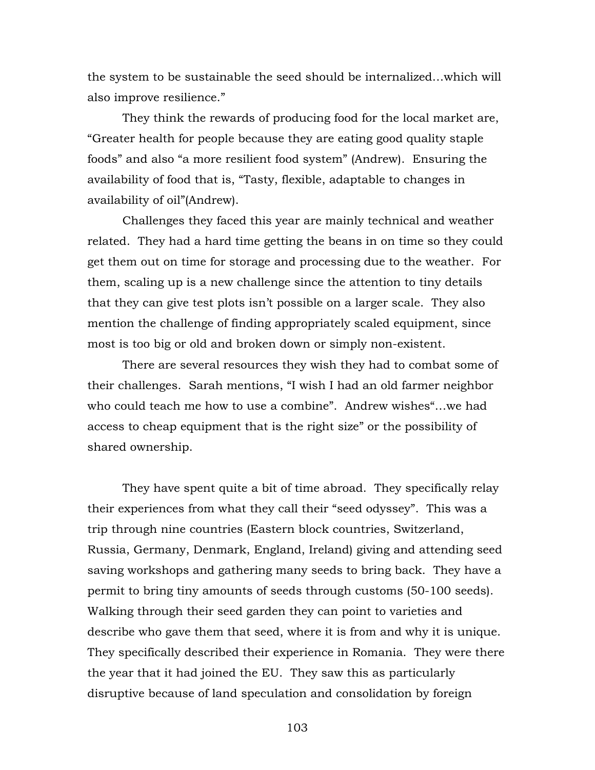the system to be sustainable the seed should be internalized…which will also improve resilience."

They think the rewards of producing food for the local market are, "Greater health for people because they are eating good quality staple foods" and also "a more resilient food system" (Andrew). Ensuring the availability of food that is, "Tasty, flexible, adaptable to changes in availability of oil"(Andrew).

Challenges they faced this year are mainly technical and weather related. They had a hard time getting the beans in on time so they could get them out on time for storage and processing due to the weather. For them, scaling up is a new challenge since the attention to tiny details that they can give test plots isn't possible on a larger scale. They also mention the challenge of finding appropriately scaled equipment, since most is too big or old and broken down or simply non-existent.

There are several resources they wish they had to combat some of their challenges. Sarah mentions, "I wish I had an old farmer neighbor who could teach me how to use a combine". Andrew wishes"…we had access to cheap equipment that is the right size" or the possibility of shared ownership.

They have spent quite a bit of time abroad. They specifically relay their experiences from what they call their "seed odyssey". This was a trip through nine countries (Eastern block countries, Switzerland, Russia, Germany, Denmark, England, Ireland) giving and attending seed saving workshops and gathering many seeds to bring back. They have a permit to bring tiny amounts of seeds through customs (50-100 seeds). Walking through their seed garden they can point to varieties and describe who gave them that seed, where it is from and why it is unique. They specifically described their experience in Romania. They were there the year that it had joined the EU. They saw this as particularly disruptive because of land speculation and consolidation by foreign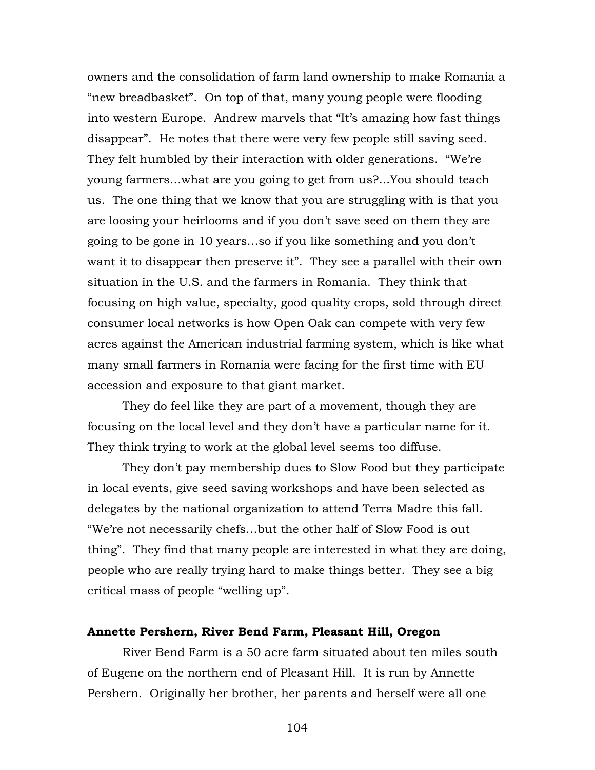owners and the consolidation of farm land ownership to make Romania a "new breadbasket". On top of that, many young people were flooding into western Europe. Andrew marvels that "It's amazing how fast things disappear". He notes that there were very few people still saving seed. They felt humbled by their interaction with older generations. "We're young farmers…what are you going to get from us?...You should teach us. The one thing that we know that you are struggling with is that you are loosing your heirlooms and if you don't save seed on them they are going to be gone in 10 years…so if you like something and you don't want it to disappear then preserve it". They see a parallel with their own situation in the U.S. and the farmers in Romania. They think that focusing on high value, specialty, good quality crops, sold through direct consumer local networks is how Open Oak can compete with very few acres against the American industrial farming system, which is like what many small farmers in Romania were facing for the first time with EU accession and exposure to that giant market.

They do feel like they are part of a movement, though they are focusing on the local level and they don't have a particular name for it. They think trying to work at the global level seems too diffuse.

They don't pay membership dues to Slow Food but they participate in local events, give seed saving workshops and have been selected as delegates by the national organization to attend Terra Madre this fall. "We're not necessarily chefs…but the other half of Slow Food is out thing". They find that many people are interested in what they are doing, people who are really trying hard to make things better. They see a big critical mass of people "welling up".

### **Annette Pershern, River Bend Farm, Pleasant Hill, Oregon**

River Bend Farm is a 50 acre farm situated about ten miles south of Eugene on the northern end of Pleasant Hill. It is run by Annette Pershern. Originally her brother, her parents and herself were all one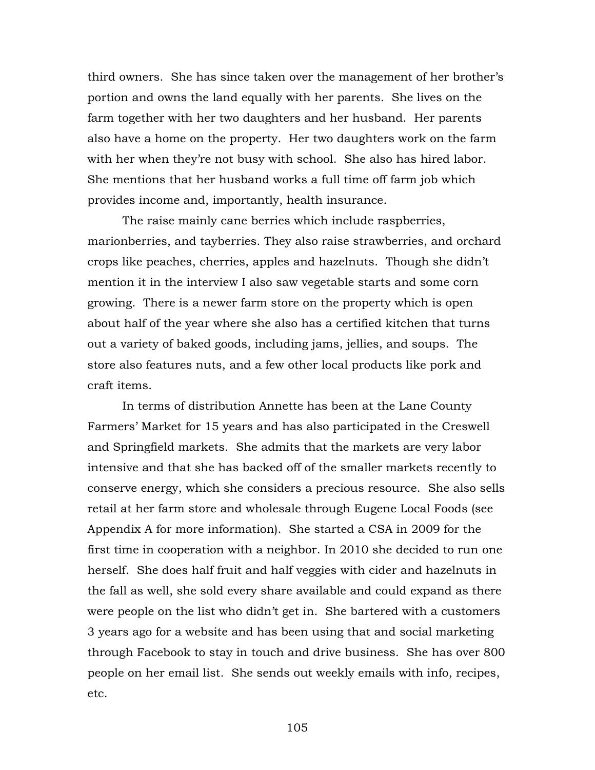third owners. She has since taken over the management of her brother's portion and owns the land equally with her parents. She lives on the farm together with her two daughters and her husband. Her parents also have a home on the property. Her two daughters work on the farm with her when they're not busy with school. She also has hired labor. She mentions that her husband works a full time off farm job which provides income and, importantly, health insurance.

The raise mainly cane berries which include raspberries, marionberries, and tayberries. They also raise strawberries, and orchard crops like peaches, cherries, apples and hazelnuts. Though she didn't mention it in the interview I also saw vegetable starts and some corn growing. There is a newer farm store on the property which is open about half of the year where she also has a certified kitchen that turns out a variety of baked goods, including jams, jellies, and soups. The store also features nuts, and a few other local products like pork and craft items.

In terms of distribution Annette has been at the Lane County Farmers' Market for 15 years and has also participated in the Creswell and Springfield markets. She admits that the markets are very labor intensive and that she has backed off of the smaller markets recently to conserve energy, which she considers a precious resource. She also sells retail at her farm store and wholesale through Eugene Local Foods (see Appendix A for more information). She started a CSA in 2009 for the first time in cooperation with a neighbor. In 2010 she decided to run one herself. She does half fruit and half veggies with cider and hazelnuts in the fall as well, she sold every share available and could expand as there were people on the list who didn't get in. She bartered with a customers 3 years ago for a website and has been using that and social marketing through Facebook to stay in touch and drive business. She has over 800 people on her email list. She sends out weekly emails with info, recipes, etc.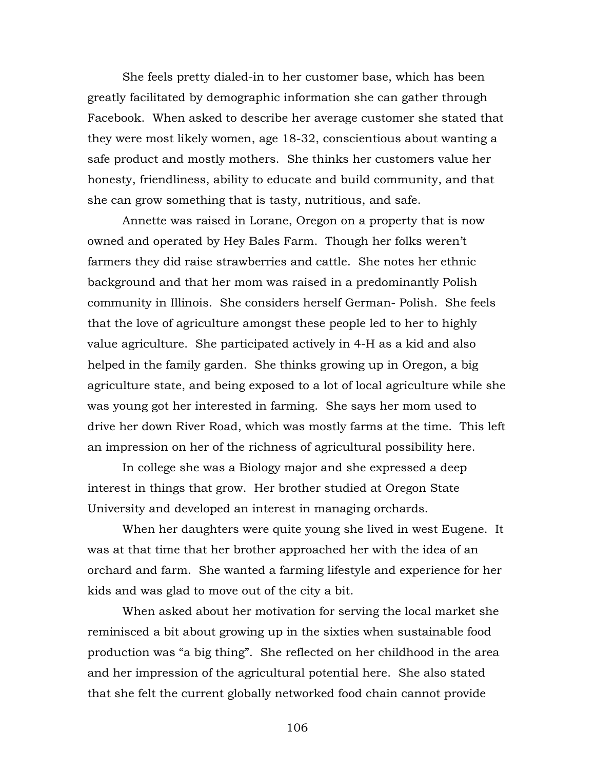She feels pretty dialed-in to her customer base, which has been greatly facilitated by demographic information she can gather through Facebook. When asked to describe her average customer she stated that they were most likely women, age 18-32, conscientious about wanting a safe product and mostly mothers. She thinks her customers value her honesty, friendliness, ability to educate and build community, and that she can grow something that is tasty, nutritious, and safe.

Annette was raised in Lorane, Oregon on a property that is now owned and operated by Hey Bales Farm. Though her folks weren't farmers they did raise strawberries and cattle. She notes her ethnic background and that her mom was raised in a predominantly Polish community in Illinois. She considers herself German- Polish. She feels that the love of agriculture amongst these people led to her to highly value agriculture. She participated actively in 4-H as a kid and also helped in the family garden. She thinks growing up in Oregon, a big agriculture state, and being exposed to a lot of local agriculture while she was young got her interested in farming. She says her mom used to drive her down River Road, which was mostly farms at the time. This left an impression on her of the richness of agricultural possibility here.

In college she was a Biology major and she expressed a deep interest in things that grow. Her brother studied at Oregon State University and developed an interest in managing orchards.

When her daughters were quite young she lived in west Eugene. It was at that time that her brother approached her with the idea of an orchard and farm. She wanted a farming lifestyle and experience for her kids and was glad to move out of the city a bit.

When asked about her motivation for serving the local market she reminisced a bit about growing up in the sixties when sustainable food production was "a big thing". She reflected on her childhood in the area and her impression of the agricultural potential here. She also stated that she felt the current globally networked food chain cannot provide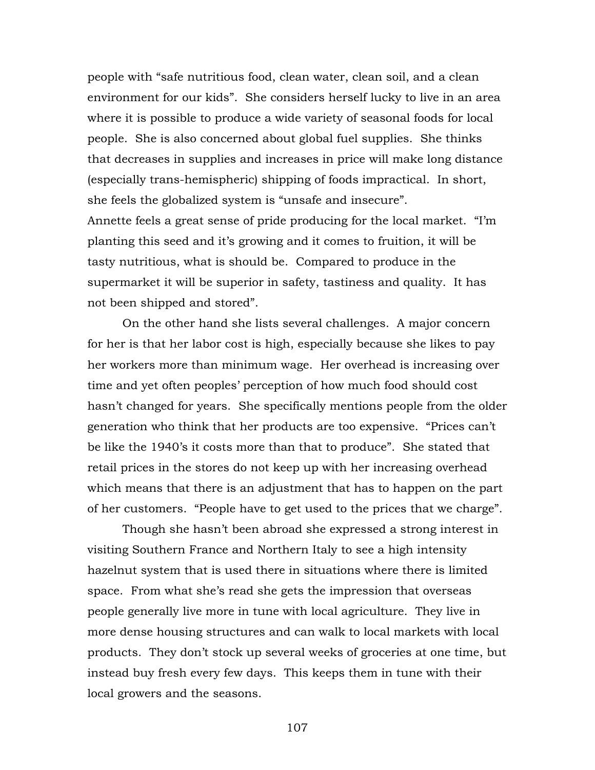people with "safe nutritious food, clean water, clean soil, and a clean environment for our kids". She considers herself lucky to live in an area where it is possible to produce a wide variety of seasonal foods for local people. She is also concerned about global fuel supplies. She thinks that decreases in supplies and increases in price will make long distance (especially trans-hemispheric) shipping of foods impractical. In short, she feels the globalized system is "unsafe and insecure". Annette feels a great sense of pride producing for the local market. "I'm planting this seed and it's growing and it comes to fruition, it will be tasty nutritious, what is should be. Compared to produce in the supermarket it will be superior in safety, tastiness and quality. It has not been shipped and stored".

On the other hand she lists several challenges. A major concern for her is that her labor cost is high, especially because she likes to pay her workers more than minimum wage. Her overhead is increasing over time and yet often peoples' perception of how much food should cost hasn't changed for years. She specifically mentions people from the older generation who think that her products are too expensive. "Prices can't be like the 1940's it costs more than that to produce". She stated that retail prices in the stores do not keep up with her increasing overhead which means that there is an adjustment that has to happen on the part of her customers. "People have to get used to the prices that we charge".

Though she hasn't been abroad she expressed a strong interest in visiting Southern France and Northern Italy to see a high intensity hazelnut system that is used there in situations where there is limited space. From what she's read she gets the impression that overseas people generally live more in tune with local agriculture. They live in more dense housing structures and can walk to local markets with local products. They don't stock up several weeks of groceries at one time, but instead buy fresh every few days. This keeps them in tune with their local growers and the seasons.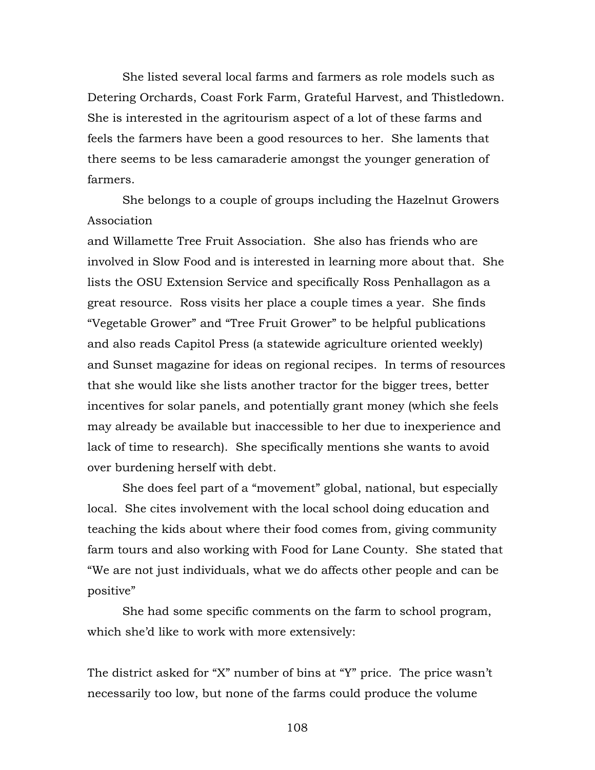She listed several local farms and farmers as role models such as Detering Orchards, Coast Fork Farm, Grateful Harvest, and Thistledown. She is interested in the agritourism aspect of a lot of these farms and feels the farmers have been a good resources to her. She laments that there seems to be less camaraderie amongst the younger generation of farmers.

She belongs to a couple of groups including the Hazelnut Growers Association

and Willamette Tree Fruit Association. She also has friends who are involved in Slow Food and is interested in learning more about that. She lists the OSU Extension Service and specifically Ross Penhallagon as a great resource. Ross visits her place a couple times a year. She finds "Vegetable Grower" and "Tree Fruit Grower" to be helpful publications and also reads Capitol Press (a statewide agriculture oriented weekly) and Sunset magazine for ideas on regional recipes. In terms of resources that she would like she lists another tractor for the bigger trees, better incentives for solar panels, and potentially grant money (which she feels may already be available but inaccessible to her due to inexperience and lack of time to research). She specifically mentions she wants to avoid over burdening herself with debt.

She does feel part of a "movement" global, national, but especially local. She cites involvement with the local school doing education and teaching the kids about where their food comes from, giving community farm tours and also working with Food for Lane County. She stated that "We are not just individuals, what we do affects other people and can be positive"

She had some specific comments on the farm to school program, which she'd like to work with more extensively:

The district asked for "X" number of bins at "Y" price. The price wasn't necessarily too low, but none of the farms could produce the volume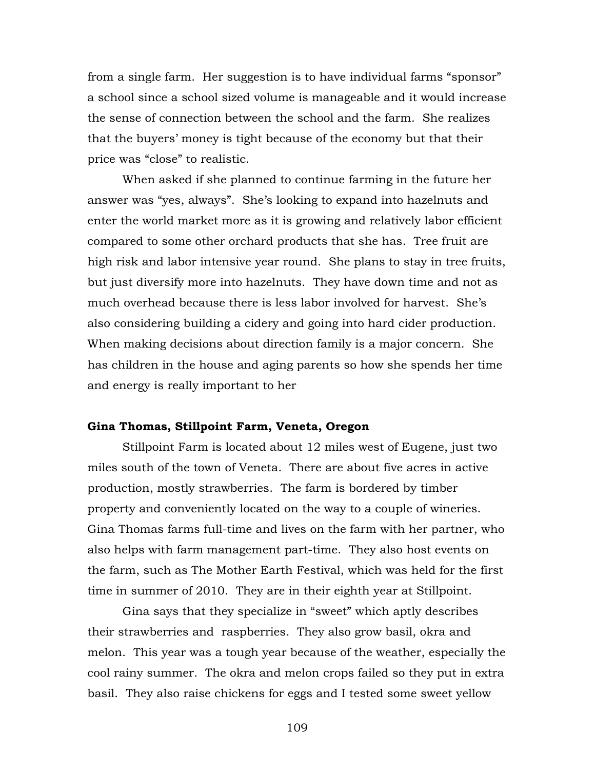from a single farm. Her suggestion is to have individual farms "sponsor" a school since a school sized volume is manageable and it would increase the sense of connection between the school and the farm. She realizes that the buyers' money is tight because of the economy but that their price was "close" to realistic.

When asked if she planned to continue farming in the future her answer was "yes, always". She's looking to expand into hazelnuts and enter the world market more as it is growing and relatively labor efficient compared to some other orchard products that she has. Tree fruit are high risk and labor intensive year round. She plans to stay in tree fruits, but just diversify more into hazelnuts. They have down time and not as much overhead because there is less labor involved for harvest. She's also considering building a cidery and going into hard cider production. When making decisions about direction family is a major concern. She has children in the house and aging parents so how she spends her time and energy is really important to her

#### **Gina Thomas, Stillpoint Farm, Veneta, Oregon**

Stillpoint Farm is located about 12 miles west of Eugene, just two miles south of the town of Veneta. There are about five acres in active production, mostly strawberries. The farm is bordered by timber property and conveniently located on the way to a couple of wineries. Gina Thomas farms full-time and lives on the farm with her partner, who also helps with farm management part-time. They also host events on the farm, such as The Mother Earth Festival, which was held for the first time in summer of 2010. They are in their eighth year at Stillpoint.

Gina says that they specialize in "sweet" which aptly describes their strawberries and raspberries. They also grow basil, okra and melon. This year was a tough year because of the weather, especially the cool rainy summer. The okra and melon crops failed so they put in extra basil. They also raise chickens for eggs and I tested some sweet yellow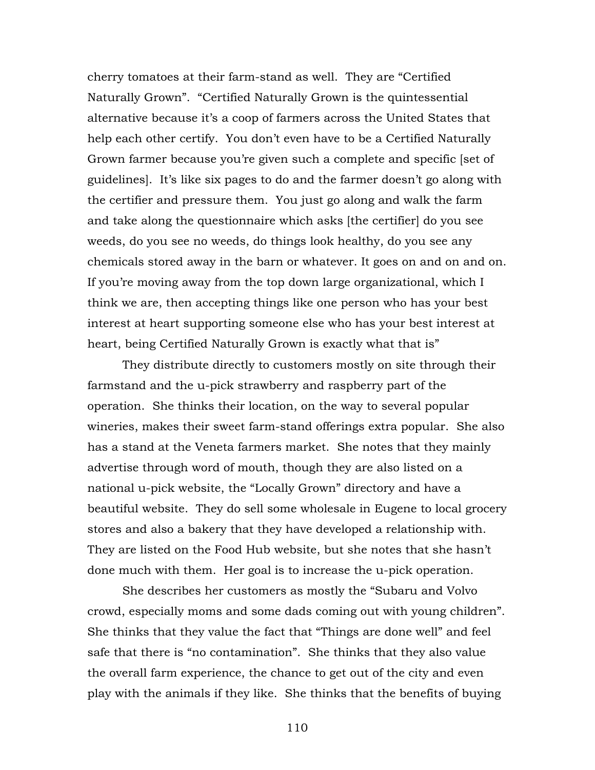cherry tomatoes at their farm-stand as well. They are "Certified Naturally Grown". "Certified Naturally Grown is the quintessential alternative because it's a coop of farmers across the United States that help each other certify. You don't even have to be a Certified Naturally Grown farmer because you're given such a complete and specific [set of guidelines]. It's like six pages to do and the farmer doesn't go along with the certifier and pressure them. You just go along and walk the farm and take along the questionnaire which asks [the certifier] do you see weeds, do you see no weeds, do things look healthy, do you see any chemicals stored away in the barn or whatever. It goes on and on and on. If you're moving away from the top down large organizational, which I think we are, then accepting things like one person who has your best interest at heart supporting someone else who has your best interest at heart, being Certified Naturally Grown is exactly what that is"

They distribute directly to customers mostly on site through their farmstand and the u-pick strawberry and raspberry part of the operation. She thinks their location, on the way to several popular wineries, makes their sweet farm-stand offerings extra popular. She also has a stand at the Veneta farmers market. She notes that they mainly advertise through word of mouth, though they are also listed on a national u-pick website, the "Locally Grown" directory and have a beautiful website. They do sell some wholesale in Eugene to local grocery stores and also a bakery that they have developed a relationship with. They are listed on the Food Hub website, but she notes that she hasn't done much with them. Her goal is to increase the u-pick operation.

She describes her customers as mostly the "Subaru and Volvo crowd, especially moms and some dads coming out with young children". She thinks that they value the fact that "Things are done well" and feel safe that there is "no contamination". She thinks that they also value the overall farm experience, the chance to get out of the city and even play with the animals if they like. She thinks that the benefits of buying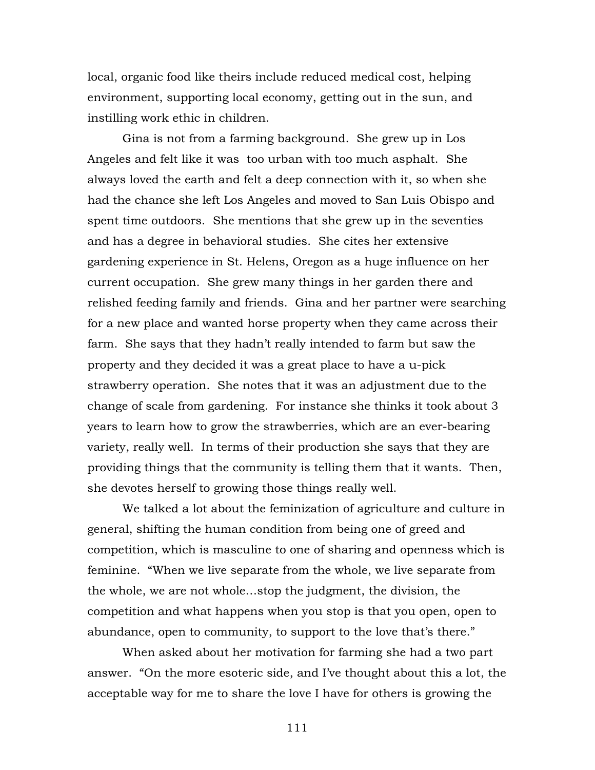local, organic food like theirs include reduced medical cost, helping environment, supporting local economy, getting out in the sun, and instilling work ethic in children.

Gina is not from a farming background. She grew up in Los Angeles and felt like it was too urban with too much asphalt. She always loved the earth and felt a deep connection with it, so when she had the chance she left Los Angeles and moved to San Luis Obispo and spent time outdoors. She mentions that she grew up in the seventies and has a degree in behavioral studies. She cites her extensive gardening experience in St. Helens, Oregon as a huge influence on her current occupation. She grew many things in her garden there and relished feeding family and friends. Gina and her partner were searching for a new place and wanted horse property when they came across their farm. She says that they hadn't really intended to farm but saw the property and they decided it was a great place to have a u-pick strawberry operation. She notes that it was an adjustment due to the change of scale from gardening. For instance she thinks it took about 3 years to learn how to grow the strawberries, which are an ever-bearing variety, really well. In terms of their production she says that they are providing things that the community is telling them that it wants. Then, she devotes herself to growing those things really well.

We talked a lot about the feminization of agriculture and culture in general, shifting the human condition from being one of greed and competition, which is masculine to one of sharing and openness which is feminine. "When we live separate from the whole, we live separate from the whole, we are not whole…stop the judgment, the division, the competition and what happens when you stop is that you open, open to abundance, open to community, to support to the love that's there."

When asked about her motivation for farming she had a two part answer. "On the more esoteric side, and I've thought about this a lot, the acceptable way for me to share the love I have for others is growing the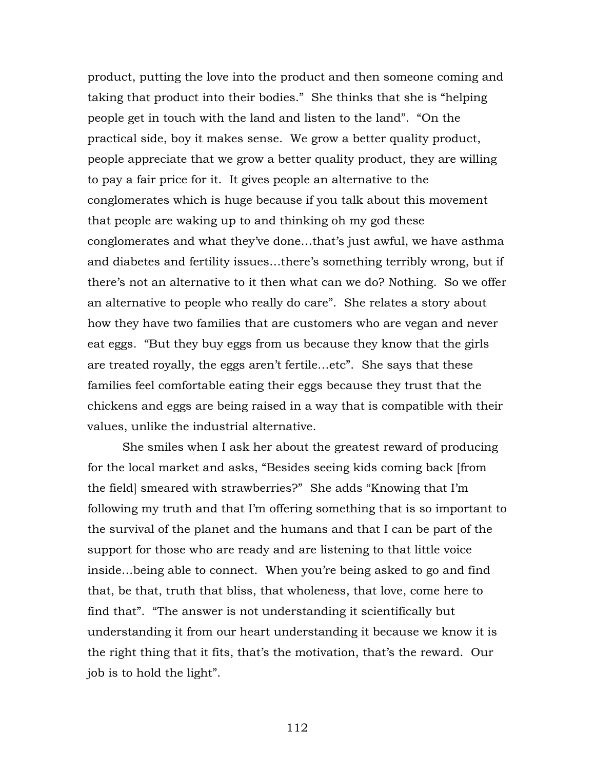product, putting the love into the product and then someone coming and taking that product into their bodies." She thinks that she is "helping people get in touch with the land and listen to the land". "On the practical side, boy it makes sense. We grow a better quality product, people appreciate that we grow a better quality product, they are willing to pay a fair price for it. It gives people an alternative to the conglomerates which is huge because if you talk about this movement that people are waking up to and thinking oh my god these conglomerates and what they've done…that's just awful, we have asthma and diabetes and fertility issues…there's something terribly wrong, but if there's not an alternative to it then what can we do? Nothing. So we offer an alternative to people who really do care". She relates a story about how they have two families that are customers who are vegan and never eat eggs. "But they buy eggs from us because they know that the girls are treated royally, the eggs aren't fertile…etc". She says that these families feel comfortable eating their eggs because they trust that the chickens and eggs are being raised in a way that is compatible with their values, unlike the industrial alternative.

She smiles when I ask her about the greatest reward of producing for the local market and asks, "Besides seeing kids coming back [from the field] smeared with strawberries?" She adds "Knowing that I'm following my truth and that I'm offering something that is so important to the survival of the planet and the humans and that I can be part of the support for those who are ready and are listening to that little voice inside…being able to connect. When you're being asked to go and find that, be that, truth that bliss, that wholeness, that love, come here to find that". "The answer is not understanding it scientifically but understanding it from our heart understanding it because we know it is the right thing that it fits, that's the motivation, that's the reward. Our job is to hold the light".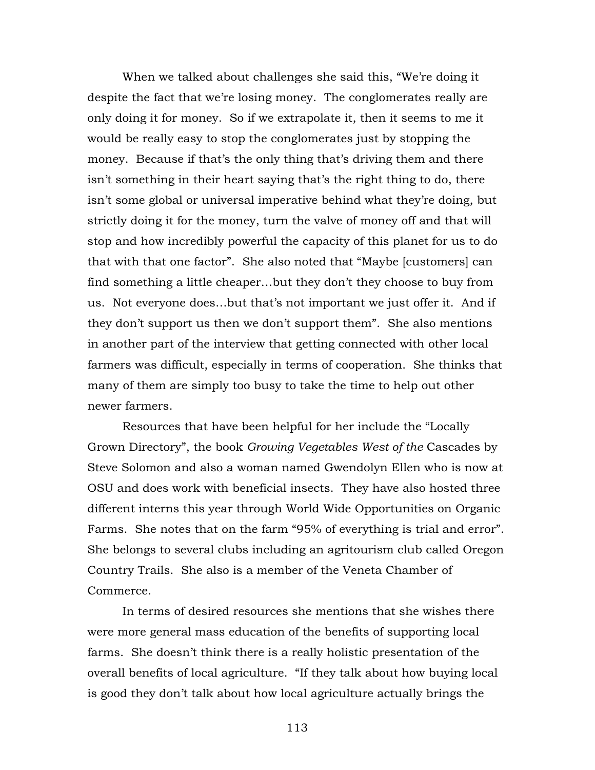When we talked about challenges she said this, "We're doing it despite the fact that we're losing money. The conglomerates really are only doing it for money. So if we extrapolate it, then it seems to me it would be really easy to stop the conglomerates just by stopping the money. Because if that's the only thing that's driving them and there isn't something in their heart saying that's the right thing to do, there isn't some global or universal imperative behind what they're doing, but strictly doing it for the money, turn the valve of money off and that will stop and how incredibly powerful the capacity of this planet for us to do that with that one factor". She also noted that "Maybe [customers] can find something a little cheaper…but they don't they choose to buy from us. Not everyone does…but that's not important we just offer it. And if they don't support us then we don't support them". She also mentions in another part of the interview that getting connected with other local farmers was difficult, especially in terms of cooperation. She thinks that many of them are simply too busy to take the time to help out other newer farmers.

Resources that have been helpful for her include the "Locally Grown Directory", the book *Growing Vegetables West of the* Cascades by Steve Solomon and also a woman named Gwendolyn Ellen who is now at OSU and does work with beneficial insects. They have also hosted three different interns this year through World Wide Opportunities on Organic Farms. She notes that on the farm "95% of everything is trial and error". She belongs to several clubs including an agritourism club called Oregon Country Trails. She also is a member of the Veneta Chamber of Commerce.

In terms of desired resources she mentions that she wishes there were more general mass education of the benefits of supporting local farms. She doesn't think there is a really holistic presentation of the overall benefits of local agriculture. "If they talk about how buying local is good they don't talk about how local agriculture actually brings the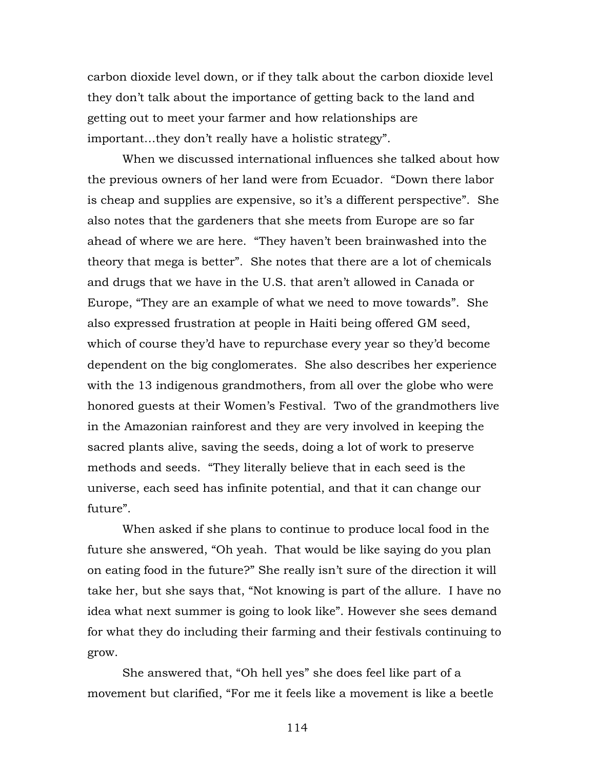carbon dioxide level down, or if they talk about the carbon dioxide level they don't talk about the importance of getting back to the land and getting out to meet your farmer and how relationships are important…they don't really have a holistic strategy".

When we discussed international influences she talked about how the previous owners of her land were from Ecuador. "Down there labor is cheap and supplies are expensive, so it's a different perspective". She also notes that the gardeners that she meets from Europe are so far ahead of where we are here. "They haven't been brainwashed into the theory that mega is better". She notes that there are a lot of chemicals and drugs that we have in the U.S. that aren't allowed in Canada or Europe, "They are an example of what we need to move towards". She also expressed frustration at people in Haiti being offered GM seed, which of course they'd have to repurchase every year so they'd become dependent on the big conglomerates. She also describes her experience with the 13 indigenous grandmothers, from all over the globe who were honored guests at their Women's Festival. Two of the grandmothers live in the Amazonian rainforest and they are very involved in keeping the sacred plants alive, saving the seeds, doing a lot of work to preserve methods and seeds. "They literally believe that in each seed is the universe, each seed has infinite potential, and that it can change our future".

When asked if she plans to continue to produce local food in the future she answered, "Oh yeah. That would be like saying do you plan on eating food in the future?" She really isn't sure of the direction it will take her, but she says that, "Not knowing is part of the allure. I have no idea what next summer is going to look like". However she sees demand for what they do including their farming and their festivals continuing to grow.

She answered that, "Oh hell yes" she does feel like part of a movement but clarified, "For me it feels like a movement is like a beetle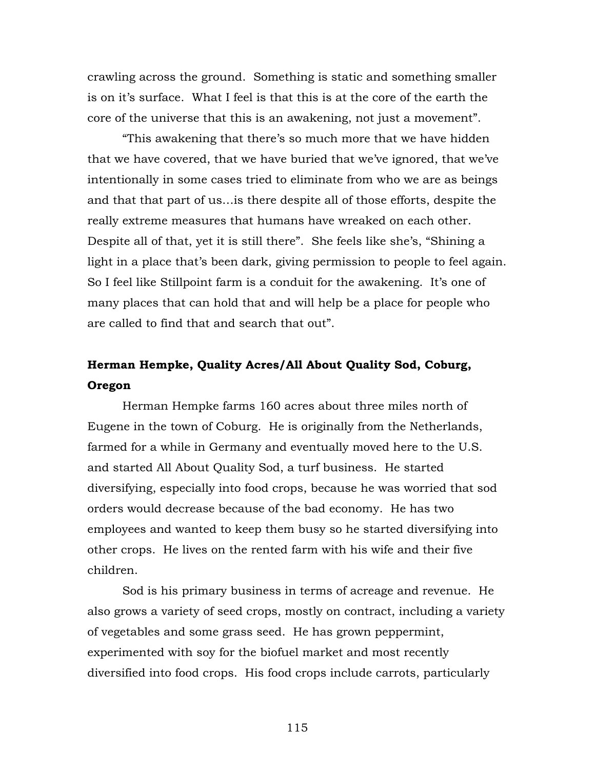crawling across the ground. Something is static and something smaller is on it's surface. What I feel is that this is at the core of the earth the core of the universe that this is an awakening, not just a movement".

"This awakening that there's so much more that we have hidden that we have covered, that we have buried that we've ignored, that we've intentionally in some cases tried to eliminate from who we are as beings and that that part of us…is there despite all of those efforts, despite the really extreme measures that humans have wreaked on each other. Despite all of that, yet it is still there". She feels like she's, "Shining a light in a place that's been dark, giving permission to people to feel again. So I feel like Stillpoint farm is a conduit for the awakening. It's one of many places that can hold that and will help be a place for people who are called to find that and search that out".

# **Herman Hempke, Quality Acres/All About Quality Sod, Coburg, Oregon**

Herman Hempke farms 160 acres about three miles north of Eugene in the town of Coburg. He is originally from the Netherlands, farmed for a while in Germany and eventually moved here to the U.S. and started All About Quality Sod, a turf business. He started diversifying, especially into food crops, because he was worried that sod orders would decrease because of the bad economy. He has two employees and wanted to keep them busy so he started diversifying into other crops. He lives on the rented farm with his wife and their five children.

Sod is his primary business in terms of acreage and revenue. He also grows a variety of seed crops, mostly on contract, including a variety of vegetables and some grass seed. He has grown peppermint, experimented with soy for the biofuel market and most recently diversified into food crops. His food crops include carrots, particularly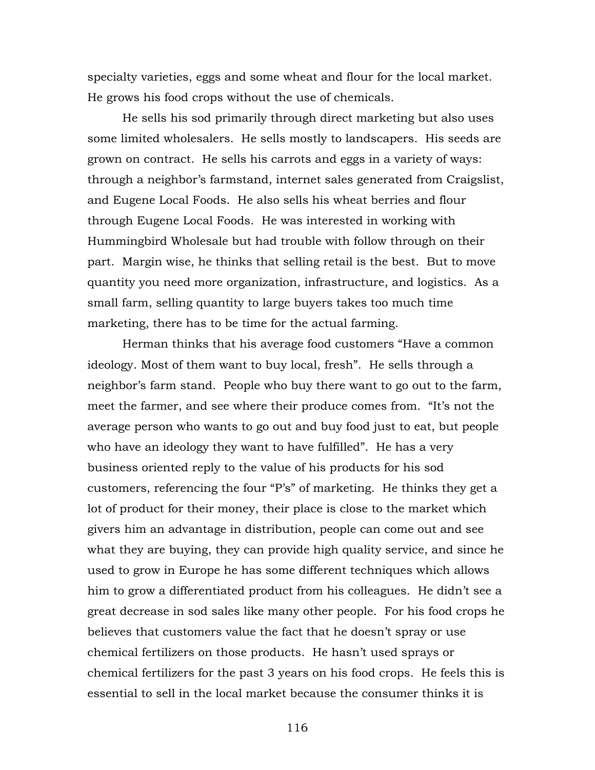specialty varieties, eggs and some wheat and flour for the local market. He grows his food crops without the use of chemicals.

He sells his sod primarily through direct marketing but also uses some limited wholesalers. He sells mostly to landscapers. His seeds are grown on contract. He sells his carrots and eggs in a variety of ways: through a neighbor's farmstand, internet sales generated from Craigslist, and Eugene Local Foods. He also sells his wheat berries and flour through Eugene Local Foods. He was interested in working with Hummingbird Wholesale but had trouble with follow through on their part. Margin wise, he thinks that selling retail is the best. But to move quantity you need more organization, infrastructure, and logistics. As a small farm, selling quantity to large buyers takes too much time marketing, there has to be time for the actual farming.

Herman thinks that his average food customers "Have a common ideology. Most of them want to buy local, fresh". He sells through a neighbor's farm stand. People who buy there want to go out to the farm, meet the farmer, and see where their produce comes from. "It's not the average person who wants to go out and buy food just to eat, but people who have an ideology they want to have fulfilled". He has a very business oriented reply to the value of his products for his sod customers, referencing the four "P's" of marketing. He thinks they get a lot of product for their money, their place is close to the market which givers him an advantage in distribution, people can come out and see what they are buying, they can provide high quality service, and since he used to grow in Europe he has some different techniques which allows him to grow a differentiated product from his colleagues. He didn't see a great decrease in sod sales like many other people. For his food crops he believes that customers value the fact that he doesn't spray or use chemical fertilizers on those products. He hasn't used sprays or chemical fertilizers for the past 3 years on his food crops. He feels this is essential to sell in the local market because the consumer thinks it is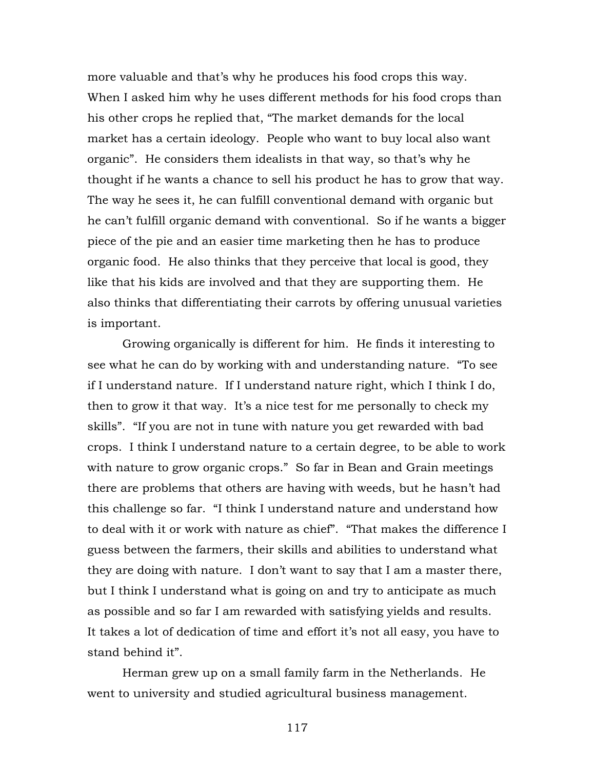more valuable and that's why he produces his food crops this way. When I asked him why he uses different methods for his food crops than his other crops he replied that, "The market demands for the local market has a certain ideology. People who want to buy local also want organic". He considers them idealists in that way, so that's why he thought if he wants a chance to sell his product he has to grow that way. The way he sees it, he can fulfill conventional demand with organic but he can't fulfill organic demand with conventional. So if he wants a bigger piece of the pie and an easier time marketing then he has to produce organic food. He also thinks that they perceive that local is good, they like that his kids are involved and that they are supporting them. He also thinks that differentiating their carrots by offering unusual varieties is important.

Growing organically is different for him. He finds it interesting to see what he can do by working with and understanding nature. "To see if I understand nature. If I understand nature right, which I think I do, then to grow it that way. It's a nice test for me personally to check my skills". "If you are not in tune with nature you get rewarded with bad crops. I think I understand nature to a certain degree, to be able to work with nature to grow organic crops." So far in Bean and Grain meetings there are problems that others are having with weeds, but he hasn't had this challenge so far. "I think I understand nature and understand how to deal with it or work with nature as chief". "That makes the difference I guess between the farmers, their skills and abilities to understand what they are doing with nature. I don't want to say that I am a master there, but I think I understand what is going on and try to anticipate as much as possible and so far I am rewarded with satisfying yields and results. It takes a lot of dedication of time and effort it's not all easy, you have to stand behind it".

Herman grew up on a small family farm in the Netherlands. He went to university and studied agricultural business management.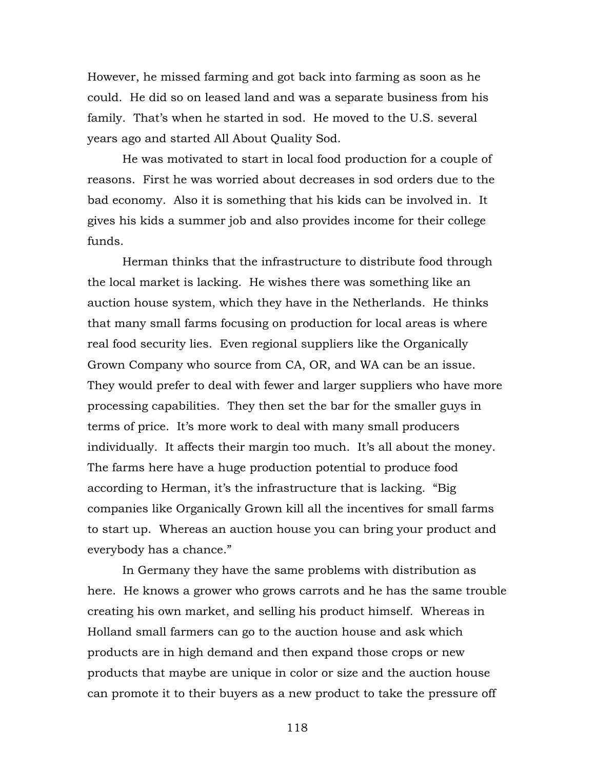However, he missed farming and got back into farming as soon as he could. He did so on leased land and was a separate business from his family. That's when he started in sod. He moved to the U.S. several years ago and started All About Quality Sod.

He was motivated to start in local food production for a couple of reasons. First he was worried about decreases in sod orders due to the bad economy. Also it is something that his kids can be involved in. It gives his kids a summer job and also provides income for their college funds.

Herman thinks that the infrastructure to distribute food through the local market is lacking. He wishes there was something like an auction house system, which they have in the Netherlands. He thinks that many small farms focusing on production for local areas is where real food security lies. Even regional suppliers like the Organically Grown Company who source from CA, OR, and WA can be an issue. They would prefer to deal with fewer and larger suppliers who have more processing capabilities. They then set the bar for the smaller guys in terms of price. It's more work to deal with many small producers individually. It affects their margin too much. It's all about the money. The farms here have a huge production potential to produce food according to Herman, it's the infrastructure that is lacking. "Big companies like Organically Grown kill all the incentives for small farms to start up. Whereas an auction house you can bring your product and everybody has a chance."

In Germany they have the same problems with distribution as here. He knows a grower who grows carrots and he has the same trouble creating his own market, and selling his product himself. Whereas in Holland small farmers can go to the auction house and ask which products are in high demand and then expand those crops or new products that maybe are unique in color or size and the auction house can promote it to their buyers as a new product to take the pressure off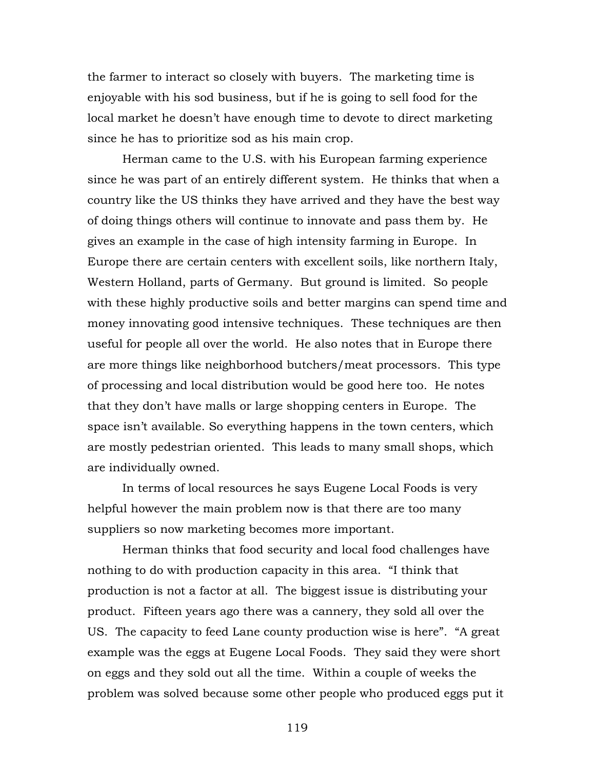the farmer to interact so closely with buyers. The marketing time is enjoyable with his sod business, but if he is going to sell food for the local market he doesn't have enough time to devote to direct marketing since he has to prioritize sod as his main crop.

Herman came to the U.S. with his European farming experience since he was part of an entirely different system. He thinks that when a country like the US thinks they have arrived and they have the best way of doing things others will continue to innovate and pass them by. He gives an example in the case of high intensity farming in Europe. In Europe there are certain centers with excellent soils, like northern Italy, Western Holland, parts of Germany. But ground is limited. So people with these highly productive soils and better margins can spend time and money innovating good intensive techniques. These techniques are then useful for people all over the world. He also notes that in Europe there are more things like neighborhood butchers/meat processors. This type of processing and local distribution would be good here too. He notes that they don't have malls or large shopping centers in Europe. The space isn't available. So everything happens in the town centers, which are mostly pedestrian oriented. This leads to many small shops, which are individually owned.

In terms of local resources he says Eugene Local Foods is very helpful however the main problem now is that there are too many suppliers so now marketing becomes more important.

Herman thinks that food security and local food challenges have nothing to do with production capacity in this area. "I think that production is not a factor at all. The biggest issue is distributing your product. Fifteen years ago there was a cannery, they sold all over the US. The capacity to feed Lane county production wise is here". "A great example was the eggs at Eugene Local Foods. They said they were short on eggs and they sold out all the time. Within a couple of weeks the problem was solved because some other people who produced eggs put it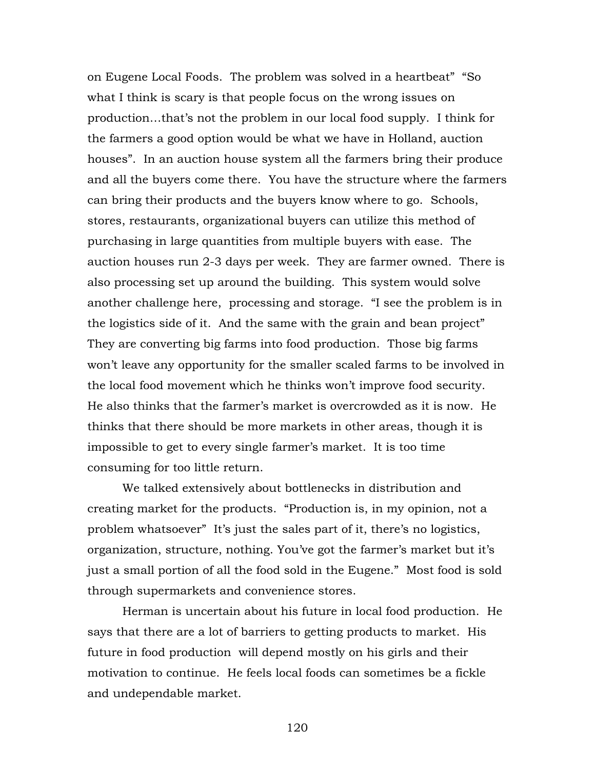on Eugene Local Foods. The problem was solved in a heartbeat" "So what I think is scary is that people focus on the wrong issues on production…that's not the problem in our local food supply. I think for the farmers a good option would be what we have in Holland, auction houses". In an auction house system all the farmers bring their produce and all the buyers come there. You have the structure where the farmers can bring their products and the buyers know where to go. Schools, stores, restaurants, organizational buyers can utilize this method of purchasing in large quantities from multiple buyers with ease. The auction houses run 2-3 days per week. They are farmer owned. There is also processing set up around the building. This system would solve another challenge here, processing and storage. "I see the problem is in the logistics side of it. And the same with the grain and bean project" They are converting big farms into food production. Those big farms won't leave any opportunity for the smaller scaled farms to be involved in the local food movement which he thinks won't improve food security. He also thinks that the farmer's market is overcrowded as it is now. He thinks that there should be more markets in other areas, though it is impossible to get to every single farmer's market. It is too time consuming for too little return.

We talked extensively about bottlenecks in distribution and creating market for the products. "Production is, in my opinion, not a problem whatsoever" It's just the sales part of it, there's no logistics, organization, structure, nothing. You've got the farmer's market but it's just a small portion of all the food sold in the Eugene." Most food is sold through supermarkets and convenience stores.

Herman is uncertain about his future in local food production. He says that there are a lot of barriers to getting products to market. His future in food production will depend mostly on his girls and their motivation to continue. He feels local foods can sometimes be a fickle and undependable market.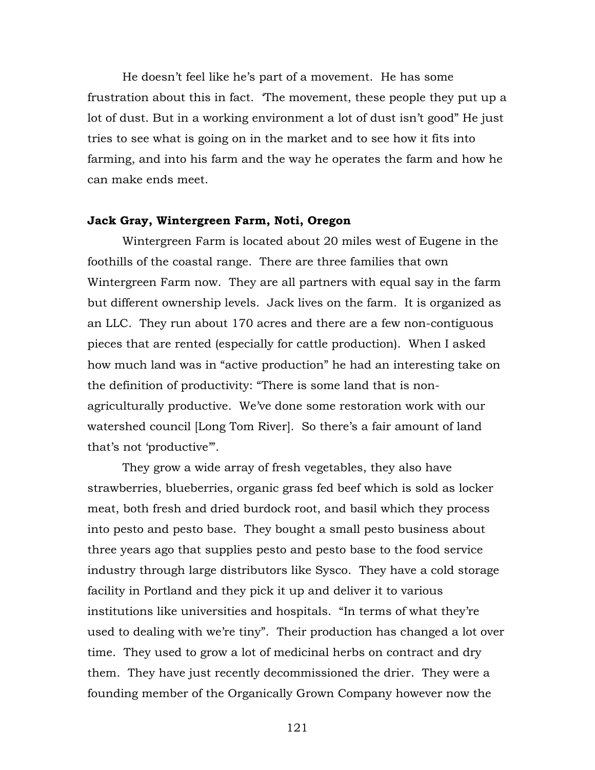He doesn't feel like he's part of a movement. He has some frustration about this in fact. 'The movement, these people they put up a lot of dust. But in a working environment a lot of dust isn't good" He just tries to see what is going on in the market and to see how it fits into farming, and into his farm and the way he operates the farm and how he can make ends meet.

### **Jack Gray, Wintergreen Farm, Noti, Oregon**

Wintergreen Farm is located about 20 miles west of Eugene in the foothills of the coastal range. There are three families that own Wintergreen Farm now. They are all partners with equal say in the farm but different ownership levels. Jack lives on the farm. It is organized as an LLC. They run about 170 acres and there are a few non-contiguous pieces that are rented (especially for cattle production). When I asked how much land was in "active production" he had an interesting take on the definition of productivity: "There is some land that is nonagriculturally productive. We've done some restoration work with our watershed council [Long Tom River]. So there's a fair amount of land that's not 'productive'".

 They grow a wide array of fresh vegetables, they also have strawberries, blueberries, organic grass fed beef which is sold as locker meat, both fresh and dried burdock root, and basil which they process into pesto and pesto base. They bought a small pesto business about three years ago that supplies pesto and pesto base to the food service industry through large distributors like Sysco. They have a cold storage facility in Portland and they pick it up and deliver it to various institutions like universities and hospitals. "In terms of what they're used to dealing with we're tiny". Their production has changed a lot over time. They used to grow a lot of medicinal herbs on contract and dry them. They have just recently decommissioned the drier. They were a founding member of the Organically Grown Company however now the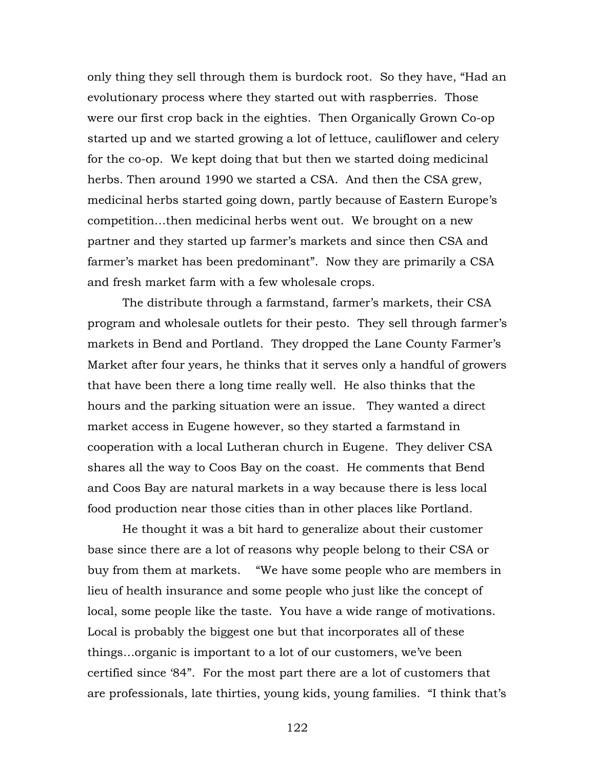only thing they sell through them is burdock root. So they have, "Had an evolutionary process where they started out with raspberries. Those were our first crop back in the eighties. Then Organically Grown Co-op started up and we started growing a lot of lettuce, cauliflower and celery for the co-op. We kept doing that but then we started doing medicinal herbs. Then around 1990 we started a CSA. And then the CSA grew, medicinal herbs started going down, partly because of Eastern Europe's competition…then medicinal herbs went out. We brought on a new partner and they started up farmer's markets and since then CSA and farmer's market has been predominant". Now they are primarily a CSA and fresh market farm with a few wholesale crops.

The distribute through a farmstand, farmer's markets, their CSA program and wholesale outlets for their pesto. They sell through farmer's markets in Bend and Portland. They dropped the Lane County Farmer's Market after four years, he thinks that it serves only a handful of growers that have been there a long time really well. He also thinks that the hours and the parking situation were an issue. They wanted a direct market access in Eugene however, so they started a farmstand in cooperation with a local Lutheran church in Eugene. They deliver CSA shares all the way to Coos Bay on the coast. He comments that Bend and Coos Bay are natural markets in a way because there is less local food production near those cities than in other places like Portland.

He thought it was a bit hard to generalize about their customer base since there are a lot of reasons why people belong to their CSA or buy from them at markets. "We have some people who are members in lieu of health insurance and some people who just like the concept of local, some people like the taste. You have a wide range of motivations. Local is probably the biggest one but that incorporates all of these things…organic is important to a lot of our customers, we've been certified since '84". For the most part there are a lot of customers that are professionals, late thirties, young kids, young families. "I think that's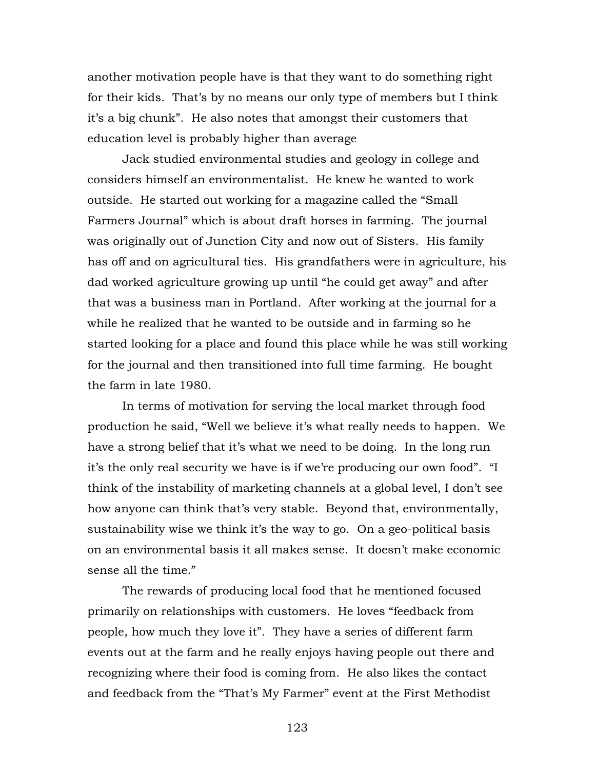another motivation people have is that they want to do something right for their kids. That's by no means our only type of members but I think it's a big chunk". He also notes that amongst their customers that education level is probably higher than average

Jack studied environmental studies and geology in college and considers himself an environmentalist. He knew he wanted to work outside. He started out working for a magazine called the "Small Farmers Journal" which is about draft horses in farming. The journal was originally out of Junction City and now out of Sisters. His family has off and on agricultural ties. His grandfathers were in agriculture, his dad worked agriculture growing up until "he could get away" and after that was a business man in Portland. After working at the journal for a while he realized that he wanted to be outside and in farming so he started looking for a place and found this place while he was still working for the journal and then transitioned into full time farming. He bought the farm in late 1980.

In terms of motivation for serving the local market through food production he said, "Well we believe it's what really needs to happen. We have a strong belief that it's what we need to be doing. In the long run it's the only real security we have is if we're producing our own food". "I think of the instability of marketing channels at a global level, I don't see how anyone can think that's very stable. Beyond that, environmentally, sustainability wise we think it's the way to go. On a geo-political basis on an environmental basis it all makes sense. It doesn't make economic sense all the time."

The rewards of producing local food that he mentioned focused primarily on relationships with customers. He loves "feedback from people, how much they love it". They have a series of different farm events out at the farm and he really enjoys having people out there and recognizing where their food is coming from. He also likes the contact and feedback from the "That's My Farmer" event at the First Methodist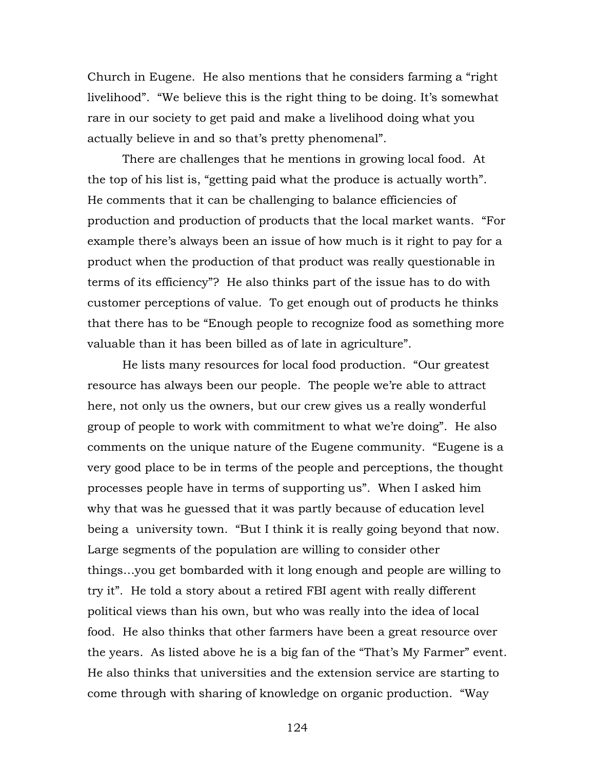Church in Eugene. He also mentions that he considers farming a "right livelihood". "We believe this is the right thing to be doing. It's somewhat rare in our society to get paid and make a livelihood doing what you actually believe in and so that's pretty phenomenal".

There are challenges that he mentions in growing local food. At the top of his list is, "getting paid what the produce is actually worth". He comments that it can be challenging to balance efficiencies of production and production of products that the local market wants. "For example there's always been an issue of how much is it right to pay for a product when the production of that product was really questionable in terms of its efficiency"? He also thinks part of the issue has to do with customer perceptions of value. To get enough out of products he thinks that there has to be "Enough people to recognize food as something more valuable than it has been billed as of late in agriculture".

He lists many resources for local food production. "Our greatest resource has always been our people. The people we're able to attract here, not only us the owners, but our crew gives us a really wonderful group of people to work with commitment to what we're doing". He also comments on the unique nature of the Eugene community. "Eugene is a very good place to be in terms of the people and perceptions, the thought processes people have in terms of supporting us". When I asked him why that was he guessed that it was partly because of education level being a university town. "But I think it is really going beyond that now. Large segments of the population are willing to consider other things…you get bombarded with it long enough and people are willing to try it". He told a story about a retired FBI agent with really different political views than his own, but who was really into the idea of local food. He also thinks that other farmers have been a great resource over the years. As listed above he is a big fan of the "That's My Farmer" event. He also thinks that universities and the extension service are starting to come through with sharing of knowledge on organic production. "Way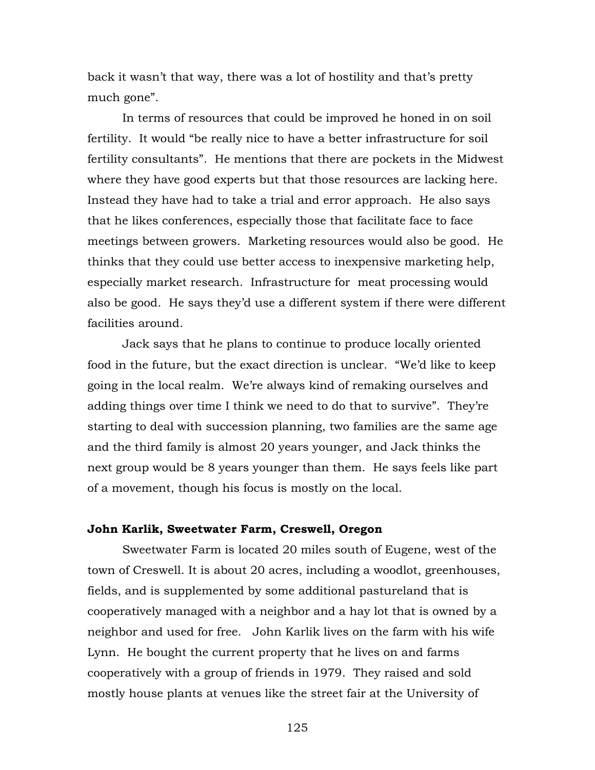back it wasn't that way, there was a lot of hostility and that's pretty much gone".

In terms of resources that could be improved he honed in on soil fertility. It would "be really nice to have a better infrastructure for soil fertility consultants". He mentions that there are pockets in the Midwest where they have good experts but that those resources are lacking here. Instead they have had to take a trial and error approach. He also says that he likes conferences, especially those that facilitate face to face meetings between growers. Marketing resources would also be good. He thinks that they could use better access to inexpensive marketing help, especially market research. Infrastructure for meat processing would also be good. He says they'd use a different system if there were different facilities around.

Jack says that he plans to continue to produce locally oriented food in the future, but the exact direction is unclear. "We'd like to keep going in the local realm. We're always kind of remaking ourselves and adding things over time I think we need to do that to survive". They're starting to deal with succession planning, two families are the same age and the third family is almost 20 years younger, and Jack thinks the next group would be 8 years younger than them. He says feels like part of a movement, though his focus is mostly on the local.

### **John Karlik, Sweetwater Farm, Creswell, Oregon**

Sweetwater Farm is located 20 miles south of Eugene, west of the town of Creswell. It is about 20 acres, including a woodlot, greenhouses, fields, and is supplemented by some additional pastureland that is cooperatively managed with a neighbor and a hay lot that is owned by a neighbor and used for free. John Karlik lives on the farm with his wife Lynn. He bought the current property that he lives on and farms cooperatively with a group of friends in 1979. They raised and sold mostly house plants at venues like the street fair at the University of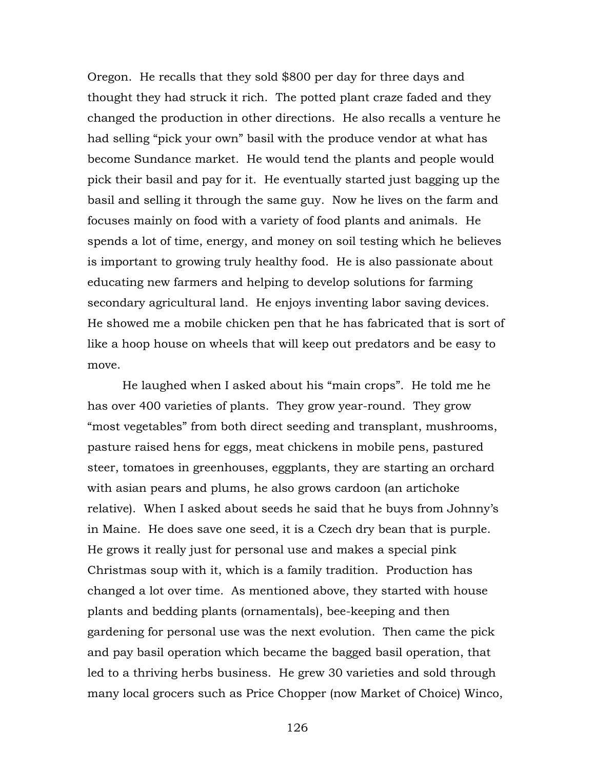Oregon. He recalls that they sold \$800 per day for three days and thought they had struck it rich. The potted plant craze faded and they changed the production in other directions. He also recalls a venture he had selling "pick your own" basil with the produce vendor at what has become Sundance market. He would tend the plants and people would pick their basil and pay for it. He eventually started just bagging up the basil and selling it through the same guy. Now he lives on the farm and focuses mainly on food with a variety of food plants and animals. He spends a lot of time, energy, and money on soil testing which he believes is important to growing truly healthy food. He is also passionate about educating new farmers and helping to develop solutions for farming secondary agricultural land. He enjoys inventing labor saving devices. He showed me a mobile chicken pen that he has fabricated that is sort of like a hoop house on wheels that will keep out predators and be easy to move.

 He laughed when I asked about his "main crops". He told me he has over 400 varieties of plants. They grow year-round. They grow "most vegetables" from both direct seeding and transplant, mushrooms, pasture raised hens for eggs, meat chickens in mobile pens, pastured steer, tomatoes in greenhouses, eggplants, they are starting an orchard with asian pears and plums, he also grows cardoon (an artichoke relative). When I asked about seeds he said that he buys from Johnny's in Maine. He does save one seed, it is a Czech dry bean that is purple. He grows it really just for personal use and makes a special pink Christmas soup with it, which is a family tradition. Production has changed a lot over time. As mentioned above, they started with house plants and bedding plants (ornamentals), bee-keeping and then gardening for personal use was the next evolution. Then came the pick and pay basil operation which became the bagged basil operation, that led to a thriving herbs business. He grew 30 varieties and sold through many local grocers such as Price Chopper (now Market of Choice) Winco,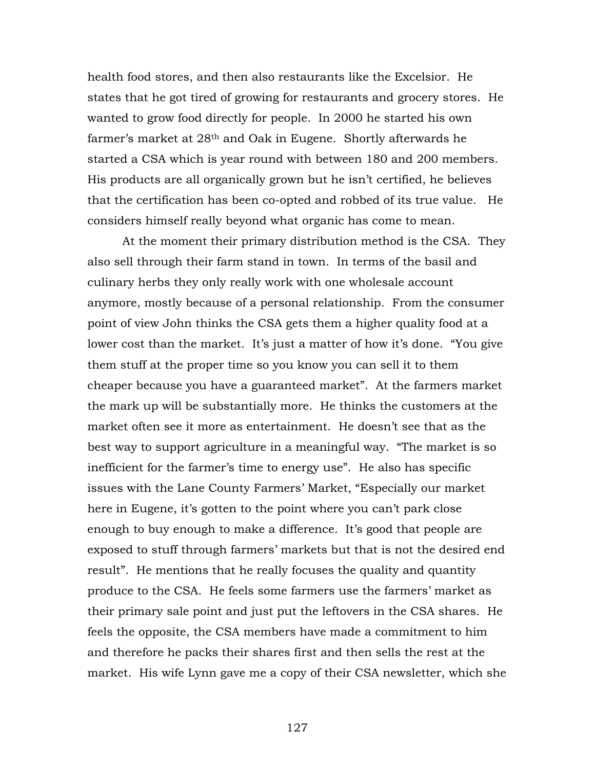health food stores, and then also restaurants like the Excelsior. He states that he got tired of growing for restaurants and grocery stores. He wanted to grow food directly for people. In 2000 he started his own farmer's market at 28th and Oak in Eugene. Shortly afterwards he started a CSA which is year round with between 180 and 200 members. His products are all organically grown but he isn't certified, he believes that the certification has been co-opted and robbed of its true value. He considers himself really beyond what organic has come to mean.

At the moment their primary distribution method is the CSA. They also sell through their farm stand in town. In terms of the basil and culinary herbs they only really work with one wholesale account anymore, mostly because of a personal relationship. From the consumer point of view John thinks the CSA gets them a higher quality food at a lower cost than the market. It's just a matter of how it's done. "You give them stuff at the proper time so you know you can sell it to them cheaper because you have a guaranteed market". At the farmers market the mark up will be substantially more. He thinks the customers at the market often see it more as entertainment. He doesn't see that as the best way to support agriculture in a meaningful way. "The market is so inefficient for the farmer's time to energy use". He also has specific issues with the Lane County Farmers' Market, "Especially our market here in Eugene, it's gotten to the point where you can't park close enough to buy enough to make a difference. It's good that people are exposed to stuff through farmers' markets but that is not the desired end result". He mentions that he really focuses the quality and quantity produce to the CSA. He feels some farmers use the farmers' market as their primary sale point and just put the leftovers in the CSA shares. He feels the opposite, the CSA members have made a commitment to him and therefore he packs their shares first and then sells the rest at the market. His wife Lynn gave me a copy of their CSA newsletter, which she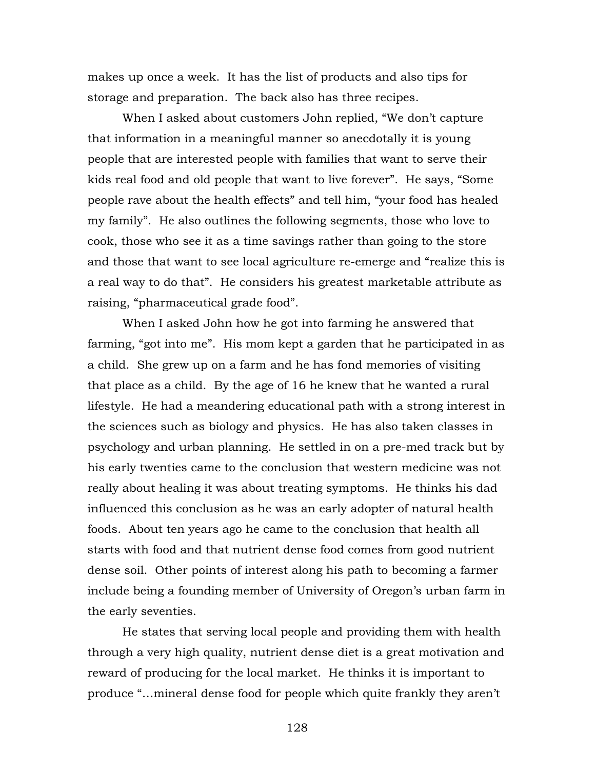makes up once a week. It has the list of products and also tips for storage and preparation. The back also has three recipes.

When I asked about customers John replied, "We don't capture that information in a meaningful manner so anecdotally it is young people that are interested people with families that want to serve their kids real food and old people that want to live forever". He says, "Some people rave about the health effects" and tell him, "your food has healed my family". He also outlines the following segments, those who love to cook, those who see it as a time savings rather than going to the store and those that want to see local agriculture re-emerge and "realize this is a real way to do that". He considers his greatest marketable attribute as raising, "pharmaceutical grade food".

When I asked John how he got into farming he answered that farming, "got into me". His mom kept a garden that he participated in as a child. She grew up on a farm and he has fond memories of visiting that place as a child. By the age of 16 he knew that he wanted a rural lifestyle. He had a meandering educational path with a strong interest in the sciences such as biology and physics. He has also taken classes in psychology and urban planning. He settled in on a pre-med track but by his early twenties came to the conclusion that western medicine was not really about healing it was about treating symptoms. He thinks his dad influenced this conclusion as he was an early adopter of natural health foods. About ten years ago he came to the conclusion that health all starts with food and that nutrient dense food comes from good nutrient dense soil. Other points of interest along his path to becoming a farmer include being a founding member of University of Oregon's urban farm in the early seventies.

He states that serving local people and providing them with health through a very high quality, nutrient dense diet is a great motivation and reward of producing for the local market. He thinks it is important to produce "…mineral dense food for people which quite frankly they aren't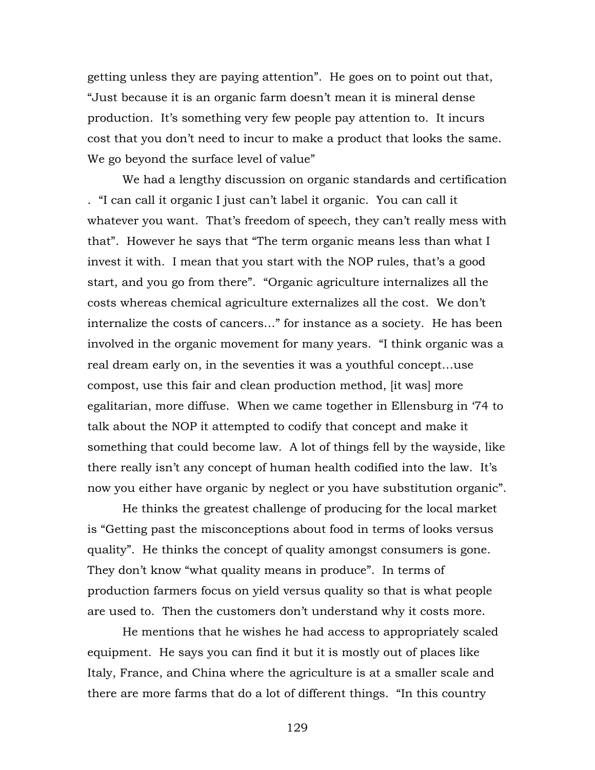getting unless they are paying attention". He goes on to point out that, "Just because it is an organic farm doesn't mean it is mineral dense production. It's something very few people pay attention to. It incurs cost that you don't need to incur to make a product that looks the same. We go beyond the surface level of value"

We had a lengthy discussion on organic standards and certification . "I can call it organic I just can't label it organic. You can call it whatever you want. That's freedom of speech, they can't really mess with that". However he says that "The term organic means less than what I invest it with. I mean that you start with the NOP rules, that's a good start, and you go from there". "Organic agriculture internalizes all the costs whereas chemical agriculture externalizes all the cost. We don't internalize the costs of cancers…" for instance as a society. He has been involved in the organic movement for many years. "I think organic was a real dream early on, in the seventies it was a youthful concept…use compost, use this fair and clean production method, [it was] more egalitarian, more diffuse. When we came together in Ellensburg in '74 to talk about the NOP it attempted to codify that concept and make it something that could become law. A lot of things fell by the wayside, like there really isn't any concept of human health codified into the law. It's now you either have organic by neglect or you have substitution organic".

He thinks the greatest challenge of producing for the local market is "Getting past the misconceptions about food in terms of looks versus quality". He thinks the concept of quality amongst consumers is gone. They don't know "what quality means in produce". In terms of production farmers focus on yield versus quality so that is what people are used to. Then the customers don't understand why it costs more.

He mentions that he wishes he had access to appropriately scaled equipment. He says you can find it but it is mostly out of places like Italy, France, and China where the agriculture is at a smaller scale and there are more farms that do a lot of different things. "In this country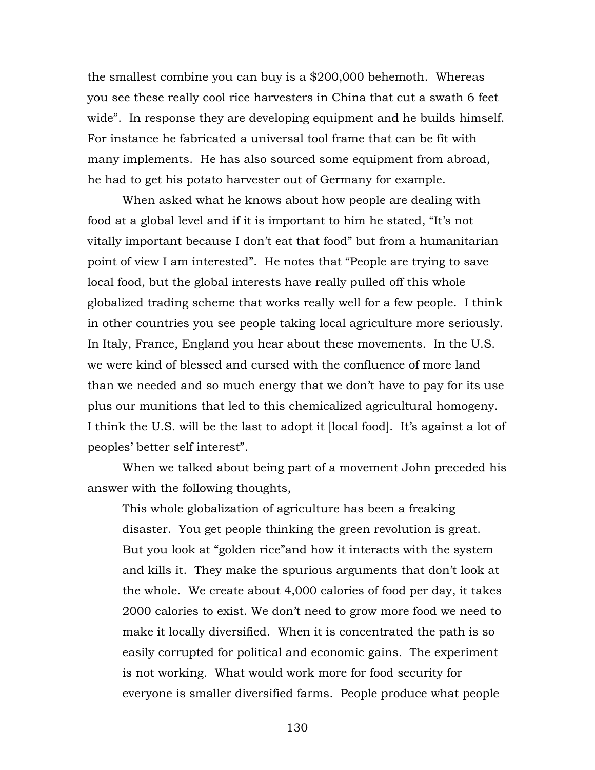the smallest combine you can buy is a \$200,000 behemoth. Whereas you see these really cool rice harvesters in China that cut a swath 6 feet wide". In response they are developing equipment and he builds himself. For instance he fabricated a universal tool frame that can be fit with many implements. He has also sourced some equipment from abroad, he had to get his potato harvester out of Germany for example.

When asked what he knows about how people are dealing with food at a global level and if it is important to him he stated, "It's not vitally important because I don't eat that food" but from a humanitarian point of view I am interested". He notes that "People are trying to save local food, but the global interests have really pulled off this whole globalized trading scheme that works really well for a few people. I think in other countries you see people taking local agriculture more seriously. In Italy, France, England you hear about these movements. In the U.S. we were kind of blessed and cursed with the confluence of more land than we needed and so much energy that we don't have to pay for its use plus our munitions that led to this chemicalized agricultural homogeny. I think the U.S. will be the last to adopt it [local food]. It's against a lot of peoples' better self interest".

When we talked about being part of a movement John preceded his answer with the following thoughts,

This whole globalization of agriculture has been a freaking disaster. You get people thinking the green revolution is great. But you look at "golden rice"and how it interacts with the system and kills it. They make the spurious arguments that don't look at the whole. We create about 4,000 calories of food per day, it takes 2000 calories to exist. We don't need to grow more food we need to make it locally diversified. When it is concentrated the path is so easily corrupted for political and economic gains. The experiment is not working. What would work more for food security for everyone is smaller diversified farms. People produce what people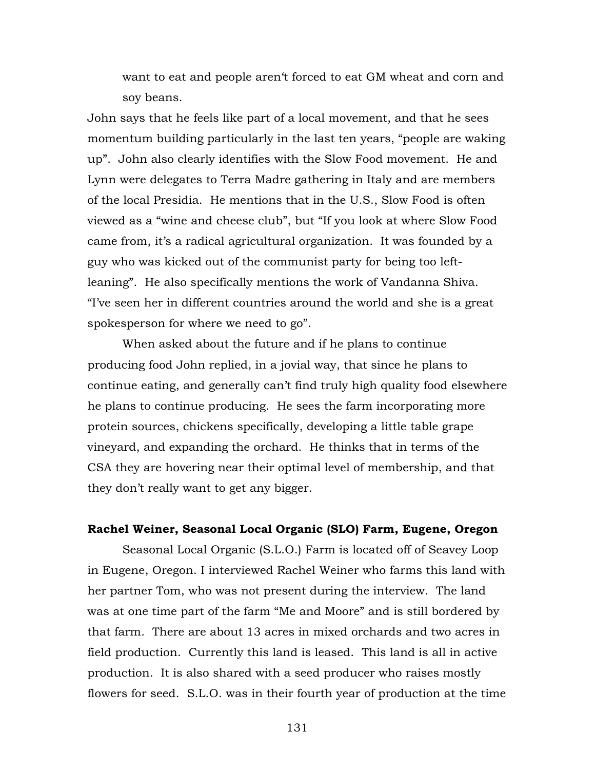want to eat and people aren't forced to eat GM wheat and corn and soy beans.

John says that he feels like part of a local movement, and that he sees momentum building particularly in the last ten years, "people are waking up". John also clearly identifies with the Slow Food movement. He and Lynn were delegates to Terra Madre gathering in Italy and are members of the local Presidia. He mentions that in the U.S., Slow Food is often viewed as a "wine and cheese club", but "If you look at where Slow Food came from, it's a radical agricultural organization. It was founded by a guy who was kicked out of the communist party for being too leftleaning". He also specifically mentions the work of Vandanna Shiva. "I've seen her in different countries around the world and she is a great spokesperson for where we need to go".

When asked about the future and if he plans to continue producing food John replied, in a jovial way, that since he plans to continue eating, and generally can't find truly high quality food elsewhere he plans to continue producing. He sees the farm incorporating more protein sources, chickens specifically, developing a little table grape vineyard, and expanding the orchard. He thinks that in terms of the CSA they are hovering near their optimal level of membership, and that they don't really want to get any bigger.

#### **Rachel Weiner, Seasonal Local Organic (SLO) Farm, Eugene, Oregon**

Seasonal Local Organic (S.L.O.) Farm is located off of Seavey Loop in Eugene, Oregon. I interviewed Rachel Weiner who farms this land with her partner Tom, who was not present during the interview. The land was at one time part of the farm "Me and Moore" and is still bordered by that farm. There are about 13 acres in mixed orchards and two acres in field production. Currently this land is leased. This land is all in active production. It is also shared with a seed producer who raises mostly flowers for seed. S.L.O. was in their fourth year of production at the time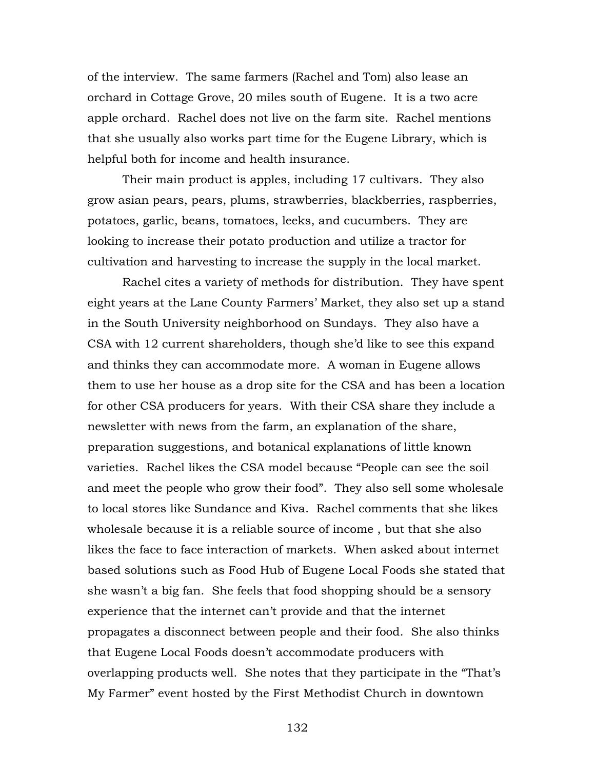of the interview. The same farmers (Rachel and Tom) also lease an orchard in Cottage Grove, 20 miles south of Eugene. It is a two acre apple orchard. Rachel does not live on the farm site. Rachel mentions that she usually also works part time for the Eugene Library, which is helpful both for income and health insurance.

Their main product is apples, including 17 cultivars. They also grow asian pears, pears, plums, strawberries, blackberries, raspberries, potatoes, garlic, beans, tomatoes, leeks, and cucumbers. They are looking to increase their potato production and utilize a tractor for cultivation and harvesting to increase the supply in the local market.

Rachel cites a variety of methods for distribution. They have spent eight years at the Lane County Farmers' Market, they also set up a stand in the South University neighborhood on Sundays. They also have a CSA with 12 current shareholders, though she'd like to see this expand and thinks they can accommodate more. A woman in Eugene allows them to use her house as a drop site for the CSA and has been a location for other CSA producers for years. With their CSA share they include a newsletter with news from the farm, an explanation of the share, preparation suggestions, and botanical explanations of little known varieties. Rachel likes the CSA model because "People can see the soil and meet the people who grow their food". They also sell some wholesale to local stores like Sundance and Kiva. Rachel comments that she likes wholesale because it is a reliable source of income , but that she also likes the face to face interaction of markets. When asked about internet based solutions such as Food Hub of Eugene Local Foods she stated that she wasn't a big fan. She feels that food shopping should be a sensory experience that the internet can't provide and that the internet propagates a disconnect between people and their food. She also thinks that Eugene Local Foods doesn't accommodate producers with overlapping products well. She notes that they participate in the "That's My Farmer" event hosted by the First Methodist Church in downtown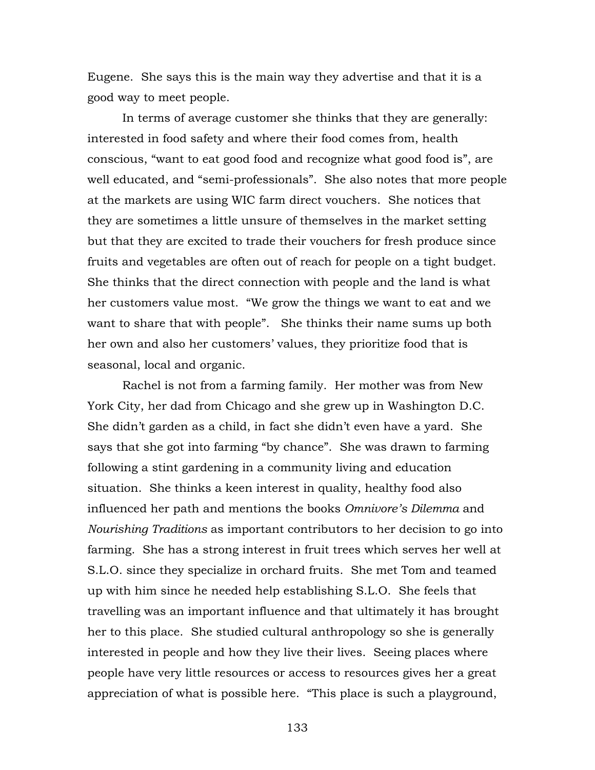Eugene. She says this is the main way they advertise and that it is a good way to meet people.

In terms of average customer she thinks that they are generally: interested in food safety and where their food comes from, health conscious, "want to eat good food and recognize what good food is", are well educated, and "semi-professionals". She also notes that more people at the markets are using WIC farm direct vouchers. She notices that they are sometimes a little unsure of themselves in the market setting but that they are excited to trade their vouchers for fresh produce since fruits and vegetables are often out of reach for people on a tight budget. She thinks that the direct connection with people and the land is what her customers value most. "We grow the things we want to eat and we want to share that with people". She thinks their name sums up both her own and also her customers' values, they prioritize food that is seasonal, local and organic.

Rachel is not from a farming family. Her mother was from New York City, her dad from Chicago and she grew up in Washington D.C. She didn't garden as a child, in fact she didn't even have a yard. She says that she got into farming "by chance". She was drawn to farming following a stint gardening in a community living and education situation. She thinks a keen interest in quality, healthy food also influenced her path and mentions the books *Omnivore's Dilemma* and *Nourishing Traditions* as important contributors to her decision to go into farming. She has a strong interest in fruit trees which serves her well at S.L.O. since they specialize in orchard fruits. She met Tom and teamed up with him since he needed help establishing S.L.O. She feels that travelling was an important influence and that ultimately it has brought her to this place. She studied cultural anthropology so she is generally interested in people and how they live their lives. Seeing places where people have very little resources or access to resources gives her a great appreciation of what is possible here. "This place is such a playground,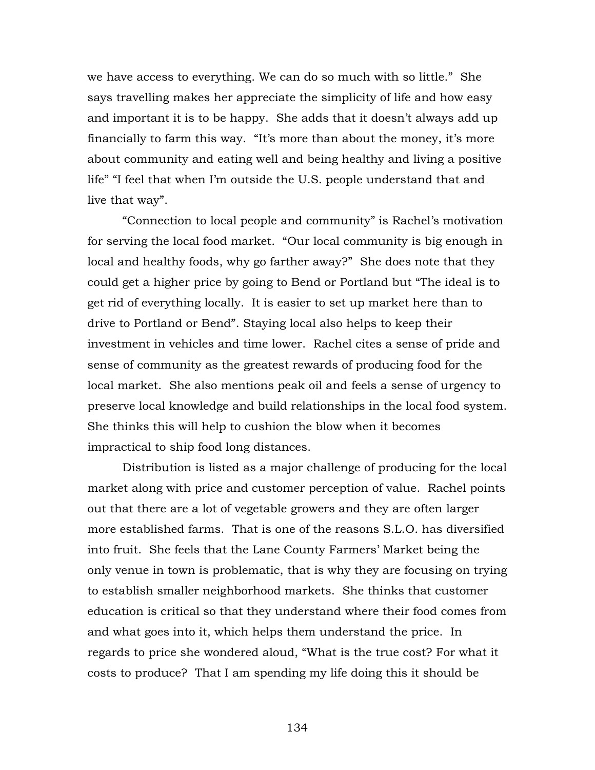we have access to everything. We can do so much with so little." She says travelling makes her appreciate the simplicity of life and how easy and important it is to be happy. She adds that it doesn't always add up financially to farm this way. "It's more than about the money, it's more about community and eating well and being healthy and living a positive life" "I feel that when I'm outside the U.S. people understand that and live that way".

"Connection to local people and community" is Rachel's motivation for serving the local food market. "Our local community is big enough in local and healthy foods, why go farther away?" She does note that they could get a higher price by going to Bend or Portland but "The ideal is to get rid of everything locally. It is easier to set up market here than to drive to Portland or Bend". Staying local also helps to keep their investment in vehicles and time lower. Rachel cites a sense of pride and sense of community as the greatest rewards of producing food for the local market. She also mentions peak oil and feels a sense of urgency to preserve local knowledge and build relationships in the local food system. She thinks this will help to cushion the blow when it becomes impractical to ship food long distances.

Distribution is listed as a major challenge of producing for the local market along with price and customer perception of value. Rachel points out that there are a lot of vegetable growers and they are often larger more established farms. That is one of the reasons S.L.O. has diversified into fruit. She feels that the Lane County Farmers' Market being the only venue in town is problematic, that is why they are focusing on trying to establish smaller neighborhood markets. She thinks that customer education is critical so that they understand where their food comes from and what goes into it, which helps them understand the price. In regards to price she wondered aloud, "What is the true cost? For what it costs to produce? That I am spending my life doing this it should be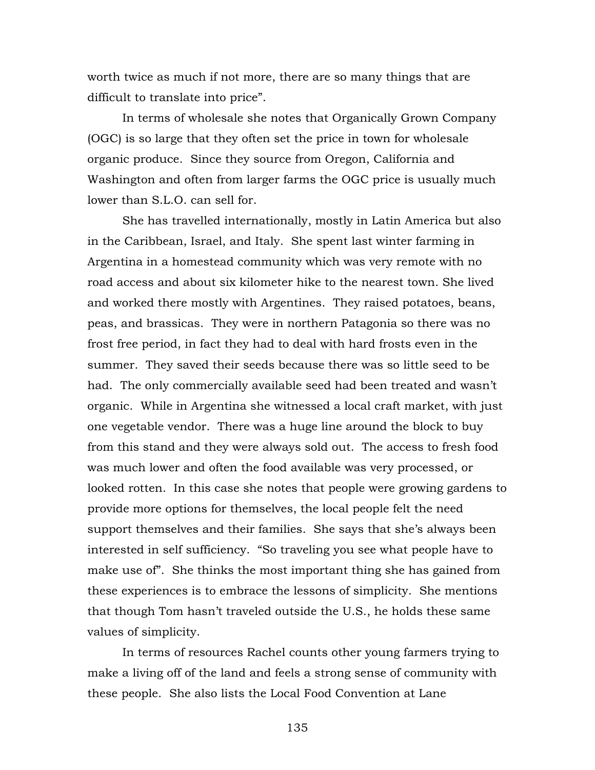worth twice as much if not more, there are so many things that are difficult to translate into price".

In terms of wholesale she notes that Organically Grown Company (OGC) is so large that they often set the price in town for wholesale organic produce. Since they source from Oregon, California and Washington and often from larger farms the OGC price is usually much lower than S.L.O. can sell for.

She has travelled internationally, mostly in Latin America but also in the Caribbean, Israel, and Italy. She spent last winter farming in Argentina in a homestead community which was very remote with no road access and about six kilometer hike to the nearest town. She lived and worked there mostly with Argentines. They raised potatoes, beans, peas, and brassicas. They were in northern Patagonia so there was no frost free period, in fact they had to deal with hard frosts even in the summer. They saved their seeds because there was so little seed to be had. The only commercially available seed had been treated and wasn't organic. While in Argentina she witnessed a local craft market, with just one vegetable vendor. There was a huge line around the block to buy from this stand and they were always sold out. The access to fresh food was much lower and often the food available was very processed, or looked rotten. In this case she notes that people were growing gardens to provide more options for themselves, the local people felt the need support themselves and their families. She says that she's always been interested in self sufficiency. "So traveling you see what people have to make use of". She thinks the most important thing she has gained from these experiences is to embrace the lessons of simplicity. She mentions that though Tom hasn't traveled outside the U.S., he holds these same values of simplicity.

In terms of resources Rachel counts other young farmers trying to make a living off of the land and feels a strong sense of community with these people. She also lists the Local Food Convention at Lane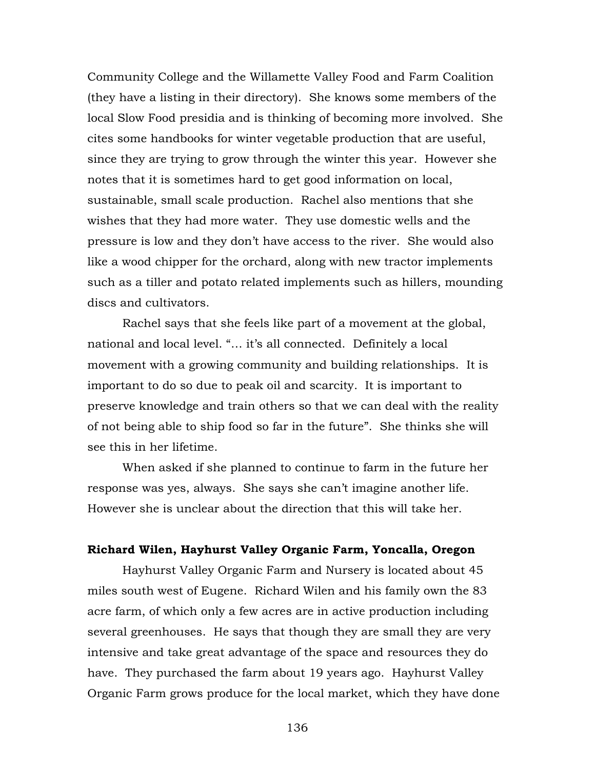Community College and the Willamette Valley Food and Farm Coalition (they have a listing in their directory). She knows some members of the local Slow Food presidia and is thinking of becoming more involved. She cites some handbooks for winter vegetable production that are useful, since they are trying to grow through the winter this year. However she notes that it is sometimes hard to get good information on local, sustainable, small scale production. Rachel also mentions that she wishes that they had more water. They use domestic wells and the pressure is low and they don't have access to the river. She would also like a wood chipper for the orchard, along with new tractor implements such as a tiller and potato related implements such as hillers, mounding discs and cultivators.

Rachel says that she feels like part of a movement at the global, national and local level. "… it's all connected. Definitely a local movement with a growing community and building relationships. It is important to do so due to peak oil and scarcity. It is important to preserve knowledge and train others so that we can deal with the reality of not being able to ship food so far in the future". She thinks she will see this in her lifetime.

When asked if she planned to continue to farm in the future her response was yes, always. She says she can't imagine another life. However she is unclear about the direction that this will take her.

### **Richard Wilen, Hayhurst Valley Organic Farm, Yoncalla, Oregon**

Hayhurst Valley Organic Farm and Nursery is located about 45 miles south west of Eugene. Richard Wilen and his family own the 83 acre farm, of which only a few acres are in active production including several greenhouses. He says that though they are small they are very intensive and take great advantage of the space and resources they do have. They purchased the farm about 19 years ago. Hayhurst Valley Organic Farm grows produce for the local market, which they have done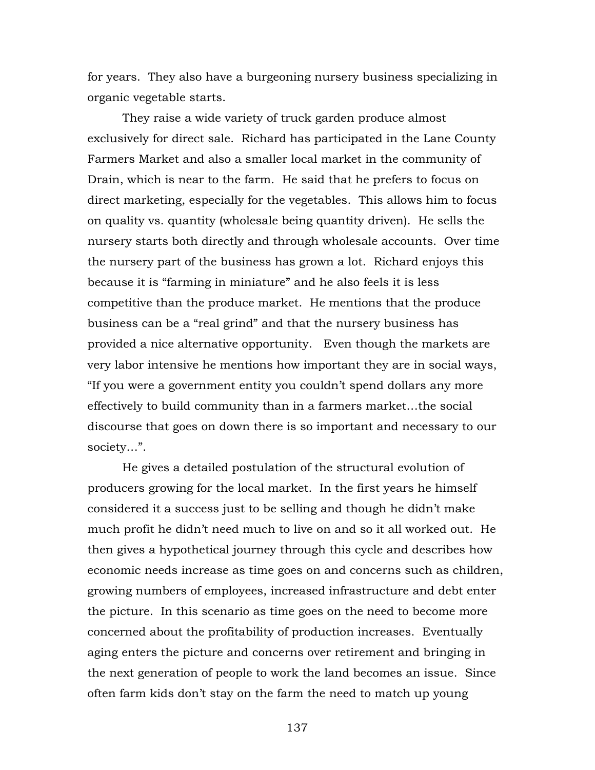for years. They also have a burgeoning nursery business specializing in organic vegetable starts.

They raise a wide variety of truck garden produce almost exclusively for direct sale. Richard has participated in the Lane County Farmers Market and also a smaller local market in the community of Drain, which is near to the farm. He said that he prefers to focus on direct marketing, especially for the vegetables. This allows him to focus on quality vs. quantity (wholesale being quantity driven). He sells the nursery starts both directly and through wholesale accounts. Over time the nursery part of the business has grown a lot. Richard enjoys this because it is "farming in miniature" and he also feels it is less competitive than the produce market. He mentions that the produce business can be a "real grind" and that the nursery business has provided a nice alternative opportunity. Even though the markets are very labor intensive he mentions how important they are in social ways, "If you were a government entity you couldn't spend dollars any more effectively to build community than in a farmers market…the social discourse that goes on down there is so important and necessary to our society…".

He gives a detailed postulation of the structural evolution of producers growing for the local market. In the first years he himself considered it a success just to be selling and though he didn't make much profit he didn't need much to live on and so it all worked out. He then gives a hypothetical journey through this cycle and describes how economic needs increase as time goes on and concerns such as children, growing numbers of employees, increased infrastructure and debt enter the picture. In this scenario as time goes on the need to become more concerned about the profitability of production increases. Eventually aging enters the picture and concerns over retirement and bringing in the next generation of people to work the land becomes an issue. Since often farm kids don't stay on the farm the need to match up young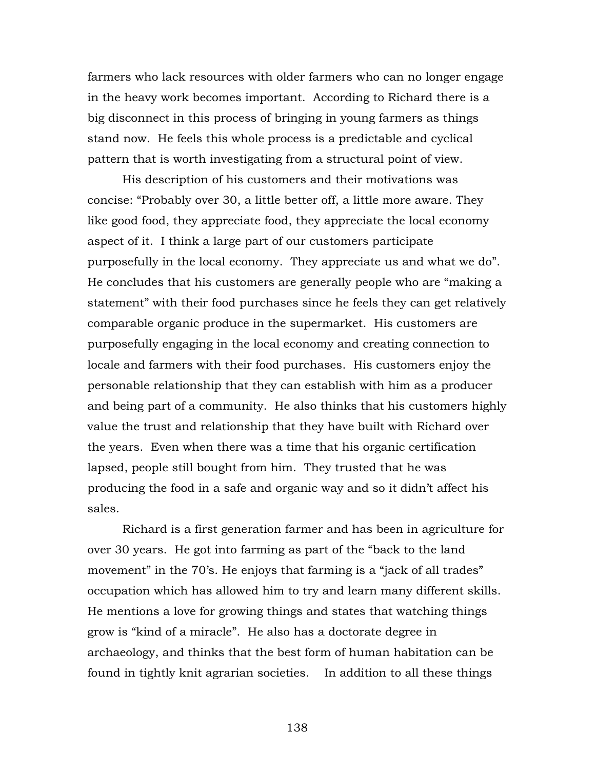farmers who lack resources with older farmers who can no longer engage in the heavy work becomes important. According to Richard there is a big disconnect in this process of bringing in young farmers as things stand now. He feels this whole process is a predictable and cyclical pattern that is worth investigating from a structural point of view.

His description of his customers and their motivations was concise: "Probably over 30, a little better off, a little more aware. They like good food, they appreciate food, they appreciate the local economy aspect of it. I think a large part of our customers participate purposefully in the local economy. They appreciate us and what we do". He concludes that his customers are generally people who are "making a statement" with their food purchases since he feels they can get relatively comparable organic produce in the supermarket. His customers are purposefully engaging in the local economy and creating connection to locale and farmers with their food purchases. His customers enjoy the personable relationship that they can establish with him as a producer and being part of a community. He also thinks that his customers highly value the trust and relationship that they have built with Richard over the years. Even when there was a time that his organic certification lapsed, people still bought from him. They trusted that he was producing the food in a safe and organic way and so it didn't affect his sales.

Richard is a first generation farmer and has been in agriculture for over 30 years. He got into farming as part of the "back to the land movement" in the 70's. He enjoys that farming is a "jack of all trades" occupation which has allowed him to try and learn many different skills. He mentions a love for growing things and states that watching things grow is "kind of a miracle". He also has a doctorate degree in archaeology, and thinks that the best form of human habitation can be found in tightly knit agrarian societies. In addition to all these things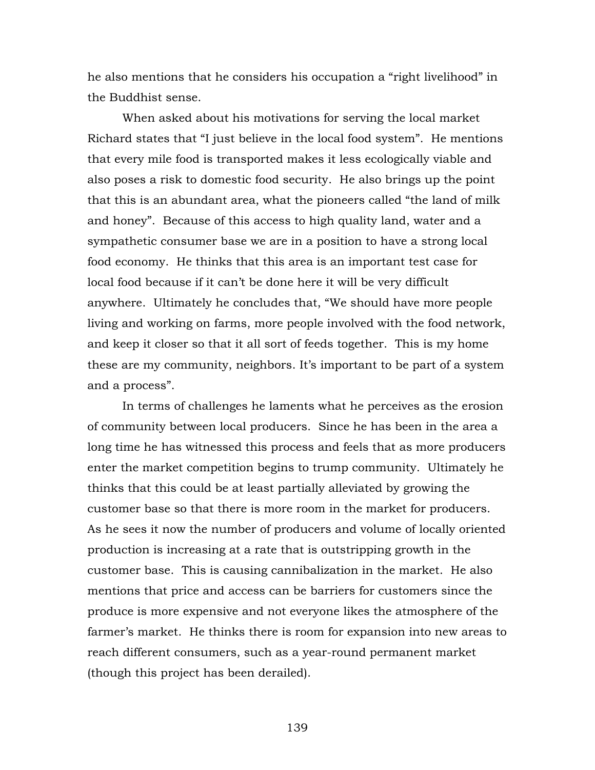he also mentions that he considers his occupation a "right livelihood" in the Buddhist sense.

When asked about his motivations for serving the local market Richard states that "I just believe in the local food system". He mentions that every mile food is transported makes it less ecologically viable and also poses a risk to domestic food security. He also brings up the point that this is an abundant area, what the pioneers called "the land of milk and honey". Because of this access to high quality land, water and a sympathetic consumer base we are in a position to have a strong local food economy. He thinks that this area is an important test case for local food because if it can't be done here it will be very difficult anywhere. Ultimately he concludes that, "We should have more people living and working on farms, more people involved with the food network, and keep it closer so that it all sort of feeds together. This is my home these are my community, neighbors. It's important to be part of a system and a process".

In terms of challenges he laments what he perceives as the erosion of community between local producers. Since he has been in the area a long time he has witnessed this process and feels that as more producers enter the market competition begins to trump community. Ultimately he thinks that this could be at least partially alleviated by growing the customer base so that there is more room in the market for producers. As he sees it now the number of producers and volume of locally oriented production is increasing at a rate that is outstripping growth in the customer base. This is causing cannibalization in the market. He also mentions that price and access can be barriers for customers since the produce is more expensive and not everyone likes the atmosphere of the farmer's market. He thinks there is room for expansion into new areas to reach different consumers, such as a year-round permanent market (though this project has been derailed).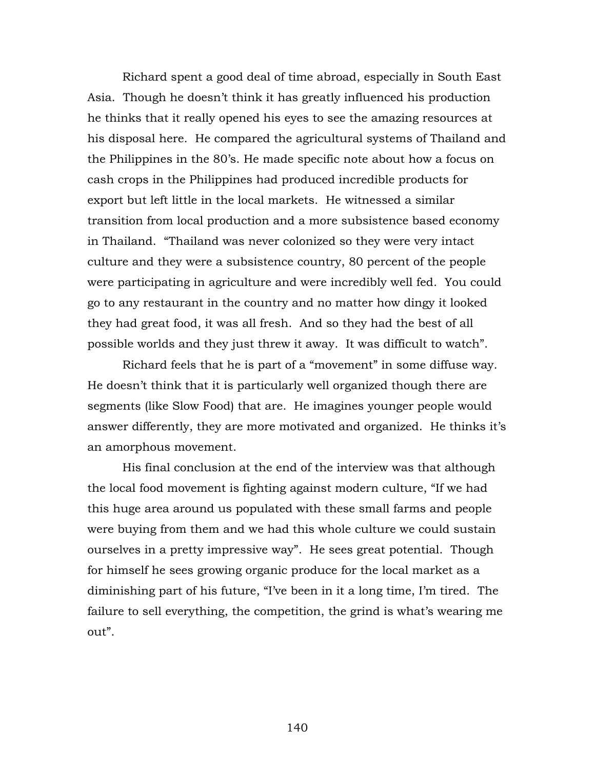Richard spent a good deal of time abroad, especially in South East Asia. Though he doesn't think it has greatly influenced his production he thinks that it really opened his eyes to see the amazing resources at his disposal here. He compared the agricultural systems of Thailand and the Philippines in the 80's. He made specific note about how a focus on cash crops in the Philippines had produced incredible products for export but left little in the local markets. He witnessed a similar transition from local production and a more subsistence based economy in Thailand. "Thailand was never colonized so they were very intact culture and they were a subsistence country, 80 percent of the people were participating in agriculture and were incredibly well fed. You could go to any restaurant in the country and no matter how dingy it looked they had great food, it was all fresh. And so they had the best of all possible worlds and they just threw it away. It was difficult to watch".

Richard feels that he is part of a "movement" in some diffuse way. He doesn't think that it is particularly well organized though there are segments (like Slow Food) that are. He imagines younger people would answer differently, they are more motivated and organized. He thinks it's an amorphous movement.

His final conclusion at the end of the interview was that although the local food movement is fighting against modern culture, "If we had this huge area around us populated with these small farms and people were buying from them and we had this whole culture we could sustain ourselves in a pretty impressive way". He sees great potential. Though for himself he sees growing organic produce for the local market as a diminishing part of his future, "I've been in it a long time, I'm tired. The failure to sell everything, the competition, the grind is what's wearing me out".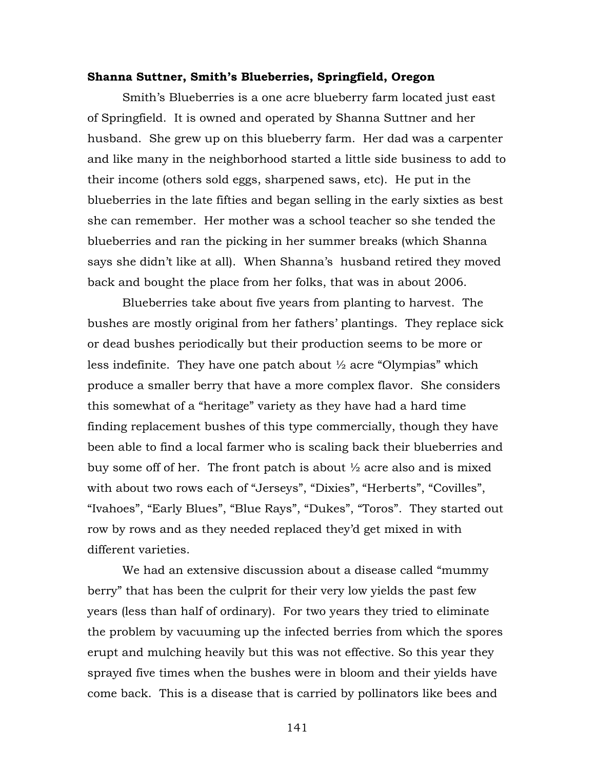### **Shanna Suttner, Smith's Blueberries, Springfield, Oregon**

Smith's Blueberries is a one acre blueberry farm located just east of Springfield. It is owned and operated by Shanna Suttner and her husband. She grew up on this blueberry farm. Her dad was a carpenter and like many in the neighborhood started a little side business to add to their income (others sold eggs, sharpened saws, etc). He put in the blueberries in the late fifties and began selling in the early sixties as best she can remember. Her mother was a school teacher so she tended the blueberries and ran the picking in her summer breaks (which Shanna says she didn't like at all). When Shanna's husband retired they moved back and bought the place from her folks, that was in about 2006.

Blueberries take about five years from planting to harvest. The bushes are mostly original from her fathers' plantings. They replace sick or dead bushes periodically but their production seems to be more or less indefinite. They have one patch about  $\frac{1}{2}$  acre "Olympias" which produce a smaller berry that have a more complex flavor. She considers this somewhat of a "heritage" variety as they have had a hard time finding replacement bushes of this type commercially, though they have been able to find a local farmer who is scaling back their blueberries and buy some off of her. The front patch is about  $\frac{1}{2}$  acre also and is mixed with about two rows each of "Jerseys", "Dixies", "Herberts", "Covilles", "Ivahoes", "Early Blues", "Blue Rays", "Dukes", "Toros". They started out row by rows and as they needed replaced they'd get mixed in with different varieties.

We had an extensive discussion about a disease called "mummy berry" that has been the culprit for their very low yields the past few years (less than half of ordinary). For two years they tried to eliminate the problem by vacuuming up the infected berries from which the spores erupt and mulching heavily but this was not effective. So this year they sprayed five times when the bushes were in bloom and their yields have come back. This is a disease that is carried by pollinators like bees and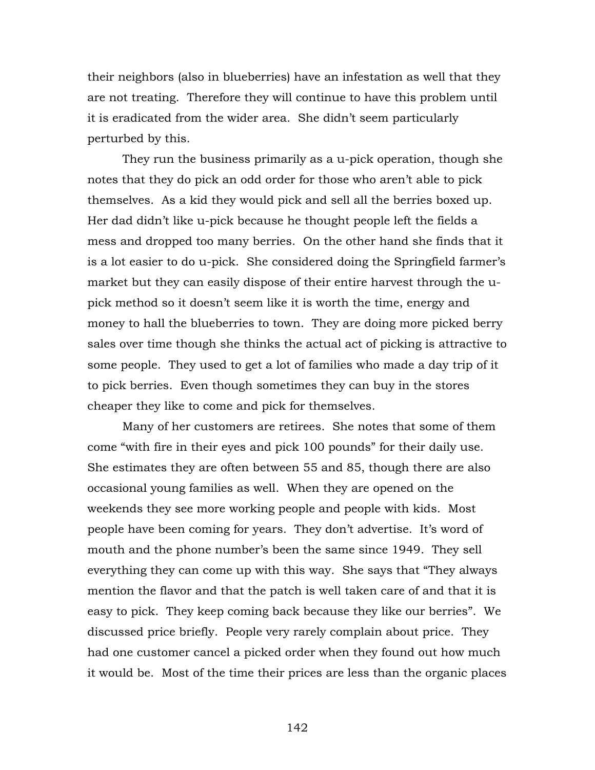their neighbors (also in blueberries) have an infestation as well that they are not treating. Therefore they will continue to have this problem until it is eradicated from the wider area. She didn't seem particularly perturbed by this.

They run the business primarily as a u-pick operation, though she notes that they do pick an odd order for those who aren't able to pick themselves. As a kid they would pick and sell all the berries boxed up. Her dad didn't like u-pick because he thought people left the fields a mess and dropped too many berries. On the other hand she finds that it is a lot easier to do u-pick. She considered doing the Springfield farmer's market but they can easily dispose of their entire harvest through the upick method so it doesn't seem like it is worth the time, energy and money to hall the blueberries to town. They are doing more picked berry sales over time though she thinks the actual act of picking is attractive to some people. They used to get a lot of families who made a day trip of it to pick berries. Even though sometimes they can buy in the stores cheaper they like to come and pick for themselves.

Many of her customers are retirees. She notes that some of them come "with fire in their eyes and pick 100 pounds" for their daily use. She estimates they are often between 55 and 85, though there are also occasional young families as well. When they are opened on the weekends they see more working people and people with kids. Most people have been coming for years. They don't advertise. It's word of mouth and the phone number's been the same since 1949. They sell everything they can come up with this way. She says that "They always mention the flavor and that the patch is well taken care of and that it is easy to pick. They keep coming back because they like our berries". We discussed price briefly. People very rarely complain about price. They had one customer cancel a picked order when they found out how much it would be. Most of the time their prices are less than the organic places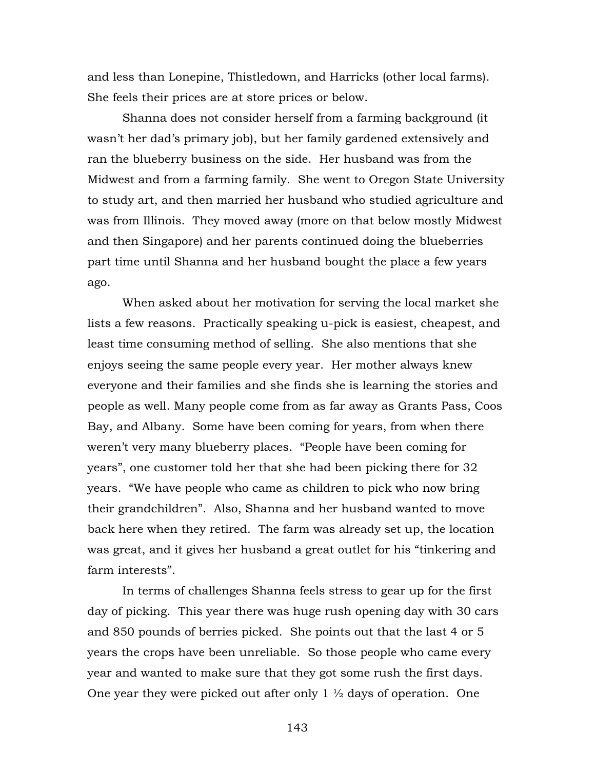and less than Lonepine, Thistledown, and Harricks (other local farms). She feels their prices are at store prices or below.

 Shanna does not consider herself from a farming background (it wasn't her dad's primary job), but her family gardened extensively and ran the blueberry business on the side. Her husband was from the Midwest and from a farming family. She went to Oregon State University to study art, and then married her husband who studied agriculture and was from Illinois. They moved away (more on that below mostly Midwest and then Singapore) and her parents continued doing the blueberries part time until Shanna and her husband bought the place a few years ago.

When asked about her motivation for serving the local market she lists a few reasons. Practically speaking u-pick is easiest, cheapest, and least time consuming method of selling. She also mentions that she enjoys seeing the same people every year. Her mother always knew everyone and their families and she finds she is learning the stories and people as well. Many people come from as far away as Grants Pass, Coos Bay, and Albany. Some have been coming for years, from when there weren't very many blueberry places. "People have been coming for years", one customer told her that she had been picking there for 32 years. "We have people who came as children to pick who now bring their grandchildren". Also, Shanna and her husband wanted to move back here when they retired. The farm was already set up, the location was great, and it gives her husband a great outlet for his "tinkering and farm interests".

In terms of challenges Shanna feels stress to gear up for the first day of picking. This year there was huge rush opening day with 30 cars and 850 pounds of berries picked. She points out that the last 4 or 5 years the crops have been unreliable. So those people who came every year and wanted to make sure that they got some rush the first days. One year they were picked out after only  $1 \frac{1}{2}$  days of operation. One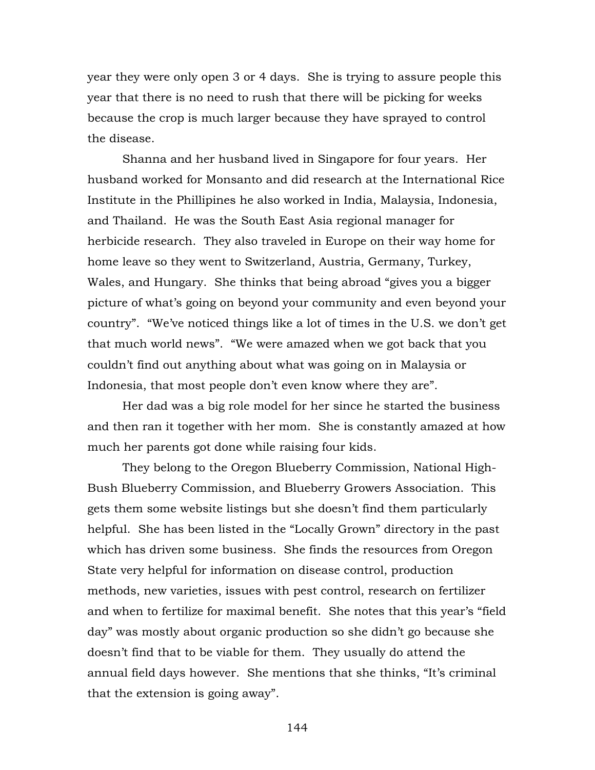year they were only open 3 or 4 days. She is trying to assure people this year that there is no need to rush that there will be picking for weeks because the crop is much larger because they have sprayed to control the disease.

Shanna and her husband lived in Singapore for four years. Her husband worked for Monsanto and did research at the International Rice Institute in the Phillipines he also worked in India, Malaysia, Indonesia, and Thailand. He was the South East Asia regional manager for herbicide research. They also traveled in Europe on their way home for home leave so they went to Switzerland, Austria, Germany, Turkey, Wales, and Hungary. She thinks that being abroad "gives you a bigger picture of what's going on beyond your community and even beyond your country". "We've noticed things like a lot of times in the U.S. we don't get that much world news". "We were amazed when we got back that you couldn't find out anything about what was going on in Malaysia or Indonesia, that most people don't even know where they are".

Her dad was a big role model for her since he started the business and then ran it together with her mom. She is constantly amazed at how much her parents got done while raising four kids.

They belong to the Oregon Blueberry Commission, National High-Bush Blueberry Commission, and Blueberry Growers Association. This gets them some website listings but she doesn't find them particularly helpful. She has been listed in the "Locally Grown" directory in the past which has driven some business. She finds the resources from Oregon State very helpful for information on disease control, production methods, new varieties, issues with pest control, research on fertilizer and when to fertilize for maximal benefit. She notes that this year's "field day" was mostly about organic production so she didn't go because she doesn't find that to be viable for them. They usually do attend the annual field days however. She mentions that she thinks, "It's criminal that the extension is going away".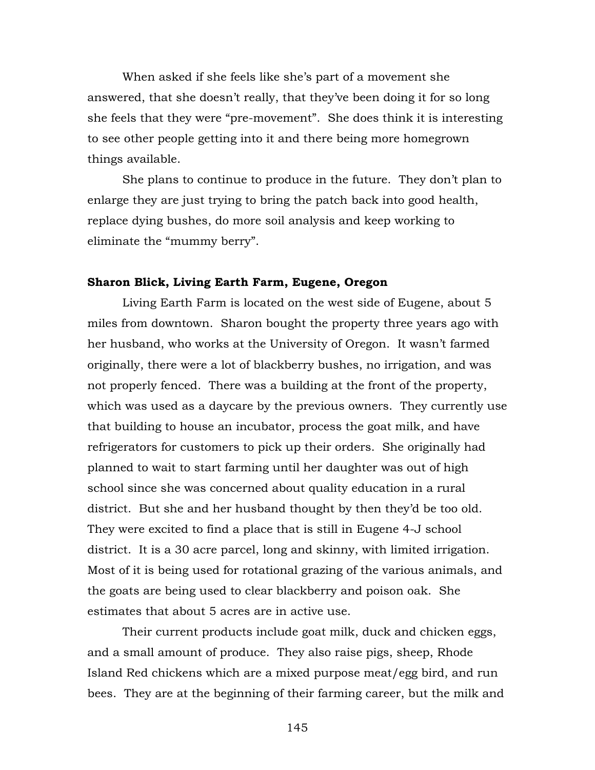When asked if she feels like she's part of a movement she answered, that she doesn't really, that they've been doing it for so long she feels that they were "pre-movement". She does think it is interesting to see other people getting into it and there being more homegrown things available.

She plans to continue to produce in the future. They don't plan to enlarge they are just trying to bring the patch back into good health, replace dying bushes, do more soil analysis and keep working to eliminate the "mummy berry".

## **Sharon Blick, Living Earth Farm, Eugene, Oregon**

Living Earth Farm is located on the west side of Eugene, about 5 miles from downtown. Sharon bought the property three years ago with her husband, who works at the University of Oregon. It wasn't farmed originally, there were a lot of blackberry bushes, no irrigation, and was not properly fenced. There was a building at the front of the property, which was used as a daycare by the previous owners. They currently use that building to house an incubator, process the goat milk, and have refrigerators for customers to pick up their orders. She originally had planned to wait to start farming until her daughter was out of high school since she was concerned about quality education in a rural district. But she and her husband thought by then they'd be too old. They were excited to find a place that is still in Eugene 4-J school district. It is a 30 acre parcel, long and skinny, with limited irrigation. Most of it is being used for rotational grazing of the various animals, and the goats are being used to clear blackberry and poison oak. She estimates that about 5 acres are in active use.

Their current products include goat milk, duck and chicken eggs, and a small amount of produce. They also raise pigs, sheep, Rhode Island Red chickens which are a mixed purpose meat/egg bird, and run bees. They are at the beginning of their farming career, but the milk and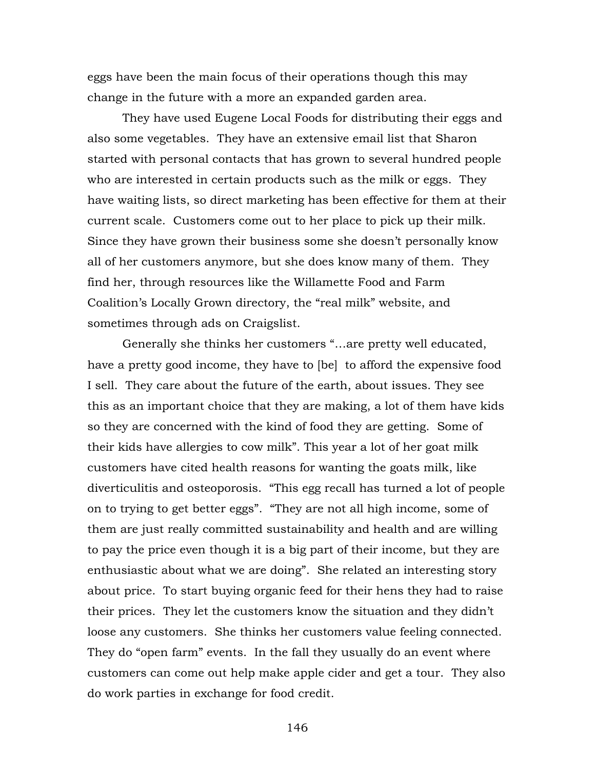eggs have been the main focus of their operations though this may change in the future with a more an expanded garden area.

They have used Eugene Local Foods for distributing their eggs and also some vegetables. They have an extensive email list that Sharon started with personal contacts that has grown to several hundred people who are interested in certain products such as the milk or eggs. They have waiting lists, so direct marketing has been effective for them at their current scale. Customers come out to her place to pick up their milk. Since they have grown their business some she doesn't personally know all of her customers anymore, but she does know many of them. They find her, through resources like the Willamette Food and Farm Coalition's Locally Grown directory, the "real milk" website, and sometimes through ads on Craigslist.

Generally she thinks her customers "…are pretty well educated, have a pretty good income, they have to [be] to afford the expensive food I sell. They care about the future of the earth, about issues. They see this as an important choice that they are making, a lot of them have kids so they are concerned with the kind of food they are getting. Some of their kids have allergies to cow milk". This year a lot of her goat milk customers have cited health reasons for wanting the goats milk, like diverticulitis and osteoporosis. "This egg recall has turned a lot of people on to trying to get better eggs". "They are not all high income, some of them are just really committed sustainability and health and are willing to pay the price even though it is a big part of their income, but they are enthusiastic about what we are doing". She related an interesting story about price. To start buying organic feed for their hens they had to raise their prices. They let the customers know the situation and they didn't loose any customers. She thinks her customers value feeling connected. They do "open farm" events. In the fall they usually do an event where customers can come out help make apple cider and get a tour. They also do work parties in exchange for food credit.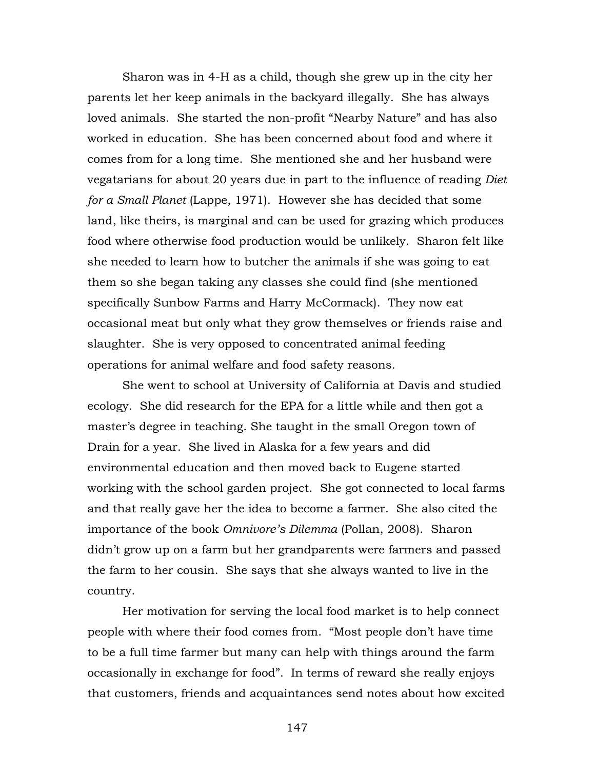Sharon was in 4-H as a child, though she grew up in the city her parents let her keep animals in the backyard illegally. She has always loved animals. She started the non-profit "Nearby Nature" and has also worked in education. She has been concerned about food and where it comes from for a long time. She mentioned she and her husband were vegatarians for about 20 years due in part to the influence of reading *Diet for a Small Planet* (Lappe, 1971). However she has decided that some land, like theirs, is marginal and can be used for grazing which produces food where otherwise food production would be unlikely. Sharon felt like she needed to learn how to butcher the animals if she was going to eat them so she began taking any classes she could find (she mentioned specifically Sunbow Farms and Harry McCormack). They now eat occasional meat but only what they grow themselves or friends raise and slaughter. She is very opposed to concentrated animal feeding operations for animal welfare and food safety reasons.

She went to school at University of California at Davis and studied ecology. She did research for the EPA for a little while and then got a master's degree in teaching. She taught in the small Oregon town of Drain for a year. She lived in Alaska for a few years and did environmental education and then moved back to Eugene started working with the school garden project. She got connected to local farms and that really gave her the idea to become a farmer. She also cited the importance of the book *Omnivore's Dilemma* (Pollan, 2008). Sharon didn't grow up on a farm but her grandparents were farmers and passed the farm to her cousin. She says that she always wanted to live in the country.

Her motivation for serving the local food market is to help connect people with where their food comes from. "Most people don't have time to be a full time farmer but many can help with things around the farm occasionally in exchange for food". In terms of reward she really enjoys that customers, friends and acquaintances send notes about how excited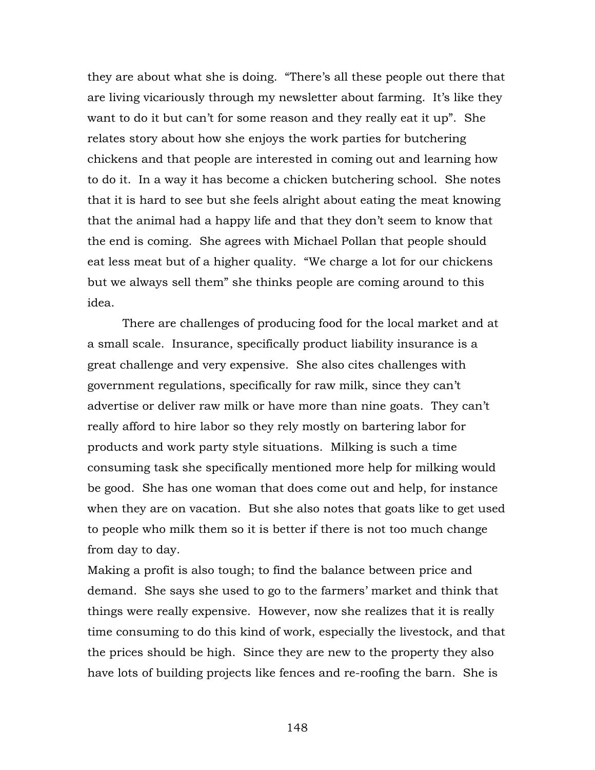they are about what she is doing. "There's all these people out there that are living vicariously through my newsletter about farming. It's like they want to do it but can't for some reason and they really eat it up". She relates story about how she enjoys the work parties for butchering chickens and that people are interested in coming out and learning how to do it. In a way it has become a chicken butchering school. She notes that it is hard to see but she feels alright about eating the meat knowing that the animal had a happy life and that they don't seem to know that the end is coming. She agrees with Michael Pollan that people should eat less meat but of a higher quality. "We charge a lot for our chickens but we always sell them" she thinks people are coming around to this idea.

There are challenges of producing food for the local market and at a small scale. Insurance, specifically product liability insurance is a great challenge and very expensive. She also cites challenges with government regulations, specifically for raw milk, since they can't advertise or deliver raw milk or have more than nine goats. They can't really afford to hire labor so they rely mostly on bartering labor for products and work party style situations. Milking is such a time consuming task she specifically mentioned more help for milking would be good. She has one woman that does come out and help, for instance when they are on vacation. But she also notes that goats like to get used to people who milk them so it is better if there is not too much change from day to day.

Making a profit is also tough; to find the balance between price and demand. She says she used to go to the farmers' market and think that things were really expensive. However, now she realizes that it is really time consuming to do this kind of work, especially the livestock, and that the prices should be high. Since they are new to the property they also have lots of building projects like fences and re-roofing the barn. She is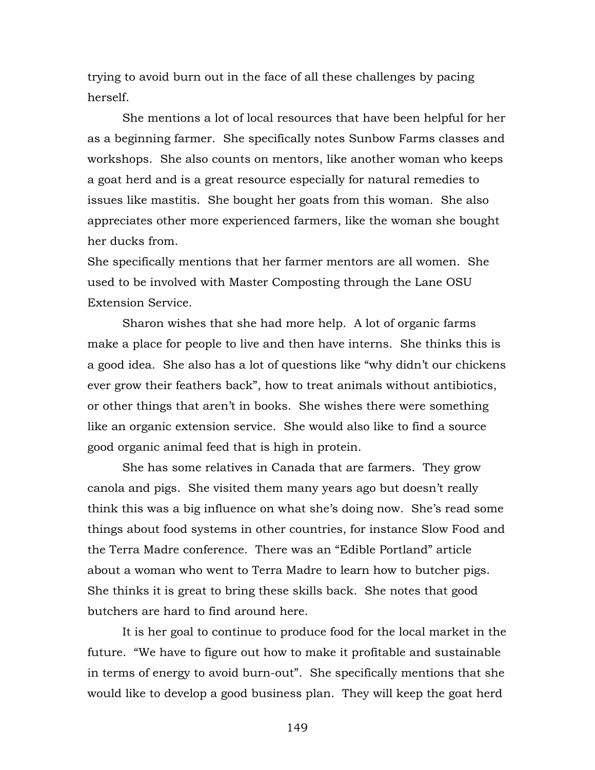trying to avoid burn out in the face of all these challenges by pacing herself.

She mentions a lot of local resources that have been helpful for her as a beginning farmer. She specifically notes Sunbow Farms classes and workshops. She also counts on mentors, like another woman who keeps a goat herd and is a great resource especially for natural remedies to issues like mastitis. She bought her goats from this woman. She also appreciates other more experienced farmers, like the woman she bought her ducks from.

She specifically mentions that her farmer mentors are all women. She used to be involved with Master Composting through the Lane OSU Extension Service.

Sharon wishes that she had more help. A lot of organic farms make a place for people to live and then have interns. She thinks this is a good idea. She also has a lot of questions like "why didn't our chickens ever grow their feathers back", how to treat animals without antibiotics, or other things that aren't in books. She wishes there were something like an organic extension service. She would also like to find a source good organic animal feed that is high in protein.

She has some relatives in Canada that are farmers. They grow canola and pigs. She visited them many years ago but doesn't really think this was a big influence on what she's doing now. She's read some things about food systems in other countries, for instance Slow Food and the Terra Madre conference. There was an "Edible Portland" article about a woman who went to Terra Madre to learn how to butcher pigs. She thinks it is great to bring these skills back. She notes that good butchers are hard to find around here.

It is her goal to continue to produce food for the local market in the future. "We have to figure out how to make it profitable and sustainable in terms of energy to avoid burn-out". She specifically mentions that she would like to develop a good business plan. They will keep the goat herd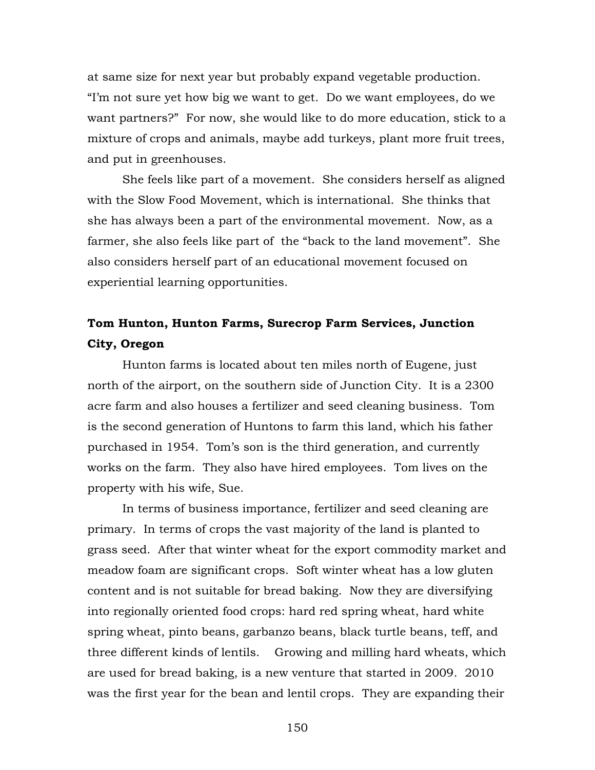at same size for next year but probably expand vegetable production. "I'm not sure yet how big we want to get. Do we want employees, do we want partners?" For now, she would like to do more education, stick to a mixture of crops and animals, maybe add turkeys, plant more fruit trees, and put in greenhouses.

She feels like part of a movement. She considers herself as aligned with the Slow Food Movement, which is international. She thinks that she has always been a part of the environmental movement. Now, as a farmer, she also feels like part of the "back to the land movement". She also considers herself part of an educational movement focused on experiential learning opportunities.

# **Tom Hunton, Hunton Farms, Surecrop Farm Services, Junction City, Oregon**

Hunton farms is located about ten miles north of Eugene, just north of the airport, on the southern side of Junction City. It is a 2300 acre farm and also houses a fertilizer and seed cleaning business. Tom is the second generation of Huntons to farm this land, which his father purchased in 1954. Tom's son is the third generation, and currently works on the farm. They also have hired employees. Tom lives on the property with his wife, Sue.

In terms of business importance, fertilizer and seed cleaning are primary. In terms of crops the vast majority of the land is planted to grass seed. After that winter wheat for the export commodity market and meadow foam are significant crops. Soft winter wheat has a low gluten content and is not suitable for bread baking. Now they are diversifying into regionally oriented food crops: hard red spring wheat, hard white spring wheat, pinto beans, garbanzo beans, black turtle beans, teff, and three different kinds of lentils. Growing and milling hard wheats, which are used for bread baking, is a new venture that started in 2009. 2010 was the first year for the bean and lentil crops. They are expanding their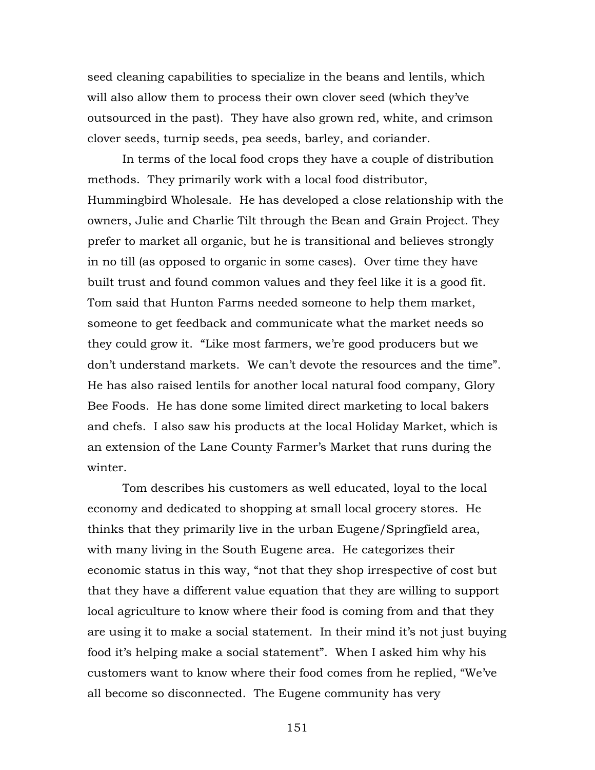seed cleaning capabilities to specialize in the beans and lentils, which will also allow them to process their own clover seed (which they've outsourced in the past). They have also grown red, white, and crimson clover seeds, turnip seeds, pea seeds, barley, and coriander.

In terms of the local food crops they have a couple of distribution methods. They primarily work with a local food distributor, Hummingbird Wholesale. He has developed a close relationship with the owners, Julie and Charlie Tilt through the Bean and Grain Project. They prefer to market all organic, but he is transitional and believes strongly in no till (as opposed to organic in some cases). Over time they have built trust and found common values and they feel like it is a good fit. Tom said that Hunton Farms needed someone to help them market, someone to get feedback and communicate what the market needs so they could grow it. "Like most farmers, we're good producers but we don't understand markets. We can't devote the resources and the time". He has also raised lentils for another local natural food company, Glory Bee Foods. He has done some limited direct marketing to local bakers and chefs. I also saw his products at the local Holiday Market, which is an extension of the Lane County Farmer's Market that runs during the winter.

Tom describes his customers as well educated, loyal to the local economy and dedicated to shopping at small local grocery stores. He thinks that they primarily live in the urban Eugene/Springfield area, with many living in the South Eugene area. He categorizes their economic status in this way, "not that they shop irrespective of cost but that they have a different value equation that they are willing to support local agriculture to know where their food is coming from and that they are using it to make a social statement. In their mind it's not just buying food it's helping make a social statement". When I asked him why his customers want to know where their food comes from he replied, "We've all become so disconnected. The Eugene community has very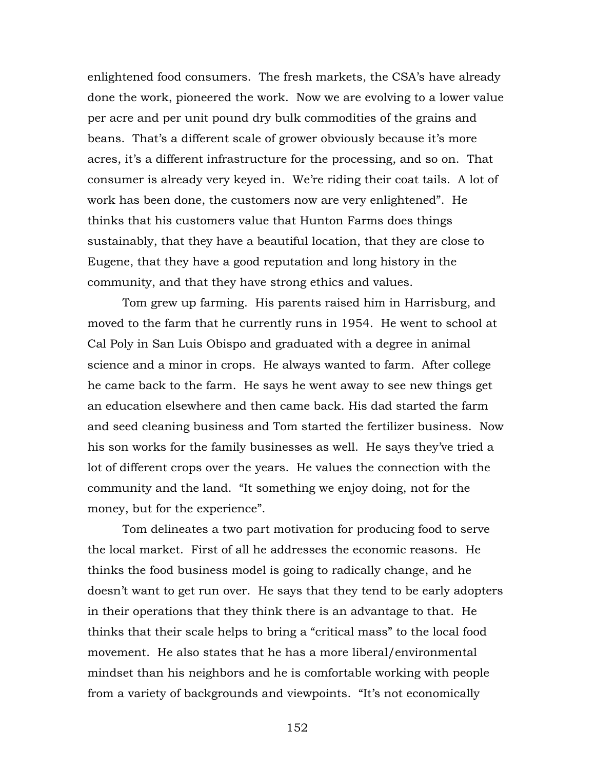enlightened food consumers. The fresh markets, the CSA's have already done the work, pioneered the work. Now we are evolving to a lower value per acre and per unit pound dry bulk commodities of the grains and beans. That's a different scale of grower obviously because it's more acres, it's a different infrastructure for the processing, and so on. That consumer is already very keyed in. We're riding their coat tails. A lot of work has been done, the customers now are very enlightened". He thinks that his customers value that Hunton Farms does things sustainably, that they have a beautiful location, that they are close to Eugene, that they have a good reputation and long history in the community, and that they have strong ethics and values.

Tom grew up farming. His parents raised him in Harrisburg, and moved to the farm that he currently runs in 1954. He went to school at Cal Poly in San Luis Obispo and graduated with a degree in animal science and a minor in crops. He always wanted to farm. After college he came back to the farm. He says he went away to see new things get an education elsewhere and then came back. His dad started the farm and seed cleaning business and Tom started the fertilizer business. Now his son works for the family businesses as well. He says they've tried a lot of different crops over the years. He values the connection with the community and the land. "It something we enjoy doing, not for the money, but for the experience".

Tom delineates a two part motivation for producing food to serve the local market. First of all he addresses the economic reasons. He thinks the food business model is going to radically change, and he doesn't want to get run over. He says that they tend to be early adopters in their operations that they think there is an advantage to that. He thinks that their scale helps to bring a "critical mass" to the local food movement. He also states that he has a more liberal/environmental mindset than his neighbors and he is comfortable working with people from a variety of backgrounds and viewpoints. "It's not economically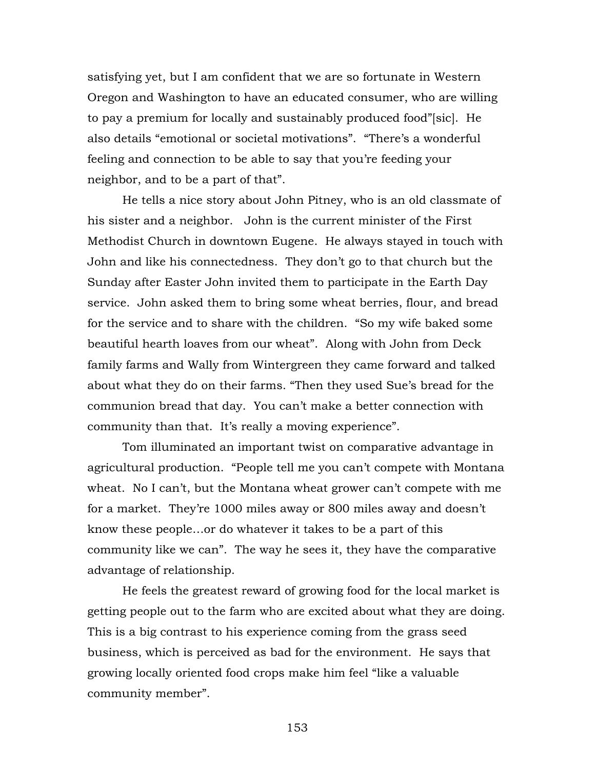satisfying yet, but I am confident that we are so fortunate in Western Oregon and Washington to have an educated consumer, who are willing to pay a premium for locally and sustainably produced food"[sic]. He also details "emotional or societal motivations". "There's a wonderful feeling and connection to be able to say that you're feeding your neighbor, and to be a part of that".

He tells a nice story about John Pitney, who is an old classmate of his sister and a neighbor. John is the current minister of the First Methodist Church in downtown Eugene. He always stayed in touch with John and like his connectedness. They don't go to that church but the Sunday after Easter John invited them to participate in the Earth Day service. John asked them to bring some wheat berries, flour, and bread for the service and to share with the children. "So my wife baked some beautiful hearth loaves from our wheat". Along with John from Deck family farms and Wally from Wintergreen they came forward and talked about what they do on their farms. "Then they used Sue's bread for the communion bread that day. You can't make a better connection with community than that. It's really a moving experience".

Tom illuminated an important twist on comparative advantage in agricultural production. "People tell me you can't compete with Montana wheat. No I can't, but the Montana wheat grower can't compete with me for a market. They're 1000 miles away or 800 miles away and doesn't know these people…or do whatever it takes to be a part of this community like we can". The way he sees it, they have the comparative advantage of relationship.

He feels the greatest reward of growing food for the local market is getting people out to the farm who are excited about what they are doing. This is a big contrast to his experience coming from the grass seed business, which is perceived as bad for the environment. He says that growing locally oriented food crops make him feel "like a valuable community member".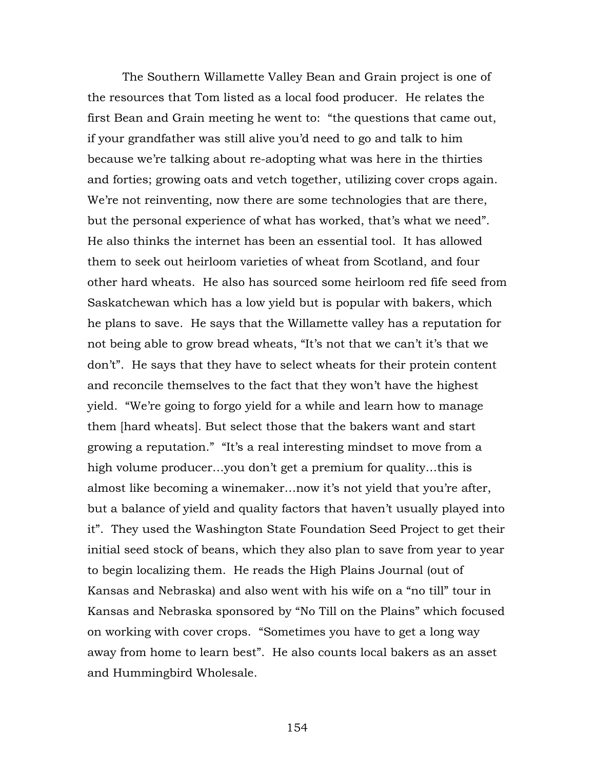The Southern Willamette Valley Bean and Grain project is one of the resources that Tom listed as a local food producer. He relates the first Bean and Grain meeting he went to: "the questions that came out, if your grandfather was still alive you'd need to go and talk to him because we're talking about re-adopting what was here in the thirties and forties; growing oats and vetch together, utilizing cover crops again. We're not reinventing, now there are some technologies that are there, but the personal experience of what has worked, that's what we need". He also thinks the internet has been an essential tool. It has allowed them to seek out heirloom varieties of wheat from Scotland, and four other hard wheats. He also has sourced some heirloom red fife seed from Saskatchewan which has a low yield but is popular with bakers, which he plans to save. He says that the Willamette valley has a reputation for not being able to grow bread wheats, "It's not that we can't it's that we don't". He says that they have to select wheats for their protein content and reconcile themselves to the fact that they won't have the highest yield. "We're going to forgo yield for a while and learn how to manage them [hard wheats]. But select those that the bakers want and start growing a reputation." "It's a real interesting mindset to move from a high volume producer…you don't get a premium for quality…this is almost like becoming a winemaker…now it's not yield that you're after, but a balance of yield and quality factors that haven't usually played into it". They used the Washington State Foundation Seed Project to get their initial seed stock of beans, which they also plan to save from year to year to begin localizing them. He reads the High Plains Journal (out of Kansas and Nebraska) and also went with his wife on a "no till" tour in Kansas and Nebraska sponsored by "No Till on the Plains" which focused on working with cover crops. "Sometimes you have to get a long way away from home to learn best". He also counts local bakers as an asset and Hummingbird Wholesale.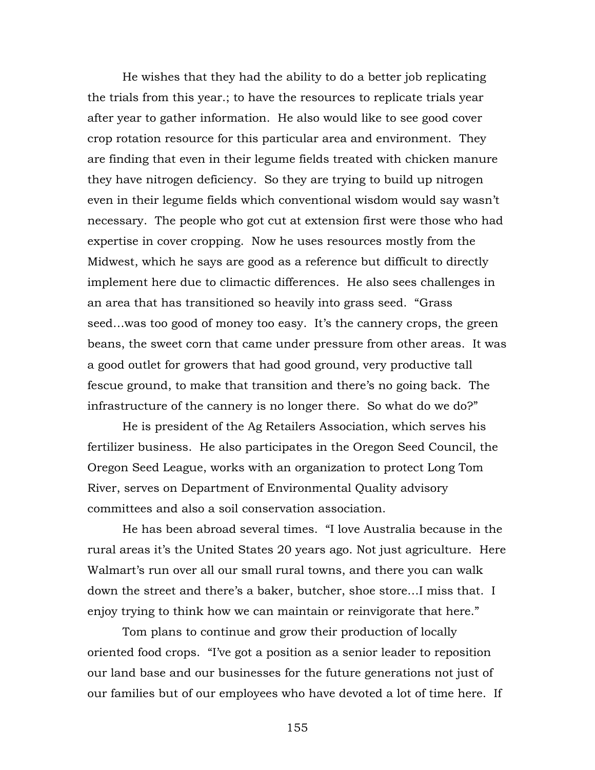He wishes that they had the ability to do a better job replicating the trials from this year.; to have the resources to replicate trials year after year to gather information. He also would like to see good cover crop rotation resource for this particular area and environment. They are finding that even in their legume fields treated with chicken manure they have nitrogen deficiency. So they are trying to build up nitrogen even in their legume fields which conventional wisdom would say wasn't necessary. The people who got cut at extension first were those who had expertise in cover cropping. Now he uses resources mostly from the Midwest, which he says are good as a reference but difficult to directly implement here due to climactic differences. He also sees challenges in an area that has transitioned so heavily into grass seed. "Grass seed…was too good of money too easy. It's the cannery crops, the green beans, the sweet corn that came under pressure from other areas. It was a good outlet for growers that had good ground, very productive tall fescue ground, to make that transition and there's no going back. The infrastructure of the cannery is no longer there. So what do we do?"

He is president of the Ag Retailers Association, which serves his fertilizer business. He also participates in the Oregon Seed Council, the Oregon Seed League, works with an organization to protect Long Tom River, serves on Department of Environmental Quality advisory committees and also a soil conservation association.

He has been abroad several times. "I love Australia because in the rural areas it's the United States 20 years ago. Not just agriculture. Here Walmart's run over all our small rural towns, and there you can walk down the street and there's a baker, butcher, shoe store…I miss that. I enjoy trying to think how we can maintain or reinvigorate that here."

Tom plans to continue and grow their production of locally oriented food crops. "I've got a position as a senior leader to reposition our land base and our businesses for the future generations not just of our families but of our employees who have devoted a lot of time here. If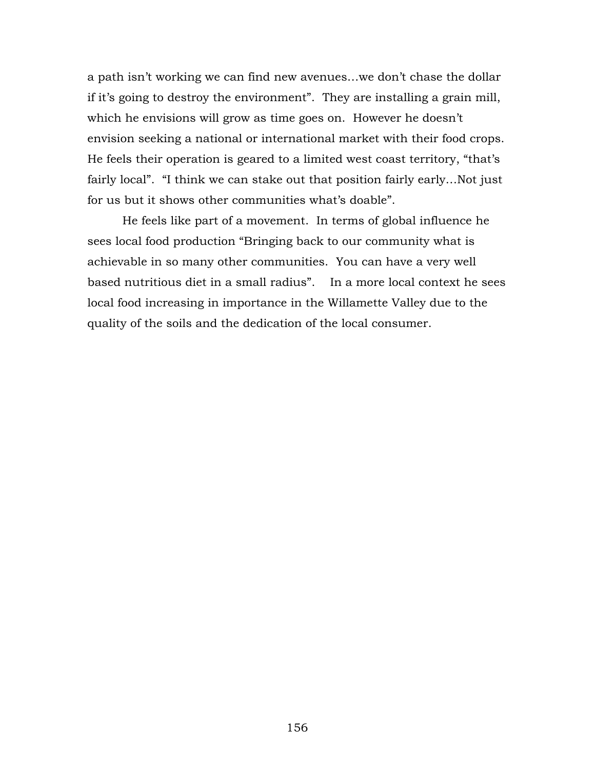a path isn't working we can find new avenues…we don't chase the dollar if it's going to destroy the environment". They are installing a grain mill, which he envisions will grow as time goes on. However he doesn't envision seeking a national or international market with their food crops. He feels their operation is geared to a limited west coast territory, "that's fairly local". "I think we can stake out that position fairly early…Not just for us but it shows other communities what's doable".

 He feels like part of a movement. In terms of global influence he sees local food production "Bringing back to our community what is achievable in so many other communities. You can have a very well based nutritious diet in a small radius". In a more local context he sees local food increasing in importance in the Willamette Valley due to the quality of the soils and the dedication of the local consumer.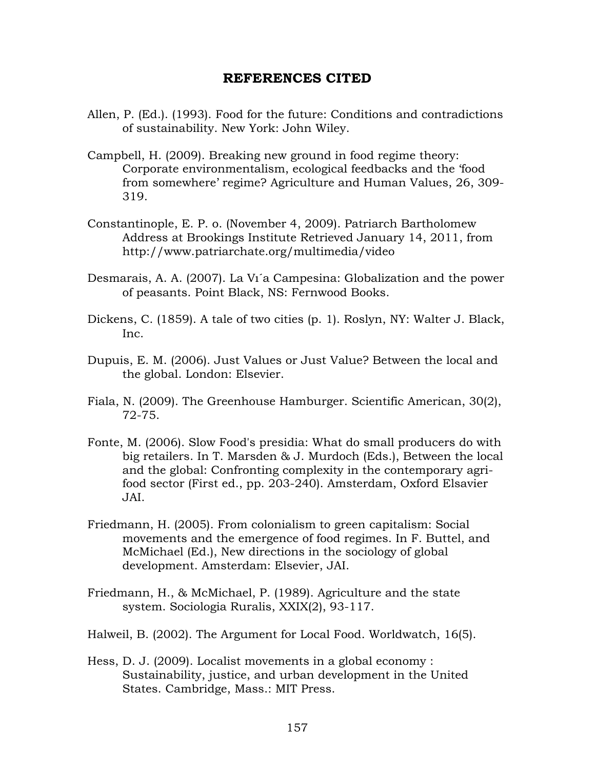## **REFERENCES CITED**

- Allen, P. (Ed.). (1993). Food for the future: Conditions and contradictions of sustainability. New York: John Wiley.
- Campbell, H. (2009). Breaking new ground in food regime theory: Corporate environmentalism, ecological feedbacks and the 'food from somewhere' regime? Agriculture and Human Values, 26, 309- 319.
- Constantinople, E. P. o. (November 4, 2009). Patriarch Bartholomew Address at Brookings Institute Retrieved January 14, 2011, from http://www.patriarchate.org/multimedia/video
- Desmarais, A. A. (2007). La Vı´a Campesina: Globalization and the power of peasants. Point Black, NS: Fernwood Books.
- Dickens, C. (1859). A tale of two cities (p. 1). Roslyn, NY: Walter J. Black, Inc.
- Dupuis, E. M. (2006). Just Values or Just Value? Between the local and the global. London: Elsevier.
- Fiala, N. (2009). The Greenhouse Hamburger. Scientific American, 30(2), 72-75.
- Fonte, M. (2006). Slow Food's presidia: What do small producers do with big retailers. In T. Marsden & J. Murdoch (Eds.), Between the local and the global: Confronting complexity in the contemporary agrifood sector (First ed., pp. 203-240). Amsterdam, Oxford Elsavier JAI.
- Friedmann, H. (2005). From colonialism to green capitalism: Social movements and the emergence of food regimes. In F. Buttel, and McMichael (Ed.), New directions in the sociology of global development. Amsterdam: Elsevier, JAI.
- Friedmann, H., & McMichael, P. (1989). Agriculture and the state system. Sociologia Ruralis, XXIX(2), 93-117.
- Halweil, B. (2002). The Argument for Local Food. Worldwatch, 16(5).
- Hess, D. J. (2009). Localist movements in a global economy : Sustainability, justice, and urban development in the United States. Cambridge, Mass.: MIT Press.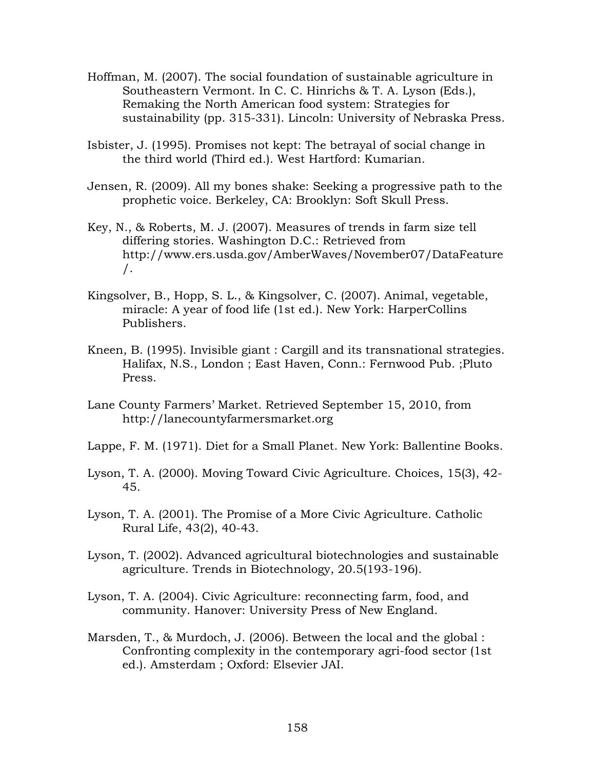- Hoffman, M. (2007). The social foundation of sustainable agriculture in Southeastern Vermont. In C. C. Hinrichs & T. A. Lyson (Eds.), Remaking the North American food system: Strategies for sustainability (pp. 315-331). Lincoln: University of Nebraska Press.
- Isbister, J. (1995). Promises not kept: The betrayal of social change in the third world (Third ed.). West Hartford: Kumarian.
- Jensen, R. (2009). All my bones shake: Seeking a progressive path to the prophetic voice. Berkeley, CA: Brooklyn: Soft Skull Press.
- Key, N., & Roberts, M. J. (2007). Measures of trends in farm size tell differing stories. Washington D.C.: Retrieved from http://www.ers.usda.gov/AmberWaves/November07/DataFeature /.
- Kingsolver, B., Hopp, S. L., & Kingsolver, C. (2007). Animal, vegetable, miracle: A year of food life (1st ed.). New York: HarperCollins Publishers.
- Kneen, B. (1995). Invisible giant : Cargill and its transnational strategies. Halifax, N.S., London ; East Haven, Conn.: Fernwood Pub. ;Pluto Press.
- Lane County Farmers' Market. Retrieved September 15, 2010, from http://lanecountyfarmersmarket.org
- Lappe, F. M. (1971). Diet for a Small Planet. New York: Ballentine Books.
- Lyson, T. A. (2000). Moving Toward Civic Agriculture. Choices, 15(3), 42- 45.
- Lyson, T. A. (2001). The Promise of a More Civic Agriculture. Catholic Rural Life, 43(2), 40-43.
- Lyson, T. (2002). Advanced agricultural biotechnologies and sustainable agriculture. Trends in Biotechnology, 20.5(193-196).
- Lyson, T. A. (2004). Civic Agriculture: reconnecting farm, food, and community. Hanover: University Press of New England.
- Marsden, T., & Murdoch, J. (2006). Between the local and the global : Confronting complexity in the contemporary agri-food sector (1st ed.). Amsterdam ; Oxford: Elsevier JAI.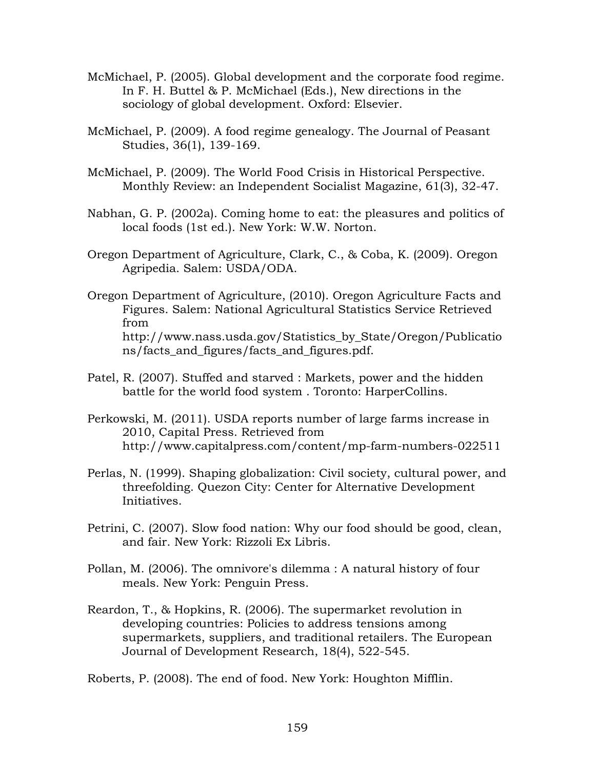- McMichael, P. (2005). Global development and the corporate food regime. In F. H. Buttel & P. McMichael (Eds.), New directions in the sociology of global development. Oxford: Elsevier.
- McMichael, P. (2009). A food regime genealogy. The Journal of Peasant Studies, 36(1), 139-169.
- McMichael, P. (2009). The World Food Crisis in Historical Perspective. Monthly Review: an Independent Socialist Magazine, 61(3), 32-47.
- Nabhan, G. P. (2002a). Coming home to eat: the pleasures and politics of local foods (1st ed.). New York: W.W. Norton.
- Oregon Department of Agriculture, Clark, C., & Coba, K. (2009). Oregon Agripedia. Salem: USDA/ODA.
- Oregon Department of Agriculture, (2010). Oregon Agriculture Facts and Figures. Salem: National Agricultural Statistics Service Retrieved from http://www.nass.usda.gov/Statistics\_by\_State/Oregon/Publicatio ns/facts\_and\_figures/facts\_and\_figures.pdf.
- Patel, R. (2007). Stuffed and starved : Markets, power and the hidden battle for the world food system . Toronto: HarperCollins.
- Perkowski, M. (2011). USDA reports number of large farms increase in 2010, Capital Press. Retrieved from http://www.capitalpress.com/content/mp-farm-numbers-022511
- Perlas, N. (1999). Shaping globalization: Civil society, cultural power, and threefolding. Quezon City: Center for Alternative Development Initiatives.
- Petrini, C. (2007). Slow food nation: Why our food should be good, clean, and fair. New York: Rizzoli Ex Libris.
- Pollan, M. (2006). The omnivore's dilemma : A natural history of four meals. New York: Penguin Press.
- Reardon, T., & Hopkins, R. (2006). The supermarket revolution in developing countries: Policies to address tensions among supermarkets, suppliers, and traditional retailers. The European Journal of Development Research, 18(4), 522-545.

Roberts, P. (2008). The end of food. New York: Houghton Mifflin.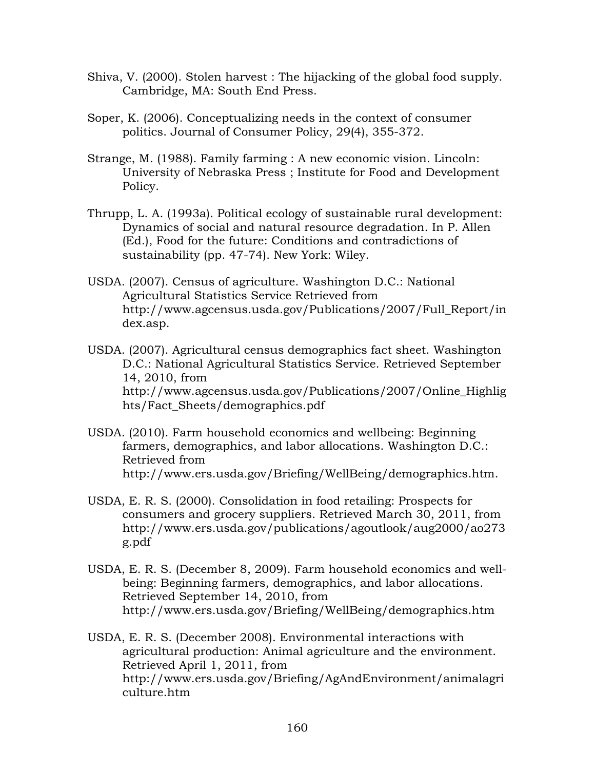- Shiva, V. (2000). Stolen harvest : The hijacking of the global food supply. Cambridge, MA: South End Press.
- Soper, K. (2006). Conceptualizing needs in the context of consumer politics. Journal of Consumer Policy, 29(4), 355-372.
- Strange, M. (1988). Family farming : A new economic vision. Lincoln: University of Nebraska Press ; Institute for Food and Development Policy.
- Thrupp, L. A. (1993a). Political ecology of sustainable rural development: Dynamics of social and natural resource degradation. In P. Allen (Ed.), Food for the future: Conditions and contradictions of sustainability (pp. 47-74). New York: Wiley.
- USDA. (2007). Census of agriculture. Washington D.C.: National Agricultural Statistics Service Retrieved from http://www.agcensus.usda.gov/Publications/2007/Full\_Report/in dex.asp.
- USDA. (2007). Agricultural census demographics fact sheet. Washington D.C.: National Agricultural Statistics Service. Retrieved September 14, 2010, from http://www.agcensus.usda.gov/Publications/2007/Online\_Highlig hts/Fact\_Sheets/demographics.pdf
- USDA. (2010). Farm household economics and wellbeing: Beginning farmers, demographics, and labor allocations. Washington D.C.: Retrieved from http://www.ers.usda.gov/Briefing/WellBeing/demographics.htm.
- USDA, E. R. S. (2000). Consolidation in food retailing: Prospects for consumers and grocery suppliers. Retrieved March 30, 2011, from http://www.ers.usda.gov/publications/agoutlook/aug2000/ao273 g.pdf
- USDA, E. R. S. (December 8, 2009). Farm household economics and wellbeing: Beginning farmers, demographics, and labor allocations. Retrieved September 14, 2010, from http://www.ers.usda.gov/Briefing/WellBeing/demographics.htm
- USDA, E. R. S. (December 2008). Environmental interactions with agricultural production: Animal agriculture and the environment. Retrieved April 1, 2011, from http://www.ers.usda.gov/Briefing/AgAndEnvironment/animalagri culture.htm